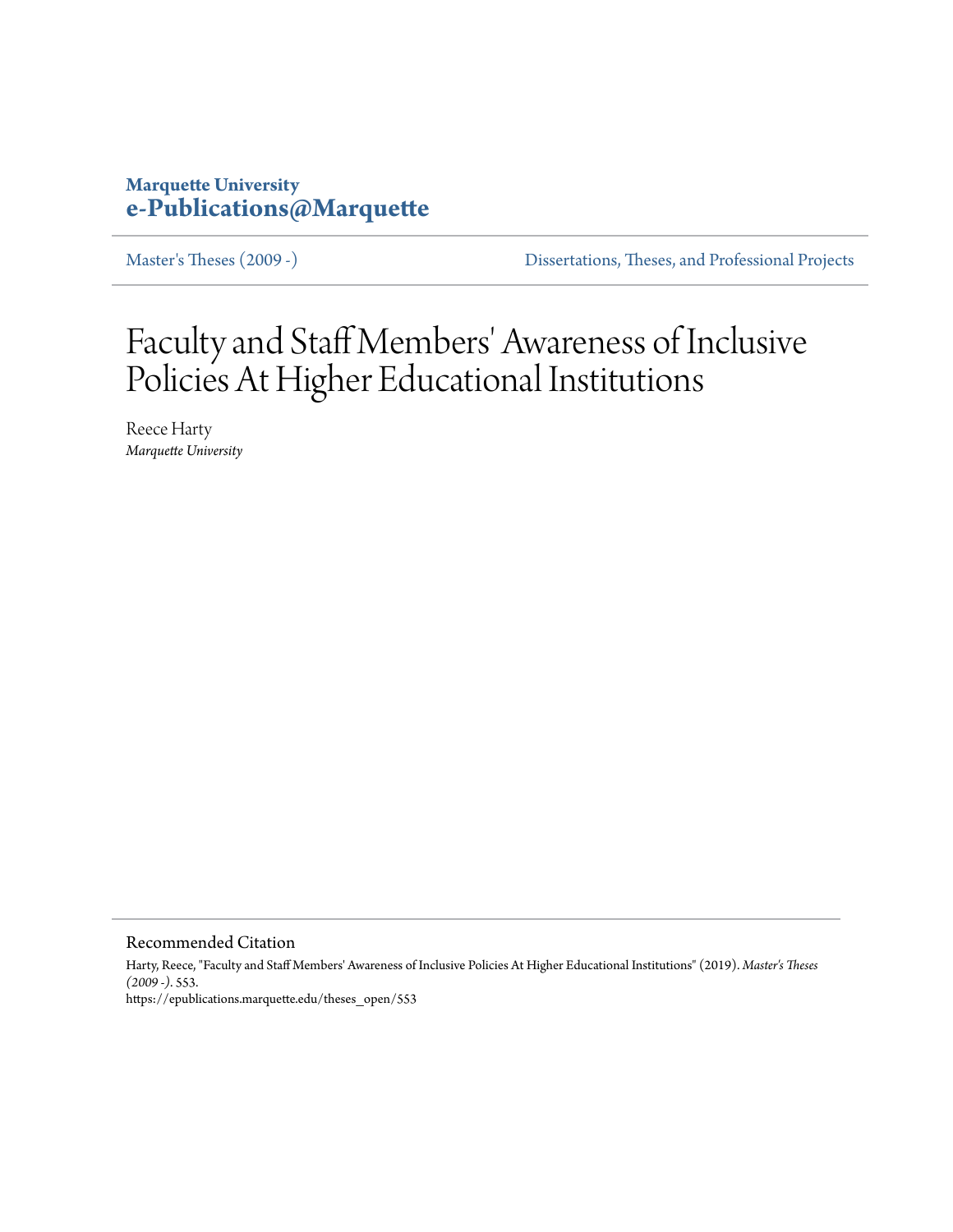## **Marquette University [e-Publications@Marquette](https://epublications.marquette.edu)**

[Master's Theses \(2009 -\)](https://epublications.marquette.edu/theses_open) [Dissertations, Theses, and Professional Projects](https://epublications.marquette.edu/diss_theses)

# Faculty and Staff Members' Awareness of Inclusive Policies At Higher Educational Institutions

Reece Harty *Marquette University*

Recommended Citation

Harty, Reece, "Faculty and Staff Members' Awareness of Inclusive Policies At Higher Educational Institutions" (2019). *Master's Theses (2009 -)*. 553. https://epublications.marquette.edu/theses\_open/553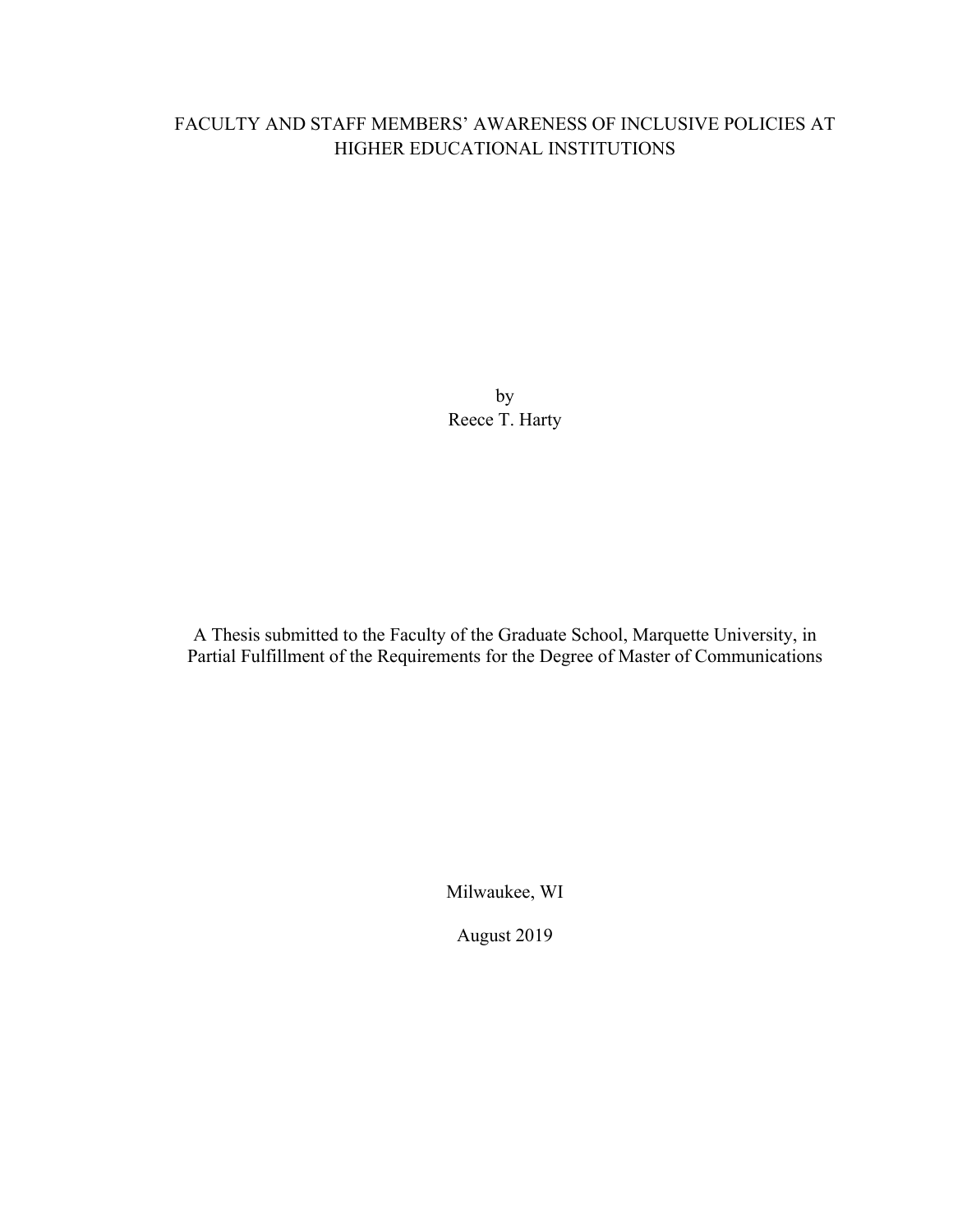## FACULTY AND STAFF MEMBERS' AWARENESS OF INCLUSIVE POLICIES AT HIGHER EDUCATIONAL INSTITUTIONS

by Reece T. Harty

A Thesis submitted to the Faculty of the Graduate School, Marquette University, in Partial Fulfillment of the Requirements for the Degree of Master of Communications

Milwaukee, WI

August 2019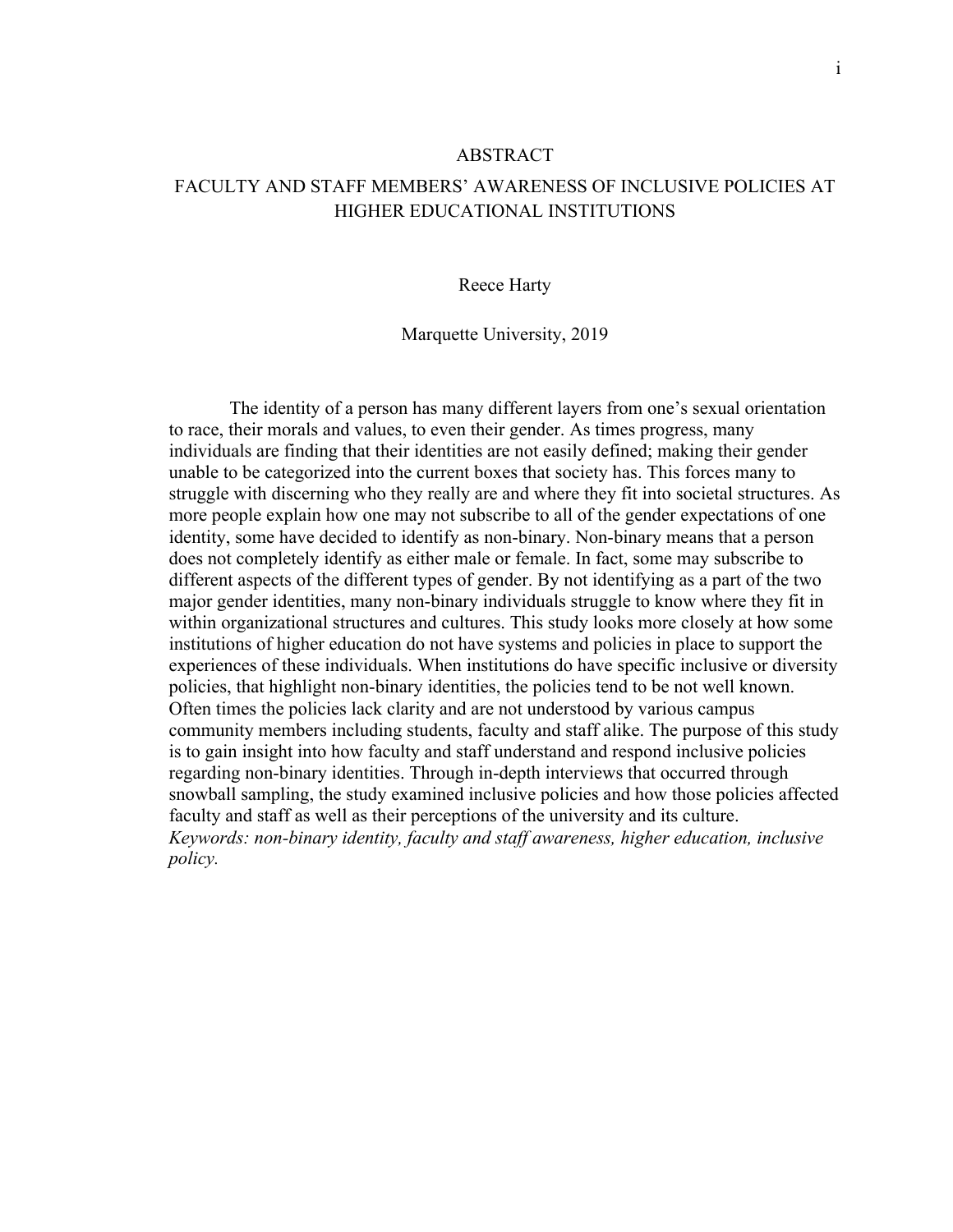#### ABSTRACT

### FACULTY AND STAFF MEMBERS' AWARENESS OF INCLUSIVE POLICIES AT HIGHER EDUCATIONAL INSTITUTIONS

#### Reece Harty

#### Marquette University, 2019

The identity of a person has many different layers from one's sexual orientation to race, their morals and values, to even their gender. As times progress, many individuals are finding that their identities are not easily defined; making their gender unable to be categorized into the current boxes that society has. This forces many to struggle with discerning who they really are and where they fit into societal structures. As more people explain how one may not subscribe to all of the gender expectations of one identity, some have decided to identify as non-binary. Non-binary means that a person does not completely identify as either male or female. In fact, some may subscribe to different aspects of the different types of gender. By not identifying as a part of the two major gender identities, many non-binary individuals struggle to know where they fit in within organizational structures and cultures. This study looks more closely at how some institutions of higher education do not have systems and policies in place to support the experiences of these individuals. When institutions do have specific inclusive or diversity policies, that highlight non-binary identities, the policies tend to be not well known. Often times the policies lack clarity and are not understood by various campus community members including students, faculty and staff alike. The purpose of this study is to gain insight into how faculty and staff understand and respond inclusive policies regarding non-binary identities. Through in-depth interviews that occurred through snowball sampling, the study examined inclusive policies and how those policies affected faculty and staff as well as their perceptions of the university and its culture. *Keywords: non-binary identity, faculty and staff awareness, higher education, inclusive policy.*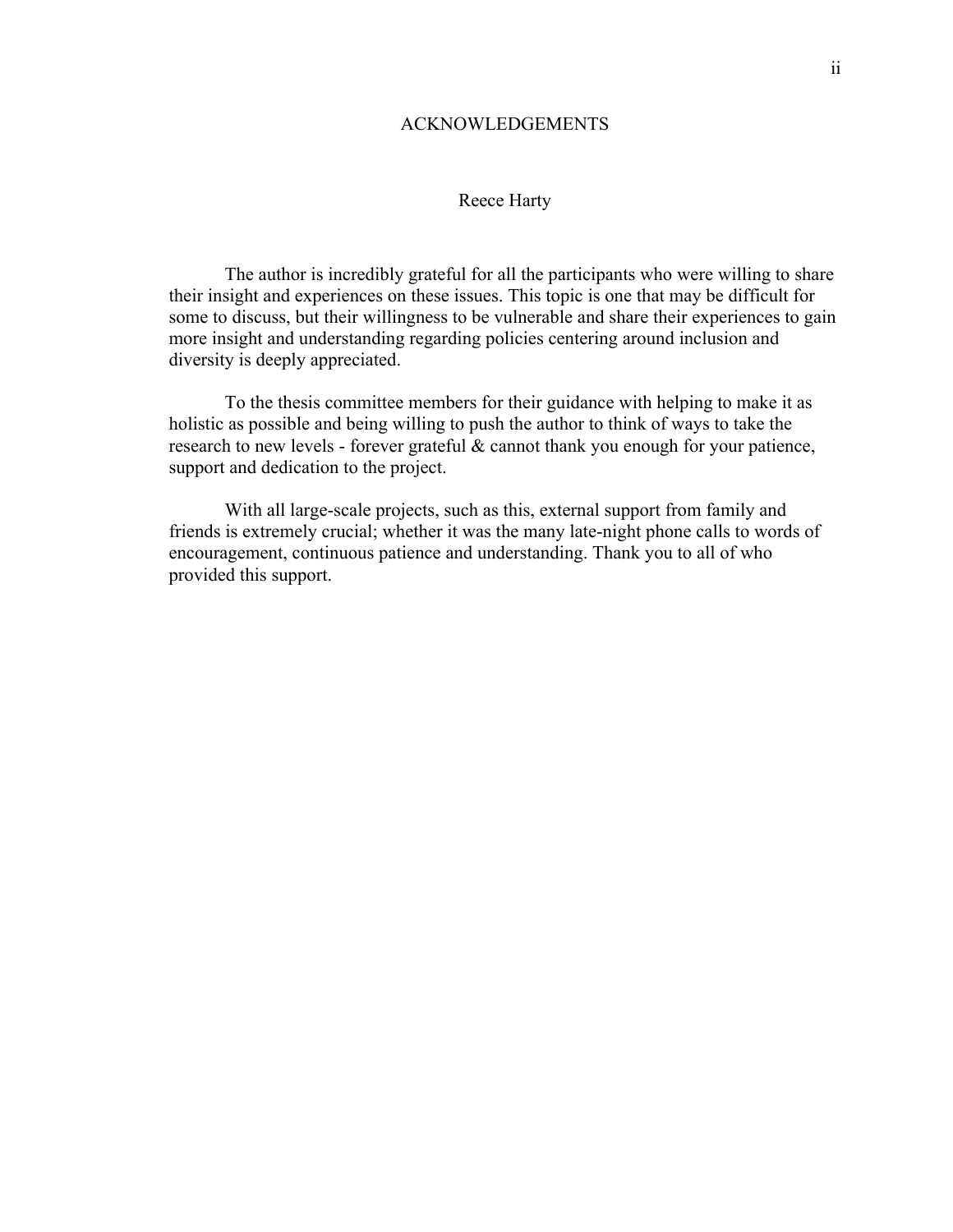#### ACKNOWLEDGEMENTS

#### Reece Harty

The author is incredibly grateful for all the participants who were willing to share their insight and experiences on these issues. This topic is one that may be difficult for some to discuss, but their willingness to be vulnerable and share their experiences to gain more insight and understanding regarding policies centering around inclusion and diversity is deeply appreciated.

To the thesis committee members for their guidance with helping to make it as holistic as possible and being willing to push the author to think of ways to take the research to new levels - forever grateful & cannot thank you enough for your patience, support and dedication to the project.

With all large-scale projects, such as this, external support from family and friends is extremely crucial; whether it was the many late-night phone calls to words of encouragement, continuous patience and understanding. Thank you to all of who provided this support.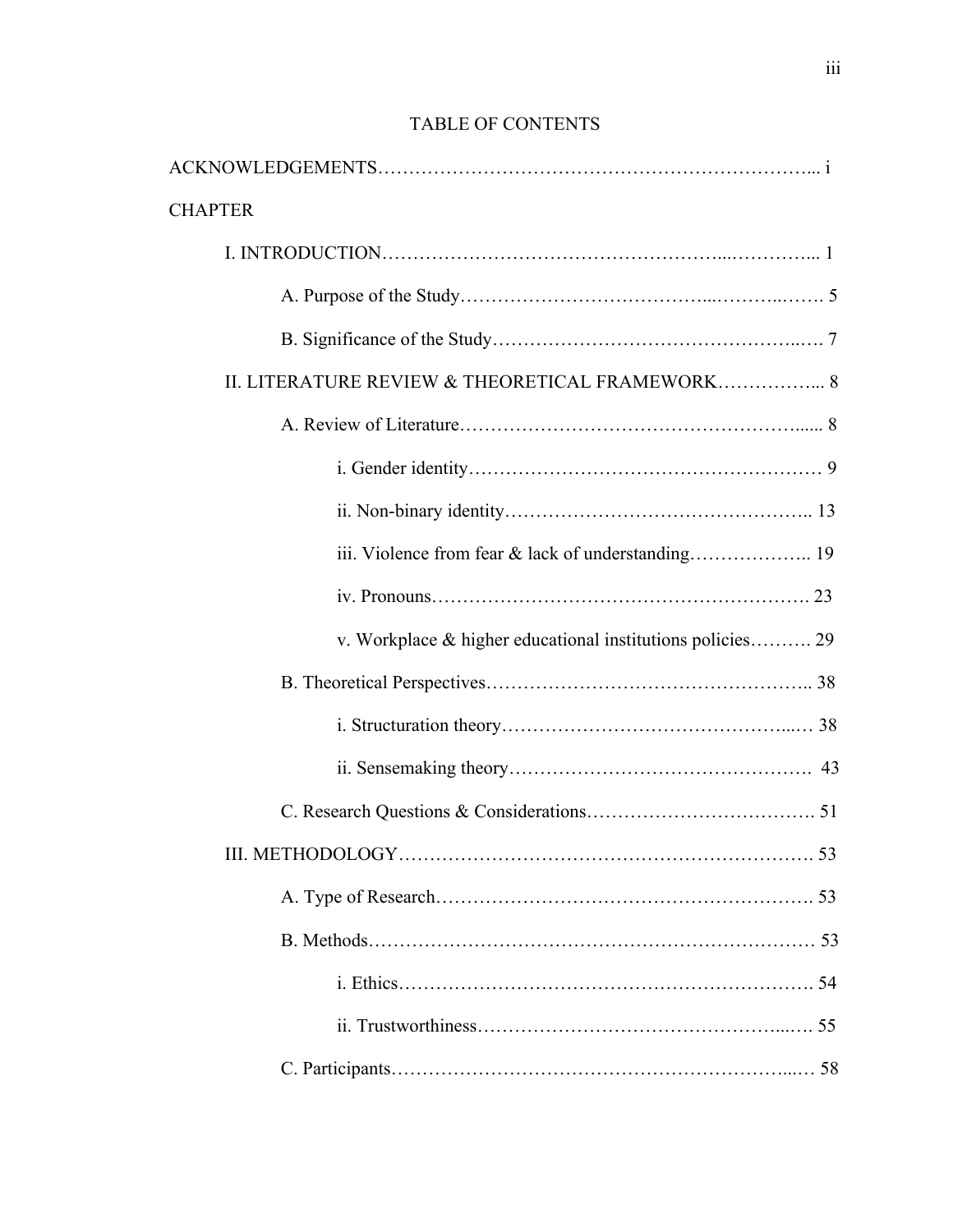| <b>CHAPTER</b>                                             |
|------------------------------------------------------------|
|                                                            |
|                                                            |
|                                                            |
| II. LITERATURE REVIEW & THEORETICAL FRAMEWORK 8            |
|                                                            |
|                                                            |
|                                                            |
|                                                            |
|                                                            |
| v. Workplace & higher educational institutions policies 29 |
|                                                            |
|                                                            |
|                                                            |
|                                                            |
|                                                            |
|                                                            |
|                                                            |
|                                                            |
|                                                            |
|                                                            |

## TABLE OF CONTENTS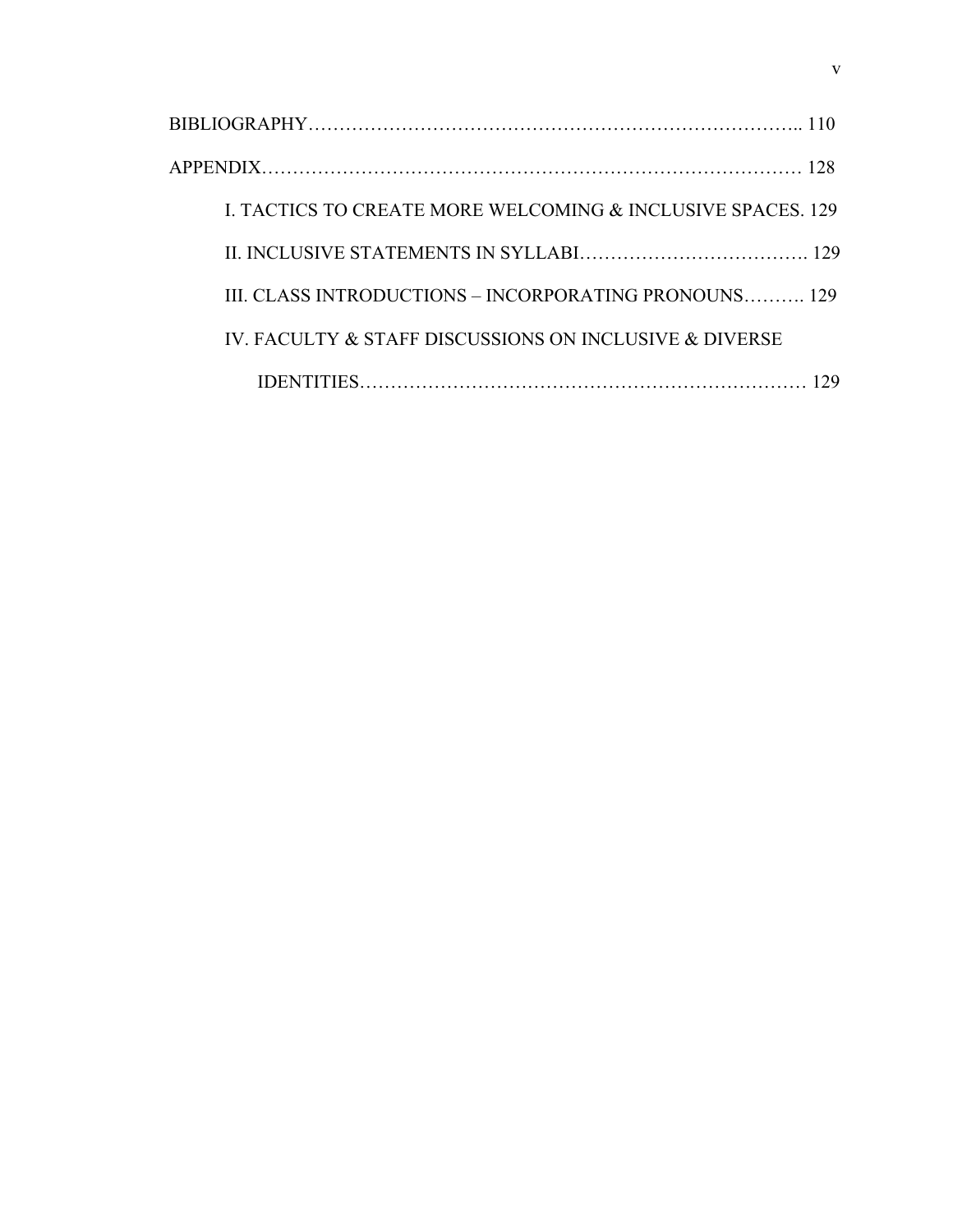| L TACTICS TO CREATE MORE WELCOMING & INCLUSIVE SPACES, 129 |
|------------------------------------------------------------|
|                                                            |
| III. CLASS INTRODUCTIONS - INCORPORATING PRONOUNS 129      |
| IV. FACULTY & STAFF DISCUSSIONS ON INCLUSIVE & DIVERSE     |
|                                                            |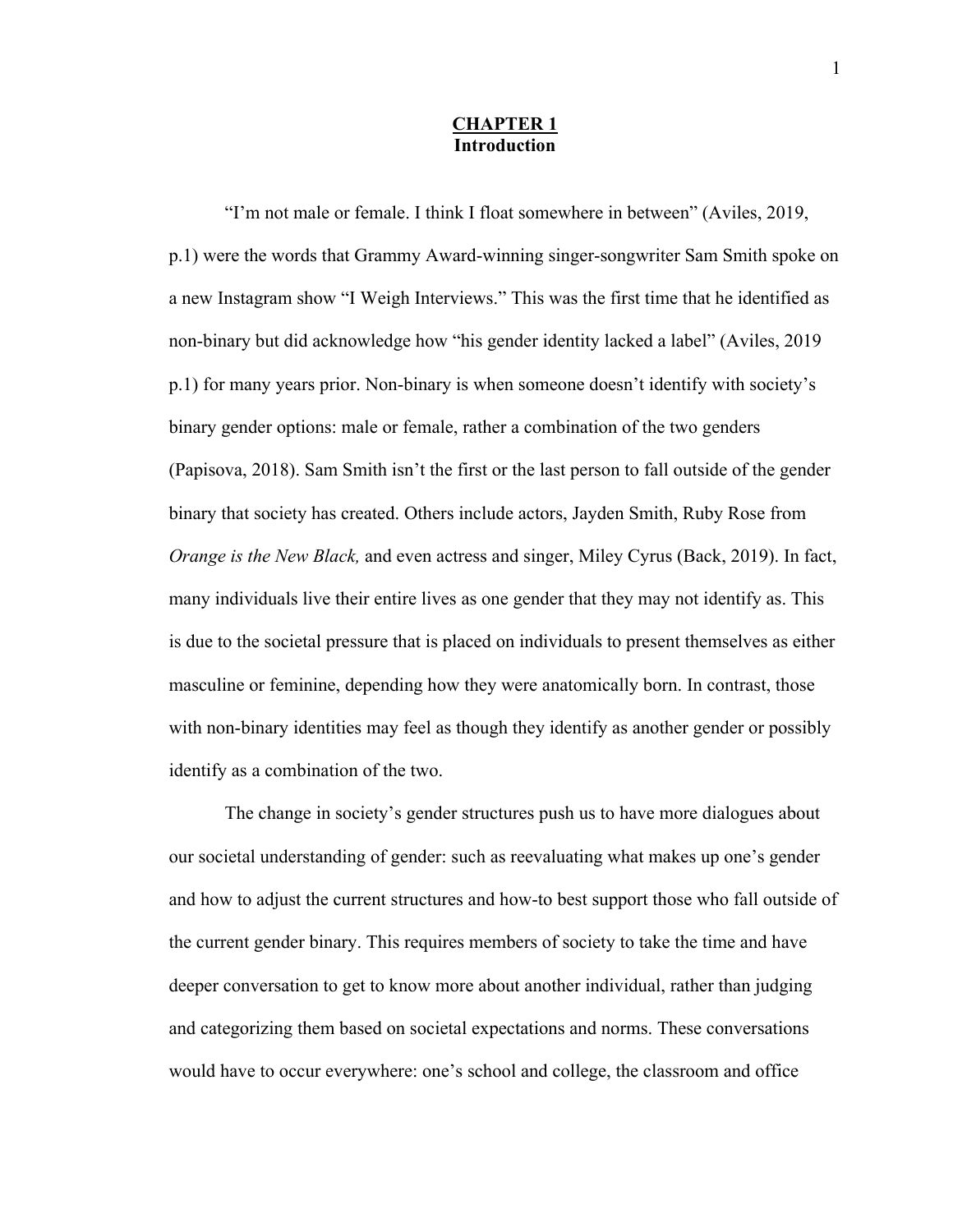#### **CHAPTER 1 Introduction**

"I'm not male or female. I think I float somewhere in between" (Aviles, 2019, p.1) were the words that Grammy Award-winning singer-songwriter Sam Smith spoke on a new Instagram show "I Weigh Interviews." This was the first time that he identified as non-binary but did acknowledge how "his gender identity lacked a label" (Aviles, 2019 p.1) for many years prior. Non-binary is when someone doesn't identify with society's binary gender options: male or female, rather a combination of the two genders (Papisova, 2018). Sam Smith isn't the first or the last person to fall outside of the gender binary that society has created. Others include actors, Jayden Smith, Ruby Rose from *Orange is the New Black,* and even actress and singer, Miley Cyrus (Back, 2019). In fact, many individuals live their entire lives as one gender that they may not identify as. This is due to the societal pressure that is placed on individuals to present themselves as either masculine or feminine, depending how they were anatomically born. In contrast, those with non-binary identities may feel as though they identify as another gender or possibly identify as a combination of the two.

The change in society's gender structures push us to have more dialogues about our societal understanding of gender: such as reevaluating what makes up one's gender and how to adjust the current structures and how-to best support those who fall outside of the current gender binary. This requires members of society to take the time and have deeper conversation to get to know more about another individual, rather than judging and categorizing them based on societal expectations and norms. These conversations would have to occur everywhere: one's school and college, the classroom and office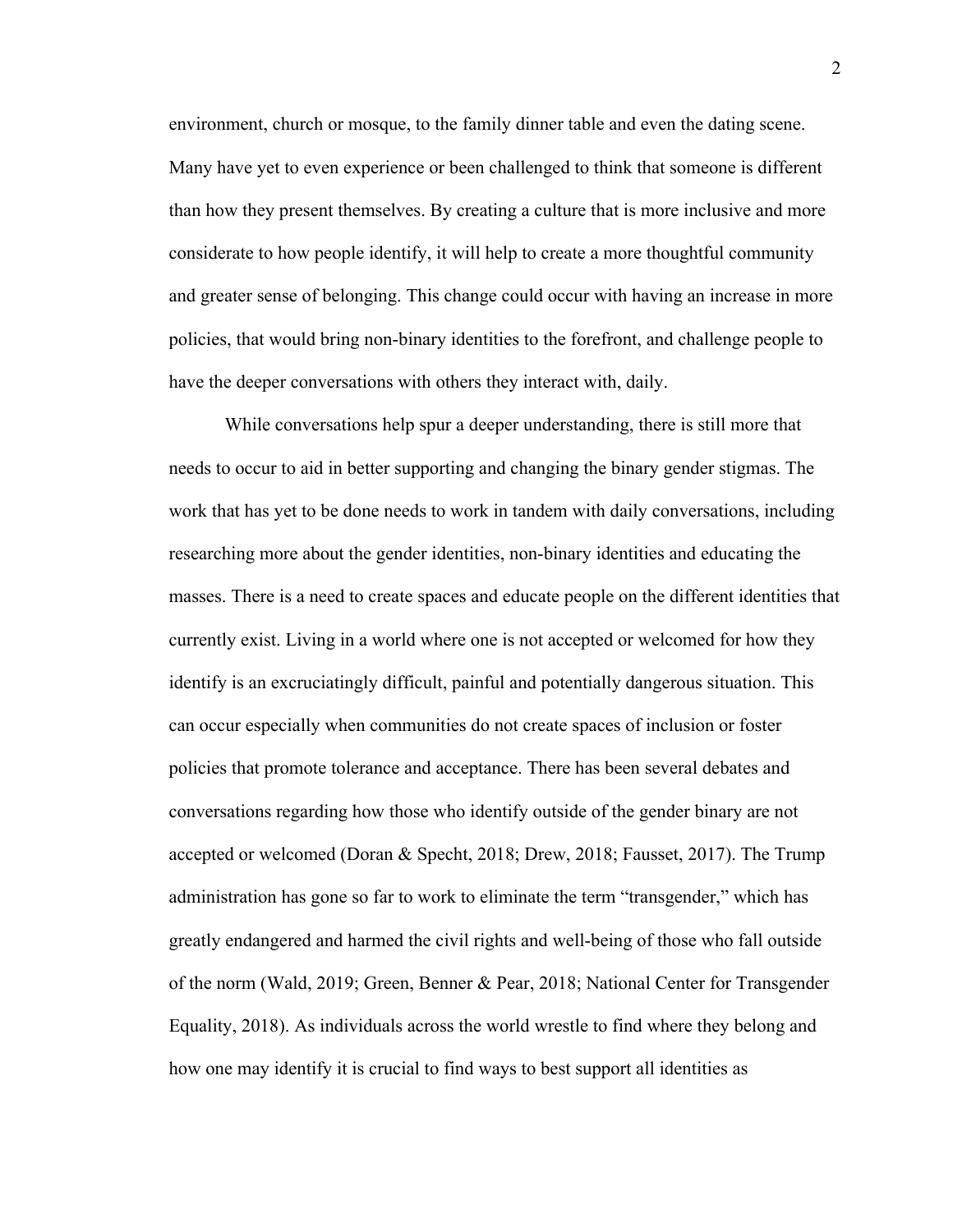environment, church or mosque, to the family dinner table and even the dating scene. Many have yet to even experience or been challenged to think that someone is different than how they present themselves. By creating a culture that is more inclusive and more considerate to how people identify, it will help to create a more thoughtful community and greater sense of belonging. This change could occur with having an increase in more policies, that would bring non-binary identities to the forefront, and challenge people to have the deeper conversations with others they interact with, daily.

While conversations help spur a deeper understanding, there is still more that needs to occur to aid in better supporting and changing the binary gender stigmas. The work that has yet to be done needs to work in tandem with daily conversations, including researching more about the gender identities, non-binary identities and educating the masses. There is a need to create spaces and educate people on the different identities that currently exist. Living in a world where one is not accepted or welcomed for how they identify is an excruciatingly difficult, painful and potentially dangerous situation. This can occur especially when communities do not create spaces of inclusion or foster policies that promote tolerance and acceptance. There has been several debates and conversations regarding how those who identify outside of the gender binary are not accepted or welcomed (Doran & Specht, 2018; Drew, 2018; Fausset, 2017). The Trump administration has gone so far to work to eliminate the term "transgender," which has greatly endangered and harmed the civil rights and well-being of those who fall outside of the norm (Wald, 2019; Green, Benner & Pear, 2018; National Center for Transgender Equality, 2018). As individuals across the world wrestle to find where they belong and how one may identify it is crucial to find ways to best support all identities as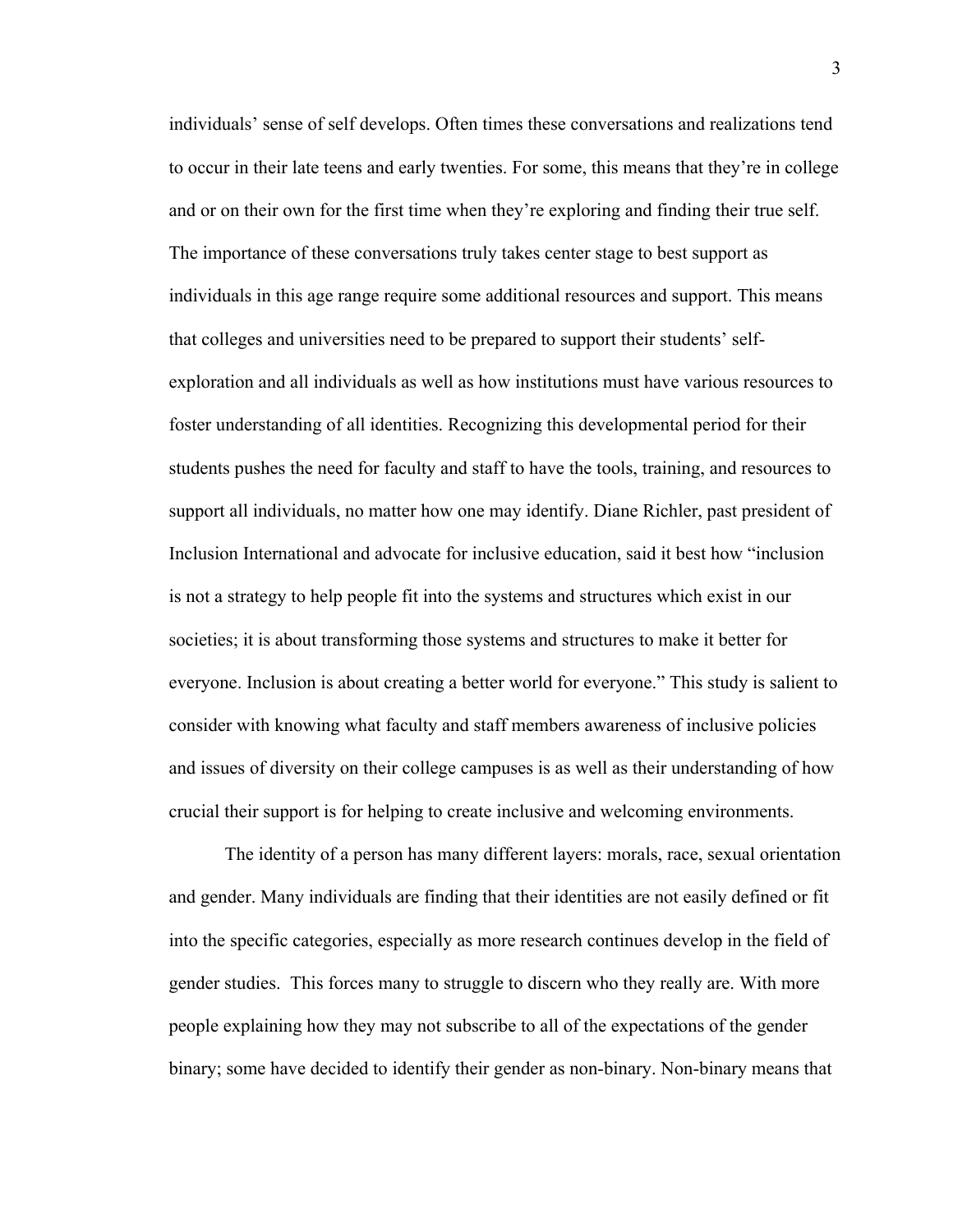individuals' sense of self develops. Often times these conversations and realizations tend to occur in their late teens and early twenties. For some, this means that they're in college and or on their own for the first time when they're exploring and finding their true self. The importance of these conversations truly takes center stage to best support as individuals in this age range require some additional resources and support. This means that colleges and universities need to be prepared to support their students' selfexploration and all individuals as well as how institutions must have various resources to foster understanding of all identities. Recognizing this developmental period for their students pushes the need for faculty and staff to have the tools, training, and resources to support all individuals, no matter how one may identify. Diane Richler, past president of Inclusion International and advocate for inclusive education, said it best how "inclusion is not a strategy to help people fit into the systems and structures which exist in our societies; it is about transforming those systems and structures to make it better for everyone. Inclusion is about creating a better world for everyone." This study is salient to consider with knowing what faculty and staff members awareness of inclusive policies and issues of diversity on their college campuses is as well as their understanding of how crucial their support is for helping to create inclusive and welcoming environments.

The identity of a person has many different layers: morals, race, sexual orientation and gender. Many individuals are finding that their identities are not easily defined or fit into the specific categories, especially as more research continues develop in the field of gender studies. This forces many to struggle to discern who they really are. With more people explaining how they may not subscribe to all of the expectations of the gender binary; some have decided to identify their gender as non-binary. Non-binary means that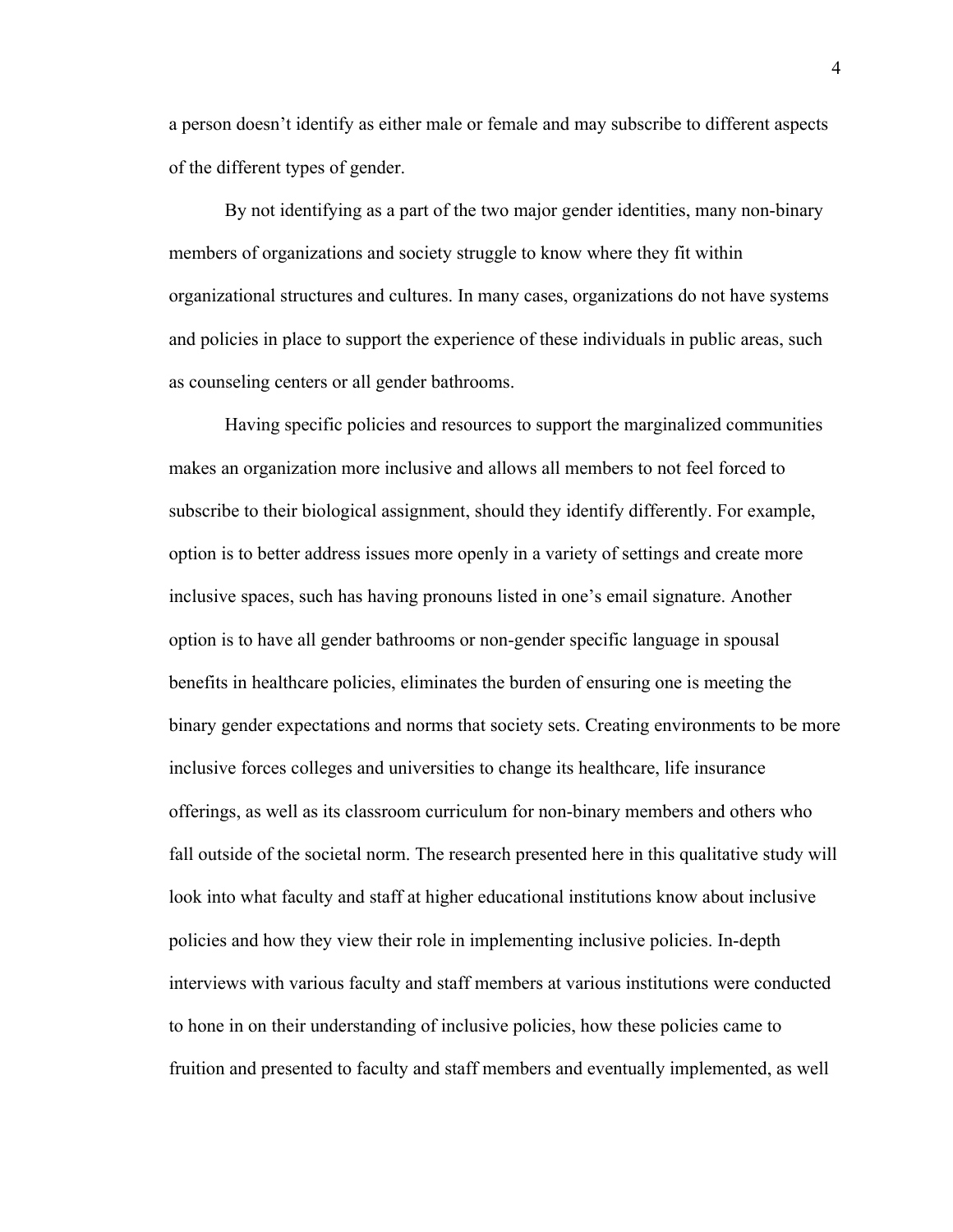a person doesn't identify as either male or female and may subscribe to different aspects of the different types of gender.

By not identifying as a part of the two major gender identities, many non-binary members of organizations and society struggle to know where they fit within organizational structures and cultures. In many cases, organizations do not have systems and policies in place to support the experience of these individuals in public areas, such as counseling centers or all gender bathrooms.

Having specific policies and resources to support the marginalized communities makes an organization more inclusive and allows all members to not feel forced to subscribe to their biological assignment, should they identify differently. For example, option is to better address issues more openly in a variety of settings and create more inclusive spaces, such has having pronouns listed in one's email signature. Another option is to have all gender bathrooms or non-gender specific language in spousal benefits in healthcare policies, eliminates the burden of ensuring one is meeting the binary gender expectations and norms that society sets. Creating environments to be more inclusive forces colleges and universities to change its healthcare, life insurance offerings, as well as its classroom curriculum for non-binary members and others who fall outside of the societal norm. The research presented here in this qualitative study will look into what faculty and staff at higher educational institutions know about inclusive policies and how they view their role in implementing inclusive policies. In-depth interviews with various faculty and staff members at various institutions were conducted to hone in on their understanding of inclusive policies, how these policies came to fruition and presented to faculty and staff members and eventually implemented, as well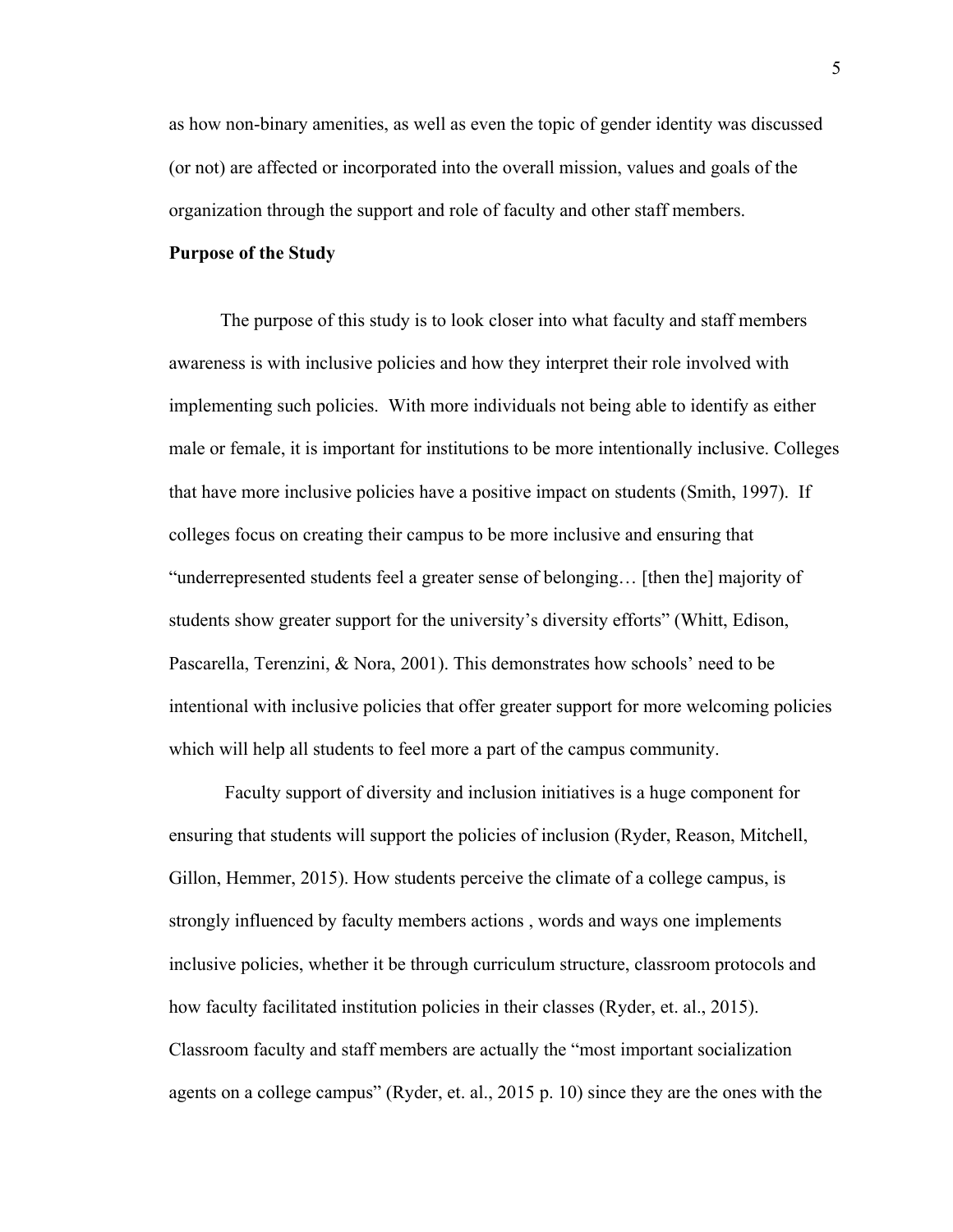as how non-binary amenities, as well as even the topic of gender identity was discussed (or not) are affected or incorporated into the overall mission, values and goals of the organization through the support and role of faculty and other staff members.

#### **Purpose of the Study**

 The purpose of this study is to look closer into what faculty and staff members awareness is with inclusive policies and how they interpret their role involved with implementing such policies. With more individuals not being able to identify as either male or female, it is important for institutions to be more intentionally inclusive. Colleges that have more inclusive policies have a positive impact on students (Smith, 1997). If colleges focus on creating their campus to be more inclusive and ensuring that "underrepresented students feel a greater sense of belonging… [then the] majority of students show greater support for the university's diversity efforts" (Whitt, Edison, Pascarella, Terenzini, & Nora, 2001). This demonstrates how schools' need to be intentional with inclusive policies that offer greater support for more welcoming policies which will help all students to feel more a part of the campus community.

Faculty support of diversity and inclusion initiatives is a huge component for ensuring that students will support the policies of inclusion (Ryder, Reason, Mitchell, Gillon, Hemmer, 2015). How students perceive the climate of a college campus, is strongly influenced by faculty members actions , words and ways one implements inclusive policies, whether it be through curriculum structure, classroom protocols and how faculty facilitated institution policies in their classes (Ryder, et. al., 2015). Classroom faculty and staff members are actually the "most important socialization agents on a college campus" (Ryder, et. al., 2015 p. 10) since they are the ones with the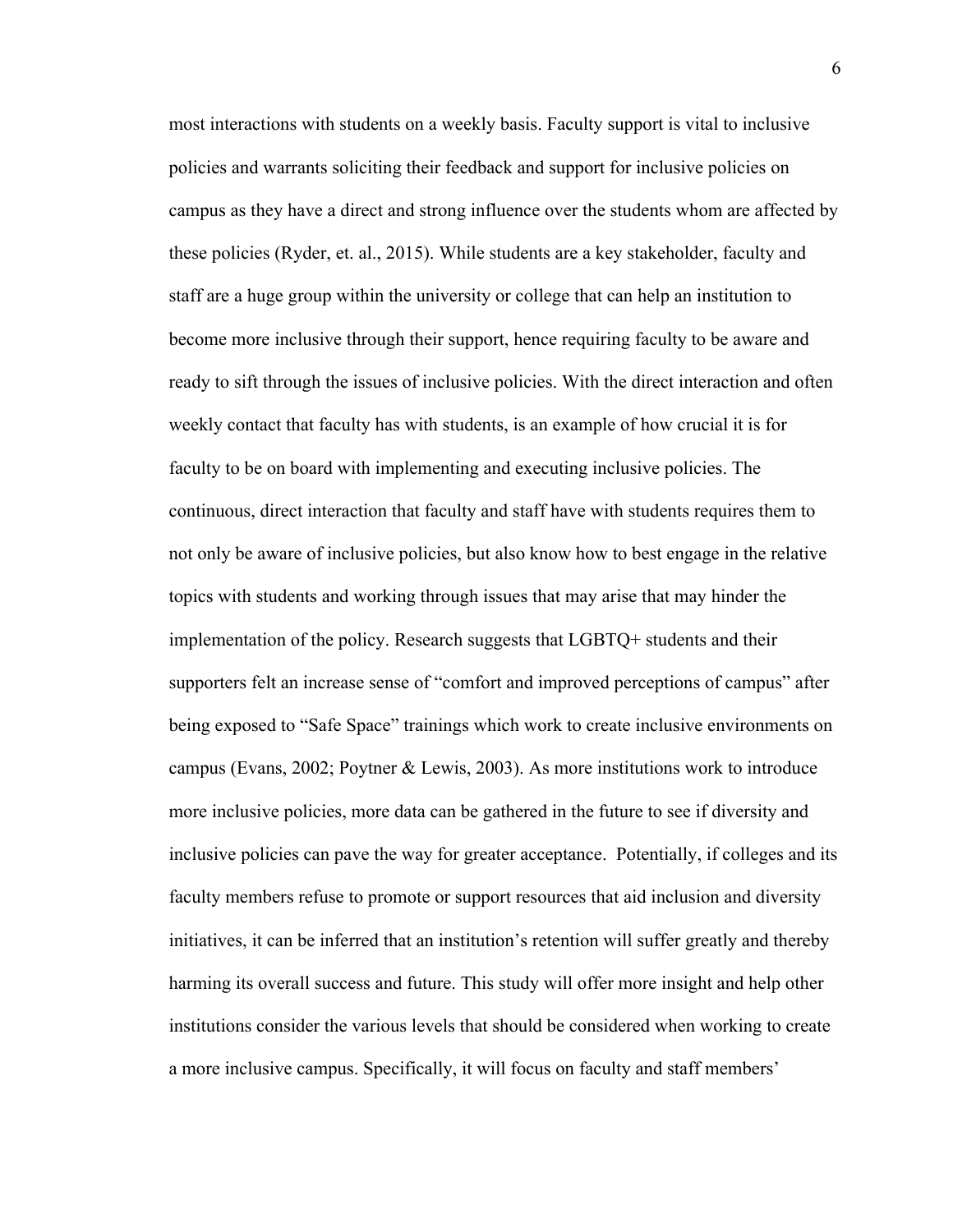most interactions with students on a weekly basis. Faculty support is vital to inclusive policies and warrants soliciting their feedback and support for inclusive policies on campus as they have a direct and strong influence over the students whom are affected by these policies (Ryder, et. al., 2015). While students are a key stakeholder, faculty and staff are a huge group within the university or college that can help an institution to become more inclusive through their support, hence requiring faculty to be aware and ready to sift through the issues of inclusive policies. With the direct interaction and often weekly contact that faculty has with students, is an example of how crucial it is for faculty to be on board with implementing and executing inclusive policies. The continuous, direct interaction that faculty and staff have with students requires them to not only be aware of inclusive policies, but also know how to best engage in the relative topics with students and working through issues that may arise that may hinder the implementation of the policy. Research suggests that LGBTQ+ students and their supporters felt an increase sense of "comfort and improved perceptions of campus" after being exposed to "Safe Space" trainings which work to create inclusive environments on campus (Evans, 2002; Poytner & Lewis, 2003). As more institutions work to introduce more inclusive policies, more data can be gathered in the future to see if diversity and inclusive policies can pave the way for greater acceptance. Potentially, if colleges and its faculty members refuse to promote or support resources that aid inclusion and diversity initiatives, it can be inferred that an institution's retention will suffer greatly and thereby harming its overall success and future. This study will offer more insight and help other institutions consider the various levels that should be considered when working to create a more inclusive campus. Specifically, it will focus on faculty and staff members'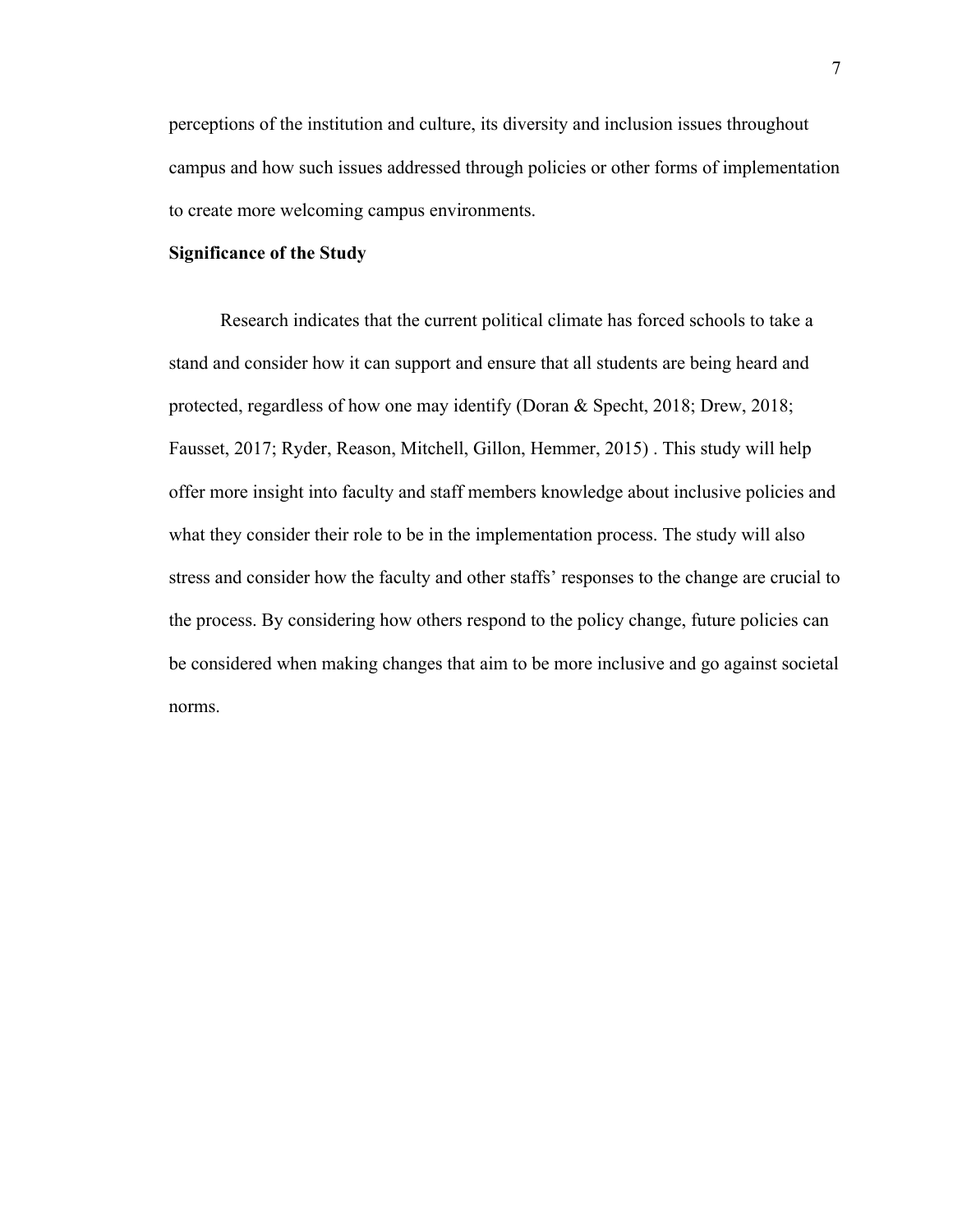perceptions of the institution and culture, its diversity and inclusion issues throughout campus and how such issues addressed through policies or other forms of implementation to create more welcoming campus environments.

#### **Significance of the Study**

 Research indicates that the current political climate has forced schools to take a stand and consider how it can support and ensure that all students are being heard and protected, regardless of how one may identify (Doran & Specht, 2018; Drew, 2018; Fausset, 2017; Ryder, Reason, Mitchell, Gillon, Hemmer, 2015) . This study will help offer more insight into faculty and staff members knowledge about inclusive policies and what they consider their role to be in the implementation process. The study will also stress and consider how the faculty and other staffs' responses to the change are crucial to the process. By considering how others respond to the policy change, future policies can be considered when making changes that aim to be more inclusive and go against societal norms.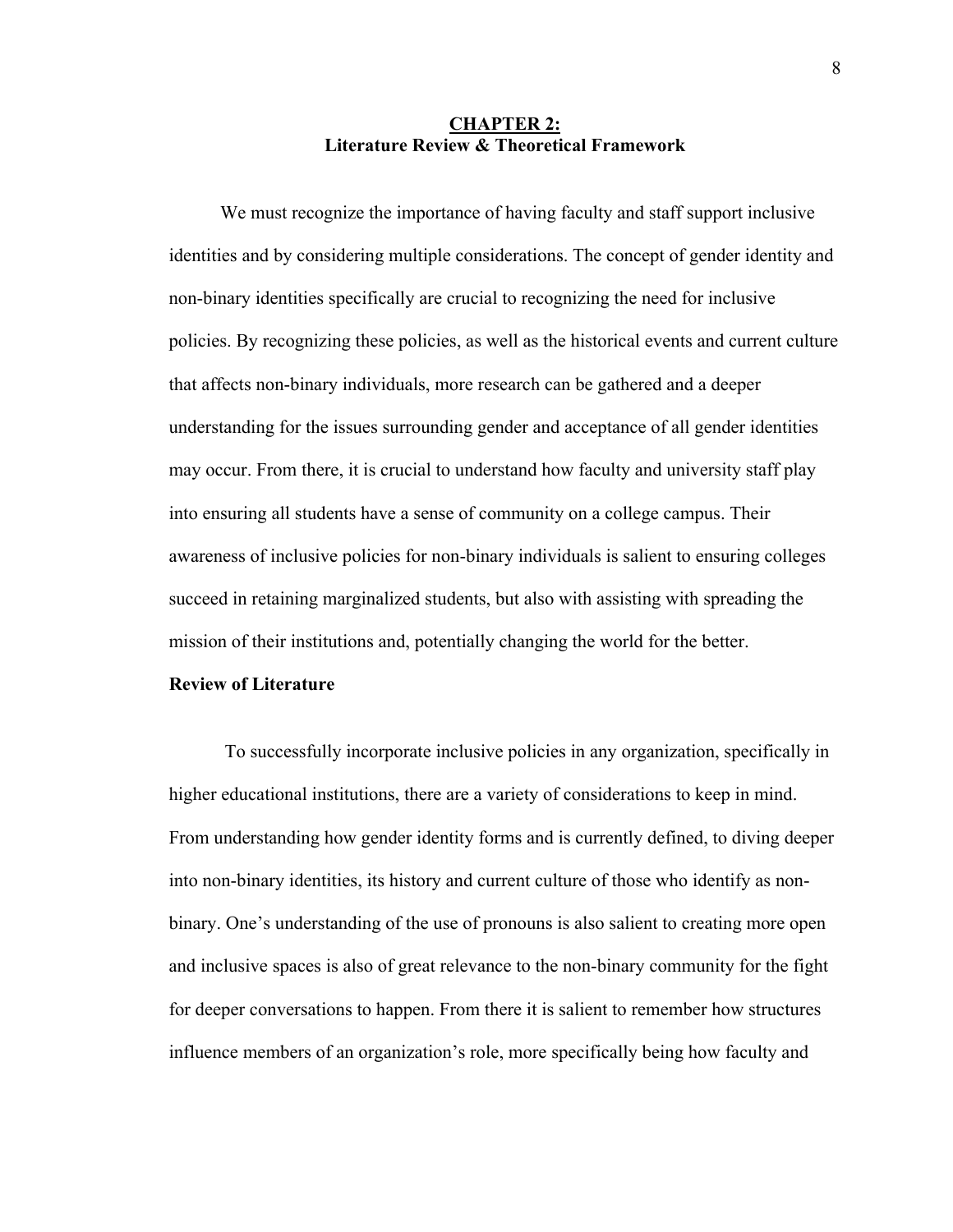#### **CHAPTER 2: Literature Review & Theoretical Framework**

 We must recognize the importance of having faculty and staff support inclusive identities and by considering multiple considerations. The concept of gender identity and non-binary identities specifically are crucial to recognizing the need for inclusive policies. By recognizing these policies, as well as the historical events and current culture that affects non-binary individuals, more research can be gathered and a deeper understanding for the issues surrounding gender and acceptance of all gender identities may occur. From there, it is crucial to understand how faculty and university staff play into ensuring all students have a sense of community on a college campus. Their awareness of inclusive policies for non-binary individuals is salient to ensuring colleges succeed in retaining marginalized students, but also with assisting with spreading the mission of their institutions and, potentially changing the world for the better.

#### **Review of Literature**

To successfully incorporate inclusive policies in any organization, specifically in higher educational institutions, there are a variety of considerations to keep in mind. From understanding how gender identity forms and is currently defined, to diving deeper into non-binary identities, its history and current culture of those who identify as nonbinary. One's understanding of the use of pronouns is also salient to creating more open and inclusive spaces is also of great relevance to the non-binary community for the fight for deeper conversations to happen. From there it is salient to remember how structures influence members of an organization's role, more specifically being how faculty and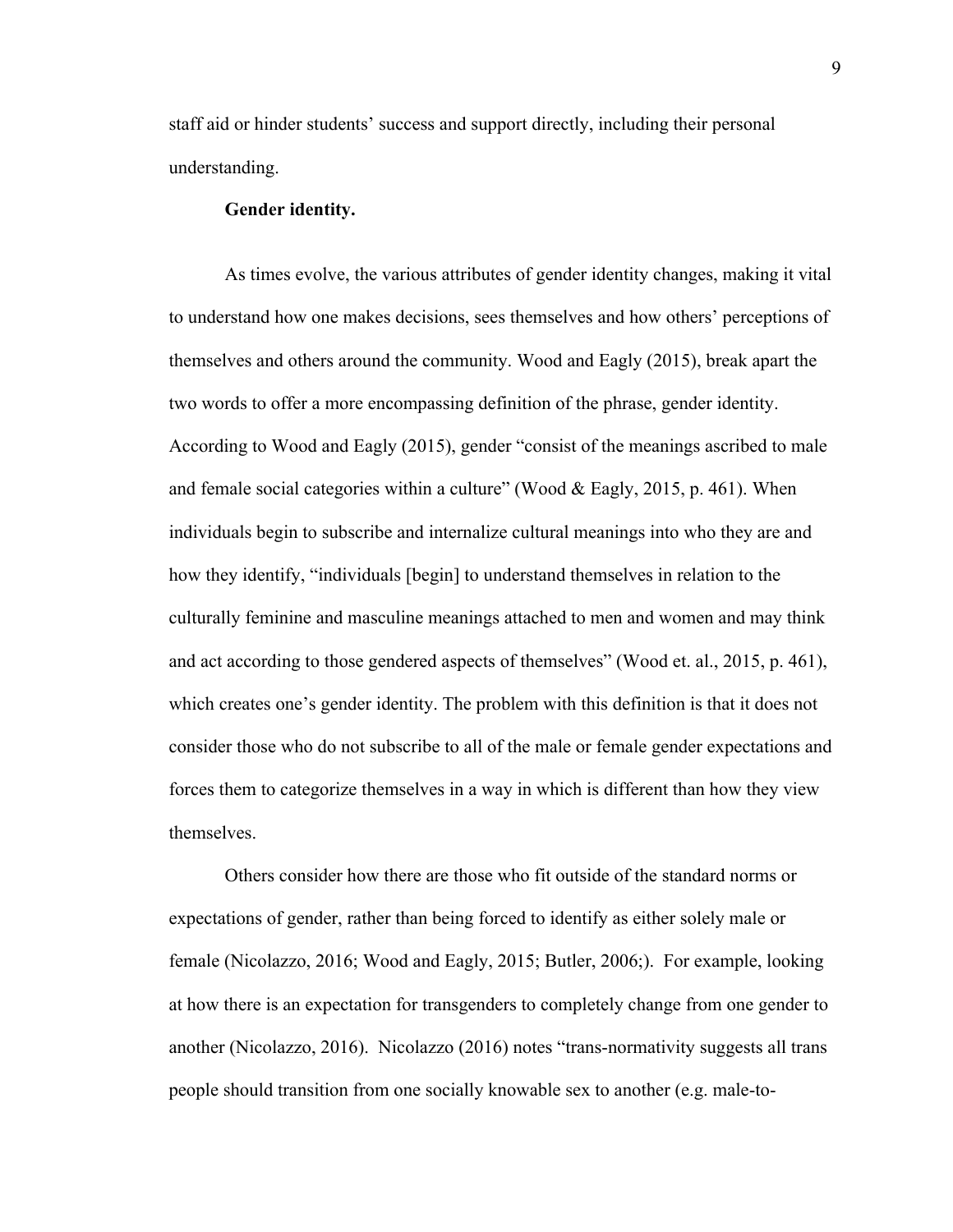staff aid or hinder students' success and support directly, including their personal understanding.

#### **Gender identity.**

As times evolve, the various attributes of gender identity changes, making it vital to understand how one makes decisions, sees themselves and how others' perceptions of themselves and others around the community. Wood and Eagly (2015), break apart the two words to offer a more encompassing definition of the phrase, gender identity. According to Wood and Eagly (2015), gender "consist of the meanings ascribed to male and female social categories within a culture" (Wood  $&$  Eagly, 2015, p. 461). When individuals begin to subscribe and internalize cultural meanings into who they are and how they identify, "individuals [begin] to understand themselves in relation to the culturally feminine and masculine meanings attached to men and women and may think and act according to those gendered aspects of themselves" (Wood et. al., 2015, p. 461), which creates one's gender identity. The problem with this definition is that it does not consider those who do not subscribe to all of the male or female gender expectations and forces them to categorize themselves in a way in which is different than how they view themselves.

Others consider how there are those who fit outside of the standard norms or expectations of gender, rather than being forced to identify as either solely male or female (Nicolazzo, 2016; Wood and Eagly, 2015; Butler, 2006;). For example, looking at how there is an expectation for transgenders to completely change from one gender to another (Nicolazzo, 2016). Nicolazzo (2016) notes "trans-normativity suggests all trans people should transition from one socially knowable sex to another (e.g. male-to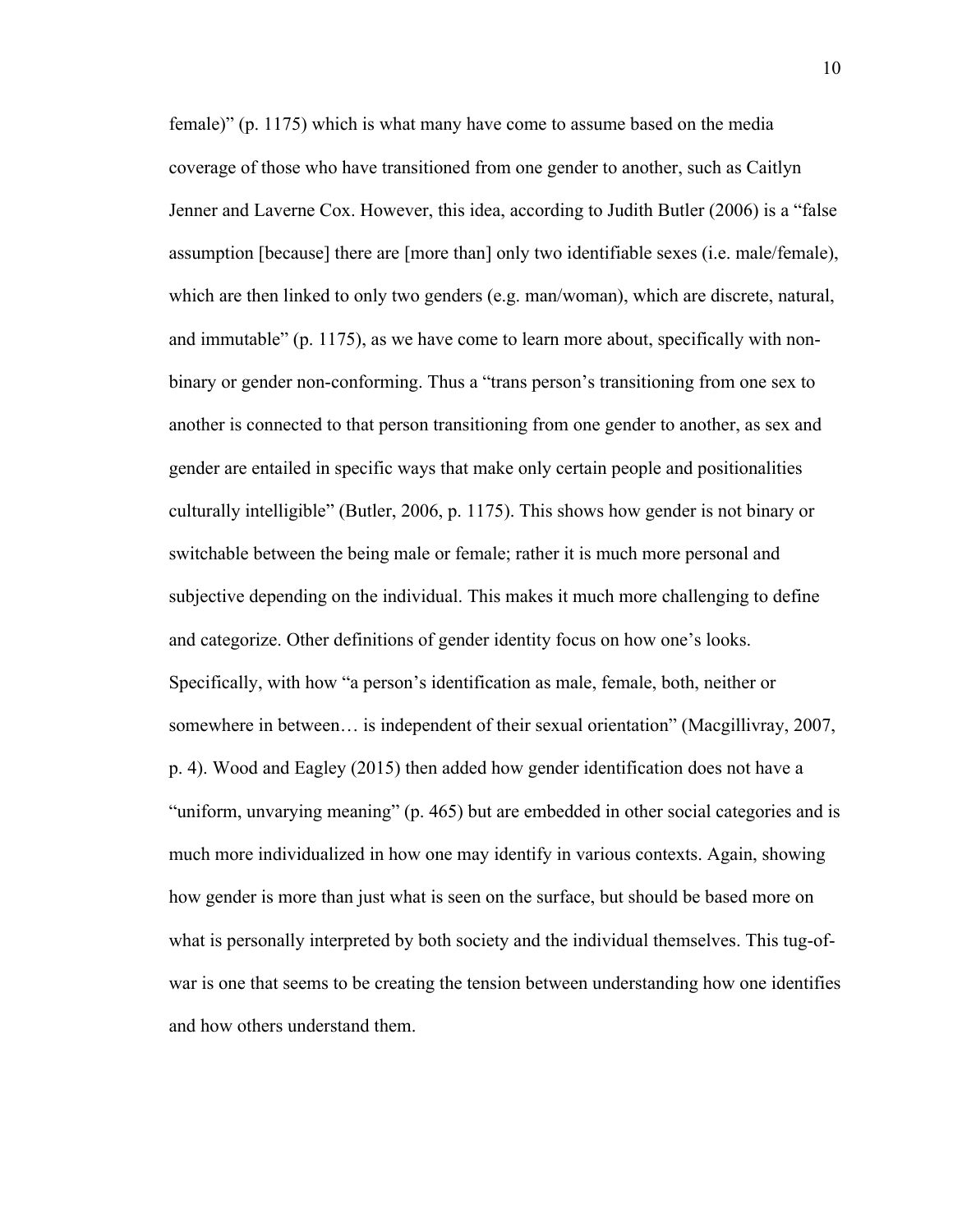female)" (p. 1175) which is what many have come to assume based on the media coverage of those who have transitioned from one gender to another, such as Caitlyn Jenner and Laverne Cox. However, this idea, according to Judith Butler (2006) is a "false assumption [because] there are [more than] only two identifiable sexes (i.e. male/female), which are then linked to only two genders (e.g. man/woman), which are discrete, natural, and immutable" (p. 1175), as we have come to learn more about, specifically with nonbinary or gender non-conforming. Thus a "trans person's transitioning from one sex to another is connected to that person transitioning from one gender to another, as sex and gender are entailed in specific ways that make only certain people and positionalities culturally intelligible" (Butler, 2006, p. 1175). This shows how gender is not binary or switchable between the being male or female; rather it is much more personal and subjective depending on the individual. This makes it much more challenging to define and categorize. Other definitions of gender identity focus on how one's looks. Specifically, with how "a person's identification as male, female, both, neither or somewhere in between… is independent of their sexual orientation" (Macgillivray, 2007, p. 4). Wood and Eagley (2015) then added how gender identification does not have a "uniform, unvarying meaning" (p. 465) but are embedded in other social categories and is much more individualized in how one may identify in various contexts. Again, showing how gender is more than just what is seen on the surface, but should be based more on what is personally interpreted by both society and the individual themselves. This tug-ofwar is one that seems to be creating the tension between understanding how one identifies and how others understand them.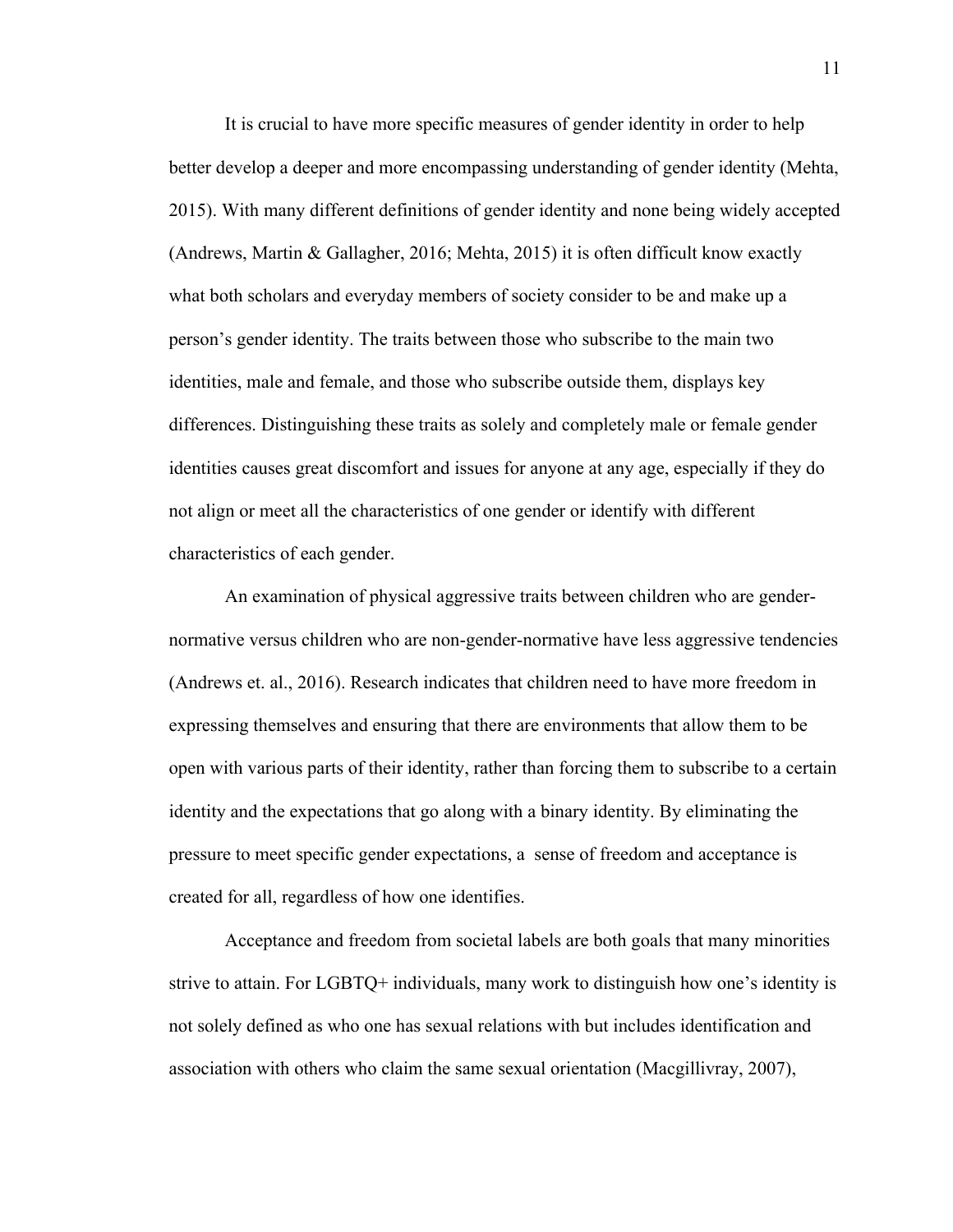It is crucial to have more specific measures of gender identity in order to help better develop a deeper and more encompassing understanding of gender identity (Mehta, 2015). With many different definitions of gender identity and none being widely accepted (Andrews, Martin & Gallagher, 2016; Mehta, 2015) it is often difficult know exactly what both scholars and everyday members of society consider to be and make up a person's gender identity. The traits between those who subscribe to the main two identities, male and female, and those who subscribe outside them, displays key differences. Distinguishing these traits as solely and completely male or female gender identities causes great discomfort and issues for anyone at any age, especially if they do not align or meet all the characteristics of one gender or identify with different characteristics of each gender.

An examination of physical aggressive traits between children who are gendernormative versus children who are non-gender-normative have less aggressive tendencies (Andrews et. al., 2016). Research indicates that children need to have more freedom in expressing themselves and ensuring that there are environments that allow them to be open with various parts of their identity, rather than forcing them to subscribe to a certain identity and the expectations that go along with a binary identity. By eliminating the pressure to meet specific gender expectations, a sense of freedom and acceptance is created for all, regardless of how one identifies.

Acceptance and freedom from societal labels are both goals that many minorities strive to attain. For LGBTQ+ individuals, many work to distinguish how one's identity is not solely defined as who one has sexual relations with but includes identification and association with others who claim the same sexual orientation (Macgillivray, 2007),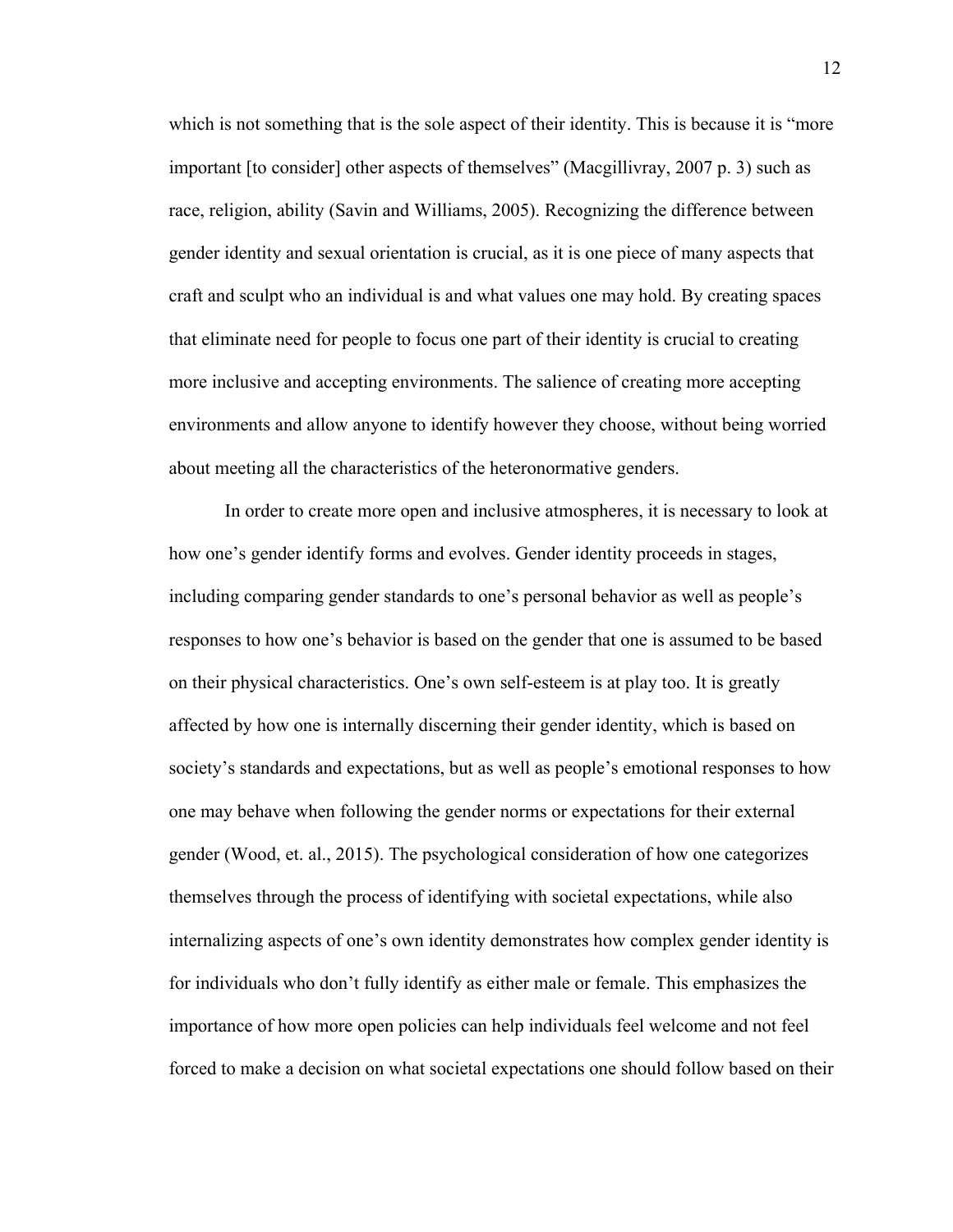which is not something that is the sole aspect of their identity. This is because it is "more important [to consider] other aspects of themselves" (Macgillivray, 2007 p. 3) such as race, religion, ability (Savin and Williams, 2005). Recognizing the difference between gender identity and sexual orientation is crucial, as it is one piece of many aspects that craft and sculpt who an individual is and what values one may hold. By creating spaces that eliminate need for people to focus one part of their identity is crucial to creating more inclusive and accepting environments. The salience of creating more accepting environments and allow anyone to identify however they choose, without being worried about meeting all the characteristics of the heteronormative genders.

In order to create more open and inclusive atmospheres, it is necessary to look at how one's gender identify forms and evolves. Gender identity proceeds in stages, including comparing gender standards to one's personal behavior as well as people's responses to how one's behavior is based on the gender that one is assumed to be based on their physical characteristics. One's own self-esteem is at play too. It is greatly affected by how one is internally discerning their gender identity, which is based on society's standards and expectations, but as well as people's emotional responses to how one may behave when following the gender norms or expectations for their external gender (Wood, et. al., 2015). The psychological consideration of how one categorizes themselves through the process of identifying with societal expectations, while also internalizing aspects of one's own identity demonstrates how complex gender identity is for individuals who don't fully identify as either male or female. This emphasizes the importance of how more open policies can help individuals feel welcome and not feel forced to make a decision on what societal expectations one should follow based on their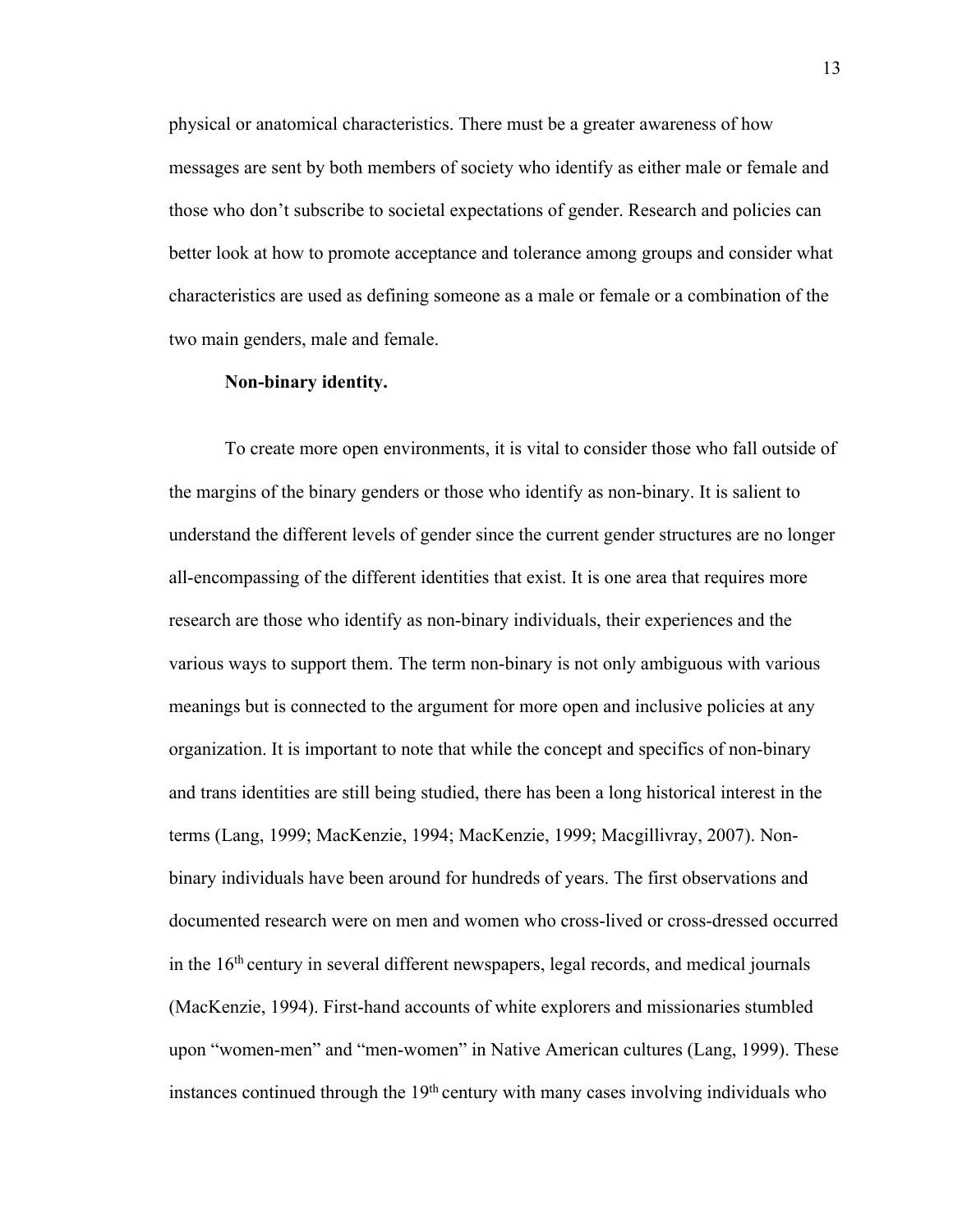physical or anatomical characteristics. There must be a greater awareness of how messages are sent by both members of society who identify as either male or female and those who don't subscribe to societal expectations of gender. Research and policies can better look at how to promote acceptance and tolerance among groups and consider what characteristics are used as defining someone as a male or female or a combination of the two main genders, male and female.

#### **Non-binary identity.**

To create more open environments, it is vital to consider those who fall outside of the margins of the binary genders or those who identify as non-binary. It is salient to understand the different levels of gender since the current gender structures are no longer all-encompassing of the different identities that exist. It is one area that requires more research are those who identify as non-binary individuals, their experiences and the various ways to support them. The term non-binary is not only ambiguous with various meanings but is connected to the argument for more open and inclusive policies at any organization. It is important to note that while the concept and specifics of non-binary and trans identities are still being studied, there has been a long historical interest in the terms (Lang, 1999; MacKenzie, 1994; MacKenzie, 1999; Macgillivray, 2007). Nonbinary individuals have been around for hundreds of years. The first observations and documented research were on men and women who cross-lived or cross-dressed occurred in the  $16<sup>th</sup>$  century in several different newspapers, legal records, and medical journals (MacKenzie, 1994). First-hand accounts of white explorers and missionaries stumbled upon "women-men" and "men-women" in Native American cultures (Lang, 1999). These instances continued through the 19<sup>th</sup> century with many cases involving individuals who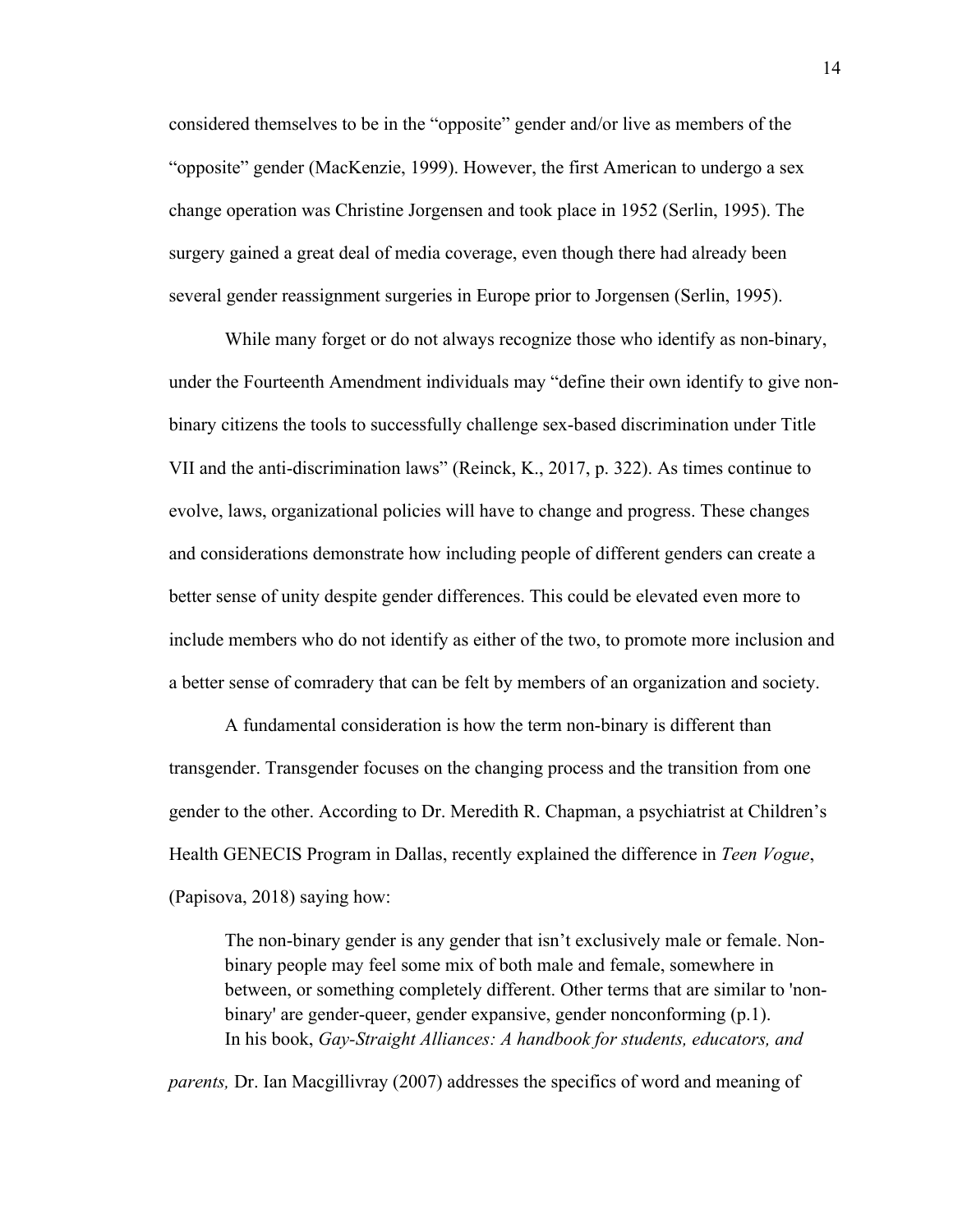considered themselves to be in the "opposite" gender and/or live as members of the "opposite" gender (MacKenzie, 1999). However, the first American to undergo a sex change operation was Christine Jorgensen and took place in 1952 (Serlin, 1995). The surgery gained a great deal of media coverage, even though there had already been several gender reassignment surgeries in Europe prior to Jorgensen (Serlin, 1995).

While many forget or do not always recognize those who identify as non-binary, under the Fourteenth Amendment individuals may "define their own identify to give nonbinary citizens the tools to successfully challenge sex-based discrimination under Title VII and the anti-discrimination laws" (Reinck, K., 2017, p. 322). As times continue to evolve, laws, organizational policies will have to change and progress. These changes and considerations demonstrate how including people of different genders can create a better sense of unity despite gender differences. This could be elevated even more to include members who do not identify as either of the two, to promote more inclusion and a better sense of comradery that can be felt by members of an organization and society.

A fundamental consideration is how the term non-binary is different than transgender. Transgender focuses on the changing process and the transition from one gender to the other. According to Dr. Meredith R. Chapman, a psychiatrist at Children's Health GENECIS Program in Dallas, recently explained the difference in *Teen Vogue*, (Papisova, 2018) saying how:

The non-binary gender is any gender that isn't exclusively male or female. Nonbinary people may feel some mix of both male and female, somewhere in between, or something completely different. Other terms that are similar to 'nonbinary' are gender-queer, gender expansive, gender nonconforming (p.1). In his book, *Gay-Straight Alliances: A handbook for students, educators, and* 

*parents,* Dr. Ian Macgillivray (2007) addresses the specifics of word and meaning of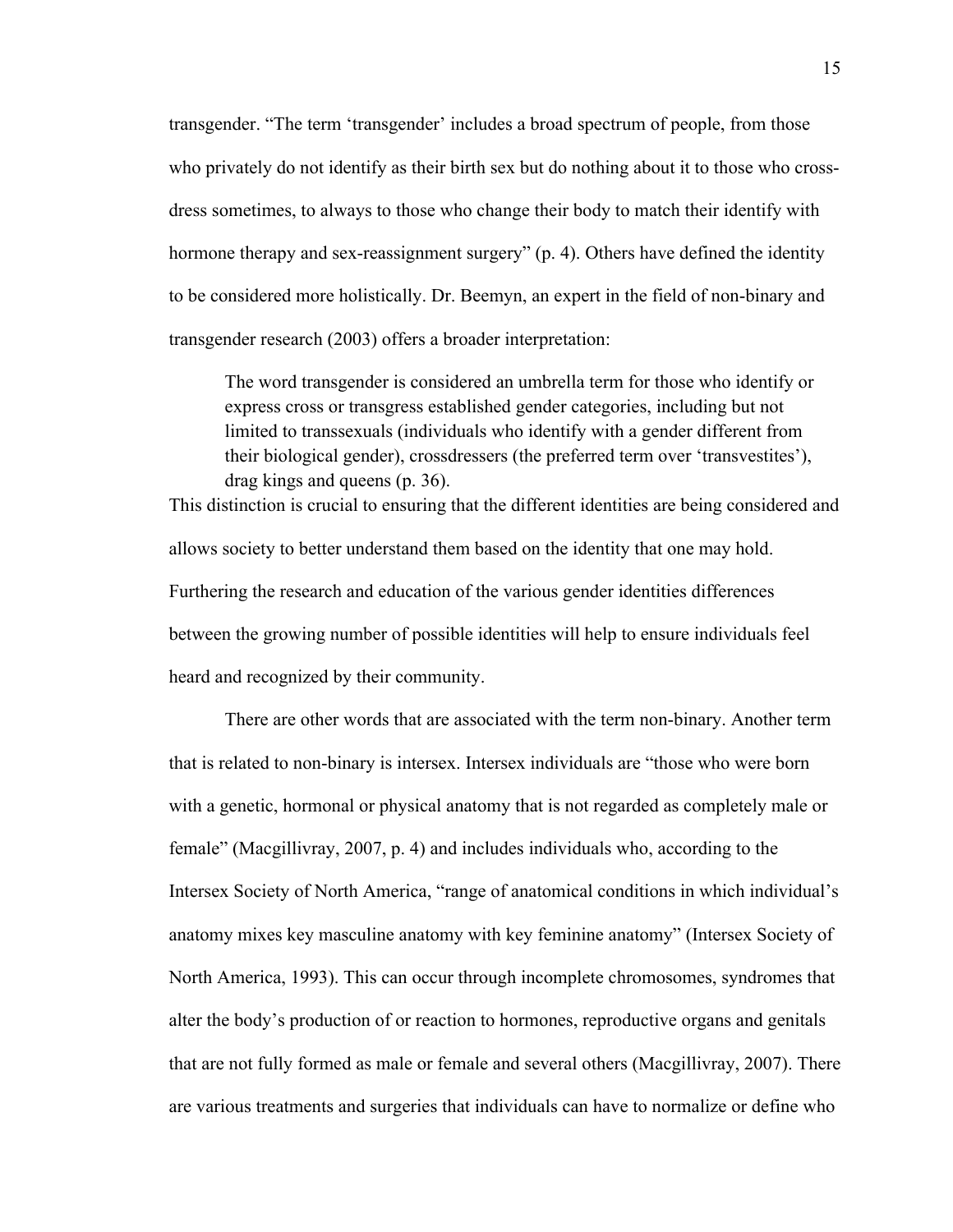transgender. "The term 'transgender' includes a broad spectrum of people, from those who privately do not identify as their birth sex but do nothing about it to those who crossdress sometimes, to always to those who change their body to match their identify with hormone therapy and sex-reassignment surgery" (p. 4). Others have defined the identity to be considered more holistically. Dr. Beemyn, an expert in the field of non-binary and transgender research (2003) offers a broader interpretation:

The word transgender is considered an umbrella term for those who identify or express cross or transgress established gender categories, including but not limited to transsexuals (individuals who identify with a gender different from their biological gender), crossdressers (the preferred term over 'transvestites'), drag kings and queens (p. 36).

This distinction is crucial to ensuring that the different identities are being considered and allows society to better understand them based on the identity that one may hold. Furthering the research and education of the various gender identities differences between the growing number of possible identities will help to ensure individuals feel heard and recognized by their community.

There are other words that are associated with the term non-binary. Another term that is related to non-binary is intersex. Intersex individuals are "those who were born with a genetic, hormonal or physical anatomy that is not regarded as completely male or female" (Macgillivray, 2007, p. 4) and includes individuals who, according to the Intersex Society of North America, "range of anatomical conditions in which individual's anatomy mixes key masculine anatomy with key feminine anatomy" (Intersex Society of North America, 1993). This can occur through incomplete chromosomes, syndromes that alter the body's production of or reaction to hormones, reproductive organs and genitals that are not fully formed as male or female and several others (Macgillivray, 2007). There are various treatments and surgeries that individuals can have to normalize or define who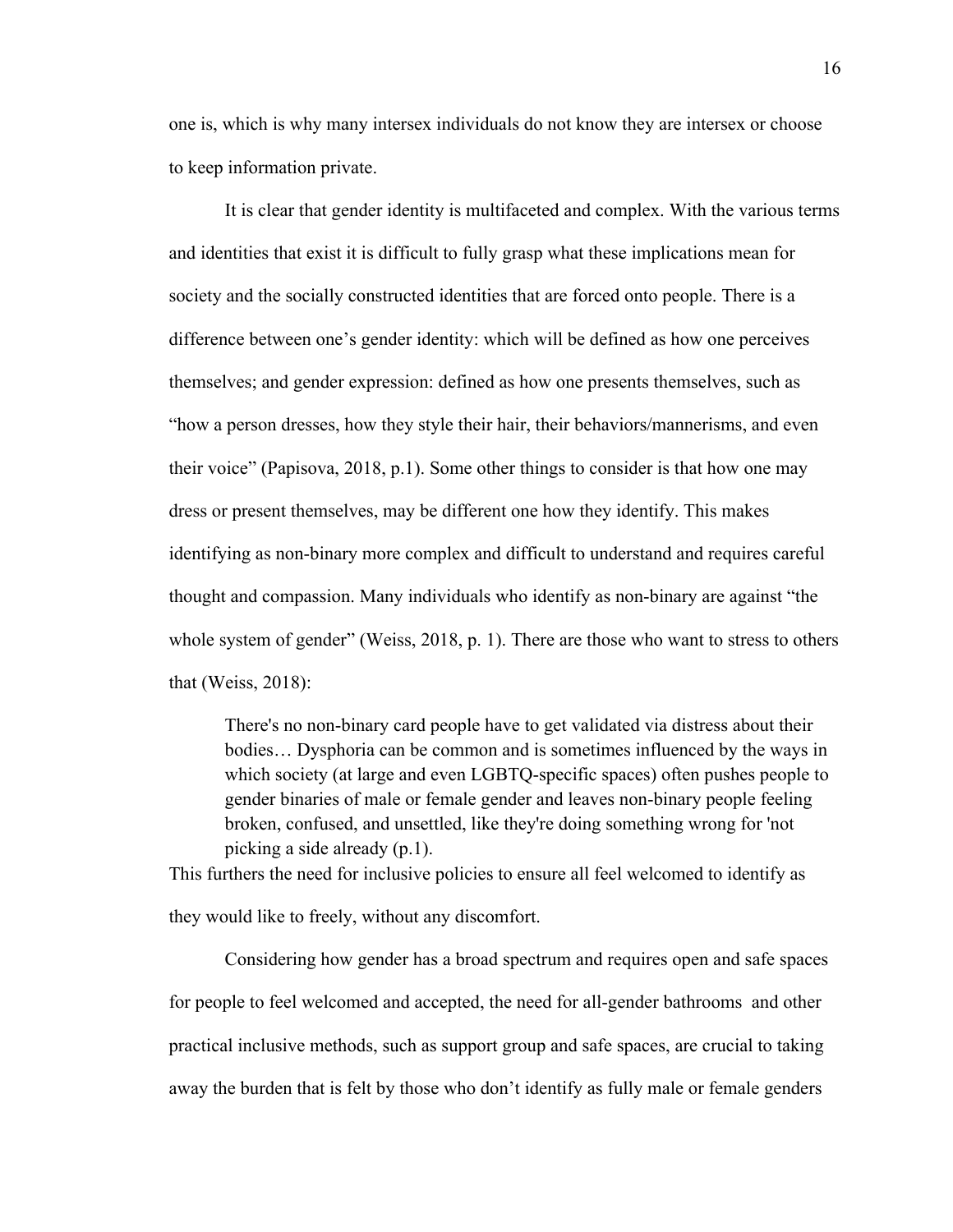one is, which is why many intersex individuals do not know they are intersex or choose to keep information private.

It is clear that gender identity is multifaceted and complex. With the various terms and identities that exist it is difficult to fully grasp what these implications mean for society and the socially constructed identities that are forced onto people. There is a difference between one's gender identity: which will be defined as how one perceives themselves; and gender expression: defined as how one presents themselves, such as "how a person dresses, how they style their hair, their behaviors/mannerisms, and even their voice" (Papisova, 2018, p.1). Some other things to consider is that how one may dress or present themselves, may be different one how they identify. This makes identifying as non-binary more complex and difficult to understand and requires careful thought and compassion. Many individuals who identify as non-binary are against "the whole system of gender" (Weiss, 2018, p. 1). There are those who want to stress to others that (Weiss, 2018):

There's no non-binary card people have to get validated via distress about their bodies… Dysphoria can be common and is sometimes influenced by the ways in which society (at large and even LGBTQ-specific spaces) often pushes people to gender binaries of male or female gender and leaves non-binary people feeling broken, confused, and unsettled, like they're doing something wrong for 'not picking a side already (p.1).

This furthers the need for inclusive policies to ensure all feel welcomed to identify as they would like to freely, without any discomfort.

Considering how gender has a broad spectrum and requires open and safe spaces for people to feel welcomed and accepted, the need for all-gender bathrooms and other practical inclusive methods, such as support group and safe spaces, are crucial to taking away the burden that is felt by those who don't identify as fully male or female genders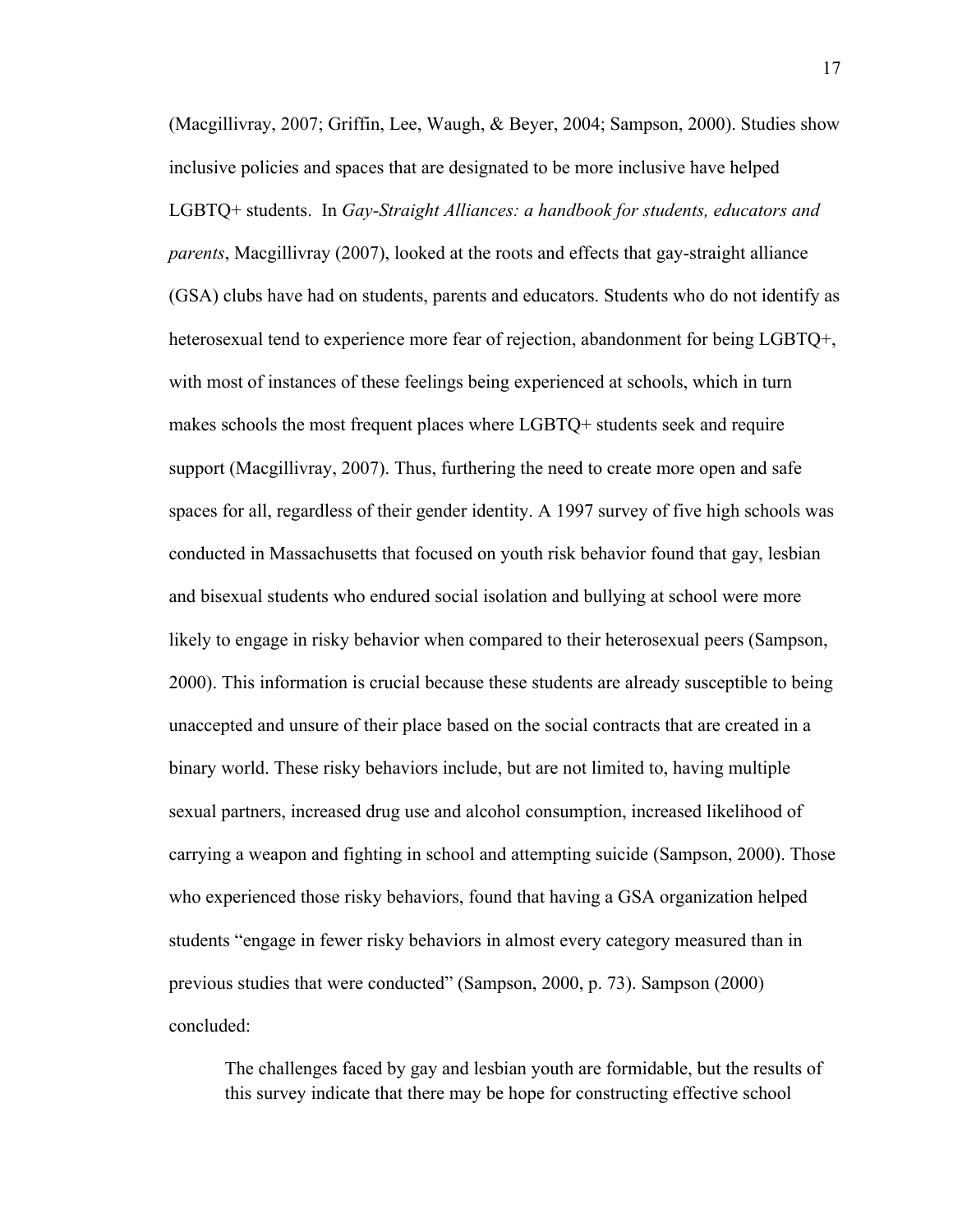(Macgillivray, 2007; Griffin, Lee, Waugh, & Beyer, 2004; Sampson, 2000). Studies show inclusive policies and spaces that are designated to be more inclusive have helped LGBTQ+ students. In *Gay-Straight Alliances: a handbook for students, educators and parents*, Macgillivray (2007), looked at the roots and effects that gay-straight alliance (GSA) clubs have had on students, parents and educators. Students who do not identify as heterosexual tend to experience more fear of rejection, abandonment for being LGBTQ+, with most of instances of these feelings being experienced at schools, which in turn makes schools the most frequent places where LGBTQ+ students seek and require support (Macgillivray, 2007). Thus, furthering the need to create more open and safe spaces for all, regardless of their gender identity. A 1997 survey of five high schools was conducted in Massachusetts that focused on youth risk behavior found that gay, lesbian and bisexual students who endured social isolation and bullying at school were more likely to engage in risky behavior when compared to their heterosexual peers (Sampson, 2000). This information is crucial because these students are already susceptible to being unaccepted and unsure of their place based on the social contracts that are created in a binary world. These risky behaviors include, but are not limited to, having multiple sexual partners, increased drug use and alcohol consumption, increased likelihood of carrying a weapon and fighting in school and attempting suicide (Sampson, 2000). Those who experienced those risky behaviors, found that having a GSA organization helped students "engage in fewer risky behaviors in almost every category measured than in previous studies that were conducted" (Sampson, 2000, p. 73). Sampson (2000) concluded:

The challenges faced by gay and lesbian youth are formidable, but the results of this survey indicate that there may be hope for constructing effective school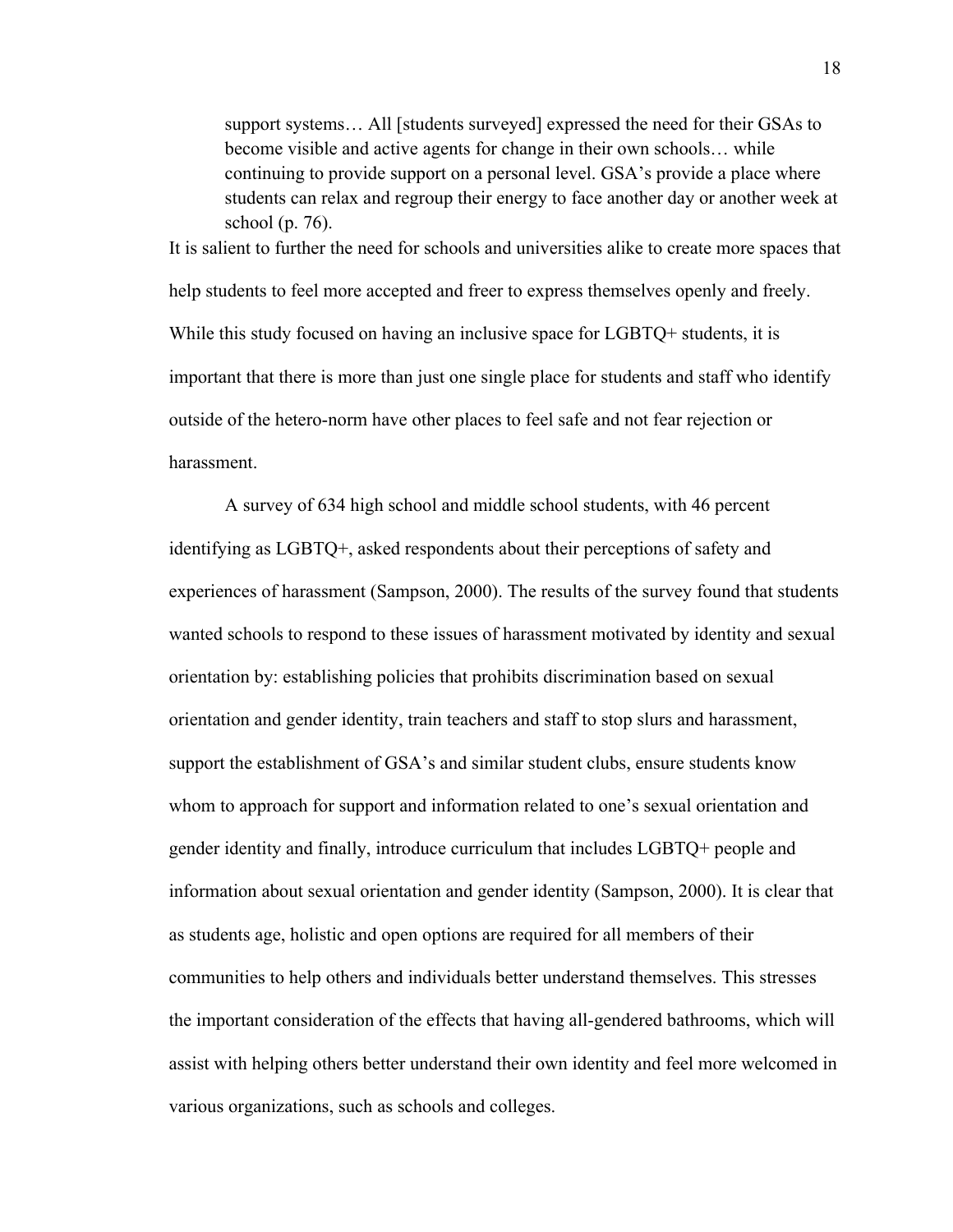support systems… All [students surveyed] expressed the need for their GSAs to become visible and active agents for change in their own schools… while continuing to provide support on a personal level. GSA's provide a place where students can relax and regroup their energy to face another day or another week at school (p. 76).

It is salient to further the need for schools and universities alike to create more spaces that help students to feel more accepted and freer to express themselves openly and freely. While this study focused on having an inclusive space for LGBTQ+ students, it is important that there is more than just one single place for students and staff who identify outside of the hetero-norm have other places to feel safe and not fear rejection or harassment.

A survey of 634 high school and middle school students, with 46 percent identifying as LGBTQ+, asked respondents about their perceptions of safety and experiences of harassment (Sampson, 2000). The results of the survey found that students wanted schools to respond to these issues of harassment motivated by identity and sexual orientation by: establishing policies that prohibits discrimination based on sexual orientation and gender identity, train teachers and staff to stop slurs and harassment, support the establishment of GSA's and similar student clubs, ensure students know whom to approach for support and information related to one's sexual orientation and gender identity and finally, introduce curriculum that includes LGBTQ+ people and information about sexual orientation and gender identity (Sampson, 2000). It is clear that as students age, holistic and open options are required for all members of their communities to help others and individuals better understand themselves. This stresses the important consideration of the effects that having all-gendered bathrooms, which will assist with helping others better understand their own identity and feel more welcomed in various organizations, such as schools and colleges.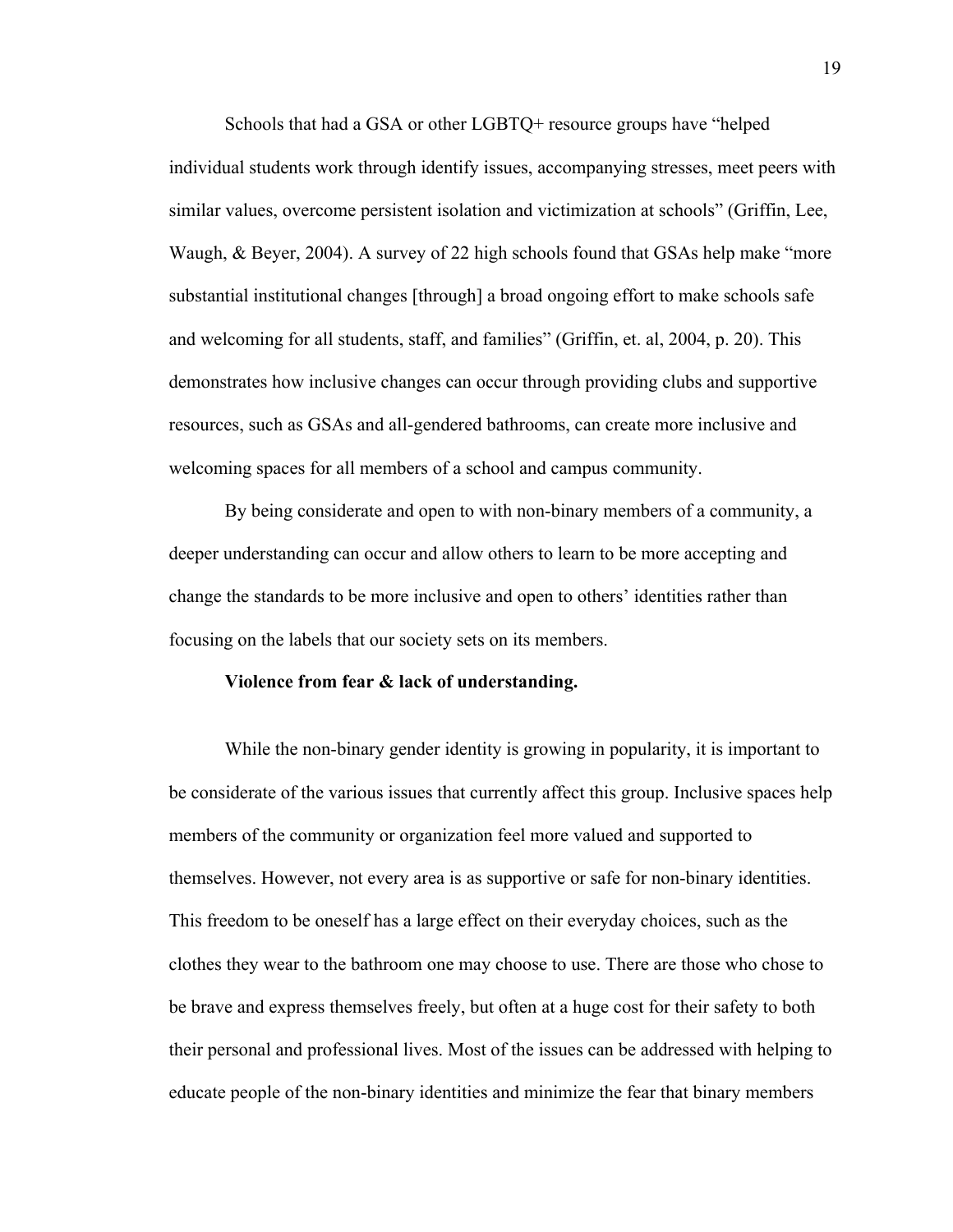Schools that had a GSA or other LGBTQ+ resource groups have "helped individual students work through identify issues, accompanying stresses, meet peers with similar values, overcome persistent isolation and victimization at schools" (Griffin, Lee, Waugh, & Beyer, 2004). A survey of 22 high schools found that GSAs help make "more substantial institutional changes [through] a broad ongoing effort to make schools safe and welcoming for all students, staff, and families" (Griffin, et. al, 2004, p. 20). This demonstrates how inclusive changes can occur through providing clubs and supportive resources, such as GSAs and all-gendered bathrooms, can create more inclusive and welcoming spaces for all members of a school and campus community.

By being considerate and open to with non-binary members of a community, a deeper understanding can occur and allow others to learn to be more accepting and change the standards to be more inclusive and open to others' identities rather than focusing on the labels that our society sets on its members.

#### **Violence from fear & lack of understanding.**

While the non-binary gender identity is growing in popularity, it is important to be considerate of the various issues that currently affect this group. Inclusive spaces help members of the community or organization feel more valued and supported to themselves. However, not every area is as supportive or safe for non-binary identities. This freedom to be oneself has a large effect on their everyday choices, such as the clothes they wear to the bathroom one may choose to use. There are those who chose to be brave and express themselves freely, but often at a huge cost for their safety to both their personal and professional lives. Most of the issues can be addressed with helping to educate people of the non-binary identities and minimize the fear that binary members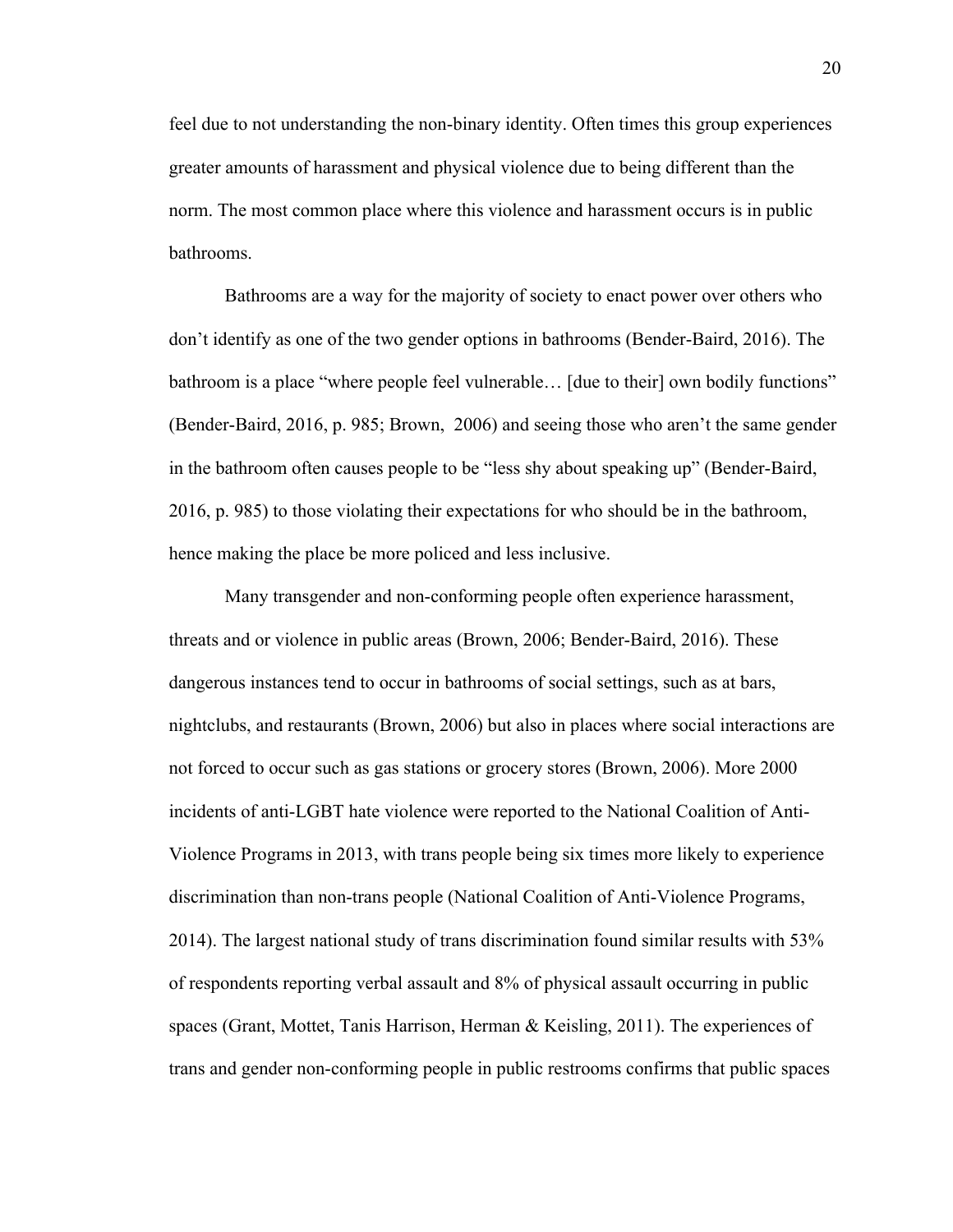feel due to not understanding the non-binary identity. Often times this group experiences greater amounts of harassment and physical violence due to being different than the norm. The most common place where this violence and harassment occurs is in public bathrooms.

 Bathrooms are a way for the majority of society to enact power over others who don't identify as one of the two gender options in bathrooms (Bender-Baird, 2016). The bathroom is a place "where people feel vulnerable… [due to their] own bodily functions" (Bender-Baird, 2016, p. 985; Brown, 2006) and seeing those who aren't the same gender in the bathroom often causes people to be "less shy about speaking up" (Bender-Baird, 2016, p. 985) to those violating their expectations for who should be in the bathroom, hence making the place be more policed and less inclusive.

Many transgender and non-conforming people often experience harassment, threats and or violence in public areas (Brown, 2006; Bender-Baird, 2016). These dangerous instances tend to occur in bathrooms of social settings, such as at bars, nightclubs, and restaurants (Brown, 2006) but also in places where social interactions are not forced to occur such as gas stations or grocery stores (Brown, 2006). More 2000 incidents of anti-LGBT hate violence were reported to the National Coalition of Anti-Violence Programs in 2013, with trans people being six times more likely to experience discrimination than non-trans people (National Coalition of Anti-Violence Programs, 2014). The largest national study of trans discrimination found similar results with 53% of respondents reporting verbal assault and 8% of physical assault occurring in public spaces (Grant, Mottet, Tanis Harrison, Herman & Keisling, 2011). The experiences of trans and gender non-conforming people in public restrooms confirms that public spaces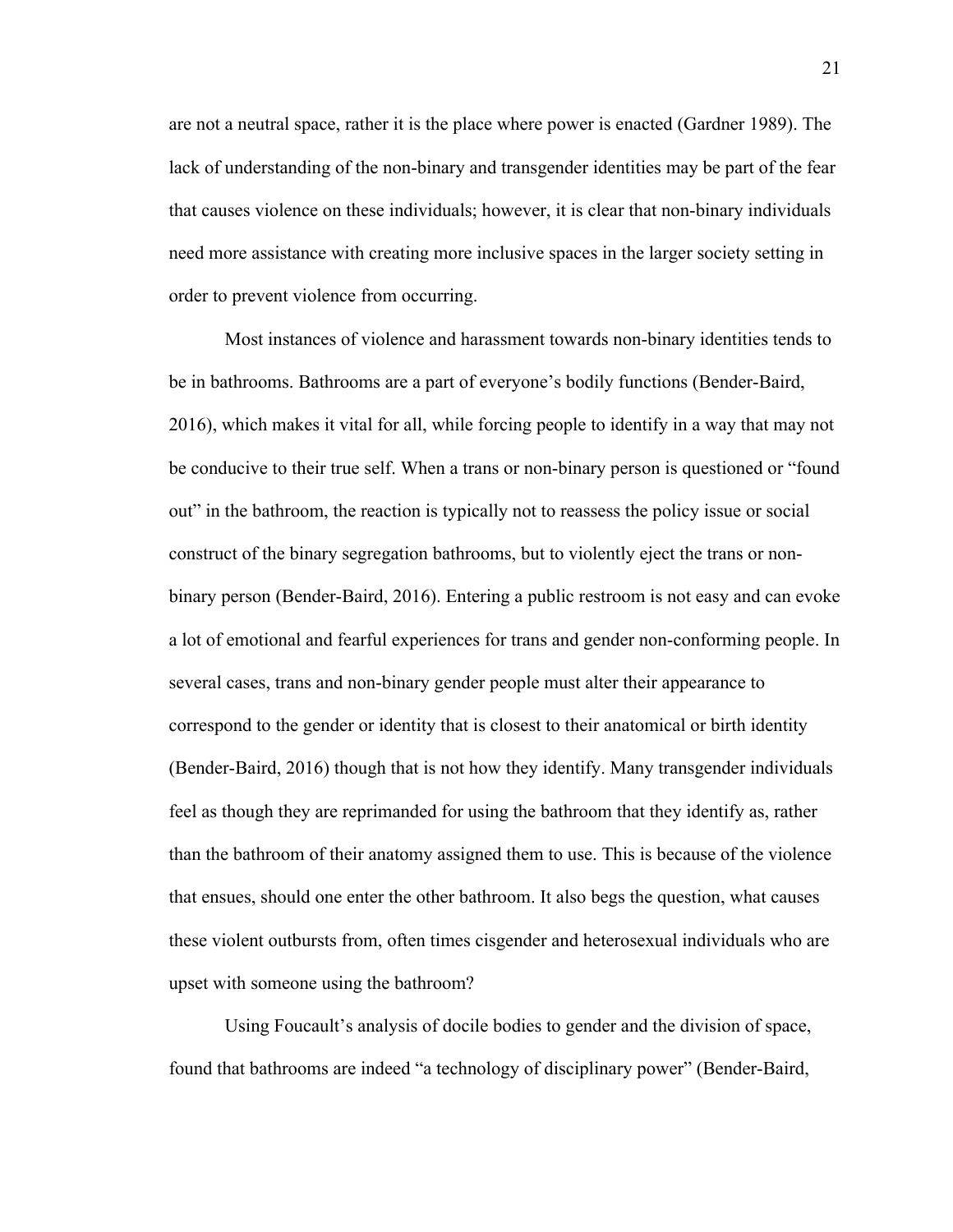are not a neutral space, rather it is the place where power is enacted (Gardner 1989). The lack of understanding of the non-binary and transgender identities may be part of the fear that causes violence on these individuals; however, it is clear that non-binary individuals need more assistance with creating more inclusive spaces in the larger society setting in order to prevent violence from occurring.

Most instances of violence and harassment towards non-binary identities tends to be in bathrooms. Bathrooms are a part of everyone's bodily functions (Bender-Baird, 2016), which makes it vital for all, while forcing people to identify in a way that may not be conducive to their true self. When a trans or non-binary person is questioned or "found out" in the bathroom, the reaction is typically not to reassess the policy issue or social construct of the binary segregation bathrooms, but to violently eject the trans or nonbinary person (Bender-Baird, 2016). Entering a public restroom is not easy and can evoke a lot of emotional and fearful experiences for trans and gender non-conforming people. In several cases, trans and non-binary gender people must alter their appearance to correspond to the gender or identity that is closest to their anatomical or birth identity (Bender-Baird, 2016) though that is not how they identify. Many transgender individuals feel as though they are reprimanded for using the bathroom that they identify as, rather than the bathroom of their anatomy assigned them to use. This is because of the violence that ensues, should one enter the other bathroom. It also begs the question, what causes these violent outbursts from, often times cisgender and heterosexual individuals who are upset with someone using the bathroom?

Using Foucault's analysis of docile bodies to gender and the division of space, found that bathrooms are indeed "a technology of disciplinary power" (Bender-Baird,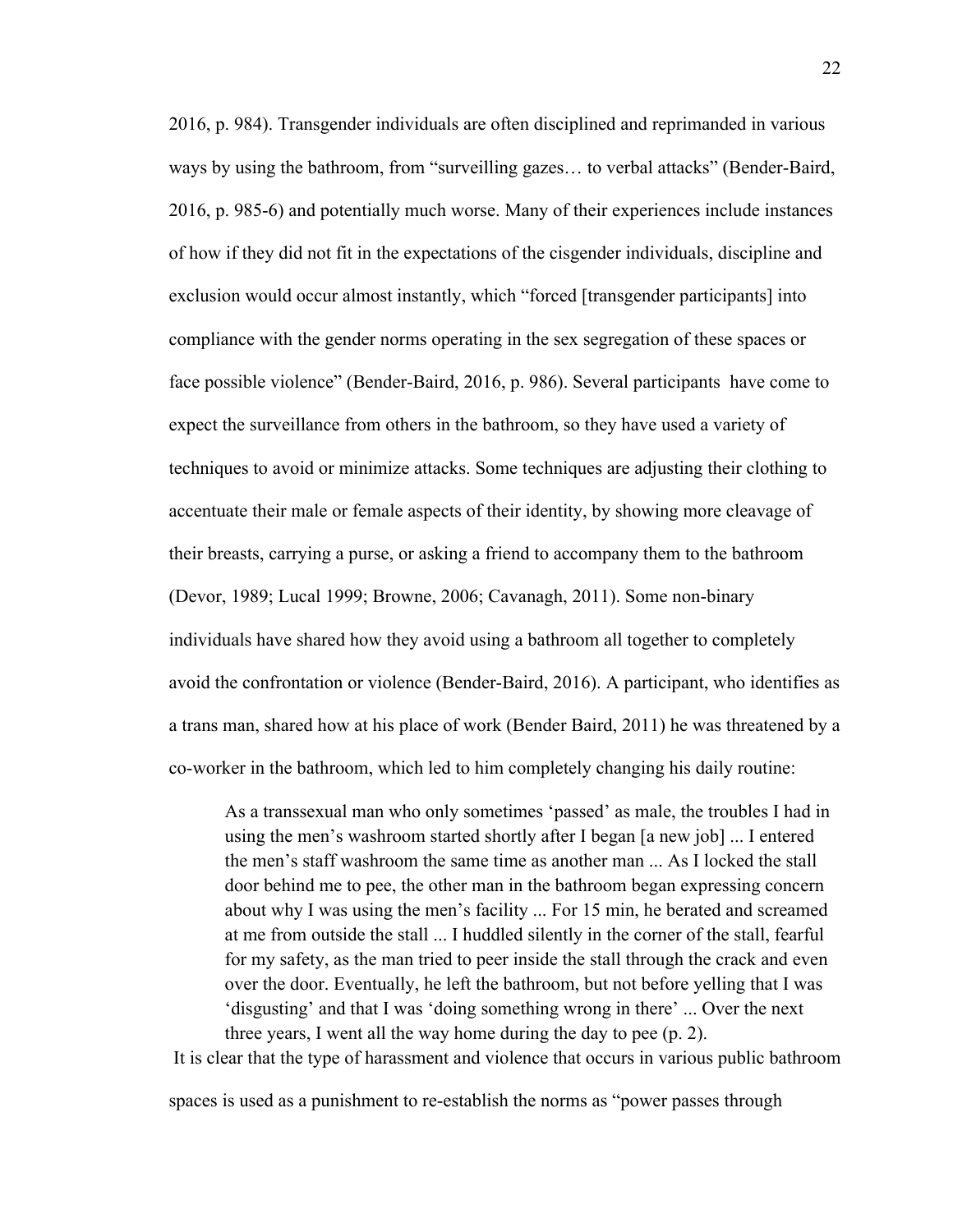2016, p. 984). Transgender individuals are often disciplined and reprimanded in various ways by using the bathroom, from "surveilling gazes… to verbal attacks" (Bender-Baird, 2016, p. 985-6) and potentially much worse. Many of their experiences include instances of how if they did not fit in the expectations of the cisgender individuals, discipline and exclusion would occur almost instantly, which "forced [transgender participants] into compliance with the gender norms operating in the sex segregation of these spaces or face possible violence" (Bender-Baird, 2016, p. 986). Several participants have come to expect the surveillance from others in the bathroom, so they have used a variety of techniques to avoid or minimize attacks. Some techniques are adjusting their clothing to accentuate their male or female aspects of their identity, by showing more cleavage of their breasts, carrying a purse, or asking a friend to accompany them to the bathroom (Devor, 1989; Lucal 1999; Browne, 2006; Cavanagh, 2011). Some non-binary individuals have shared how they avoid using a bathroom all together to completely avoid the confrontation or violence (Bender-Baird, 2016). A participant, who identifies as a trans man, shared how at his place of work (Bender Baird, 2011) he was threatened by a co-worker in the bathroom, which led to him completely changing his daily routine:

As a transsexual man who only sometimes 'passed' as male, the troubles I had in using the men's washroom started shortly after I began [a new job] ... I entered the men's staff washroom the same time as another man ... As I locked the stall door behind me to pee, the other man in the bathroom began expressing concern about why I was using the men's facility ... For 15 min, he berated and screamed at me from outside the stall ... I huddled silently in the corner of the stall, fearful for my safety, as the man tried to peer inside the stall through the crack and even over the door. Eventually, he left the bathroom, but not before yelling that I was 'disgusting' and that I was 'doing something wrong in there' ... Over the next three years, I went all the way home during the day to pee (p. 2). It is clear that the type of harassment and violence that occurs in various public bathroom

spaces is used as a punishment to re-establish the norms as "power passes through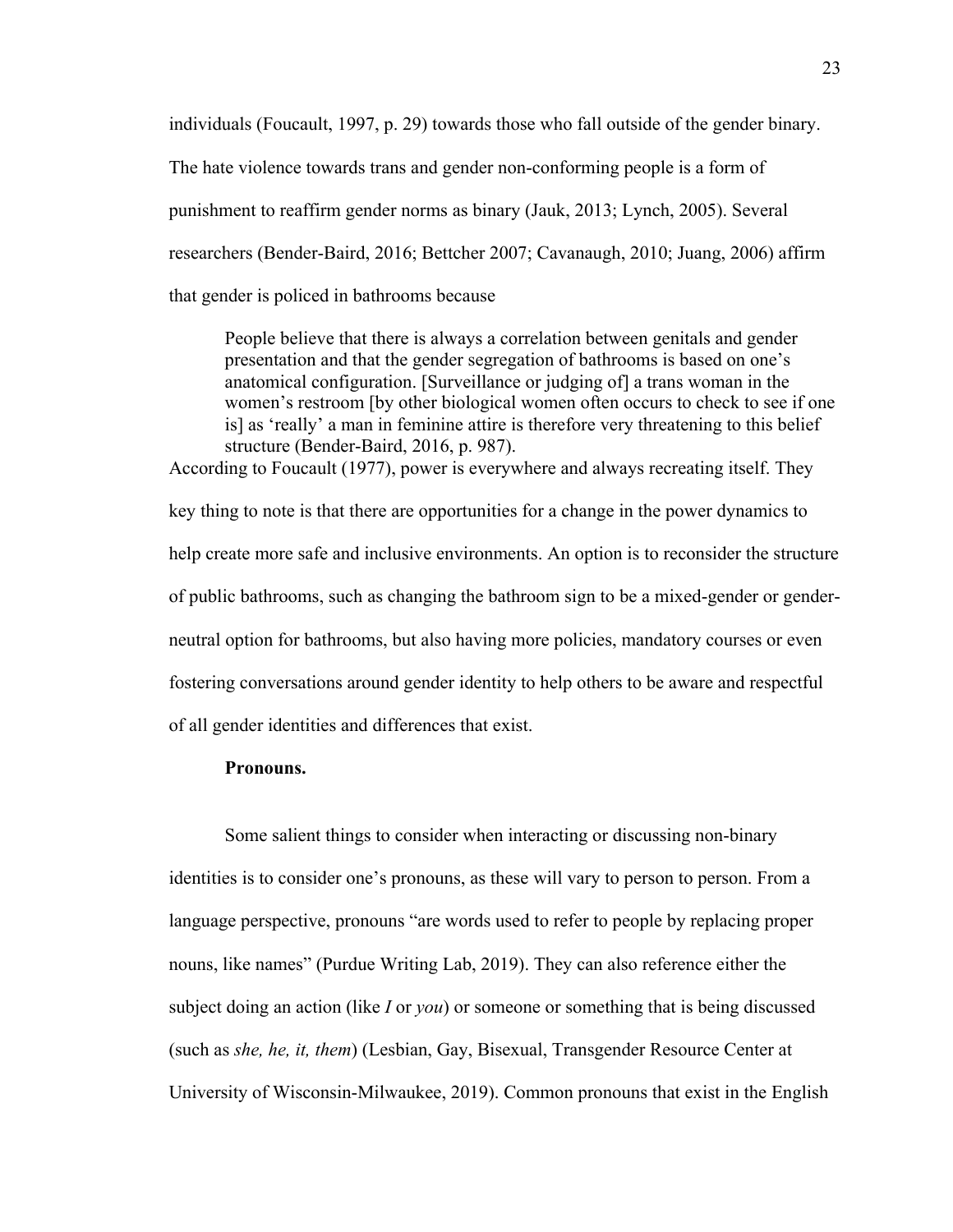individuals (Foucault, 1997, p. 29) towards those who fall outside of the gender binary.

The hate violence towards trans and gender non-conforming people is a form of

punishment to reaffirm gender norms as binary (Jauk, 2013; Lynch, 2005). Several

researchers (Bender-Baird, 2016; Bettcher 2007; Cavanaugh, 2010; Juang, 2006) affirm

that gender is policed in bathrooms because

People believe that there is always a correlation between genitals and gender presentation and that the gender segregation of bathrooms is based on one's anatomical configuration. [Surveillance or judging of] a trans woman in the women's restroom [by other biological women often occurs to check to see if one is] as 'really' a man in feminine attire is therefore very threatening to this belief structure (Bender-Baird, 2016, p. 987). According to Foucault (1977), power is everywhere and always recreating itself. They

key thing to note is that there are opportunities for a change in the power dynamics to help create more safe and inclusive environments. An option is to reconsider the structure of public bathrooms, such as changing the bathroom sign to be a mixed-gender or genderneutral option for bathrooms, but also having more policies, mandatory courses or even fostering conversations around gender identity to help others to be aware and respectful of all gender identities and differences that exist.

#### **Pronouns.**

Some salient things to consider when interacting or discussing non-binary identities is to consider one's pronouns, as these will vary to person to person. From a language perspective, pronouns "are words used to refer to people by replacing proper nouns, like names" (Purdue Writing Lab, 2019). They can also reference either the subject doing an action (like *I* or *you*) or someone or something that is being discussed (such as *she, he, it, them*) (Lesbian, Gay, Bisexual, Transgender Resource Center at University of Wisconsin-Milwaukee, 2019). Common pronouns that exist in the English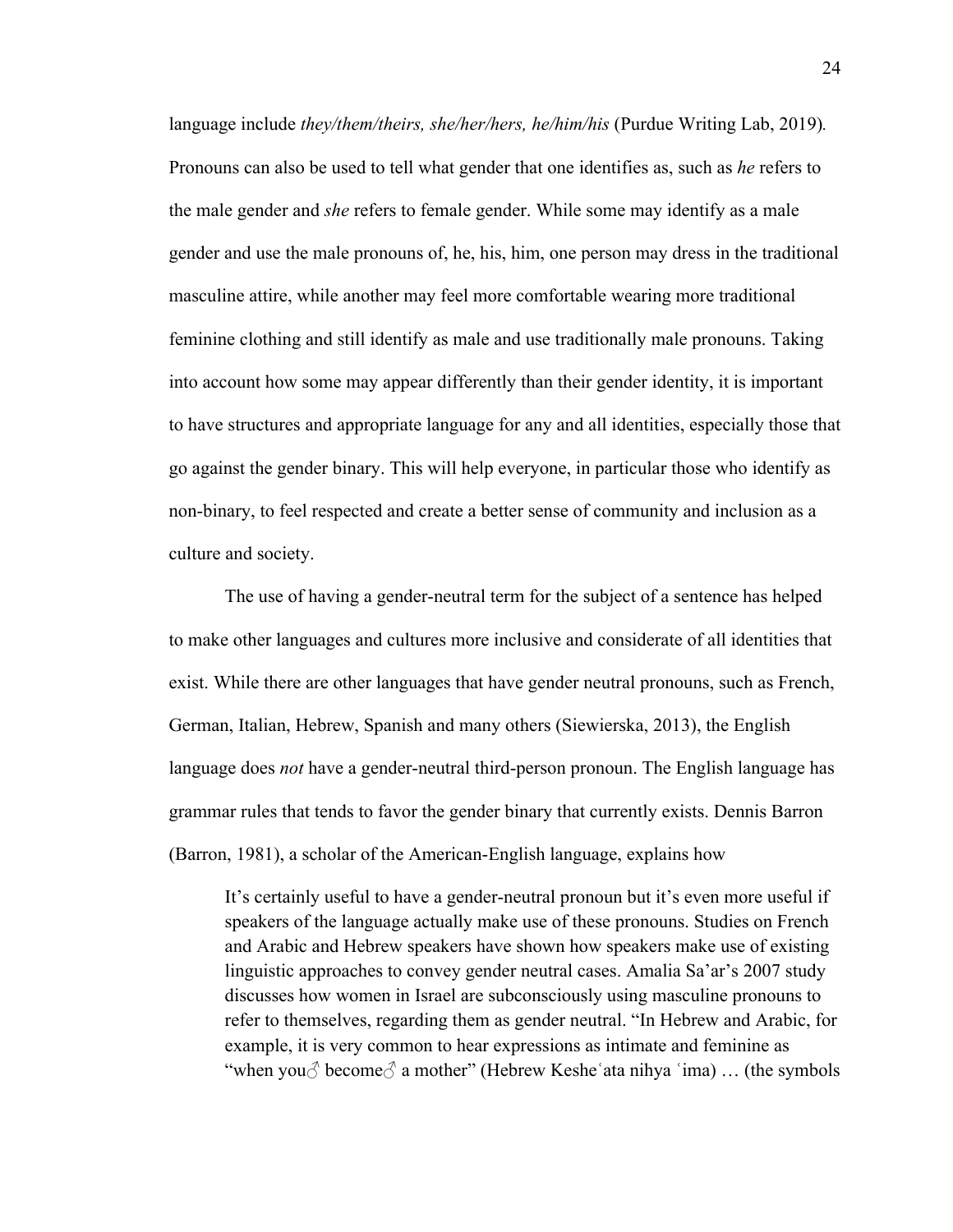language include *they/them/theirs, she/her/hers, he/him/his* (Purdue Writing Lab, 2019)*.*  Pronouns can also be used to tell what gender that one identifies as, such as *he* refers to the male gender and *she* refers to female gender. While some may identify as a male gender and use the male pronouns of, he, his, him, one person may dress in the traditional masculine attire, while another may feel more comfortable wearing more traditional feminine clothing and still identify as male and use traditionally male pronouns. Taking into account how some may appear differently than their gender identity, it is important to have structures and appropriate language for any and all identities, especially those that go against the gender binary. This will help everyone, in particular those who identify as non-binary, to feel respected and create a better sense of community and inclusion as a culture and society.

The use of having a gender-neutral term for the subject of a sentence has helped to make other languages and cultures more inclusive and considerate of all identities that exist. While there are other languages that have gender neutral pronouns, such as French, German, Italian, Hebrew, Spanish and many others (Siewierska, 2013), the English language does *not* have a gender-neutral third-person pronoun. The English language has grammar rules that tends to favor the gender binary that currently exists. Dennis Barron (Barron, 1981), a scholar of the American-English language, explains how

It's certainly useful to have a gender-neutral pronoun but it's even more useful if speakers of the language actually make use of these pronouns. Studies on French and Arabic and Hebrew speakers have shown how speakers make use of existing linguistic approaches to convey gender neutral cases. Amalia Sa'ar's 2007 study discusses how women in Israel are subconsciously using masculine pronouns to refer to themselves, regarding them as gender neutral. "In Hebrew and Arabic, for example, it is very common to hear expressions as intimate and feminine as "when you $\circ$  become $\circ$  a mother" (Hebrew Keshe 'ata nihya 'ima) ... (the symbols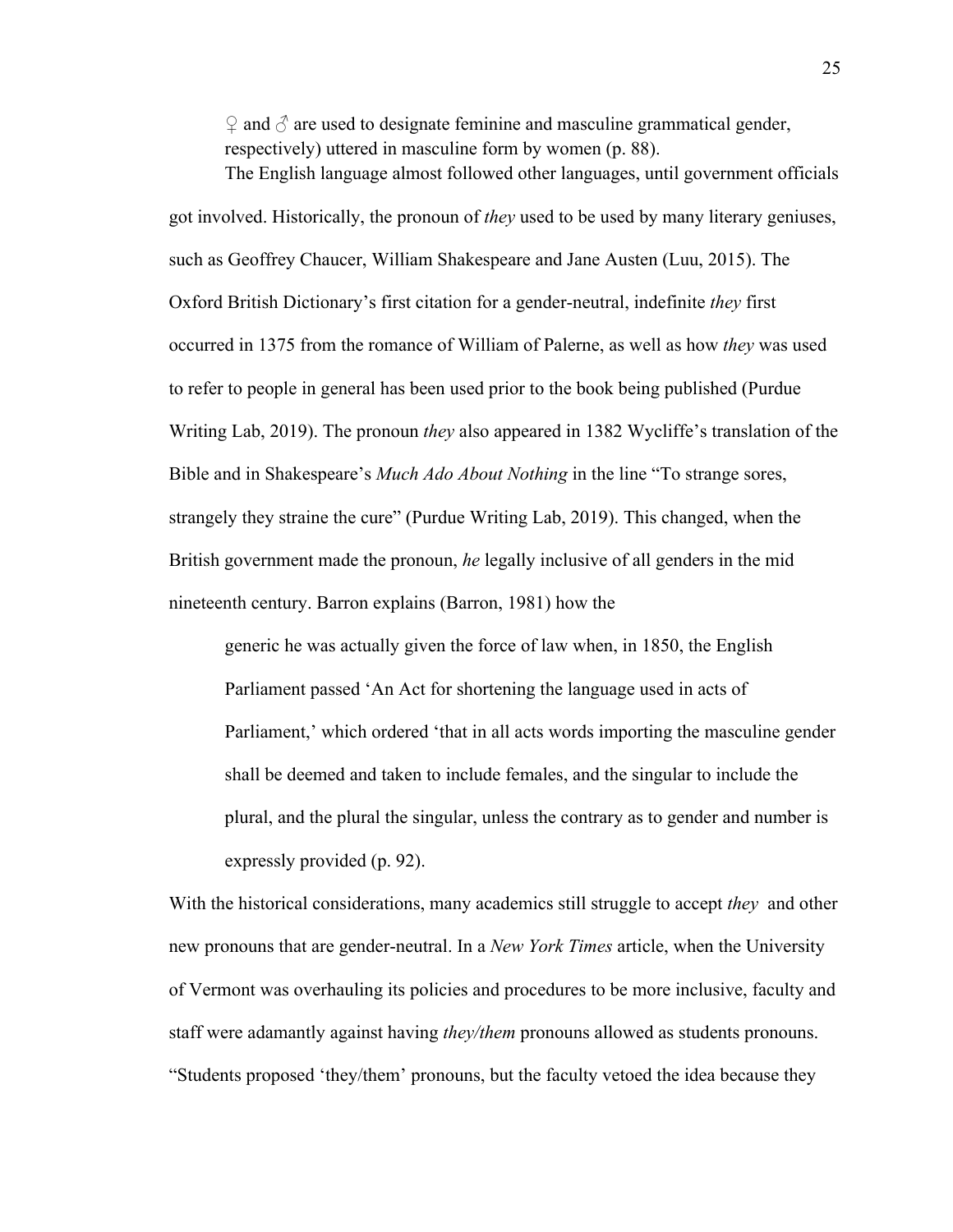$\Omega$  and  $\partial$  are used to designate feminine and masculine grammatical gender, respectively) uttered in masculine form by women (p. 88). The English language almost followed other languages, until government officials

got involved. Historically, the pronoun of *they* used to be used by many literary geniuses, such as Geoffrey Chaucer, William Shakespeare and Jane Austen (Luu, 2015). The Oxford British Dictionary's first citation for a gender-neutral, indefinite *they* first occurred in 1375 from the romance of William of Palerne, as well as how *they* was used to refer to people in general has been used prior to the book being published (Purdue Writing Lab, 2019). The pronoun *they* also appeared in 1382 Wycliffe's translation of the Bible and in Shakespeare's *Much Ado About Nothing* in the line "To strange sores, strangely they straine the cure" (Purdue Writing Lab, 2019). This changed, when the British government made the pronoun, *he* legally inclusive of all genders in the mid nineteenth century. Barron explains (Barron, 1981) how the

generic he was actually given the force of law when, in 1850, the English Parliament passed 'An Act for shortening the language used in acts of Parliament,' which ordered 'that in all acts words importing the masculine gender shall be deemed and taken to include females, and the singular to include the plural, and the plural the singular, unless the contrary as to gender and number is expressly provided (p. 92).

With the historical considerations, many academics still struggle to accept *they* and other new pronouns that are gender-neutral. In a *New York Times* article, when the University of Vermont was overhauling its policies and procedures to be more inclusive, faculty and staff were adamantly against having *they/them* pronouns allowed as students pronouns. "Students proposed 'they/them' pronouns, but the faculty vetoed the idea because they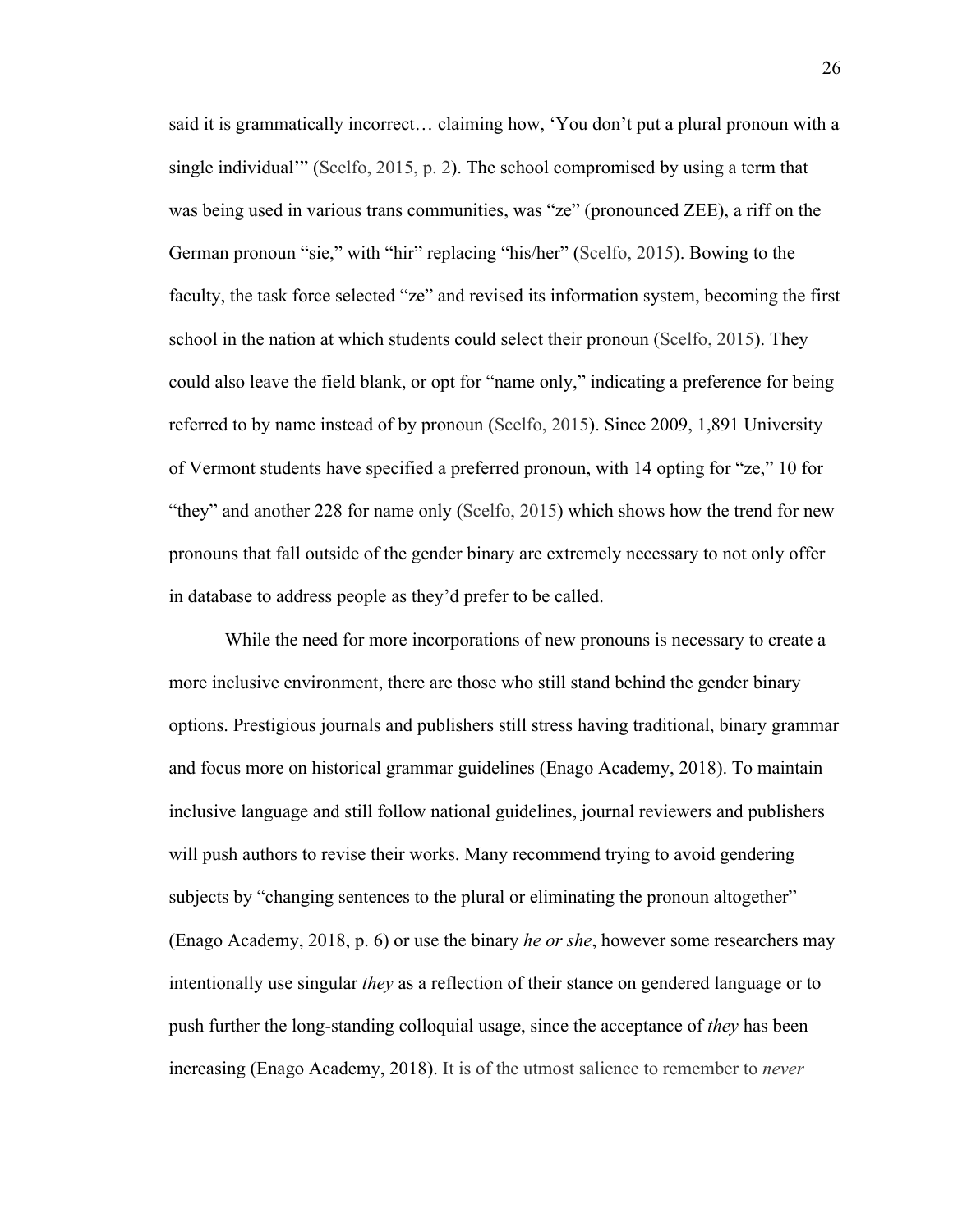said it is grammatically incorrect… claiming how, 'You don't put a plural pronoun with a single individual'" (Scelfo, 2015, p. 2). The school compromised by using a term that was being used in various trans communities, was "ze" (pronounced ZEE), a riff on the German pronoun "sie," with "hir" replacing "his/her" (Scelfo, 2015). Bowing to the faculty, the task force selected "ze" and revised its information system, becoming the first school in the nation at which students could select their pronoun (Scelfo, 2015). They could also leave the field blank, or opt for "name only," indicating a preference for being referred to by name instead of by pronoun (Scelfo, 2015). Since 2009, 1,891 University of Vermont students have specified a preferred pronoun, with 14 opting for "ze," 10 for "they" and another 228 for name only (Scelfo, 2015) which shows how the trend for new pronouns that fall outside of the gender binary are extremely necessary to not only offer in database to address people as they'd prefer to be called.

While the need for more incorporations of new pronouns is necessary to create a more inclusive environment, there are those who still stand behind the gender binary options. Prestigious journals and publishers still stress having traditional, binary grammar and focus more on historical grammar guidelines (Enago Academy, 2018). To maintain inclusive language and still follow national guidelines, journal reviewers and publishers will push authors to revise their works. Many recommend trying to avoid gendering subjects by "changing sentences to the plural or eliminating the pronoun altogether" (Enago Academy, 2018, p. 6) or use the binary *he or she*, however some researchers may intentionally use singular *they* as a reflection of their stance on gendered language or to push further the long-standing colloquial usage, since the acceptance of *they* has been increasing (Enago Academy, 2018). It is of the utmost salience to remember to *never*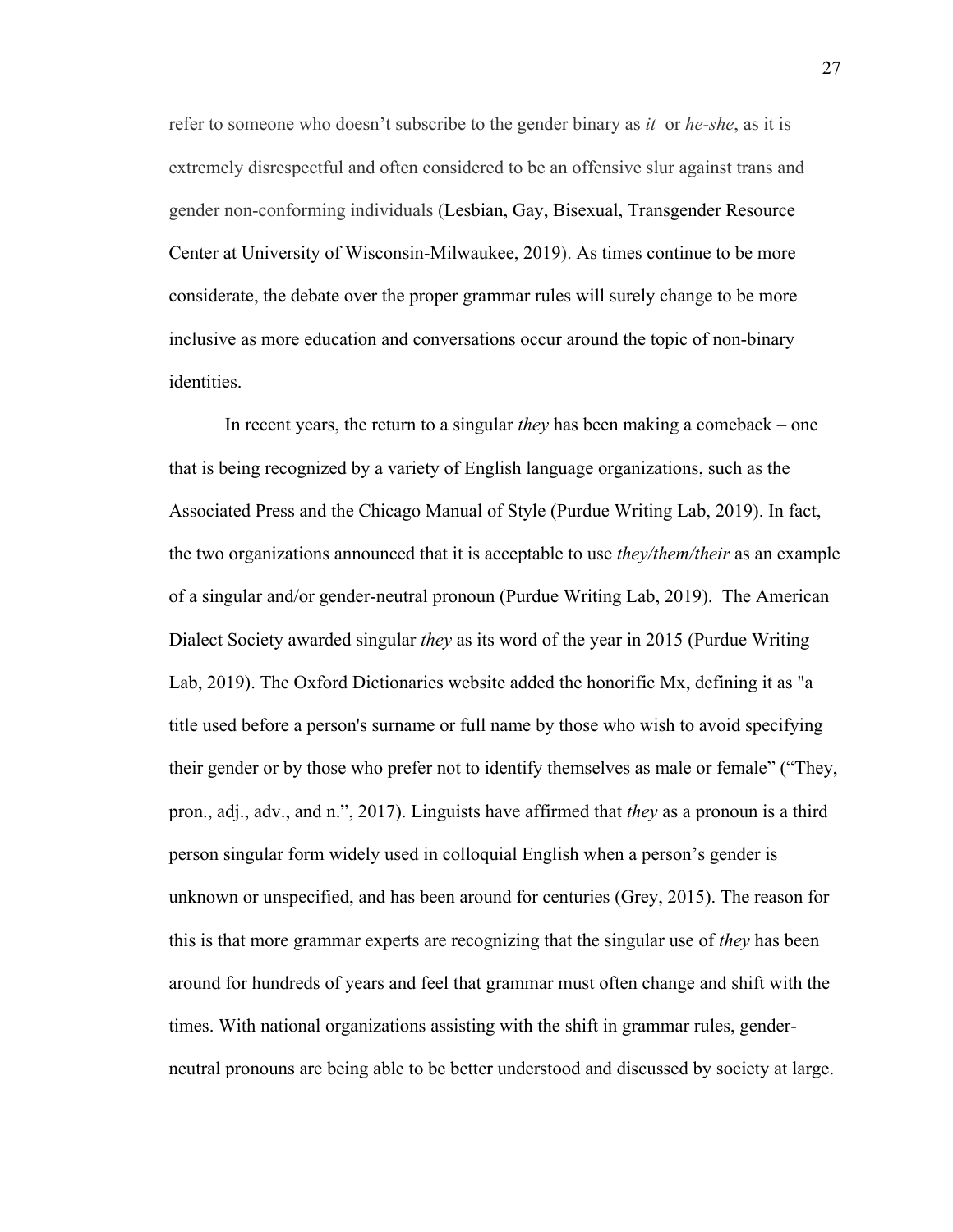refer to someone who doesn't subscribe to the gender binary as *it* or *he-she*, as it is extremely disrespectful and often considered to be an offensive slur against trans and gender non-conforming individuals (Lesbian, Gay, Bisexual, Transgender Resource Center at University of Wisconsin-Milwaukee, 2019). As times continue to be more considerate, the debate over the proper grammar rules will surely change to be more inclusive as more education and conversations occur around the topic of non-binary identities.

In recent years, the return to a singular *they* has been making a comeback – one that is being recognized by a variety of English language organizations, such as the Associated Press and the Chicago Manual of Style (Purdue Writing Lab, 2019). In fact, the two organizations announced that it is acceptable to use *they/them/their* as an example of a singular and/or gender-neutral pronoun (Purdue Writing Lab, 2019). The American Dialect Society awarded singular *they* as its word of the year in 2015 (Purdue Writing Lab, 2019). The Oxford Dictionaries website added the honorific Mx, defining it as "a title used before a person's surname or full name by those who wish to avoid specifying their gender or by those who prefer not to identify themselves as male or female" ("They, pron., adj., adv., and n.", 2017). Linguists have affirmed that *they* as a pronoun is a third person singular form widely used in colloquial English when a person's gender is unknown or unspecified, and has been around for centuries (Grey, 2015). The reason for this is that more grammar experts are recognizing that the singular use of *they* has been around for hundreds of years and feel that grammar must often change and shift with the times. With national organizations assisting with the shift in grammar rules, genderneutral pronouns are being able to be better understood and discussed by society at large.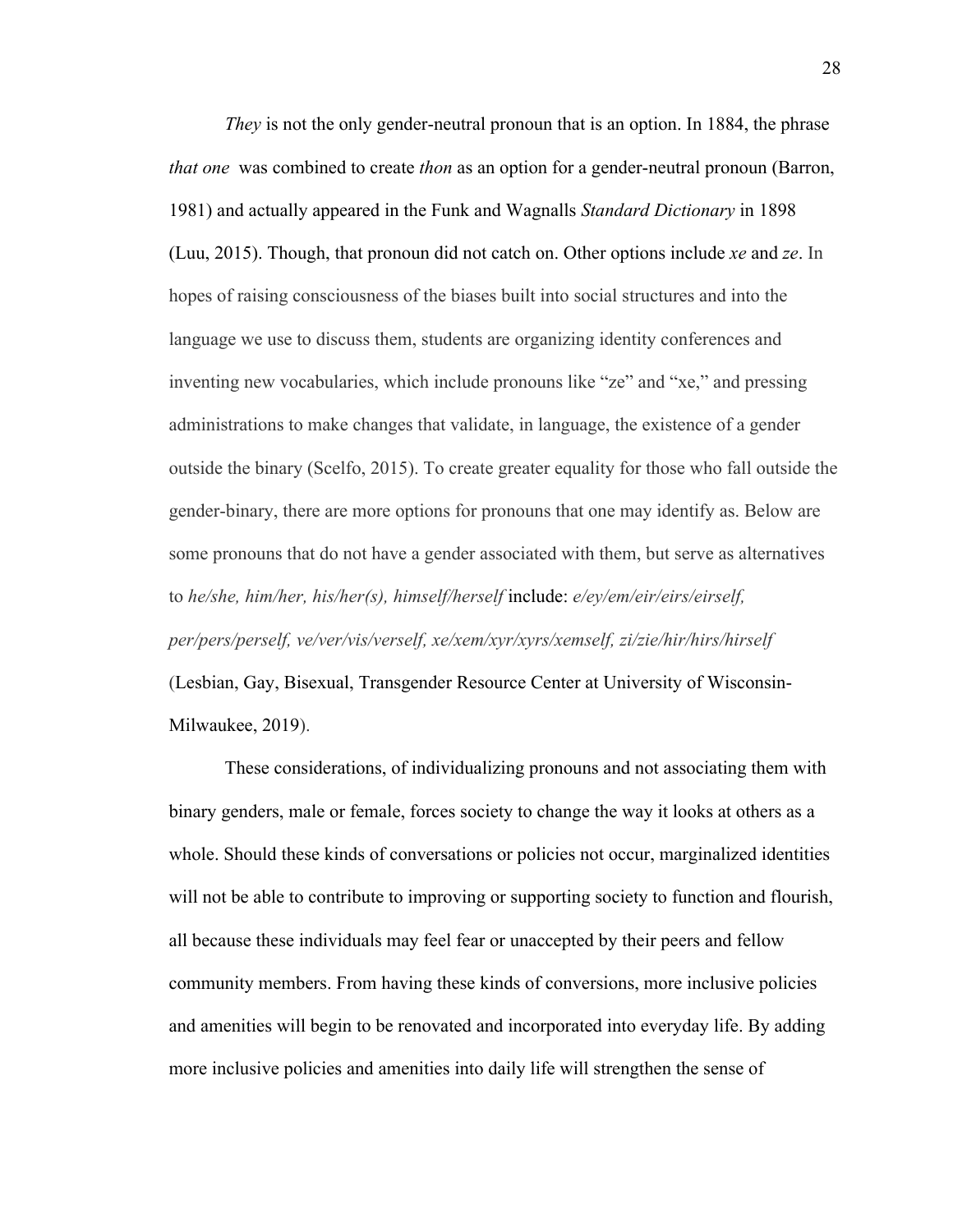*They* is not the only gender-neutral pronoun that is an option. In 1884, the phrase *that one* was combined to create *thon* as an option for a gender-neutral pronoun (Barron, 1981) and actually appeared in the Funk and Wagnalls *Standard Dictionary* in 1898 (Luu, 2015). Though, that pronoun did not catch on. Other options include *xe* and *ze*. In hopes of raising consciousness of the biases built into social structures and into the language we use to discuss them, students are organizing identity conferences and inventing new vocabularies, which include pronouns like "ze" and "xe," and pressing administrations to make changes that validate, in language, the existence of a gender outside the binary (Scelfo, 2015). To create greater equality for those who fall outside the gender-binary, there are more options for pronouns that one may identify as. Below are some pronouns that do not have a gender associated with them, but serve as alternatives to *he/she, him/her, his/her(s), himself/herself* include: *e/ey/em/eir/eirs/eirself, per/pers/perself, ve/ver/vis/verself, xe/xem/xyr/xyrs/xemself, zi/zie/hir/hirs/hirself*  (Lesbian, Gay, Bisexual, Transgender Resource Center at University of Wisconsin-Milwaukee, 2019).

These considerations, of individualizing pronouns and not associating them with binary genders, male or female, forces society to change the way it looks at others as a whole. Should these kinds of conversations or policies not occur, marginalized identities will not be able to contribute to improving or supporting society to function and flourish, all because these individuals may feel fear or unaccepted by their peers and fellow community members. From having these kinds of conversions, more inclusive policies and amenities will begin to be renovated and incorporated into everyday life. By adding more inclusive policies and amenities into daily life will strengthen the sense of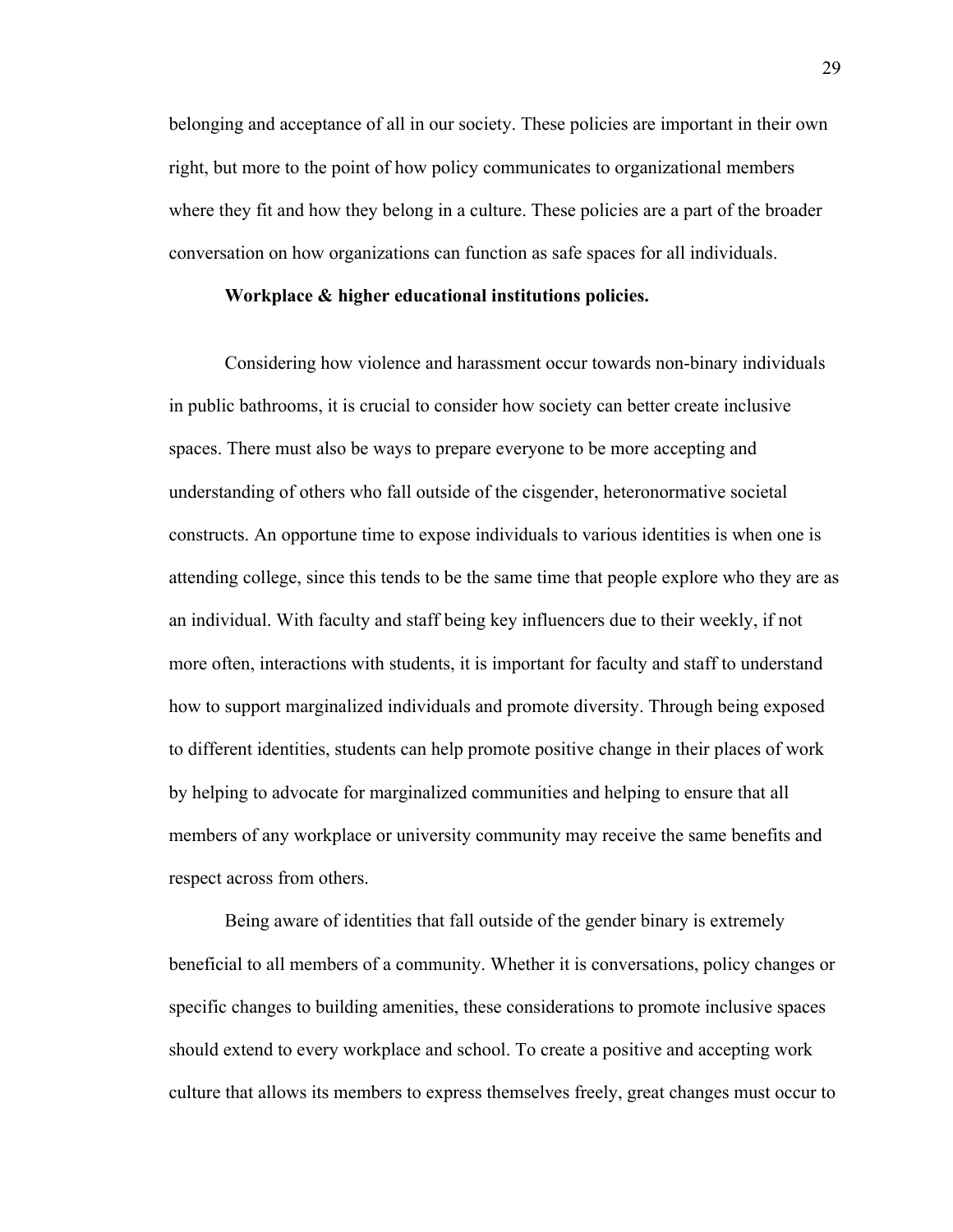belonging and acceptance of all in our society. These policies are important in their own right, but more to the point of how policy communicates to organizational members where they fit and how they belong in a culture. These policies are a part of the broader conversation on how organizations can function as safe spaces for all individuals.

#### **Workplace & higher educational institutions policies.**

Considering how violence and harassment occur towards non-binary individuals in public bathrooms, it is crucial to consider how society can better create inclusive spaces. There must also be ways to prepare everyone to be more accepting and understanding of others who fall outside of the cisgender, heteronormative societal constructs. An opportune time to expose individuals to various identities is when one is attending college, since this tends to be the same time that people explore who they are as an individual. With faculty and staff being key influencers due to their weekly, if not more often, interactions with students, it is important for faculty and staff to understand how to support marginalized individuals and promote diversity. Through being exposed to different identities, students can help promote positive change in their places of work by helping to advocate for marginalized communities and helping to ensure that all members of any workplace or university community may receive the same benefits and respect across from others.

Being aware of identities that fall outside of the gender binary is extremely beneficial to all members of a community. Whether it is conversations, policy changes or specific changes to building amenities, these considerations to promote inclusive spaces should extend to every workplace and school. To create a positive and accepting work culture that allows its members to express themselves freely, great changes must occur to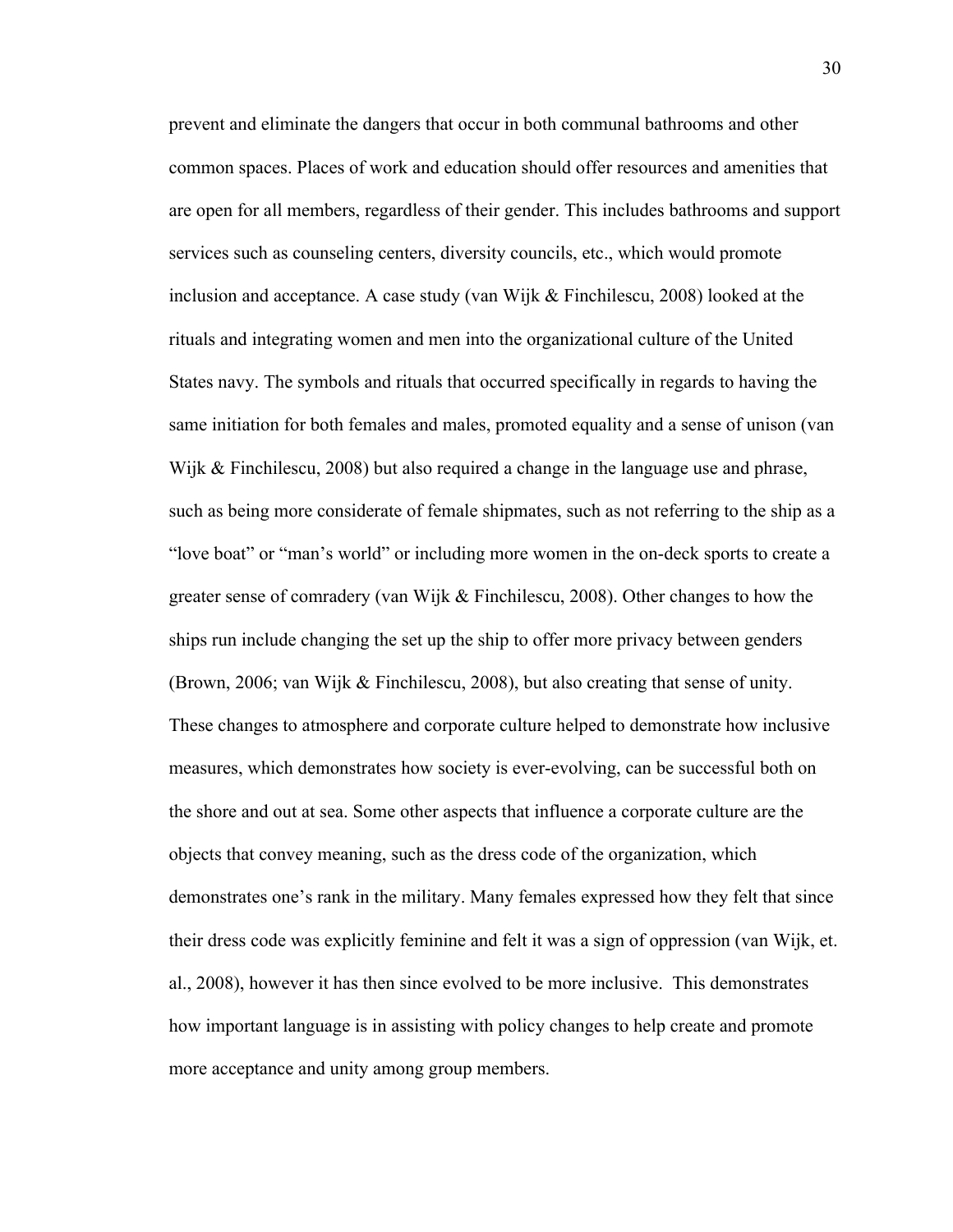prevent and eliminate the dangers that occur in both communal bathrooms and other common spaces. Places of work and education should offer resources and amenities that are open for all members, regardless of their gender. This includes bathrooms and support services such as counseling centers, diversity councils, etc., which would promote inclusion and acceptance. A case study (van Wijk & Finchilescu, 2008) looked at the rituals and integrating women and men into the organizational culture of the United States navy. The symbols and rituals that occurred specifically in regards to having the same initiation for both females and males, promoted equality and a sense of unison (van Wijk & Finchilescu, 2008) but also required a change in the language use and phrase, such as being more considerate of female shipmates, such as not referring to the ship as a "love boat" or "man's world" or including more women in the on-deck sports to create a greater sense of comradery (van Wijk & Finchilescu, 2008). Other changes to how the ships run include changing the set up the ship to offer more privacy between genders (Brown, 2006; van Wijk & Finchilescu, 2008), but also creating that sense of unity. These changes to atmosphere and corporate culture helped to demonstrate how inclusive measures, which demonstrates how society is ever-evolving, can be successful both on the shore and out at sea. Some other aspects that influence a corporate culture are the objects that convey meaning, such as the dress code of the organization, which demonstrates one's rank in the military. Many females expressed how they felt that since their dress code was explicitly feminine and felt it was a sign of oppression (van Wijk, et. al., 2008), however it has then since evolved to be more inclusive. This demonstrates how important language is in assisting with policy changes to help create and promote more acceptance and unity among group members.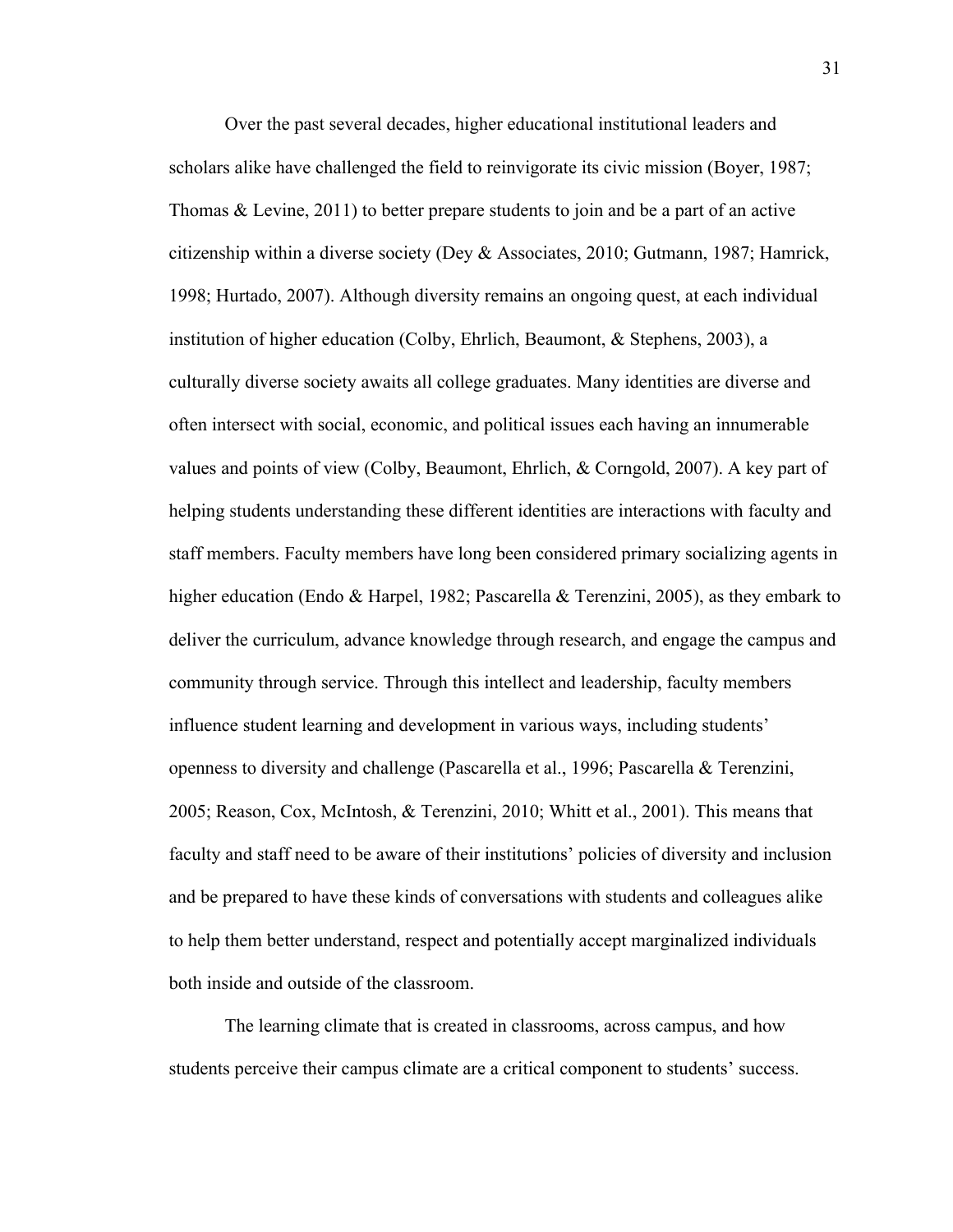Over the past several decades, higher educational institutional leaders and scholars alike have challenged the field to reinvigorate its civic mission (Boyer, 1987; Thomas & Levine, 2011) to better prepare students to join and be a part of an active citizenship within a diverse society (Dey & Associates, 2010; Gutmann, 1987; Hamrick, 1998; Hurtado, 2007). Although diversity remains an ongoing quest, at each individual institution of higher education (Colby, Ehrlich, Beaumont, & Stephens, 2003), a culturally diverse society awaits all college graduates. Many identities are diverse and often intersect with social, economic, and political issues each having an innumerable values and points of view (Colby, Beaumont, Ehrlich, & Corngold, 2007). A key part of helping students understanding these different identities are interactions with faculty and staff members. Faculty members have long been considered primary socializing agents in higher education (Endo & Harpel, 1982; Pascarella & Terenzini, 2005), as they embark to deliver the curriculum, advance knowledge through research, and engage the campus and community through service. Through this intellect and leadership, faculty members influence student learning and development in various ways, including students' openness to diversity and challenge (Pascarella et al., 1996; Pascarella & Terenzini, 2005; Reason, Cox, McIntosh, & Terenzini, 2010; Whitt et al., 2001). This means that faculty and staff need to be aware of their institutions' policies of diversity and inclusion and be prepared to have these kinds of conversations with students and colleagues alike to help them better understand, respect and potentially accept marginalized individuals both inside and outside of the classroom.

The learning climate that is created in classrooms, across campus, and how students perceive their campus climate are a critical component to students' success.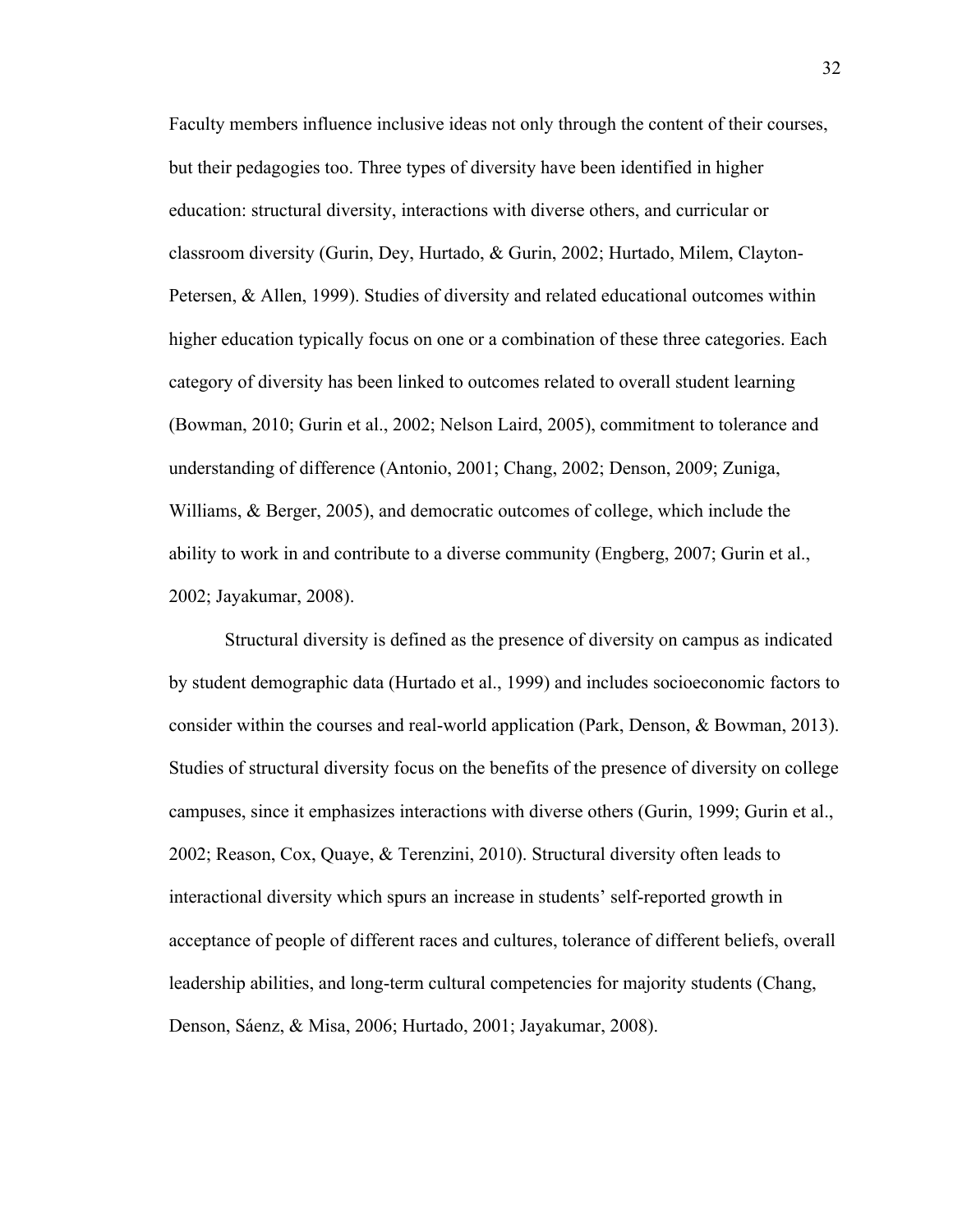Faculty members influence inclusive ideas not only through the content of their courses, but their pedagogies too. Three types of diversity have been identified in higher education: structural diversity, interactions with diverse others, and curricular or classroom diversity (Gurin, Dey, Hurtado, & Gurin, 2002; Hurtado, Milem, Clayton-Petersen, & Allen, 1999). Studies of diversity and related educational outcomes within higher education typically focus on one or a combination of these three categories. Each category of diversity has been linked to outcomes related to overall student learning (Bowman, 2010; Gurin et al., 2002; Nelson Laird, 2005), commitment to tolerance and understanding of difference (Antonio, 2001; Chang, 2002; Denson, 2009; Zuniga, Williams, & Berger, 2005), and democratic outcomes of college, which include the ability to work in and contribute to a diverse community (Engberg, 2007; Gurin et al., 2002; Jayakumar, 2008).

Structural diversity is defined as the presence of diversity on campus as indicated by student demographic data (Hurtado et al., 1999) and includes socioeconomic factors to consider within the courses and real-world application (Park, Denson, & Bowman, 2013). Studies of structural diversity focus on the benefits of the presence of diversity on college campuses, since it emphasizes interactions with diverse others (Gurin, 1999; Gurin et al., 2002; Reason, Cox, Quaye, & Terenzini, 2010). Structural diversity often leads to interactional diversity which spurs an increase in students' self-reported growth in acceptance of people of different races and cultures, tolerance of different beliefs, overall leadership abilities, and long-term cultural competencies for majority students (Chang, Denson, Sáenz, & Misa, 2006; Hurtado, 2001; Jayakumar, 2008).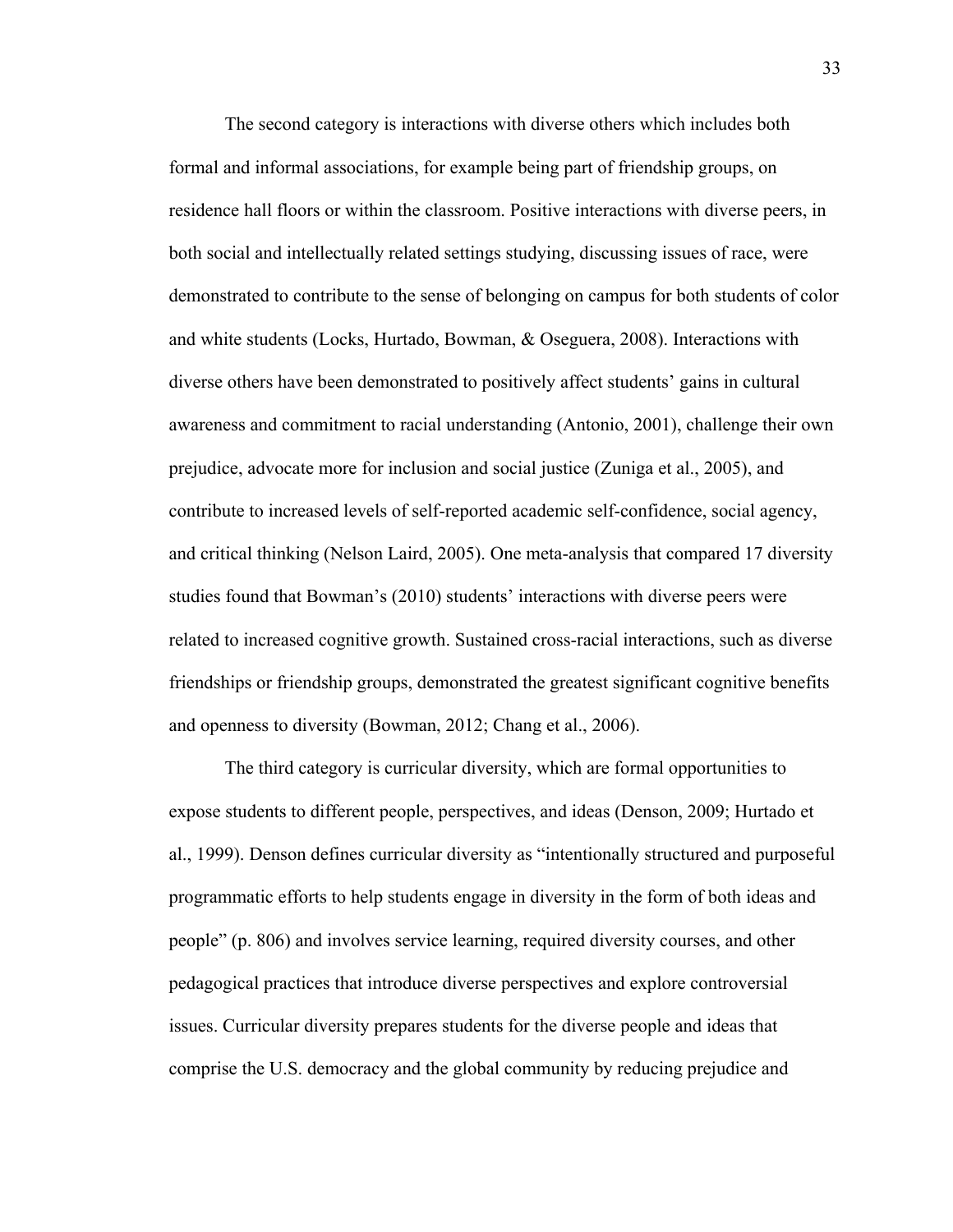The second category is interactions with diverse others which includes both formal and informal associations, for example being part of friendship groups, on residence hall floors or within the classroom. Positive interactions with diverse peers, in both social and intellectually related settings studying, discussing issues of race, were demonstrated to contribute to the sense of belonging on campus for both students of color and white students (Locks, Hurtado, Bowman, & Oseguera, 2008). Interactions with diverse others have been demonstrated to positively affect students' gains in cultural awareness and commitment to racial understanding (Antonio, 2001), challenge their own prejudice, advocate more for inclusion and social justice (Zuniga et al., 2005), and contribute to increased levels of self-reported academic self-confidence, social agency, and critical thinking (Nelson Laird, 2005). One meta-analysis that compared 17 diversity studies found that Bowman's (2010) students' interactions with diverse peers were related to increased cognitive growth. Sustained cross-racial interactions, such as diverse friendships or friendship groups, demonstrated the greatest significant cognitive benefits and openness to diversity (Bowman, 2012; Chang et al., 2006).

The third category is curricular diversity, which are formal opportunities to expose students to different people, perspectives, and ideas (Denson, 2009; Hurtado et al., 1999). Denson defines curricular diversity as "intentionally structured and purposeful programmatic efforts to help students engage in diversity in the form of both ideas and people" (p. 806) and involves service learning, required diversity courses, and other pedagogical practices that introduce diverse perspectives and explore controversial issues. Curricular diversity prepares students for the diverse people and ideas that comprise the U.S. democracy and the global community by reducing prejudice and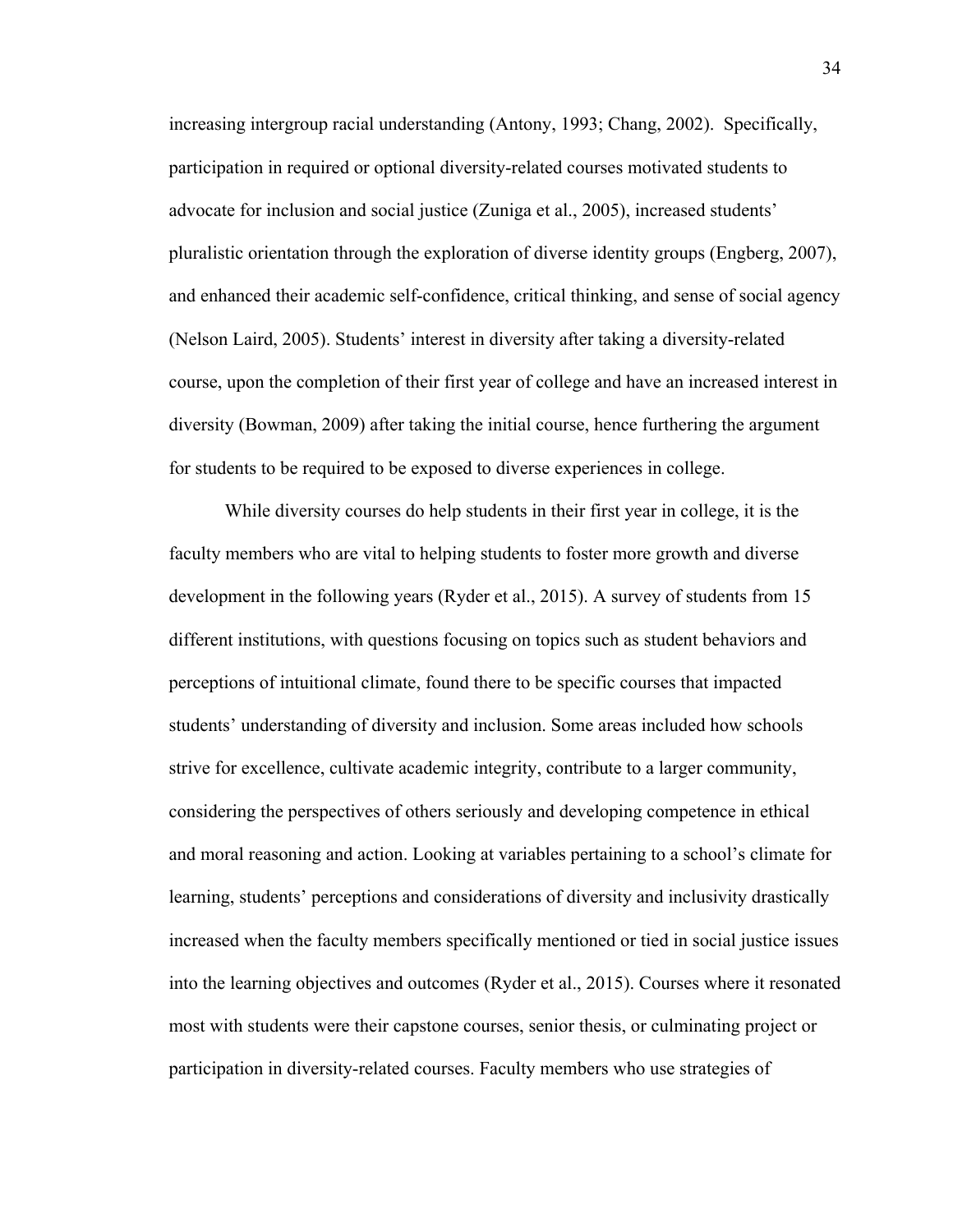increasing intergroup racial understanding (Antony, 1993; Chang, 2002). Specifically, participation in required or optional diversity-related courses motivated students to advocate for inclusion and social justice (Zuniga et al., 2005), increased students' pluralistic orientation through the exploration of diverse identity groups (Engberg, 2007), and enhanced their academic self-confidence, critical thinking, and sense of social agency (Nelson Laird, 2005). Students' interest in diversity after taking a diversity-related course, upon the completion of their first year of college and have an increased interest in diversity (Bowman, 2009) after taking the initial course, hence furthering the argument for students to be required to be exposed to diverse experiences in college.

While diversity courses do help students in their first year in college, it is the faculty members who are vital to helping students to foster more growth and diverse development in the following years (Ryder et al., 2015). A survey of students from 15 different institutions, with questions focusing on topics such as student behaviors and perceptions of intuitional climate, found there to be specific courses that impacted students' understanding of diversity and inclusion. Some areas included how schools strive for excellence, cultivate academic integrity, contribute to a larger community, considering the perspectives of others seriously and developing competence in ethical and moral reasoning and action. Looking at variables pertaining to a school's climate for learning, students' perceptions and considerations of diversity and inclusivity drastically increased when the faculty members specifically mentioned or tied in social justice issues into the learning objectives and outcomes (Ryder et al., 2015). Courses where it resonated most with students were their capstone courses, senior thesis, or culminating project or participation in diversity-related courses. Faculty members who use strategies of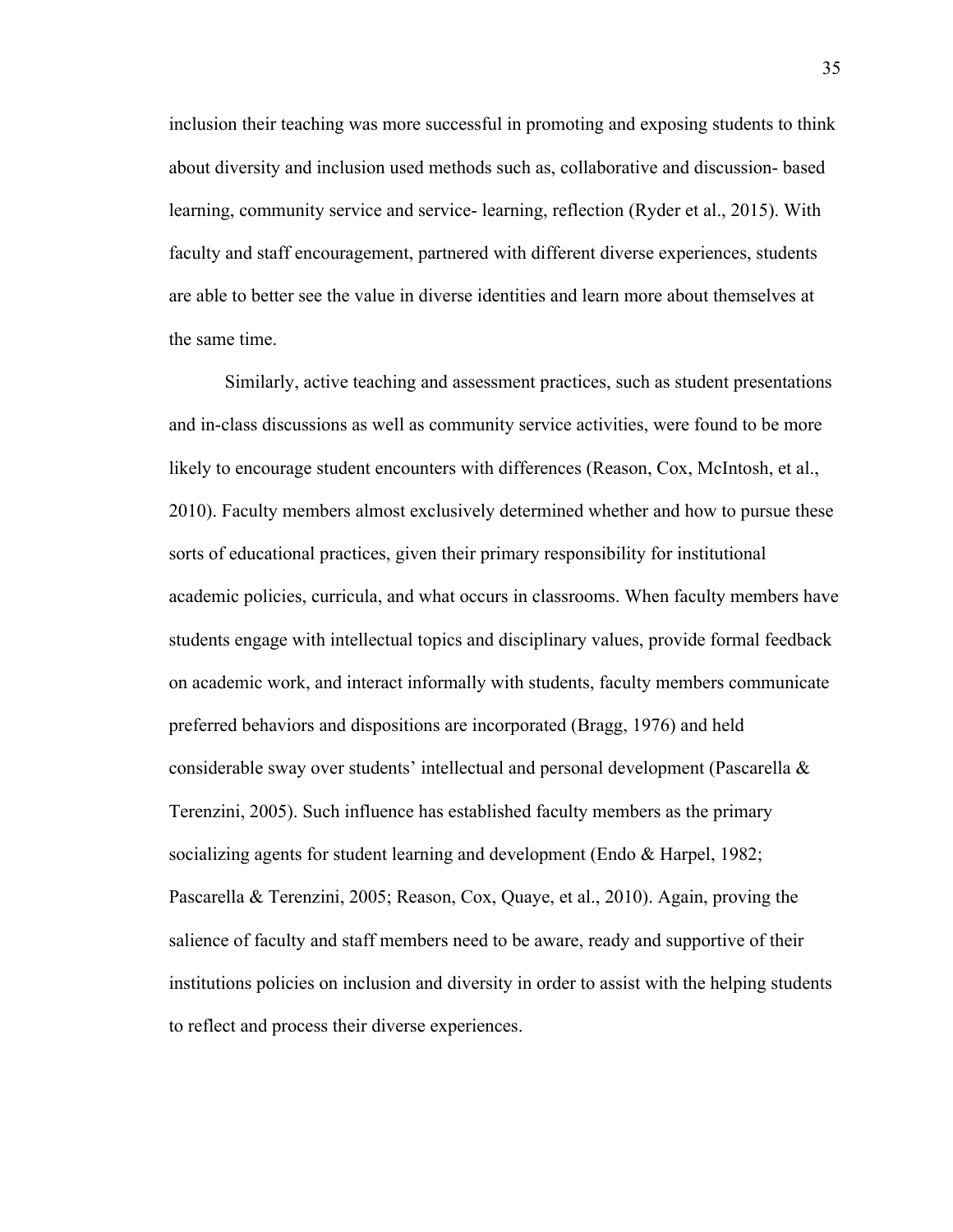inclusion their teaching was more successful in promoting and exposing students to think about diversity and inclusion used methods such as, collaborative and discussion- based learning, community service and service- learning, reflection (Ryder et al., 2015). With faculty and staff encouragement, partnered with different diverse experiences, students are able to better see the value in diverse identities and learn more about themselves at the same time.

Similarly, active teaching and assessment practices, such as student presentations and in-class discussions as well as community service activities, were found to be more likely to encourage student encounters with differences (Reason, Cox, McIntosh, et al., 2010). Faculty members almost exclusively determined whether and how to pursue these sorts of educational practices, given their primary responsibility for institutional academic policies, curricula, and what occurs in classrooms. When faculty members have students engage with intellectual topics and disciplinary values, provide formal feedback on academic work, and interact informally with students, faculty members communicate preferred behaviors and dispositions are incorporated (Bragg, 1976) and held considerable sway over students' intellectual and personal development (Pascarella & Terenzini, 2005). Such influence has established faculty members as the primary socializing agents for student learning and development (Endo & Harpel, 1982; Pascarella & Terenzini, 2005; Reason, Cox, Quaye, et al., 2010). Again, proving the salience of faculty and staff members need to be aware, ready and supportive of their institutions policies on inclusion and diversity in order to assist with the helping students to reflect and process their diverse experiences.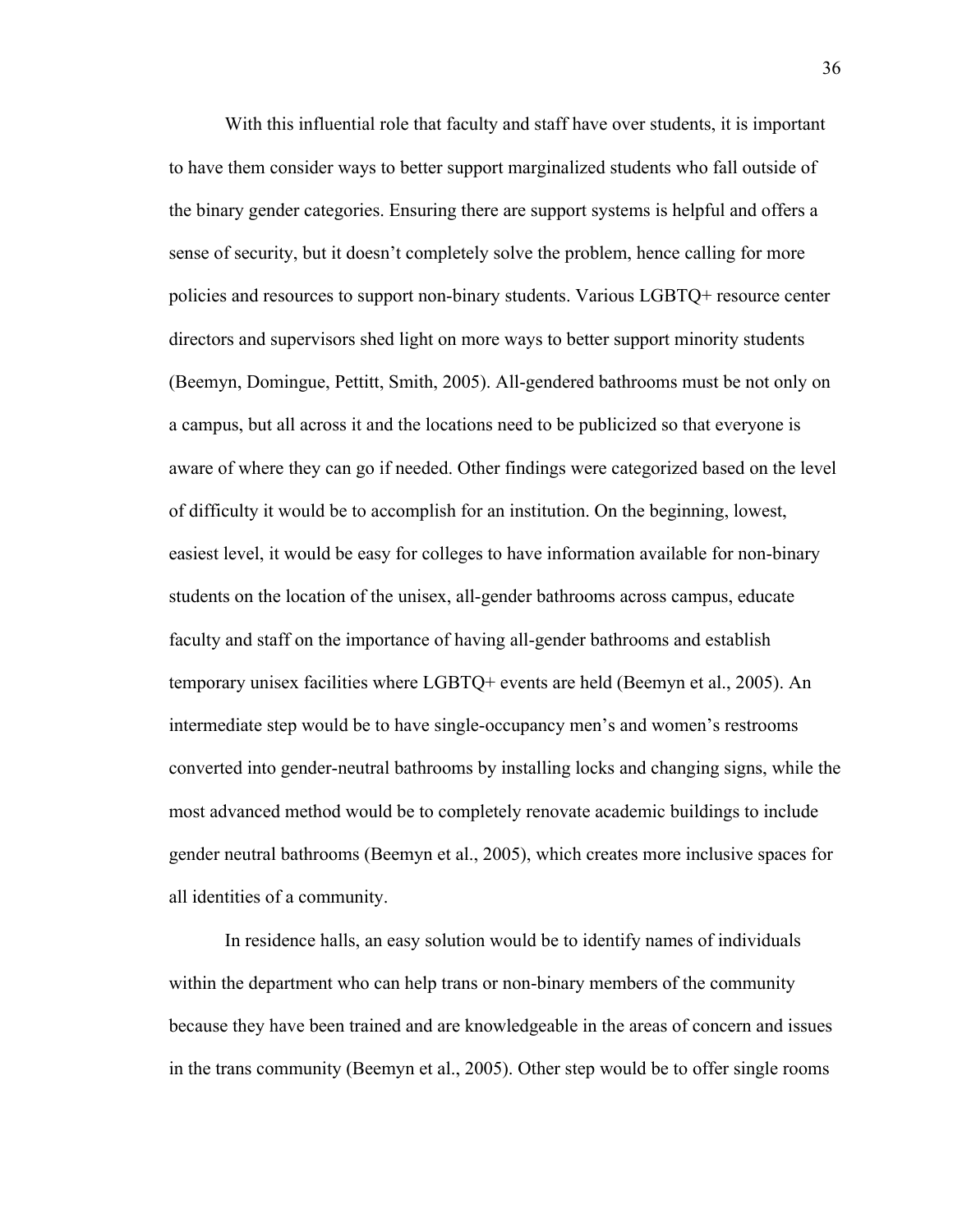With this influential role that faculty and staff have over students, it is important to have them consider ways to better support marginalized students who fall outside of the binary gender categories. Ensuring there are support systems is helpful and offers a sense of security, but it doesn't completely solve the problem, hence calling for more policies and resources to support non-binary students. Various LGBTQ+ resource center directors and supervisors shed light on more ways to better support minority students (Beemyn, Domingue, Pettitt, Smith, 2005). All-gendered bathrooms must be not only on a campus, but all across it and the locations need to be publicized so that everyone is aware of where they can go if needed. Other findings were categorized based on the level of difficulty it would be to accomplish for an institution. On the beginning, lowest, easiest level, it would be easy for colleges to have information available for non-binary students on the location of the unisex, all-gender bathrooms across campus, educate faculty and staff on the importance of having all-gender bathrooms and establish temporary unisex facilities where LGBTQ+ events are held (Beemyn et al., 2005). An intermediate step would be to have single-occupancy men's and women's restrooms converted into gender-neutral bathrooms by installing locks and changing signs, while the most advanced method would be to completely renovate academic buildings to include gender neutral bathrooms (Beemyn et al., 2005), which creates more inclusive spaces for all identities of a community.

In residence halls, an easy solution would be to identify names of individuals within the department who can help trans or non-binary members of the community because they have been trained and are knowledgeable in the areas of concern and issues in the trans community (Beemyn et al., 2005). Other step would be to offer single rooms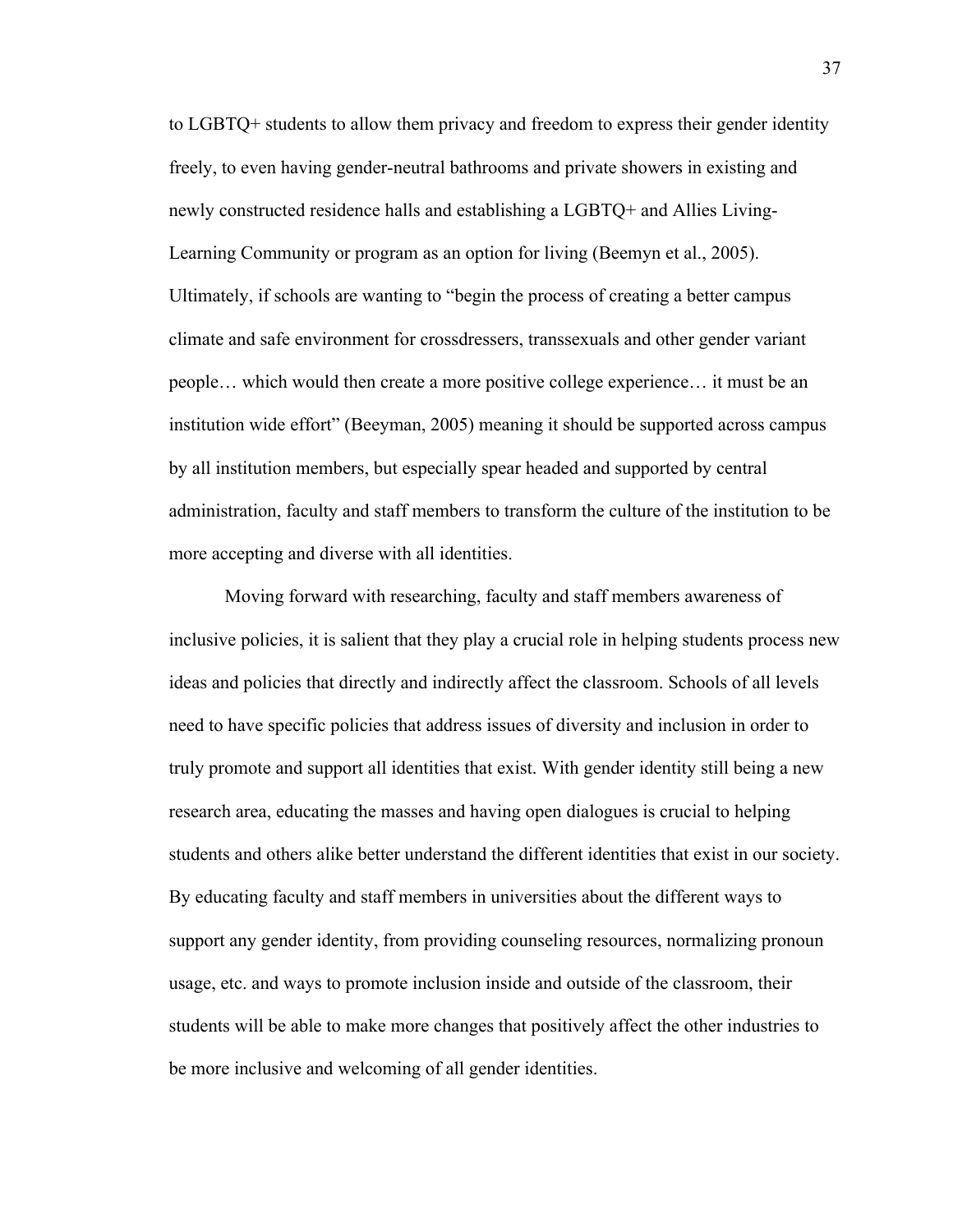to LGBTQ+ students to allow them privacy and freedom to express their gender identity freely, to even having gender-neutral bathrooms and private showers in existing and newly constructed residence halls and establishing a LGBTQ+ and Allies Living-Learning Community or program as an option for living (Beemyn et al., 2005). Ultimately, if schools are wanting to "begin the process of creating a better campus climate and safe environment for crossdressers, transsexuals and other gender variant people… which would then create a more positive college experience… it must be an institution wide effort" (Beeyman, 2005) meaning it should be supported across campus by all institution members, but especially spear headed and supported by central administration, faculty and staff members to transform the culture of the institution to be more accepting and diverse with all identities.

Moving forward with researching, faculty and staff members awareness of inclusive policies, it is salient that they play a crucial role in helping students process new ideas and policies that directly and indirectly affect the classroom. Schools of all levels need to have specific policies that address issues of diversity and inclusion in order to truly promote and support all identities that exist. With gender identity still being a new research area, educating the masses and having open dialogues is crucial to helping students and others alike better understand the different identities that exist in our society. By educating faculty and staff members in universities about the different ways to support any gender identity, from providing counseling resources, normalizing pronoun usage, etc. and ways to promote inclusion inside and outside of the classroom, their students will be able to make more changes that positively affect the other industries to be more inclusive and welcoming of all gender identities.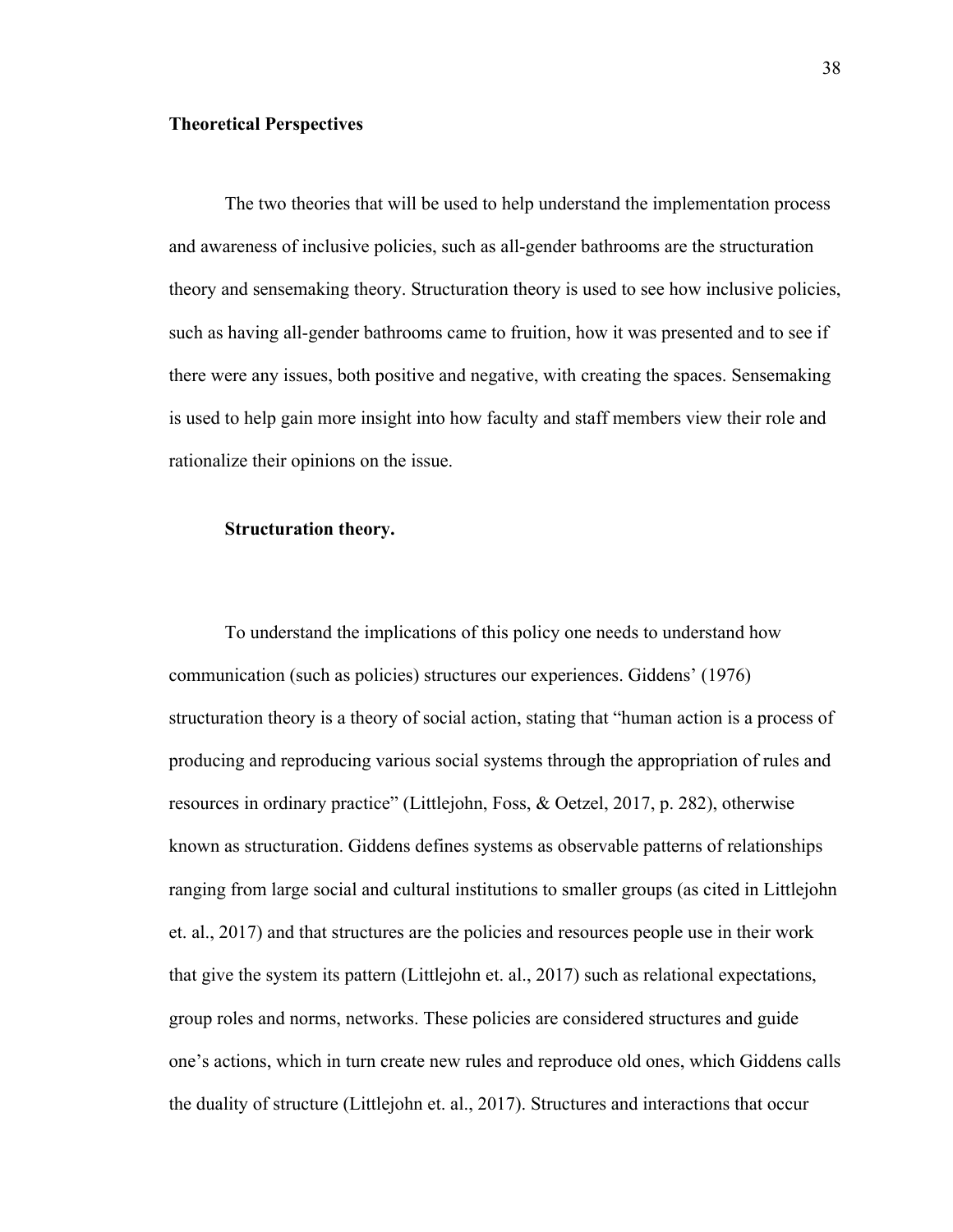## **Theoretical Perspectives**

The two theories that will be used to help understand the implementation process and awareness of inclusive policies, such as all-gender bathrooms are the structuration theory and sensemaking theory. Structuration theory is used to see how inclusive policies, such as having all-gender bathrooms came to fruition, how it was presented and to see if there were any issues, both positive and negative, with creating the spaces. Sensemaking is used to help gain more insight into how faculty and staff members view their role and rationalize their opinions on the issue.

# **Structuration theory.**

To understand the implications of this policy one needs to understand how communication (such as policies) structures our experiences. Giddens' (1976) structuration theory is a theory of social action, stating that "human action is a process of producing and reproducing various social systems through the appropriation of rules and resources in ordinary practice" (Littlejohn, Foss, & Oetzel, 2017, p. 282), otherwise known as structuration. Giddens defines systems as observable patterns of relationships ranging from large social and cultural institutions to smaller groups (as cited in Littlejohn et. al., 2017) and that structures are the policies and resources people use in their work that give the system its pattern (Littlejohn et. al., 2017) such as relational expectations, group roles and norms, networks. These policies are considered structures and guide one's actions, which in turn create new rules and reproduce old ones, which Giddens calls the duality of structure (Littlejohn et. al., 2017). Structures and interactions that occur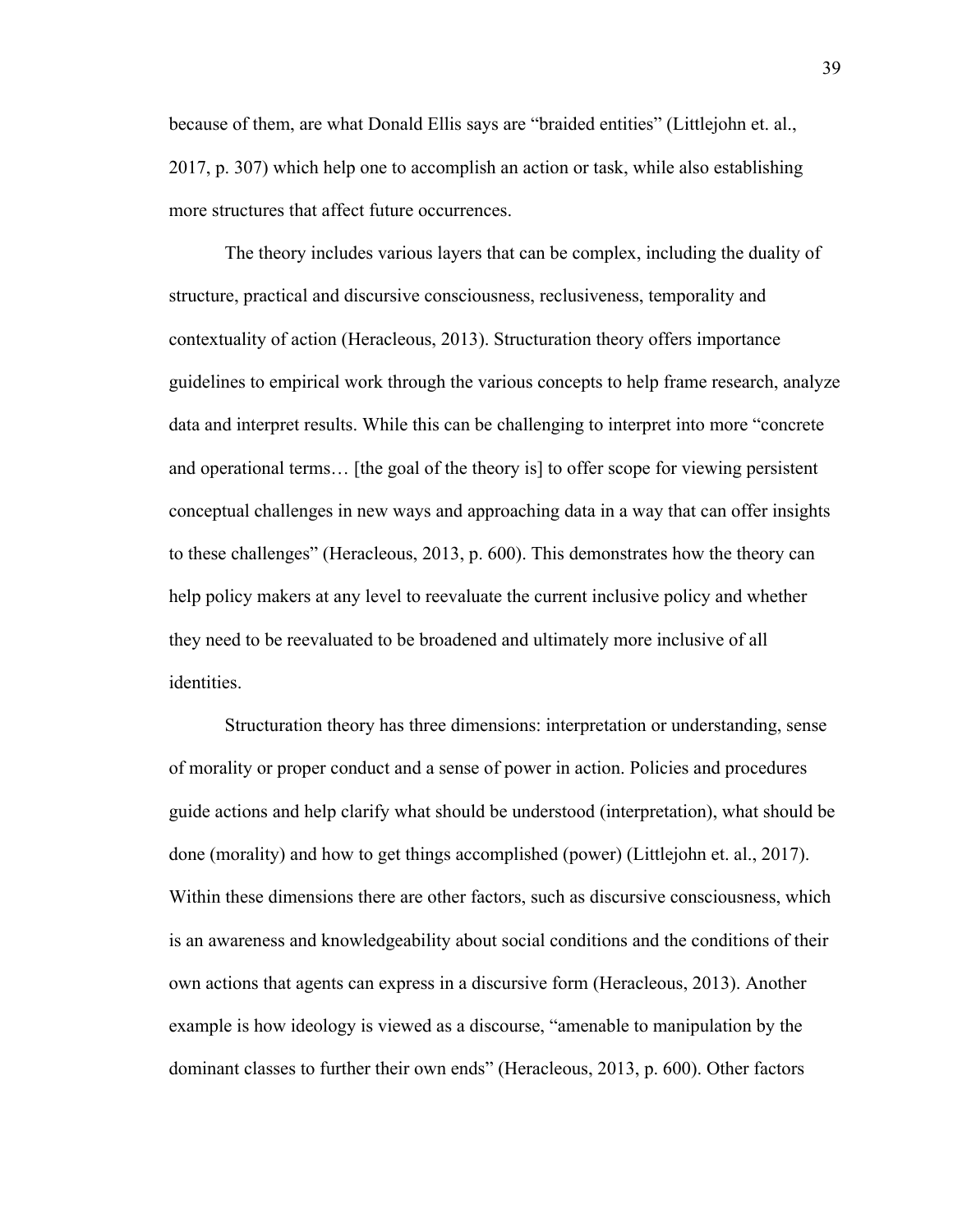because of them, are what Donald Ellis says are "braided entities" (Littlejohn et. al., 2017, p. 307) which help one to accomplish an action or task, while also establishing more structures that affect future occurrences.

The theory includes various layers that can be complex, including the duality of structure, practical and discursive consciousness, reclusiveness, temporality and contextuality of action (Heracleous, 2013). Structuration theory offers importance guidelines to empirical work through the various concepts to help frame research, analyze data and interpret results. While this can be challenging to interpret into more "concrete and operational terms… [the goal of the theory is] to offer scope for viewing persistent conceptual challenges in new ways and approaching data in a way that can offer insights to these challenges" (Heracleous, 2013, p. 600). This demonstrates how the theory can help policy makers at any level to reevaluate the current inclusive policy and whether they need to be reevaluated to be broadened and ultimately more inclusive of all identities.

Structuration theory has three dimensions: interpretation or understanding, sense of morality or proper conduct and a sense of power in action. Policies and procedures guide actions and help clarify what should be understood (interpretation), what should be done (morality) and how to get things accomplished (power) (Littlejohn et. al., 2017). Within these dimensions there are other factors, such as discursive consciousness, which is an awareness and knowledgeability about social conditions and the conditions of their own actions that agents can express in a discursive form (Heracleous, 2013). Another example is how ideology is viewed as a discourse, "amenable to manipulation by the dominant classes to further their own ends" (Heracleous, 2013, p. 600). Other factors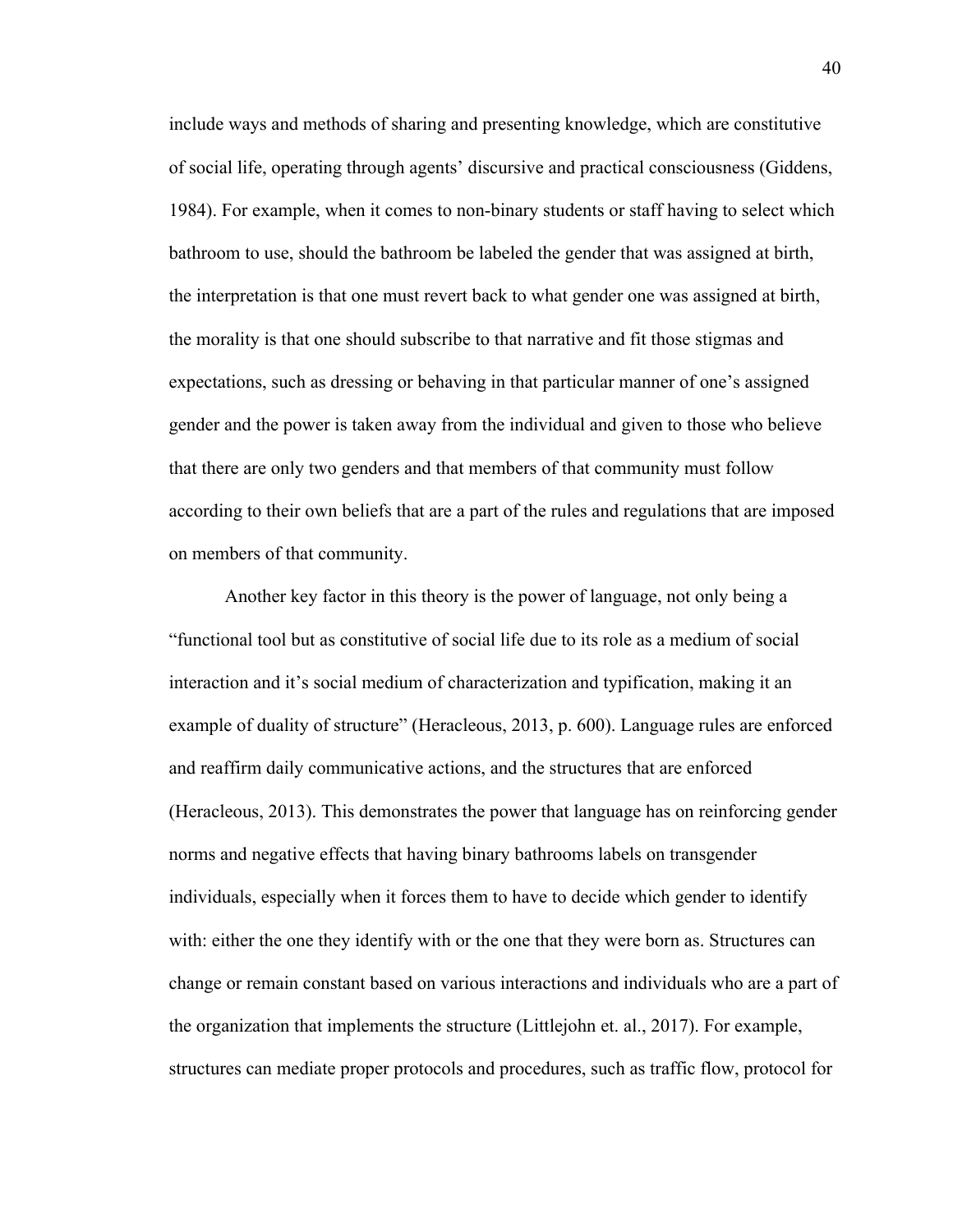include ways and methods of sharing and presenting knowledge, which are constitutive of social life, operating through agents' discursive and practical consciousness (Giddens, 1984). For example, when it comes to non-binary students or staff having to select which bathroom to use, should the bathroom be labeled the gender that was assigned at birth, the interpretation is that one must revert back to what gender one was assigned at birth, the morality is that one should subscribe to that narrative and fit those stigmas and expectations, such as dressing or behaving in that particular manner of one's assigned gender and the power is taken away from the individual and given to those who believe that there are only two genders and that members of that community must follow according to their own beliefs that are a part of the rules and regulations that are imposed on members of that community.

Another key factor in this theory is the power of language, not only being a "functional tool but as constitutive of social life due to its role as a medium of social interaction and it's social medium of characterization and typification, making it an example of duality of structure" (Heracleous, 2013, p. 600). Language rules are enforced and reaffirm daily communicative actions, and the structures that are enforced (Heracleous, 2013). This demonstrates the power that language has on reinforcing gender norms and negative effects that having binary bathrooms labels on transgender individuals, especially when it forces them to have to decide which gender to identify with: either the one they identify with or the one that they were born as. Structures can change or remain constant based on various interactions and individuals who are a part of the organization that implements the structure (Littlejohn et. al., 2017). For example, structures can mediate proper protocols and procedures, such as traffic flow, protocol for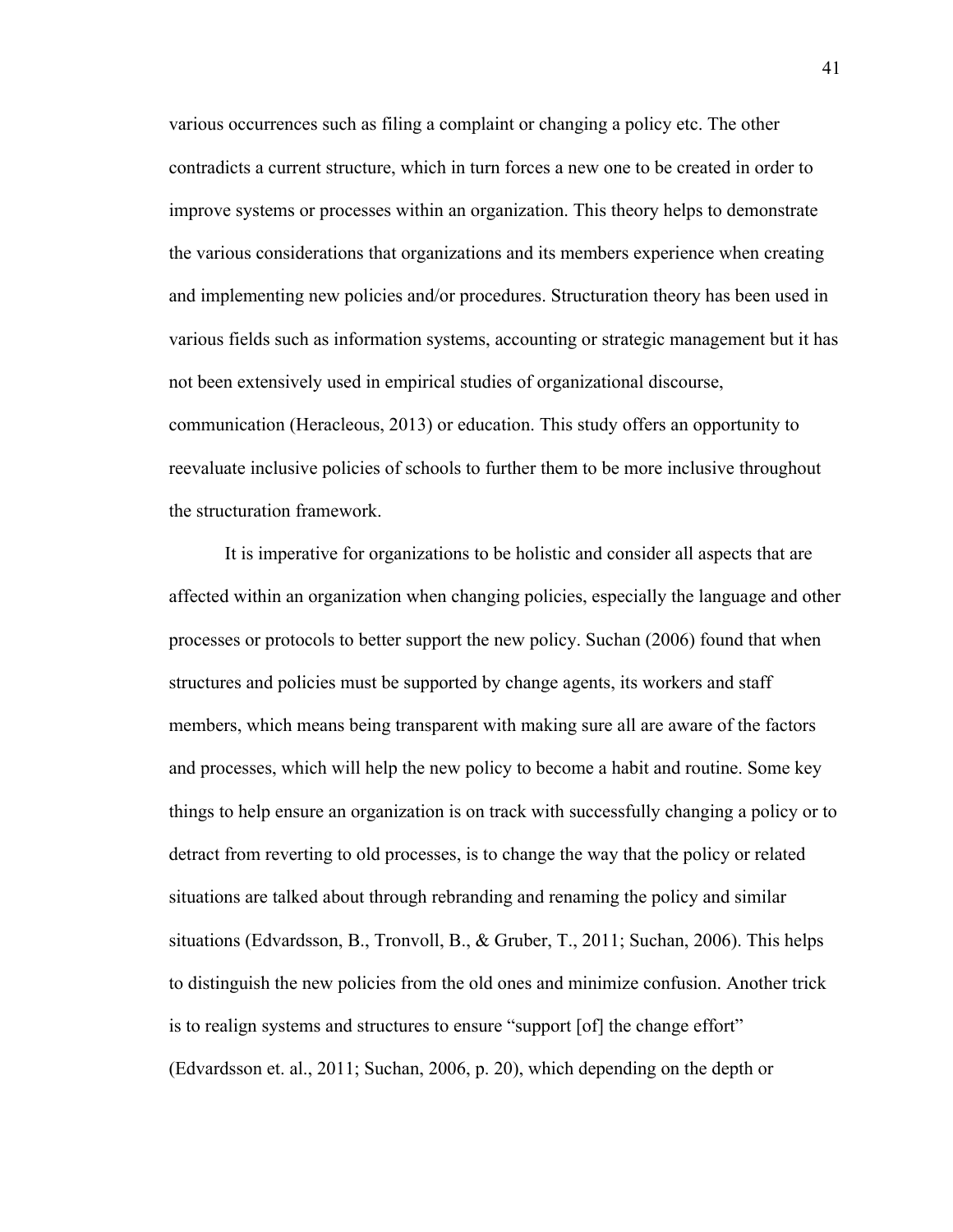various occurrences such as filing a complaint or changing a policy etc. The other contradicts a current structure, which in turn forces a new one to be created in order to improve systems or processes within an organization. This theory helps to demonstrate the various considerations that organizations and its members experience when creating and implementing new policies and/or procedures. Structuration theory has been used in various fields such as information systems, accounting or strategic management but it has not been extensively used in empirical studies of organizational discourse, communication (Heracleous, 2013) or education. This study offers an opportunity to reevaluate inclusive policies of schools to further them to be more inclusive throughout the structuration framework.

It is imperative for organizations to be holistic and consider all aspects that are affected within an organization when changing policies, especially the language and other processes or protocols to better support the new policy. Suchan (2006) found that when structures and policies must be supported by change agents, its workers and staff members, which means being transparent with making sure all are aware of the factors and processes, which will help the new policy to become a habit and routine. Some key things to help ensure an organization is on track with successfully changing a policy or to detract from reverting to old processes, is to change the way that the policy or related situations are talked about through rebranding and renaming the policy and similar situations (Edvardsson, B., Tronvoll, B., & Gruber, T., 2011; Suchan, 2006). This helps to distinguish the new policies from the old ones and minimize confusion. Another trick is to realign systems and structures to ensure "support [of] the change effort" (Edvardsson et. al., 2011; Suchan, 2006, p. 20), which depending on the depth or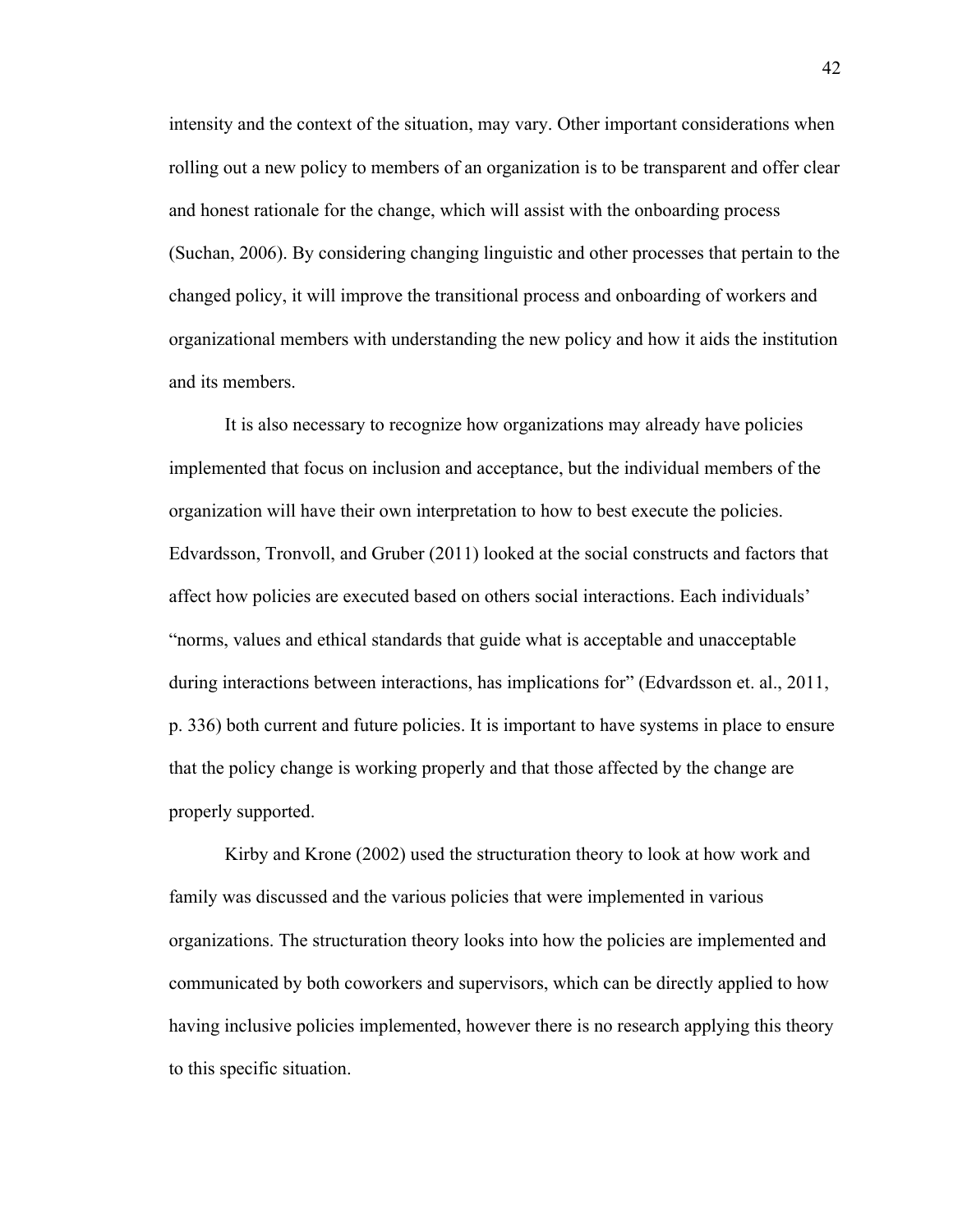intensity and the context of the situation, may vary. Other important considerations when rolling out a new policy to members of an organization is to be transparent and offer clear and honest rationale for the change, which will assist with the onboarding process (Suchan, 2006). By considering changing linguistic and other processes that pertain to the changed policy, it will improve the transitional process and onboarding of workers and organizational members with understanding the new policy and how it aids the institution and its members.

It is also necessary to recognize how organizations may already have policies implemented that focus on inclusion and acceptance, but the individual members of the organization will have their own interpretation to how to best execute the policies. Edvardsson, Tronvoll, and Gruber (2011) looked at the social constructs and factors that affect how policies are executed based on others social interactions. Each individuals' "norms, values and ethical standards that guide what is acceptable and unacceptable during interactions between interactions, has implications for" (Edvardsson et. al., 2011, p. 336) both current and future policies. It is important to have systems in place to ensure that the policy change is working properly and that those affected by the change are properly supported.

Kirby and Krone (2002) used the structuration theory to look at how work and family was discussed and the various policies that were implemented in various organizations. The structuration theory looks into how the policies are implemented and communicated by both coworkers and supervisors, which can be directly applied to how having inclusive policies implemented, however there is no research applying this theory to this specific situation.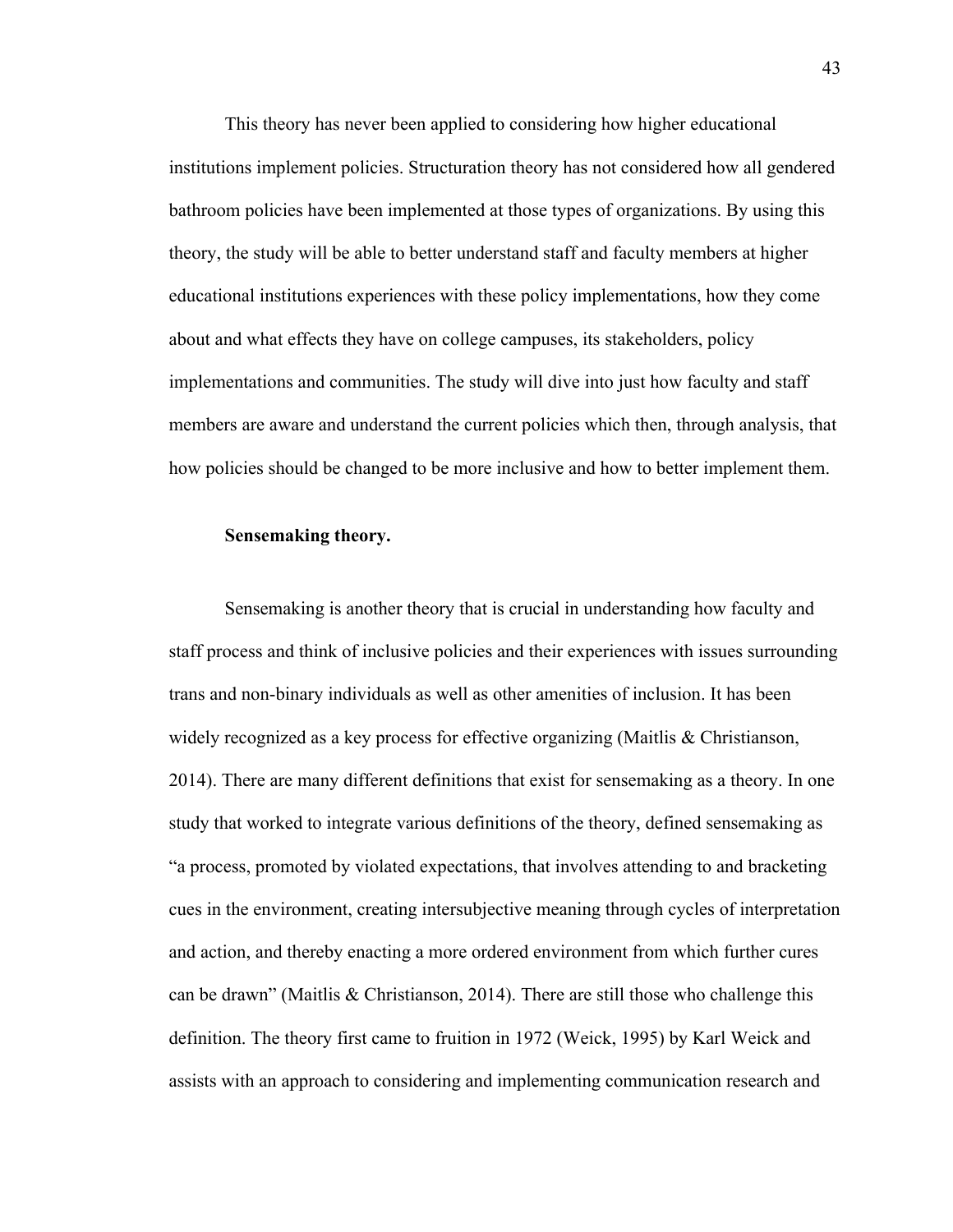This theory has never been applied to considering how higher educational institutions implement policies. Structuration theory has not considered how all gendered bathroom policies have been implemented at those types of organizations. By using this theory, the study will be able to better understand staff and faculty members at higher educational institutions experiences with these policy implementations, how they come about and what effects they have on college campuses, its stakeholders, policy implementations and communities. The study will dive into just how faculty and staff members are aware and understand the current policies which then, through analysis, that how policies should be changed to be more inclusive and how to better implement them.

## **Sensemaking theory.**

 Sensemaking is another theory that is crucial in understanding how faculty and staff process and think of inclusive policies and their experiences with issues surrounding trans and non-binary individuals as well as other amenities of inclusion. It has been widely recognized as a key process for effective organizing (Maitlis & Christianson, 2014). There are many different definitions that exist for sensemaking as a theory. In one study that worked to integrate various definitions of the theory, defined sensemaking as "a process, promoted by violated expectations, that involves attending to and bracketing cues in the environment, creating intersubjective meaning through cycles of interpretation and action, and thereby enacting a more ordered environment from which further cures can be drawn" (Maitlis & Christianson, 2014). There are still those who challenge this definition. The theory first came to fruition in 1972 (Weick, 1995) by Karl Weick and assists with an approach to considering and implementing communication research and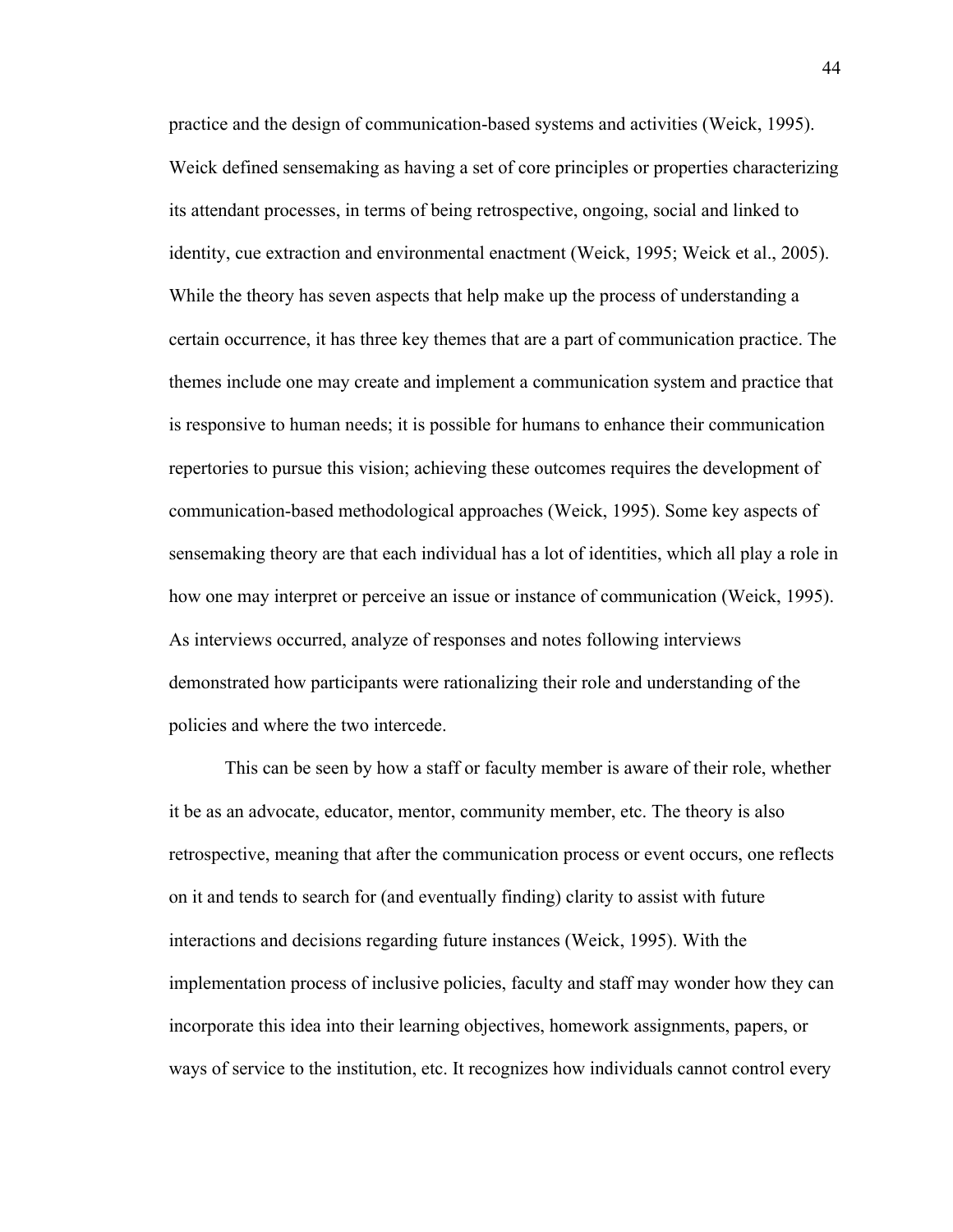practice and the design of communication-based systems and activities (Weick, 1995). Weick defined sensemaking as having a set of core principles or properties characterizing its attendant processes, in terms of being retrospective, ongoing, social and linked to identity, cue extraction and environmental enactment (Weick, 1995; Weick et al., 2005). While the theory has seven aspects that help make up the process of understanding a certain occurrence, it has three key themes that are a part of communication practice. The themes include one may create and implement a communication system and practice that is responsive to human needs; it is possible for humans to enhance their communication repertories to pursue this vision; achieving these outcomes requires the development of communication-based methodological approaches (Weick, 1995). Some key aspects of sensemaking theory are that each individual has a lot of identities, which all play a role in how one may interpret or perceive an issue or instance of communication (Weick, 1995). As interviews occurred, analyze of responses and notes following interviews demonstrated how participants were rationalizing their role and understanding of the policies and where the two intercede.

This can be seen by how a staff or faculty member is aware of their role, whether it be as an advocate, educator, mentor, community member, etc. The theory is also retrospective, meaning that after the communication process or event occurs, one reflects on it and tends to search for (and eventually finding) clarity to assist with future interactions and decisions regarding future instances (Weick, 1995). With the implementation process of inclusive policies, faculty and staff may wonder how they can incorporate this idea into their learning objectives, homework assignments, papers, or ways of service to the institution, etc. It recognizes how individuals cannot control every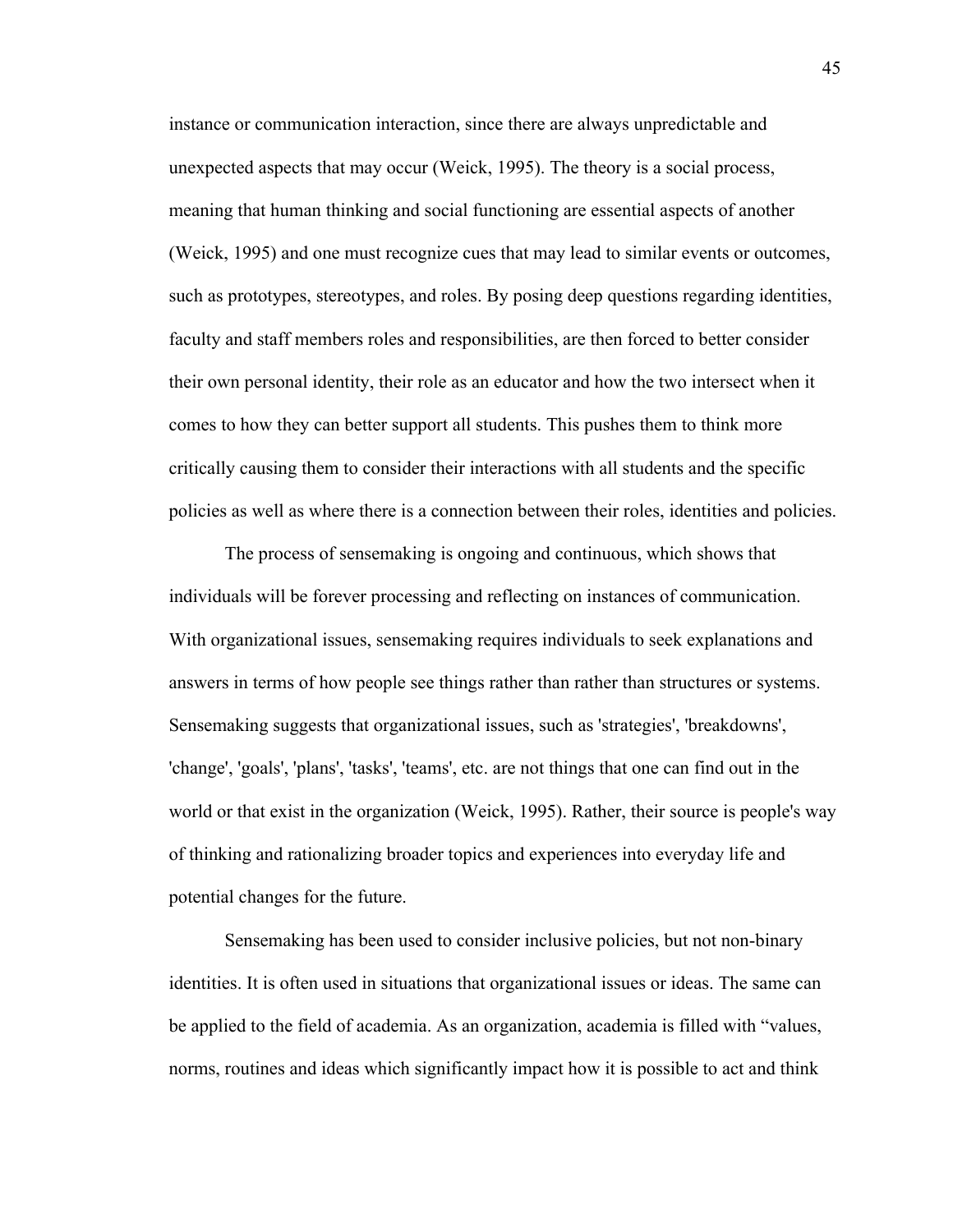instance or communication interaction, since there are always unpredictable and unexpected aspects that may occur (Weick, 1995). The theory is a social process, meaning that human thinking and social functioning are essential aspects of another (Weick, 1995) and one must recognize cues that may lead to similar events or outcomes, such as prototypes, stereotypes, and roles. By posing deep questions regarding identities, faculty and staff members roles and responsibilities, are then forced to better consider their own personal identity, their role as an educator and how the two intersect when it comes to how they can better support all students. This pushes them to think more critically causing them to consider their interactions with all students and the specific policies as well as where there is a connection between their roles, identities and policies.

The process of sensemaking is ongoing and continuous, which shows that individuals will be forever processing and reflecting on instances of communication. With organizational issues, sensemaking requires individuals to seek explanations and answers in terms of how people see things rather than rather than structures or systems. Sensemaking suggests that organizational issues, such as 'strategies', 'breakdowns', 'change', 'goals', 'plans', 'tasks', 'teams', etc. are not things that one can find out in the world or that exist in the organization (Weick, 1995). Rather, their source is people's way of thinking and rationalizing broader topics and experiences into everyday life and potential changes for the future.

 Sensemaking has been used to consider inclusive policies, but not non-binary identities. It is often used in situations that organizational issues or ideas. The same can be applied to the field of academia. As an organization, academia is filled with "values, norms, routines and ideas which significantly impact how it is possible to act and think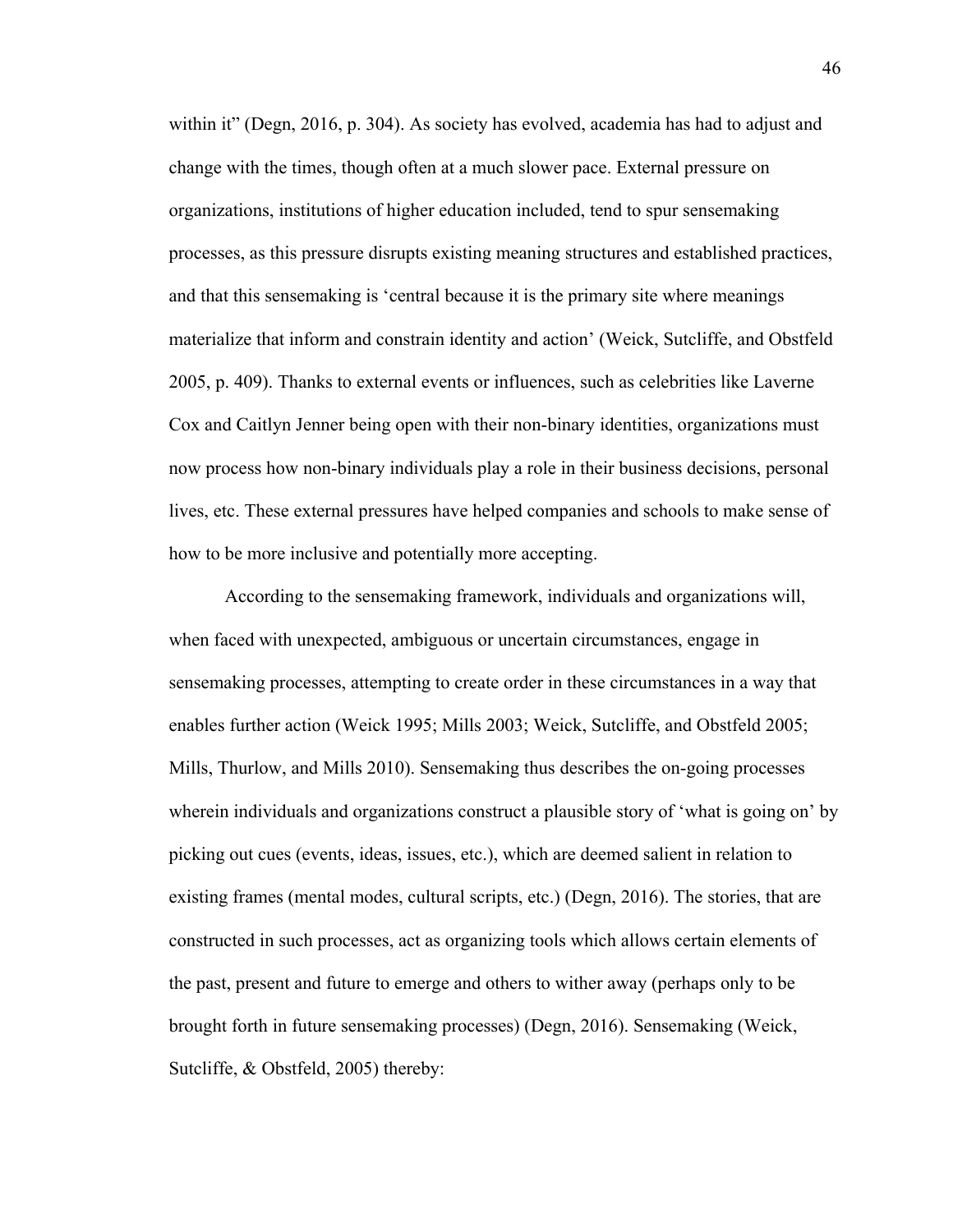within it" (Degn, 2016, p. 304). As society has evolved, academia has had to adjust and change with the times, though often at a much slower pace. External pressure on organizations, institutions of higher education included, tend to spur sensemaking processes, as this pressure disrupts existing meaning structures and established practices, and that this sensemaking is 'central because it is the primary site where meanings materialize that inform and constrain identity and action' (Weick, Sutcliffe, and Obstfeld 2005, p. 409). Thanks to external events or influences, such as celebrities like Laverne Cox and Caitlyn Jenner being open with their non-binary identities, organizations must now process how non-binary individuals play a role in their business decisions, personal lives, etc. These external pressures have helped companies and schools to make sense of how to be more inclusive and potentially more accepting.

According to the sensemaking framework, individuals and organizations will, when faced with unexpected, ambiguous or uncertain circumstances, engage in sensemaking processes, attempting to create order in these circumstances in a way that enables further action (Weick 1995; Mills 2003; Weick, Sutcliffe, and Obstfeld 2005; Mills, Thurlow, and Mills 2010). Sensemaking thus describes the on-going processes wherein individuals and organizations construct a plausible story of 'what is going on' by picking out cues (events, ideas, issues, etc.), which are deemed salient in relation to existing frames (mental modes, cultural scripts, etc.) (Degn, 2016). The stories, that are constructed in such processes, act as organizing tools which allows certain elements of the past, present and future to emerge and others to wither away (perhaps only to be brought forth in future sensemaking processes) (Degn, 2016). Sensemaking (Weick, Sutcliffe, & Obstfeld, 2005) thereby: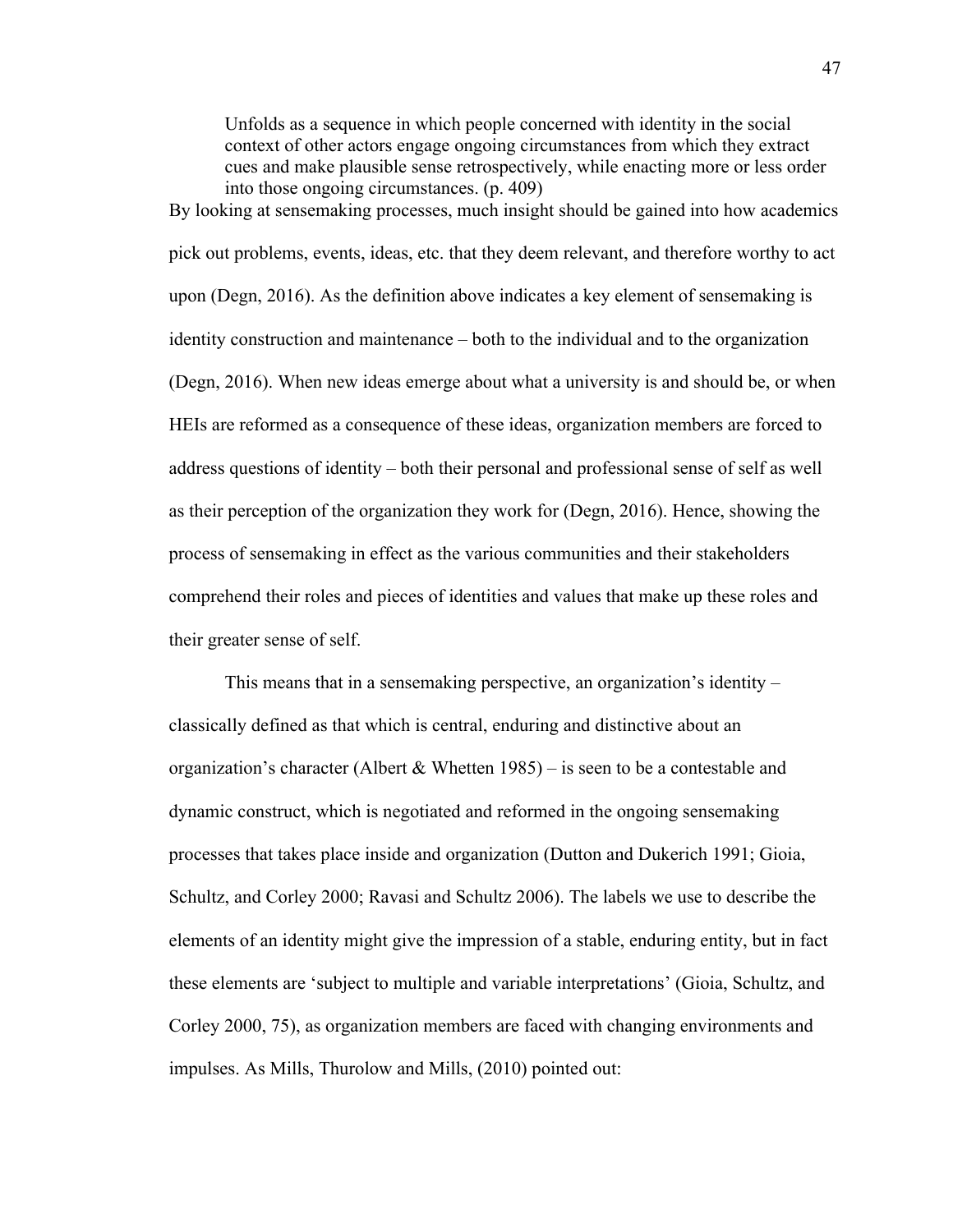Unfolds as a sequence in which people concerned with identity in the social context of other actors engage ongoing circumstances from which they extract cues and make plausible sense retrospectively, while enacting more or less order into those ongoing circumstances. (p. 409)

By looking at sensemaking processes, much insight should be gained into how academics pick out problems, events, ideas, etc. that they deem relevant, and therefore worthy to act upon (Degn, 2016). As the definition above indicates a key element of sensemaking is identity construction and maintenance – both to the individual and to the organization (Degn, 2016). When new ideas emerge about what a university is and should be, or when HEIs are reformed as a consequence of these ideas, organization members are forced to address questions of identity – both their personal and professional sense of self as well as their perception of the organization they work for (Degn, 2016). Hence, showing the process of sensemaking in effect as the various communities and their stakeholders comprehend their roles and pieces of identities and values that make up these roles and their greater sense of self.

This means that in a sensemaking perspective, an organization's identity – classically defined as that which is central, enduring and distinctive about an organization's character (Albert & Whetten 1985) – is seen to be a contestable and dynamic construct, which is negotiated and reformed in the ongoing sensemaking processes that takes place inside and organization (Dutton and Dukerich 1991; Gioia, Schultz, and Corley 2000; Ravasi and Schultz 2006). The labels we use to describe the elements of an identity might give the impression of a stable, enduring entity, but in fact these elements are 'subject to multiple and variable interpretations' (Gioia, Schultz, and Corley 2000, 75), as organization members are faced with changing environments and impulses. As Mills, Thurolow and Mills, (2010) pointed out: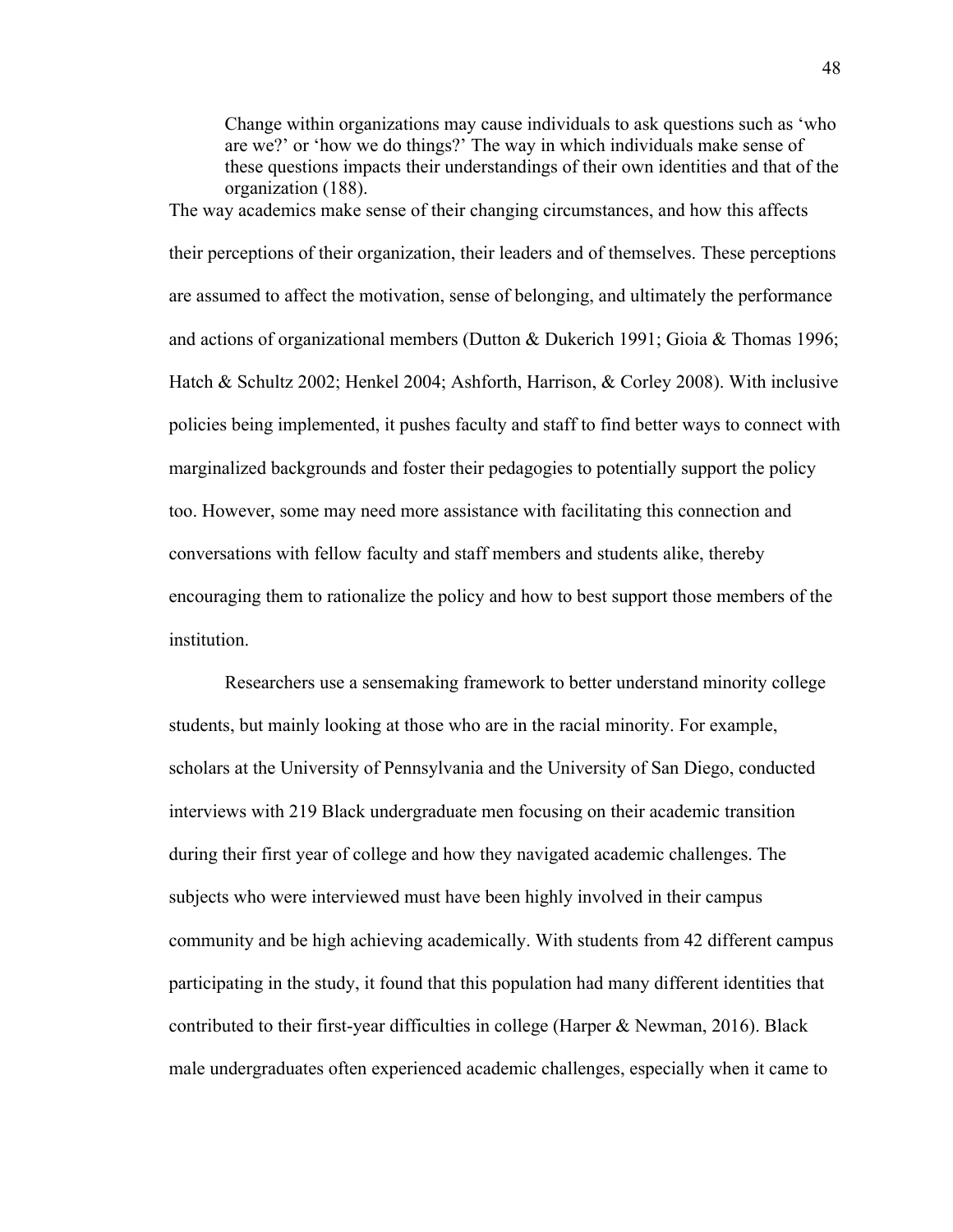Change within organizations may cause individuals to ask questions such as 'who are we?' or 'how we do things?' The way in which individuals make sense of these questions impacts their understandings of their own identities and that of the organization (188).

The way academics make sense of their changing circumstances, and how this affects their perceptions of their organization, their leaders and of themselves. These perceptions are assumed to affect the motivation, sense of belonging, and ultimately the performance and actions of organizational members (Dutton & Dukerich 1991; Gioia & Thomas 1996; Hatch & Schultz 2002; Henkel 2004; Ashforth, Harrison, & Corley 2008). With inclusive policies being implemented, it pushes faculty and staff to find better ways to connect with marginalized backgrounds and foster their pedagogies to potentially support the policy too. However, some may need more assistance with facilitating this connection and conversations with fellow faculty and staff members and students alike, thereby encouraging them to rationalize the policy and how to best support those members of the institution.

Researchers use a sensemaking framework to better understand minority college students, but mainly looking at those who are in the racial minority. For example, scholars at the University of Pennsylvania and the University of San Diego, conducted interviews with 219 Black undergraduate men focusing on their academic transition during their first year of college and how they navigated academic challenges. The subjects who were interviewed must have been highly involved in their campus community and be high achieving academically. With students from 42 different campus participating in the study, it found that this population had many different identities that contributed to their first-year difficulties in college (Harper & Newman, 2016). Black male undergraduates often experienced academic challenges, especially when it came to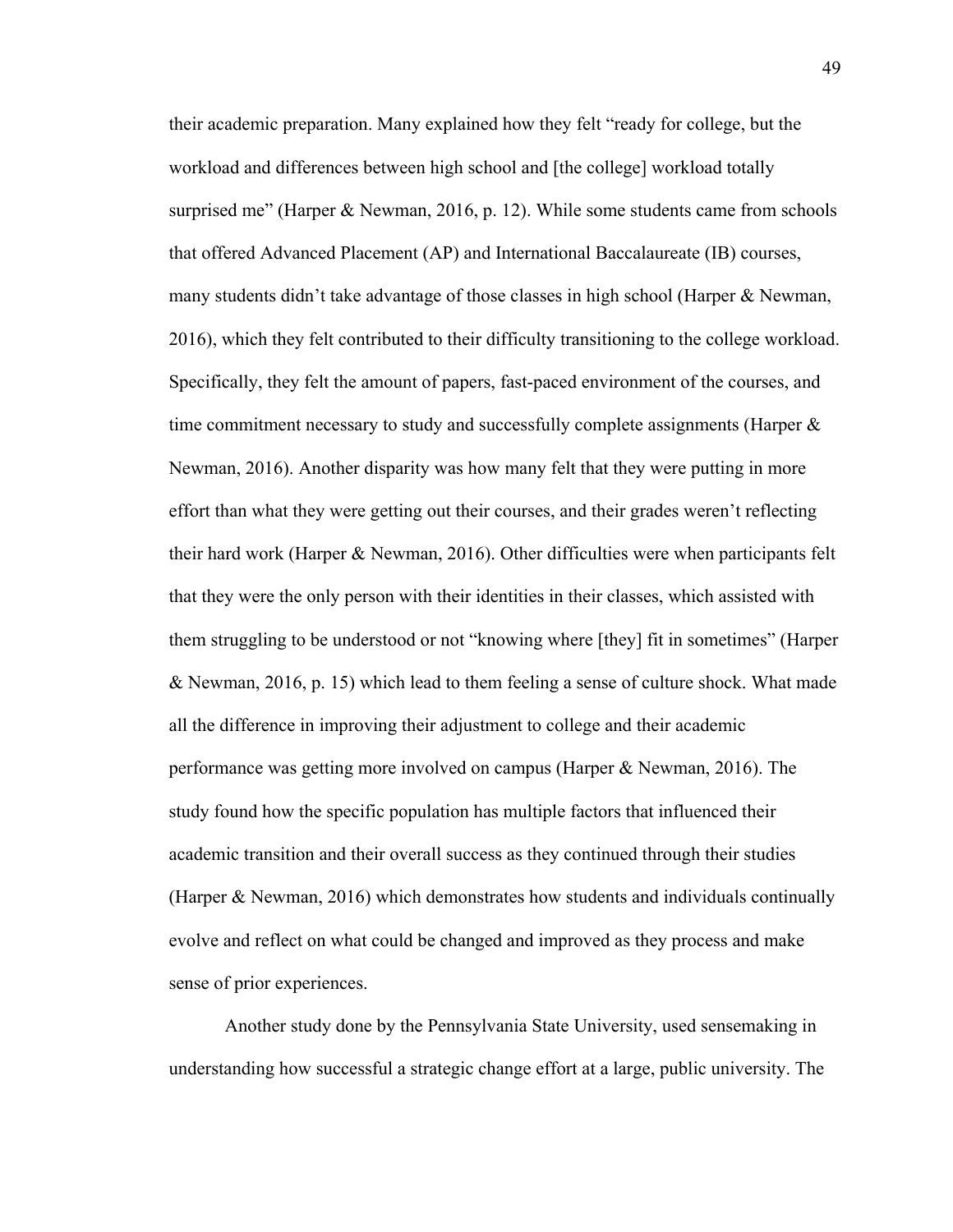their academic preparation. Many explained how they felt "ready for college, but the workload and differences between high school and [the college] workload totally surprised me" (Harper & Newman, 2016, p. 12). While some students came from schools that offered Advanced Placement (AP) and International Baccalaureate (IB) courses, many students didn't take advantage of those classes in high school (Harper & Newman, 2016), which they felt contributed to their difficulty transitioning to the college workload. Specifically, they felt the amount of papers, fast-paced environment of the courses, and time commitment necessary to study and successfully complete assignments (Harper  $\&$ Newman, 2016). Another disparity was how many felt that they were putting in more effort than what they were getting out their courses, and their grades weren't reflecting their hard work (Harper & Newman, 2016). Other difficulties were when participants felt that they were the only person with their identities in their classes, which assisted with them struggling to be understood or not "knowing where [they] fit in sometimes" (Harper & Newman, 2016, p. 15) which lead to them feeling a sense of culture shock. What made all the difference in improving their adjustment to college and their academic performance was getting more involved on campus (Harper & Newman, 2016). The study found how the specific population has multiple factors that influenced their academic transition and their overall success as they continued through their studies (Harper & Newman, 2016) which demonstrates how students and individuals continually evolve and reflect on what could be changed and improved as they process and make sense of prior experiences.

Another study done by the Pennsylvania State University, used sensemaking in understanding how successful a strategic change effort at a large, public university. The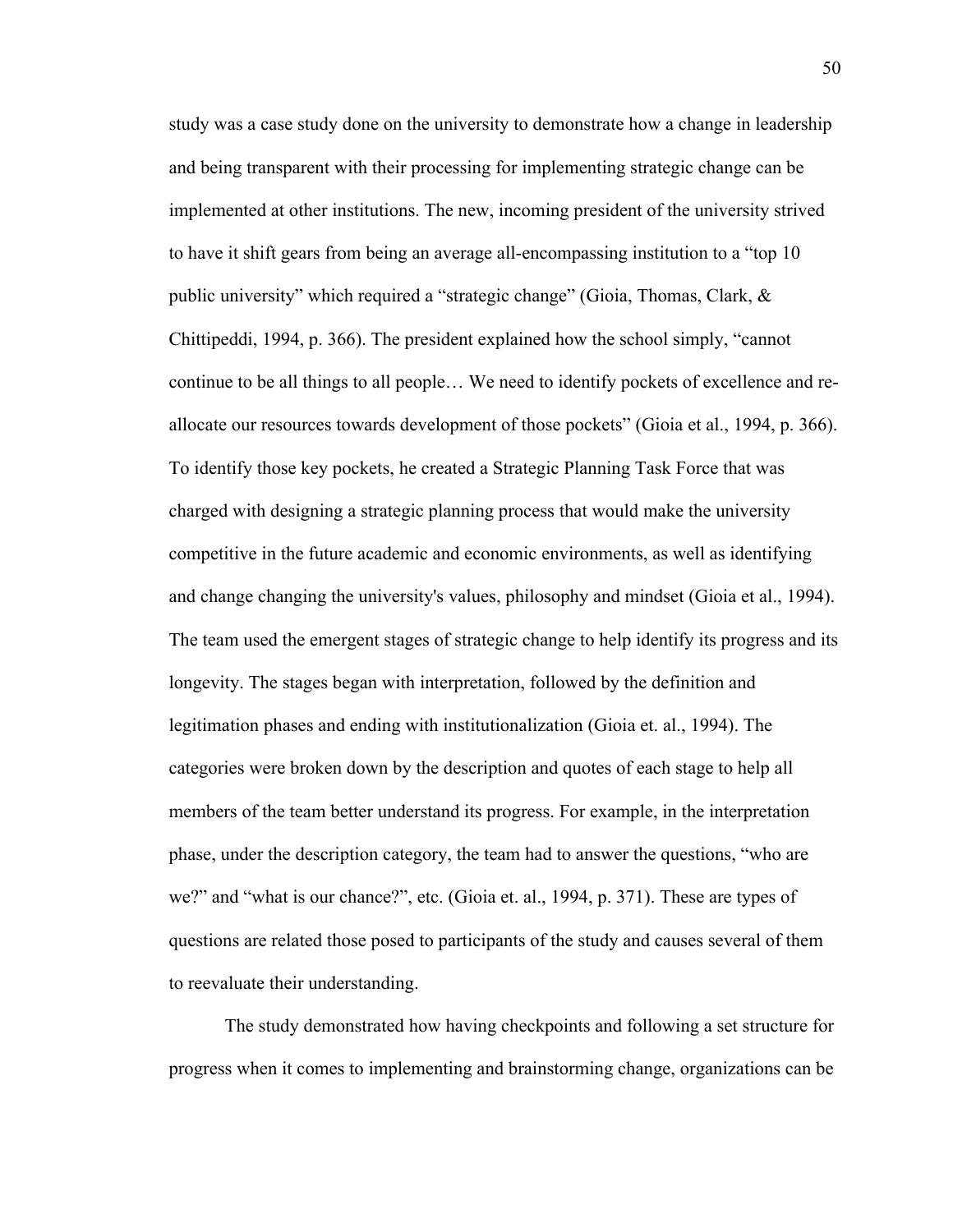study was a case study done on the university to demonstrate how a change in leadership and being transparent with their processing for implementing strategic change can be implemented at other institutions. The new, incoming president of the university strived to have it shift gears from being an average all-encompassing institution to a "top 10 public university" which required a "strategic change" (Gioia, Thomas, Clark, & Chittipeddi, 1994, p. 366). The president explained how the school simply, "cannot continue to be all things to all people… We need to identify pockets of excellence and reallocate our resources towards development of those pockets" (Gioia et al., 1994, p. 366). To identify those key pockets, he created a Strategic Planning Task Force that was charged with designing a strategic planning process that would make the university competitive in the future academic and economic environments, as well as identifying and change changing the university's values, philosophy and mindset (Gioia et al., 1994). The team used the emergent stages of strategic change to help identify its progress and its longevity. The stages began with interpretation, followed by the definition and legitimation phases and ending with institutionalization (Gioia et. al., 1994). The categories were broken down by the description and quotes of each stage to help all members of the team better understand its progress. For example, in the interpretation phase, under the description category, the team had to answer the questions, "who are we?" and "what is our chance?", etc. (Gioia et. al., 1994, p. 371). These are types of questions are related those posed to participants of the study and causes several of them to reevaluate their understanding.

The study demonstrated how having checkpoints and following a set structure for progress when it comes to implementing and brainstorming change, organizations can be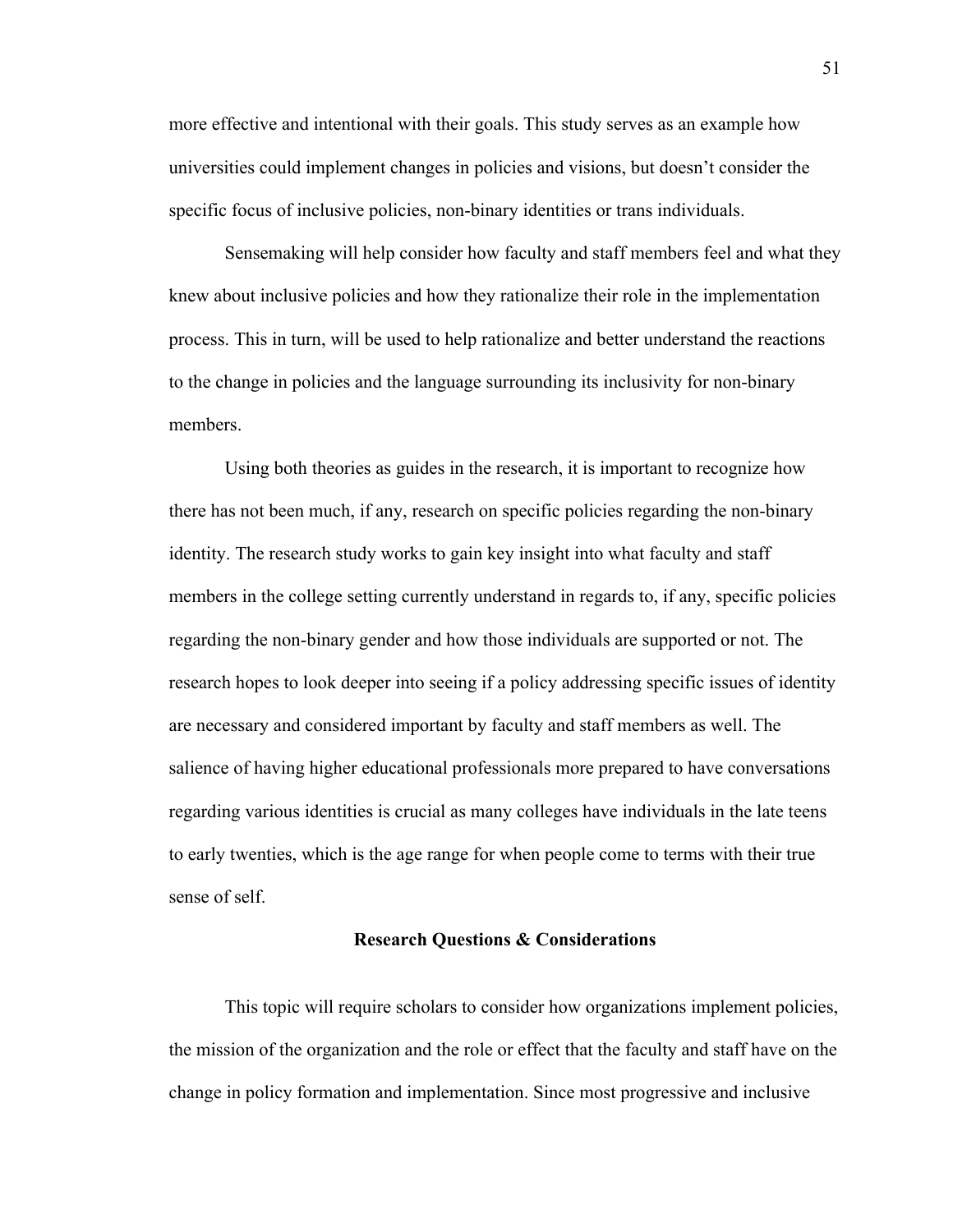more effective and intentional with their goals. This study serves as an example how universities could implement changes in policies and visions, but doesn't consider the specific focus of inclusive policies, non-binary identities or trans individuals.

Sensemaking will help consider how faculty and staff members feel and what they knew about inclusive policies and how they rationalize their role in the implementation process. This in turn, will be used to help rationalize and better understand the reactions to the change in policies and the language surrounding its inclusivity for non-binary members.

Using both theories as guides in the research, it is important to recognize how there has not been much, if any, research on specific policies regarding the non-binary identity. The research study works to gain key insight into what faculty and staff members in the college setting currently understand in regards to, if any, specific policies regarding the non-binary gender and how those individuals are supported or not. The research hopes to look deeper into seeing if a policy addressing specific issues of identity are necessary and considered important by faculty and staff members as well. The salience of having higher educational professionals more prepared to have conversations regarding various identities is crucial as many colleges have individuals in the late teens to early twenties, which is the age range for when people come to terms with their true sense of self.

# **Research Questions & Considerations**

This topic will require scholars to consider how organizations implement policies, the mission of the organization and the role or effect that the faculty and staff have on the change in policy formation and implementation. Since most progressive and inclusive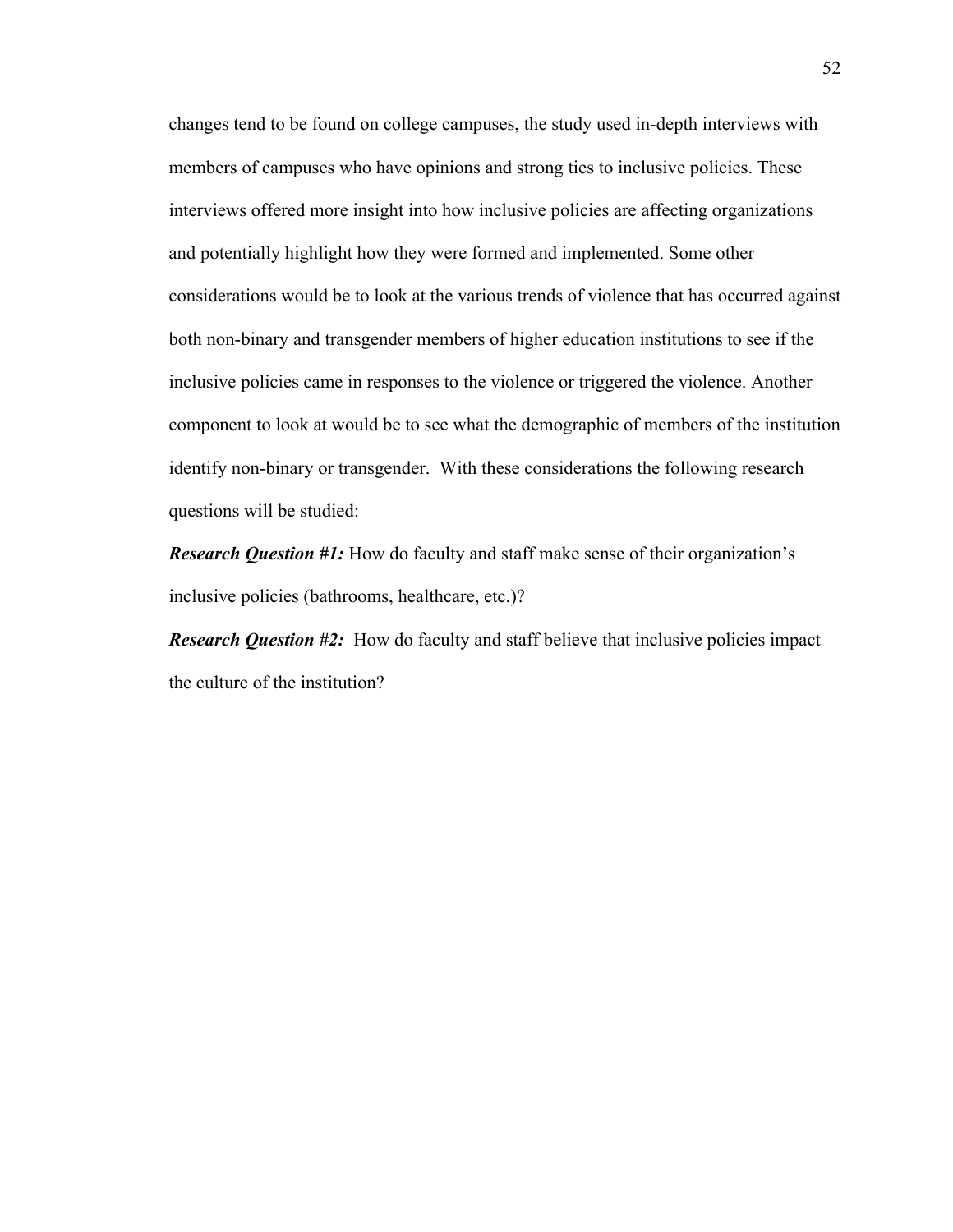changes tend to be found on college campuses, the study used in-depth interviews with members of campuses who have opinions and strong ties to inclusive policies. These interviews offered more insight into how inclusive policies are affecting organizations and potentially highlight how they were formed and implemented. Some other considerations would be to look at the various trends of violence that has occurred against both non-binary and transgender members of higher education institutions to see if the inclusive policies came in responses to the violence or triggered the violence. Another component to look at would be to see what the demographic of members of the institution identify non-binary or transgender. With these considerations the following research questions will be studied:

*Research Question #1:* How do faculty and staff make sense of their organization's inclusive policies (bathrooms, healthcare, etc.)?

*Research Question #2:* How do faculty and staff believe that inclusive policies impact the culture of the institution?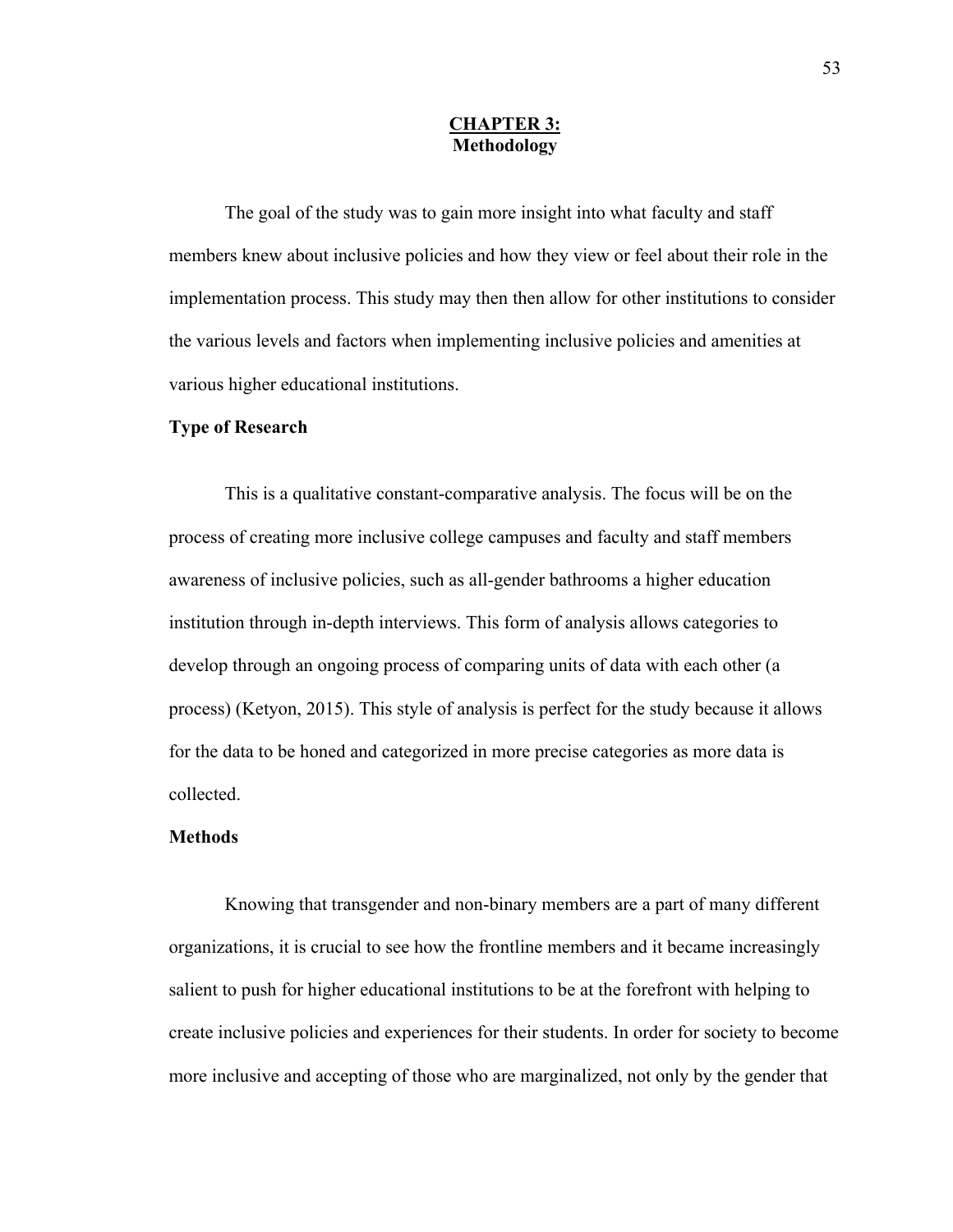## **CHAPTER 3: Methodology**

The goal of the study was to gain more insight into what faculty and staff members knew about inclusive policies and how they view or feel about their role in the implementation process. This study may then then allow for other institutions to consider the various levels and factors when implementing inclusive policies and amenities at various higher educational institutions.

#### **Type of Research**

 This is a qualitative constant-comparative analysis. The focus will be on the process of creating more inclusive college campuses and faculty and staff members awareness of inclusive policies, such as all-gender bathrooms a higher education institution through in-depth interviews. This form of analysis allows categories to develop through an ongoing process of comparing units of data with each other (a process) (Ketyon, 2015). This style of analysis is perfect for the study because it allows for the data to be honed and categorized in more precise categories as more data is collected.

## **Methods**

Knowing that transgender and non-binary members are a part of many different organizations, it is crucial to see how the frontline members and it became increasingly salient to push for higher educational institutions to be at the forefront with helping to create inclusive policies and experiences for their students. In order for society to become more inclusive and accepting of those who are marginalized, not only by the gender that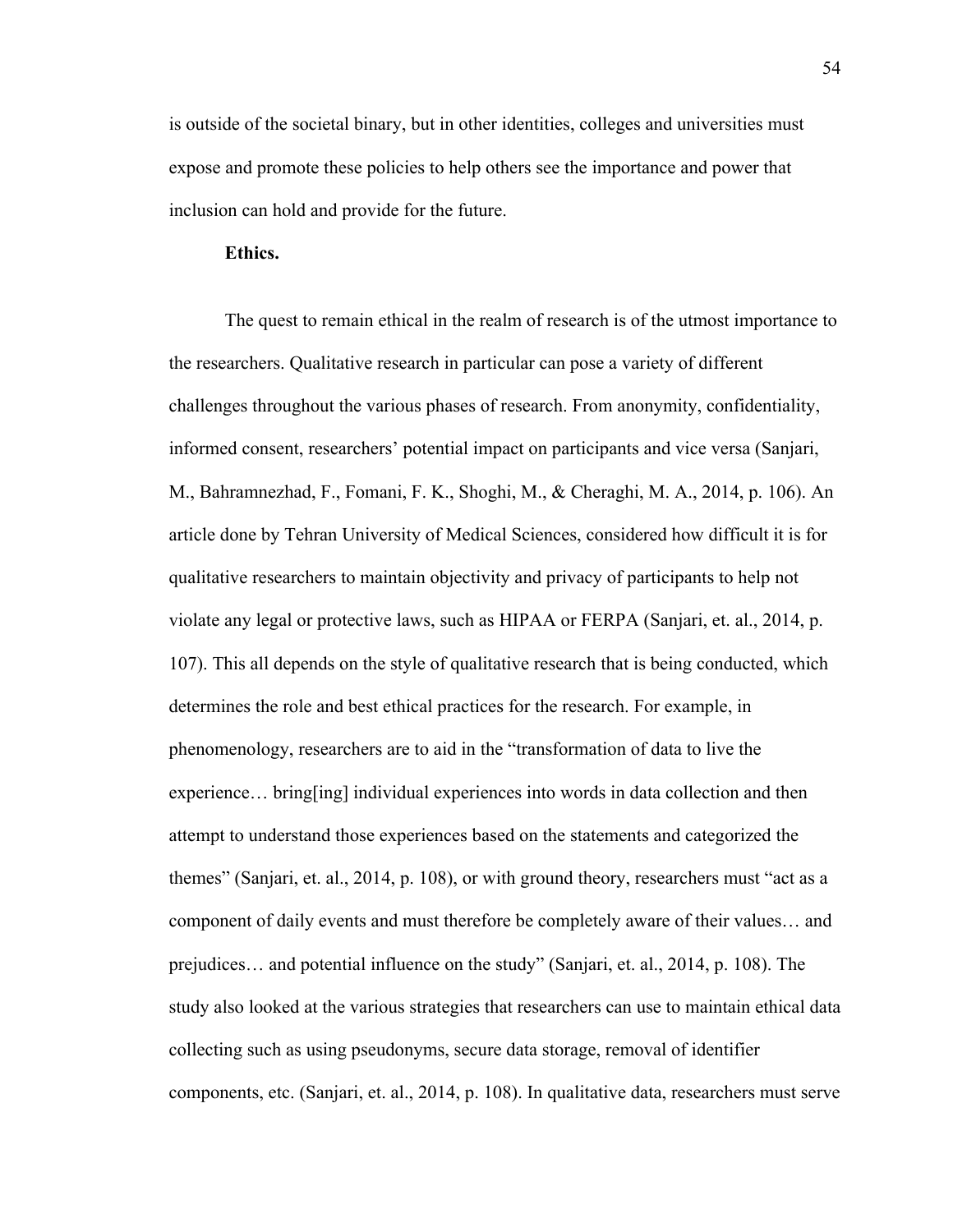is outside of the societal binary, but in other identities, colleges and universities must expose and promote these policies to help others see the importance and power that inclusion can hold and provide for the future.

## **Ethics.**

The quest to remain ethical in the realm of research is of the utmost importance to the researchers. Qualitative research in particular can pose a variety of different challenges throughout the various phases of research. From anonymity, confidentiality, informed consent, researchers' potential impact on participants and vice versa (Sanjari, M., Bahramnezhad, F., Fomani, F. K., Shoghi, M., & Cheraghi, M. A., 2014, p. 106). An article done by Tehran University of Medical Sciences, considered how difficult it is for qualitative researchers to maintain objectivity and privacy of participants to help not violate any legal or protective laws, such as HIPAA or FERPA (Sanjari, et. al., 2014, p. 107). This all depends on the style of qualitative research that is being conducted, which determines the role and best ethical practices for the research. For example, in phenomenology, researchers are to aid in the "transformation of data to live the experience… bring[ing] individual experiences into words in data collection and then attempt to understand those experiences based on the statements and categorized the themes" (Sanjari, et. al., 2014, p. 108), or with ground theory, researchers must "act as a component of daily events and must therefore be completely aware of their values… and prejudices… and potential influence on the study" (Sanjari, et. al., 2014, p. 108). The study also looked at the various strategies that researchers can use to maintain ethical data collecting such as using pseudonyms, secure data storage, removal of identifier components, etc. (Sanjari, et. al., 2014, p. 108). In qualitative data, researchers must serve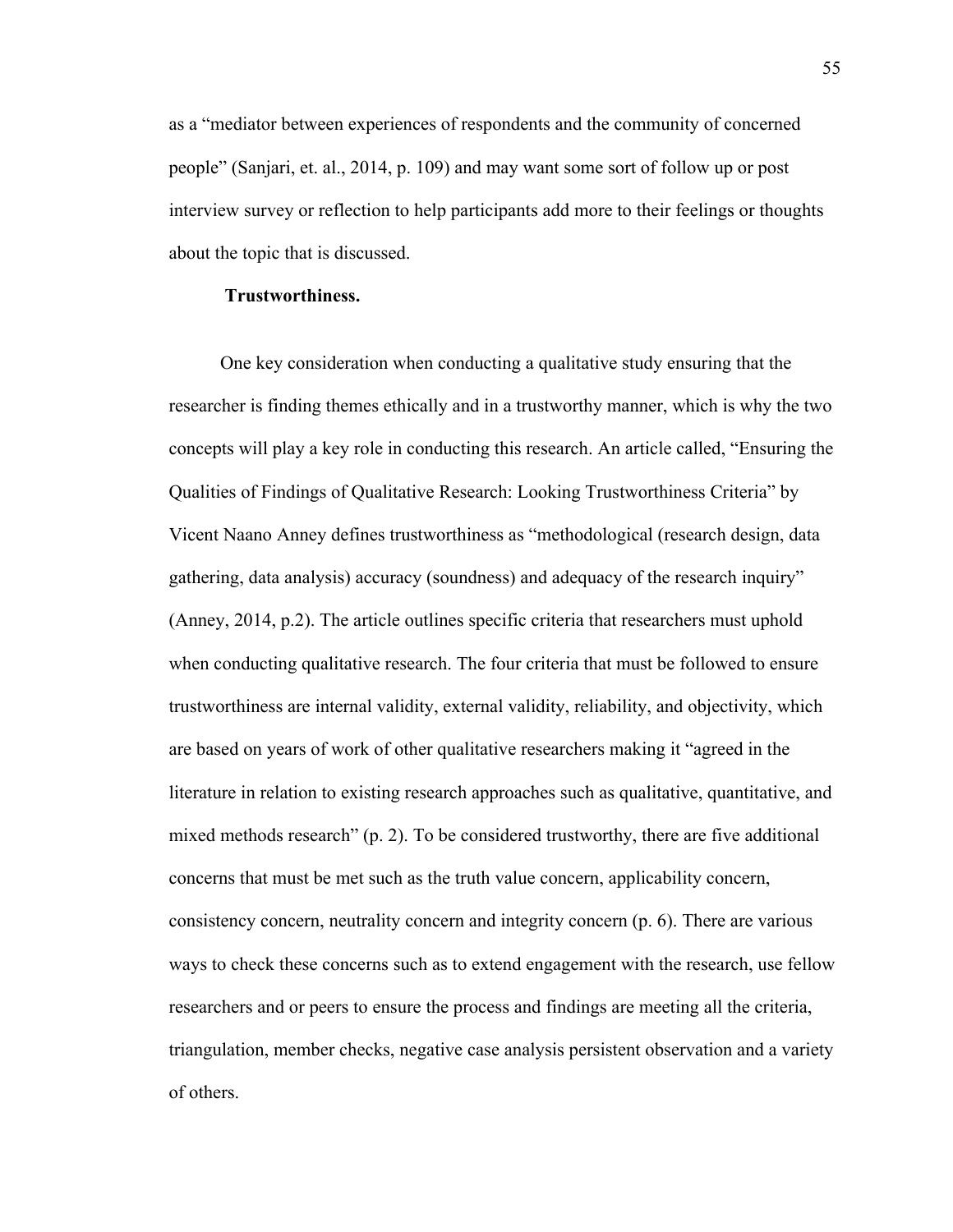as a "mediator between experiences of respondents and the community of concerned people" (Sanjari, et. al., 2014, p. 109) and may want some sort of follow up or post interview survey or reflection to help participants add more to their feelings or thoughts about the topic that is discussed.

## **Trustworthiness.**

 One key consideration when conducting a qualitative study ensuring that the researcher is finding themes ethically and in a trustworthy manner, which is why the two concepts will play a key role in conducting this research. An article called, "Ensuring the Qualities of Findings of Qualitative Research: Looking Trustworthiness Criteria" by Vicent Naano Anney defines trustworthiness as "methodological (research design, data gathering, data analysis) accuracy (soundness) and adequacy of the research inquiry" (Anney, 2014, p.2). The article outlines specific criteria that researchers must uphold when conducting qualitative research. The four criteria that must be followed to ensure trustworthiness are internal validity, external validity, reliability, and objectivity, which are based on years of work of other qualitative researchers making it "agreed in the literature in relation to existing research approaches such as qualitative, quantitative, and mixed methods research" (p. 2). To be considered trustworthy, there are five additional concerns that must be met such as the truth value concern, applicability concern, consistency concern, neutrality concern and integrity concern (p. 6). There are various ways to check these concerns such as to extend engagement with the research, use fellow researchers and or peers to ensure the process and findings are meeting all the criteria, triangulation, member checks, negative case analysis persistent observation and a variety of others.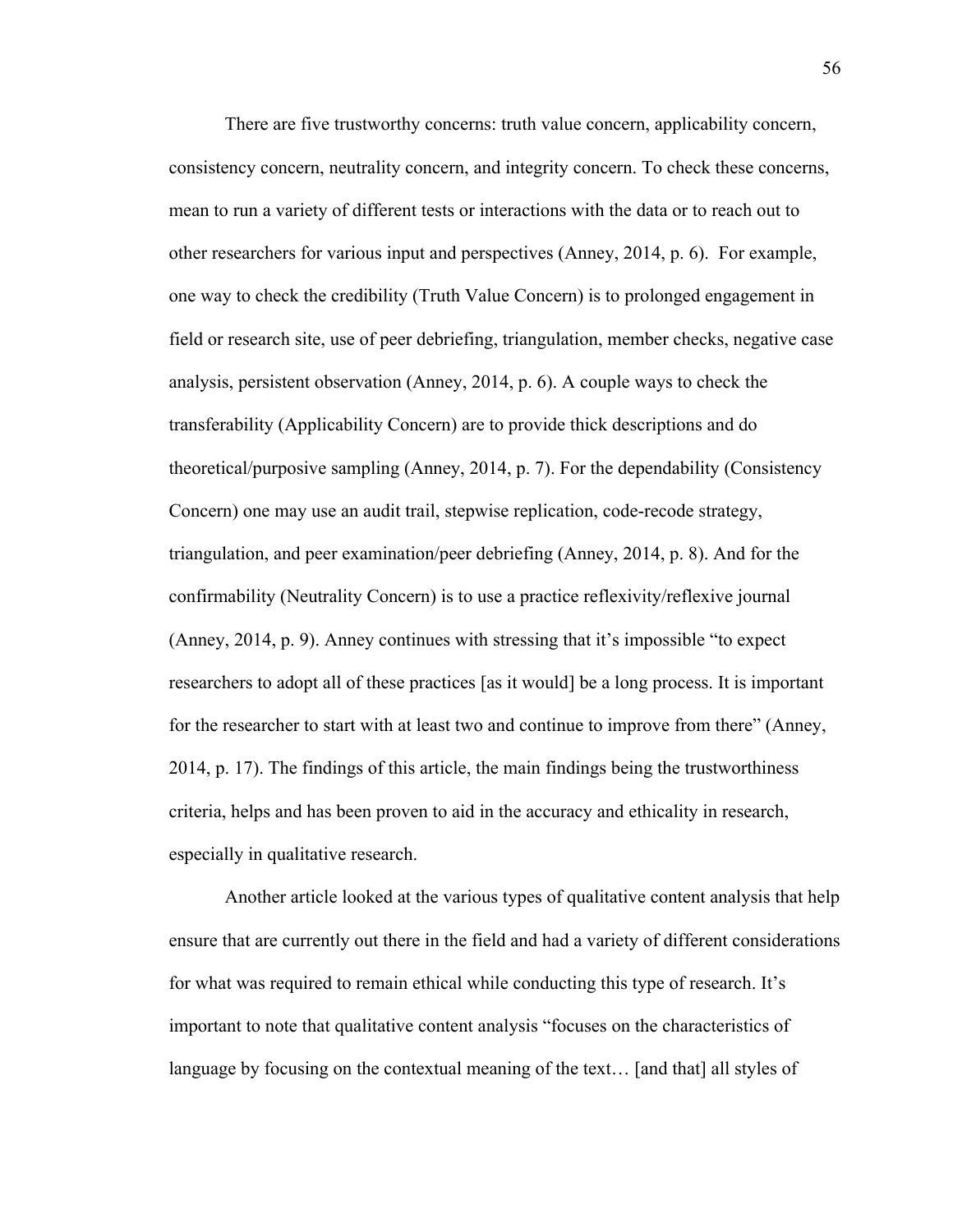There are five trustworthy concerns: truth value concern, applicability concern, consistency concern, neutrality concern, and integrity concern. To check these concerns, mean to run a variety of different tests or interactions with the data or to reach out to other researchers for various input and perspectives (Anney, 2014, p. 6). For example, one way to check the credibility (Truth Value Concern) is to prolonged engagement in field or research site, use of peer debriefing, triangulation, member checks, negative case analysis, persistent observation (Anney, 2014, p. 6). A couple ways to check the transferability (Applicability Concern) are to provide thick descriptions and do theoretical/purposive sampling (Anney, 2014, p. 7). For the dependability (Consistency Concern) one may use an audit trail, stepwise replication, code-recode strategy, triangulation, and peer examination/peer debriefing (Anney, 2014, p. 8). And for the confirmability (Neutrality Concern) is to use a practice reflexivity/reflexive journal (Anney, 2014, p. 9). Anney continues with stressing that it's impossible "to expect researchers to adopt all of these practices [as it would] be a long process. It is important for the researcher to start with at least two and continue to improve from there" (Anney, 2014, p. 17). The findings of this article, the main findings being the trustworthiness criteria, helps and has been proven to aid in the accuracy and ethicality in research, especially in qualitative research.

Another article looked at the various types of qualitative content analysis that help ensure that are currently out there in the field and had a variety of different considerations for what was required to remain ethical while conducting this type of research. It's important to note that qualitative content analysis "focuses on the characteristics of language by focusing on the contextual meaning of the text… [and that] all styles of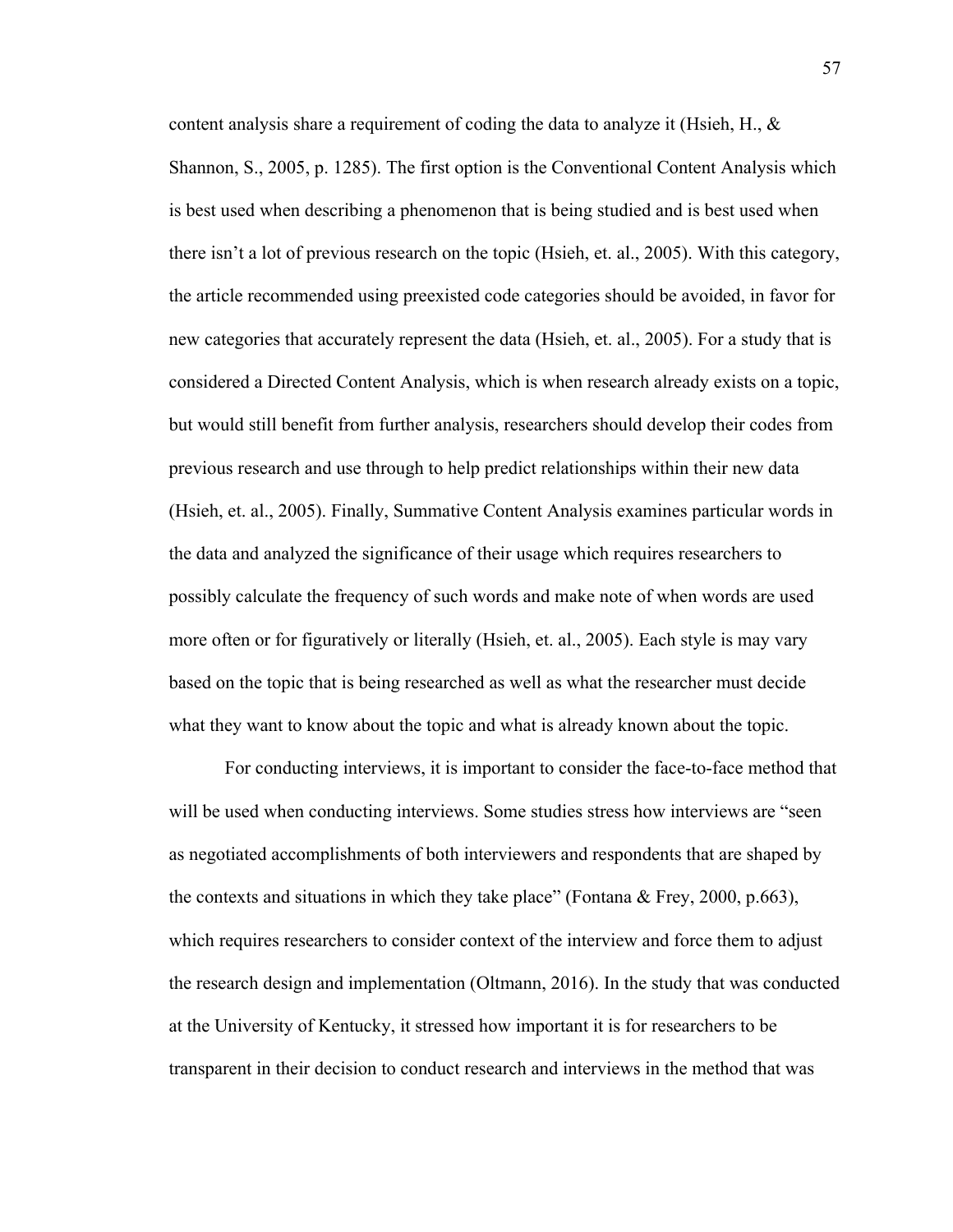content analysis share a requirement of coding the data to analyze it (Hsieh, H., & Shannon, S., 2005, p. 1285). The first option is the Conventional Content Analysis which is best used when describing a phenomenon that is being studied and is best used when there isn't a lot of previous research on the topic (Hsieh, et. al., 2005). With this category, the article recommended using preexisted code categories should be avoided, in favor for new categories that accurately represent the data (Hsieh, et. al., 2005). For a study that is considered a Directed Content Analysis, which is when research already exists on a topic, but would still benefit from further analysis, researchers should develop their codes from previous research and use through to help predict relationships within their new data (Hsieh, et. al., 2005). Finally, Summative Content Analysis examines particular words in the data and analyzed the significance of their usage which requires researchers to possibly calculate the frequency of such words and make note of when words are used more often or for figuratively or literally (Hsieh, et. al., 2005). Each style is may vary based on the topic that is being researched as well as what the researcher must decide what they want to know about the topic and what is already known about the topic.

For conducting interviews, it is important to consider the face-to-face method that will be used when conducting interviews. Some studies stress how interviews are "seen as negotiated accomplishments of both interviewers and respondents that are shaped by the contexts and situations in which they take place" (Fontana & Frey, 2000, p.663), which requires researchers to consider context of the interview and force them to adjust the research design and implementation (Oltmann, 2016). In the study that was conducted at the University of Kentucky, it stressed how important it is for researchers to be transparent in their decision to conduct research and interviews in the method that was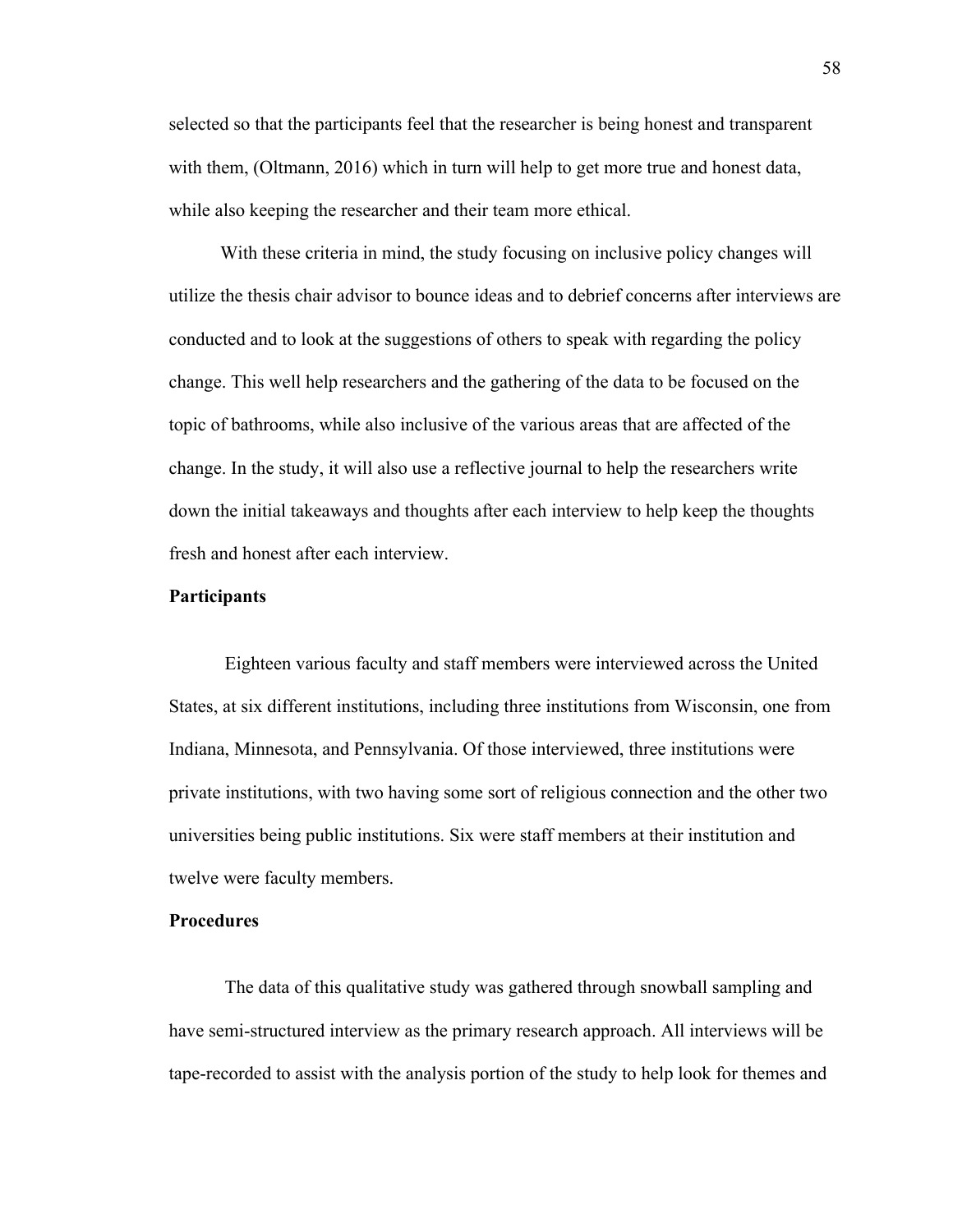selected so that the participants feel that the researcher is being honest and transparent with them, (Oltmann, 2016) which in turn will help to get more true and honest data, while also keeping the researcher and their team more ethical.

 With these criteria in mind, the study focusing on inclusive policy changes will utilize the thesis chair advisor to bounce ideas and to debrief concerns after interviews are conducted and to look at the suggestions of others to speak with regarding the policy change. This well help researchers and the gathering of the data to be focused on the topic of bathrooms, while also inclusive of the various areas that are affected of the change. In the study, it will also use a reflective journal to help the researchers write down the initial takeaways and thoughts after each interview to help keep the thoughts fresh and honest after each interview.

### **Participants**

Eighteen various faculty and staff members were interviewed across the United States, at six different institutions, including three institutions from Wisconsin, one from Indiana, Minnesota, and Pennsylvania. Of those interviewed, three institutions were private institutions, with two having some sort of religious connection and the other two universities being public institutions. Six were staff members at their institution and twelve were faculty members.

## **Procedures**

The data of this qualitative study was gathered through snowball sampling and have semi-structured interview as the primary research approach. All interviews will be tape-recorded to assist with the analysis portion of the study to help look for themes and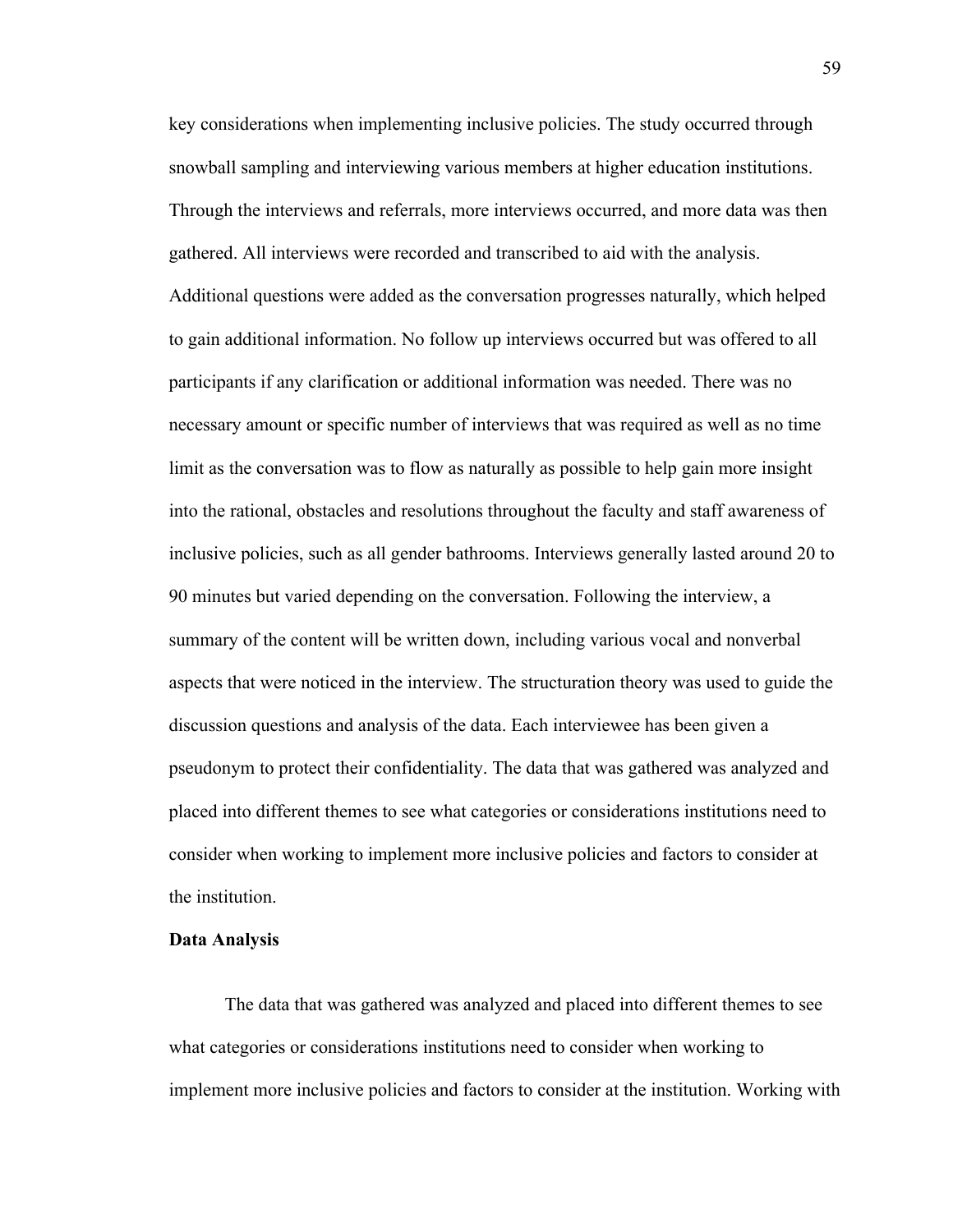key considerations when implementing inclusive policies. The study occurred through snowball sampling and interviewing various members at higher education institutions. Through the interviews and referrals, more interviews occurred, and more data was then gathered. All interviews were recorded and transcribed to aid with the analysis. Additional questions were added as the conversation progresses naturally, which helped to gain additional information. No follow up interviews occurred but was offered to all participants if any clarification or additional information was needed. There was no necessary amount or specific number of interviews that was required as well as no time limit as the conversation was to flow as naturally as possible to help gain more insight into the rational, obstacles and resolutions throughout the faculty and staff awareness of inclusive policies, such as all gender bathrooms. Interviews generally lasted around 20 to 90 minutes but varied depending on the conversation. Following the interview, a summary of the content will be written down, including various vocal and nonverbal aspects that were noticed in the interview. The structuration theory was used to guide the discussion questions and analysis of the data. Each interviewee has been given a pseudonym to protect their confidentiality. The data that was gathered was analyzed and placed into different themes to see what categories or considerations institutions need to consider when working to implement more inclusive policies and factors to consider at the institution.

#### **Data Analysis**

The data that was gathered was analyzed and placed into different themes to see what categories or considerations institutions need to consider when working to implement more inclusive policies and factors to consider at the institution. Working with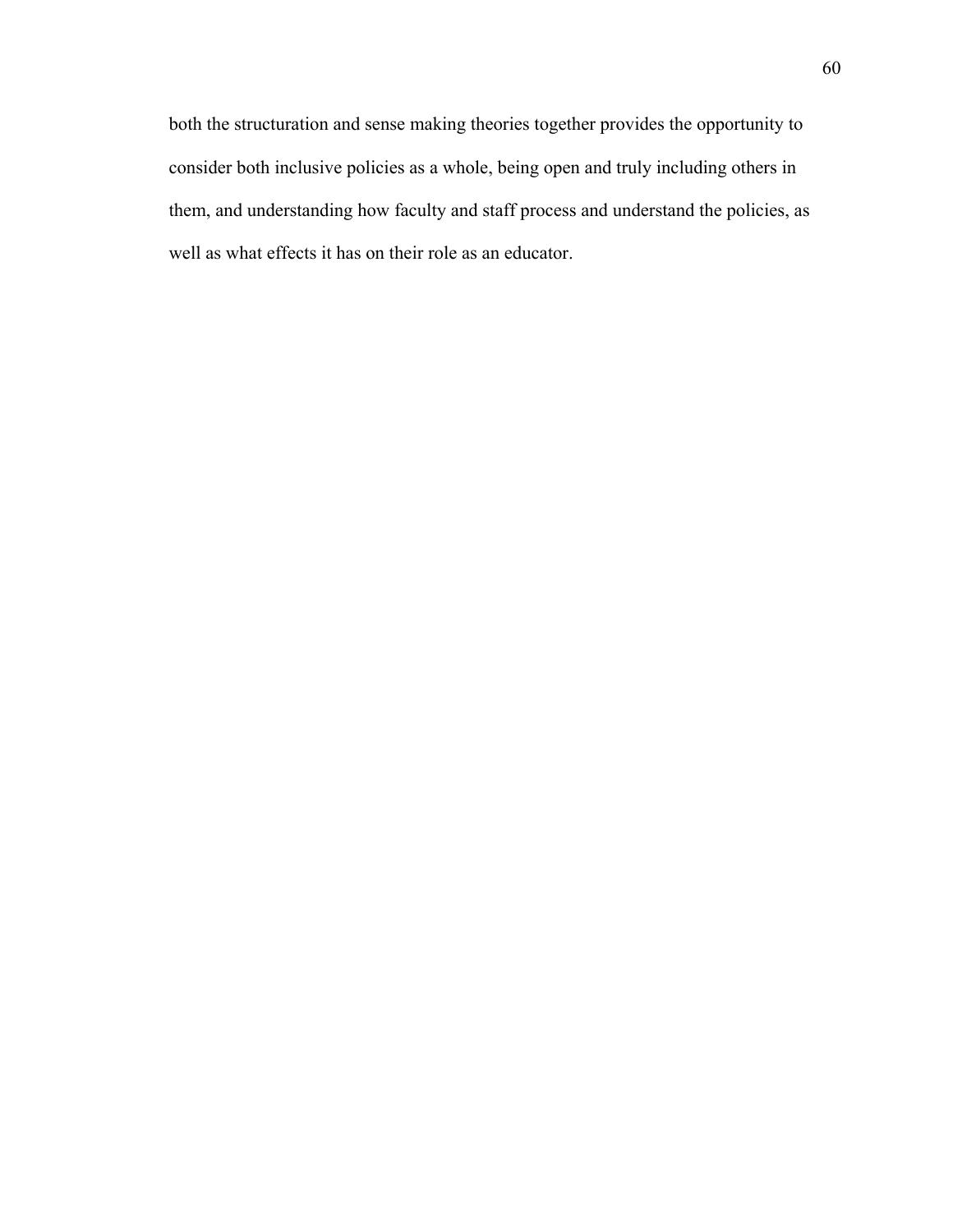both the structuration and sense making theories together provides the opportunity to consider both inclusive policies as a whole, being open and truly including others in them, and understanding how faculty and staff process and understand the policies, as well as what effects it has on their role as an educator.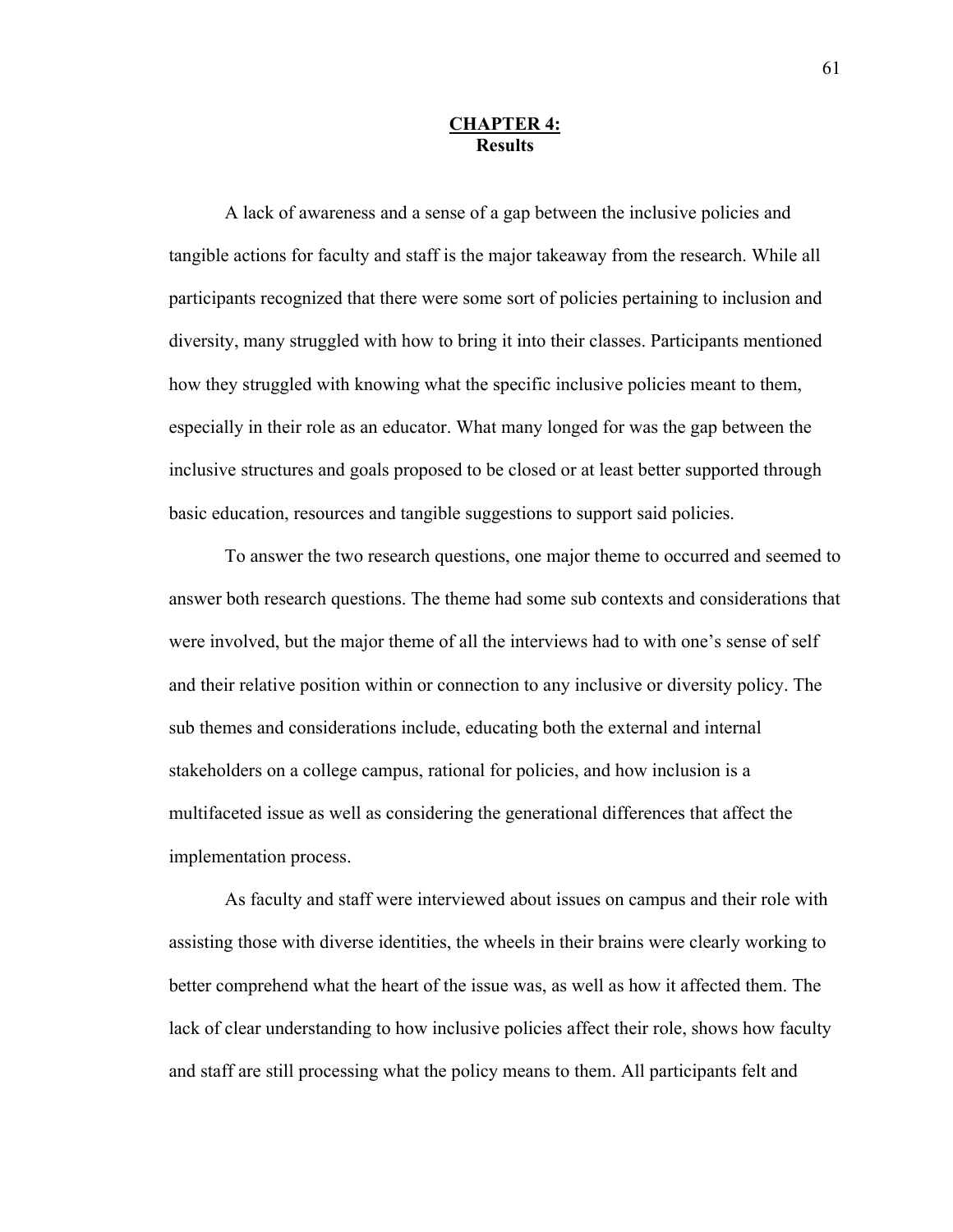## **CHAPTER 4: Results**

A lack of awareness and a sense of a gap between the inclusive policies and tangible actions for faculty and staff is the major takeaway from the research. While all participants recognized that there were some sort of policies pertaining to inclusion and diversity, many struggled with how to bring it into their classes. Participants mentioned how they struggled with knowing what the specific inclusive policies meant to them, especially in their role as an educator. What many longed for was the gap between the inclusive structures and goals proposed to be closed or at least better supported through basic education, resources and tangible suggestions to support said policies.

To answer the two research questions, one major theme to occurred and seemed to answer both research questions. The theme had some sub contexts and considerations that were involved, but the major theme of all the interviews had to with one's sense of self and their relative position within or connection to any inclusive or diversity policy. The sub themes and considerations include, educating both the external and internal stakeholders on a college campus, rational for policies, and how inclusion is a multifaceted issue as well as considering the generational differences that affect the implementation process.

As faculty and staff were interviewed about issues on campus and their role with assisting those with diverse identities, the wheels in their brains were clearly working to better comprehend what the heart of the issue was, as well as how it affected them. The lack of clear understanding to how inclusive policies affect their role, shows how faculty and staff are still processing what the policy means to them. All participants felt and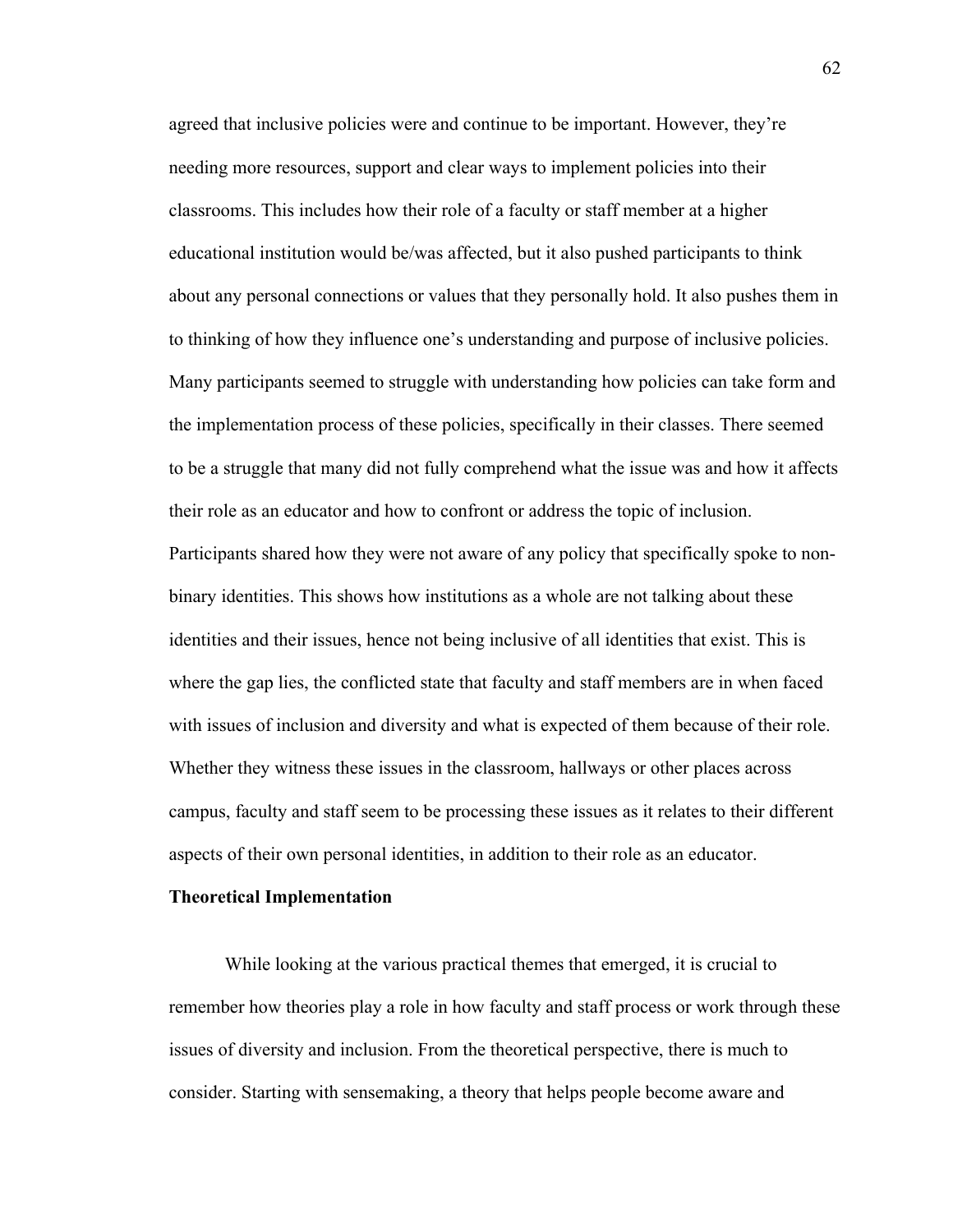agreed that inclusive policies were and continue to be important. However, they're needing more resources, support and clear ways to implement policies into their classrooms. This includes how their role of a faculty or staff member at a higher educational institution would be/was affected, but it also pushed participants to think about any personal connections or values that they personally hold. It also pushes them in to thinking of how they influence one's understanding and purpose of inclusive policies. Many participants seemed to struggle with understanding how policies can take form and the implementation process of these policies, specifically in their classes. There seemed to be a struggle that many did not fully comprehend what the issue was and how it affects their role as an educator and how to confront or address the topic of inclusion. Participants shared how they were not aware of any policy that specifically spoke to nonbinary identities. This shows how institutions as a whole are not talking about these identities and their issues, hence not being inclusive of all identities that exist. This is where the gap lies, the conflicted state that faculty and staff members are in when faced with issues of inclusion and diversity and what is expected of them because of their role. Whether they witness these issues in the classroom, hallways or other places across campus, faculty and staff seem to be processing these issues as it relates to their different aspects of their own personal identities, in addition to their role as an educator.

#### **Theoretical Implementation**

 While looking at the various practical themes that emerged, it is crucial to remember how theories play a role in how faculty and staff process or work through these issues of diversity and inclusion. From the theoretical perspective, there is much to consider. Starting with sensemaking, a theory that helps people become aware and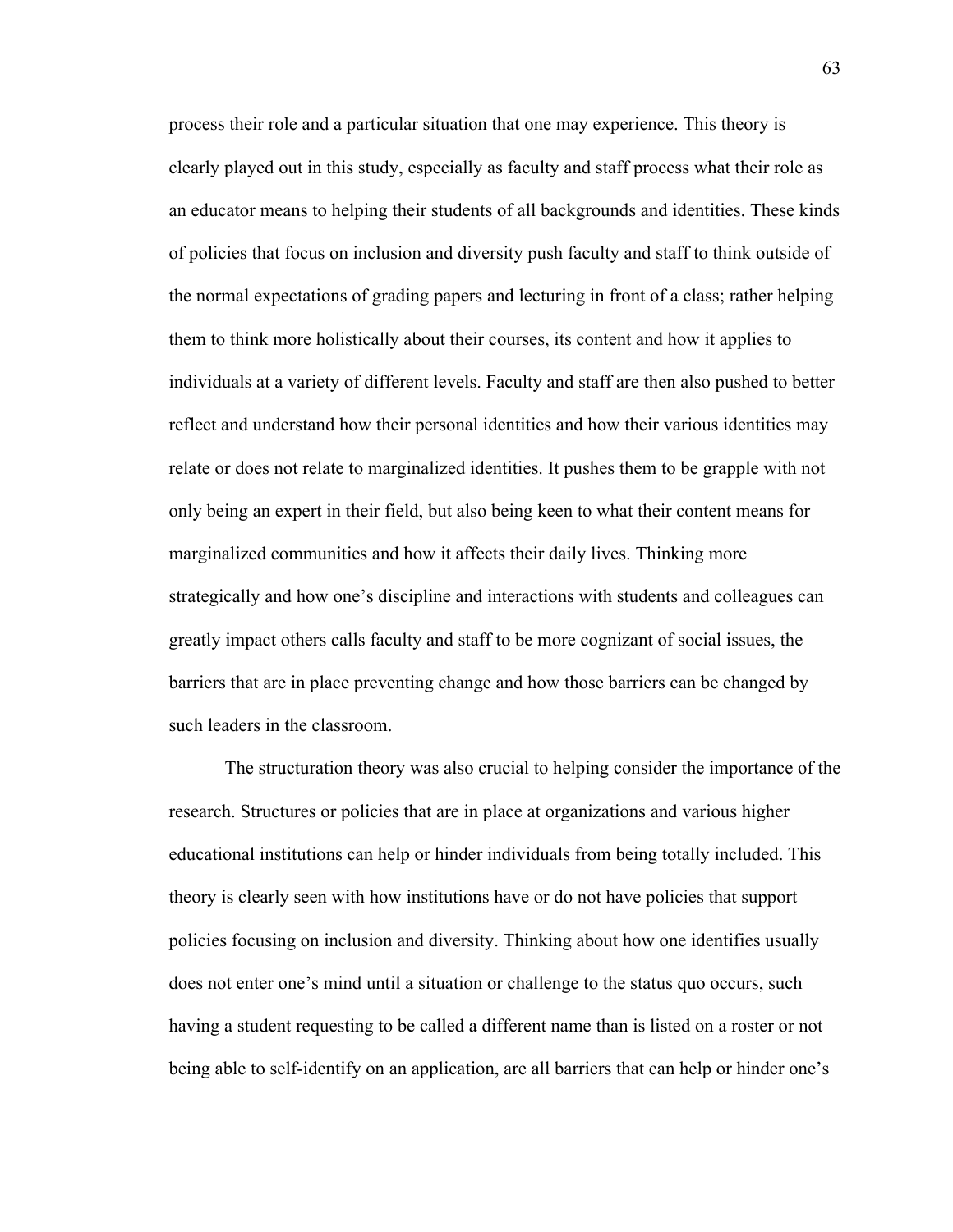process their role and a particular situation that one may experience. This theory is clearly played out in this study, especially as faculty and staff process what their role as an educator means to helping their students of all backgrounds and identities. These kinds of policies that focus on inclusion and diversity push faculty and staff to think outside of the normal expectations of grading papers and lecturing in front of a class; rather helping them to think more holistically about their courses, its content and how it applies to individuals at a variety of different levels. Faculty and staff are then also pushed to better reflect and understand how their personal identities and how their various identities may relate or does not relate to marginalized identities. It pushes them to be grapple with not only being an expert in their field, but also being keen to what their content means for marginalized communities and how it affects their daily lives. Thinking more strategically and how one's discipline and interactions with students and colleagues can greatly impact others calls faculty and staff to be more cognizant of social issues, the barriers that are in place preventing change and how those barriers can be changed by such leaders in the classroom.

 The structuration theory was also crucial to helping consider the importance of the research. Structures or policies that are in place at organizations and various higher educational institutions can help or hinder individuals from being totally included. This theory is clearly seen with how institutions have or do not have policies that support policies focusing on inclusion and diversity. Thinking about how one identifies usually does not enter one's mind until a situation or challenge to the status quo occurs, such having a student requesting to be called a different name than is listed on a roster or not being able to self-identify on an application, are all barriers that can help or hinder one's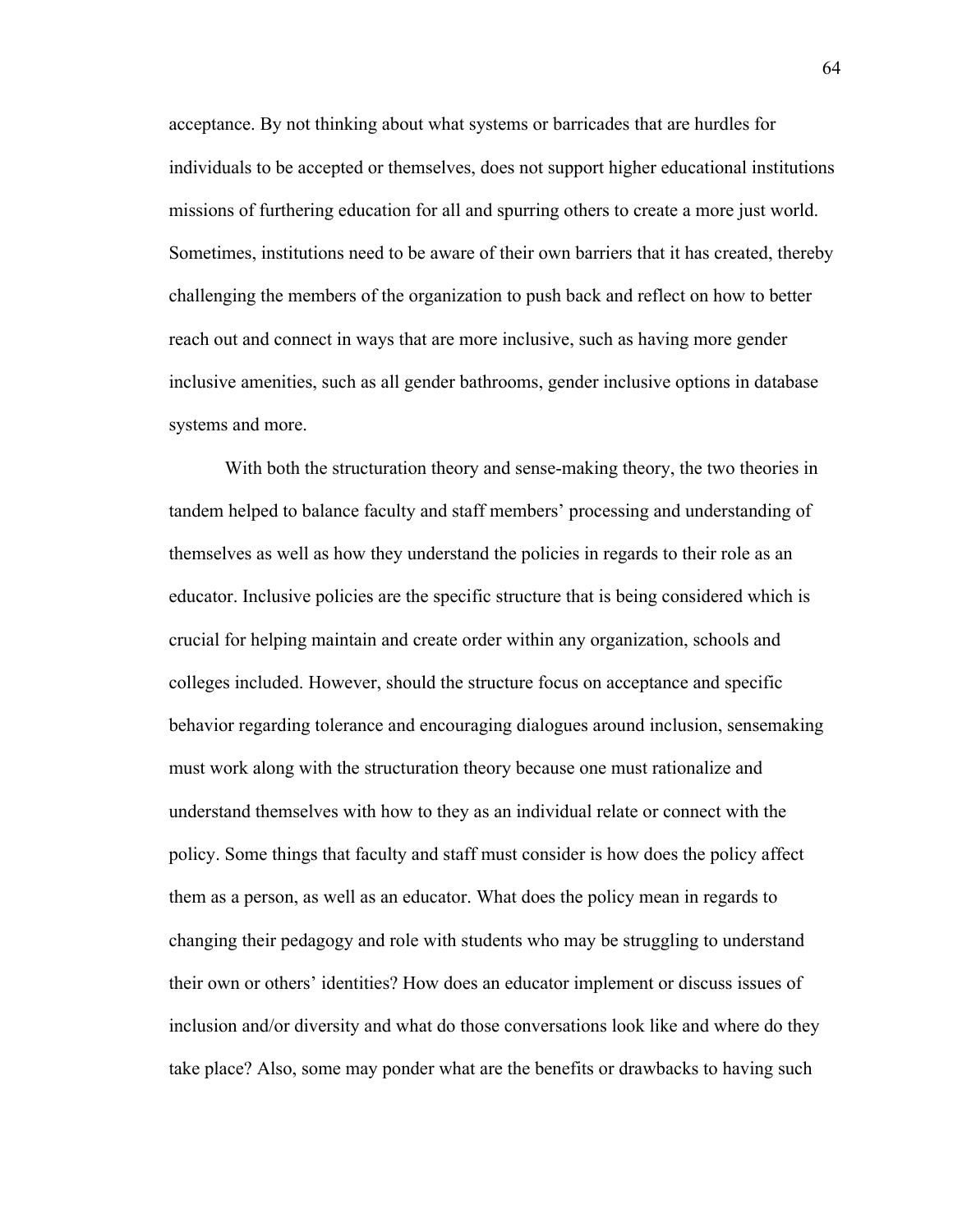acceptance. By not thinking about what systems or barricades that are hurdles for individuals to be accepted or themselves, does not support higher educational institutions missions of furthering education for all and spurring others to create a more just world. Sometimes, institutions need to be aware of their own barriers that it has created, thereby challenging the members of the organization to push back and reflect on how to better reach out and connect in ways that are more inclusive, such as having more gender inclusive amenities, such as all gender bathrooms, gender inclusive options in database systems and more.

With both the structuration theory and sense-making theory, the two theories in tandem helped to balance faculty and staff members' processing and understanding of themselves as well as how they understand the policies in regards to their role as an educator. Inclusive policies are the specific structure that is being considered which is crucial for helping maintain and create order within any organization, schools and colleges included. However, should the structure focus on acceptance and specific behavior regarding tolerance and encouraging dialogues around inclusion, sensemaking must work along with the structuration theory because one must rationalize and understand themselves with how to they as an individual relate or connect with the policy. Some things that faculty and staff must consider is how does the policy affect them as a person, as well as an educator. What does the policy mean in regards to changing their pedagogy and role with students who may be struggling to understand their own or others' identities? How does an educator implement or discuss issues of inclusion and/or diversity and what do those conversations look like and where do they take place? Also, some may ponder what are the benefits or drawbacks to having such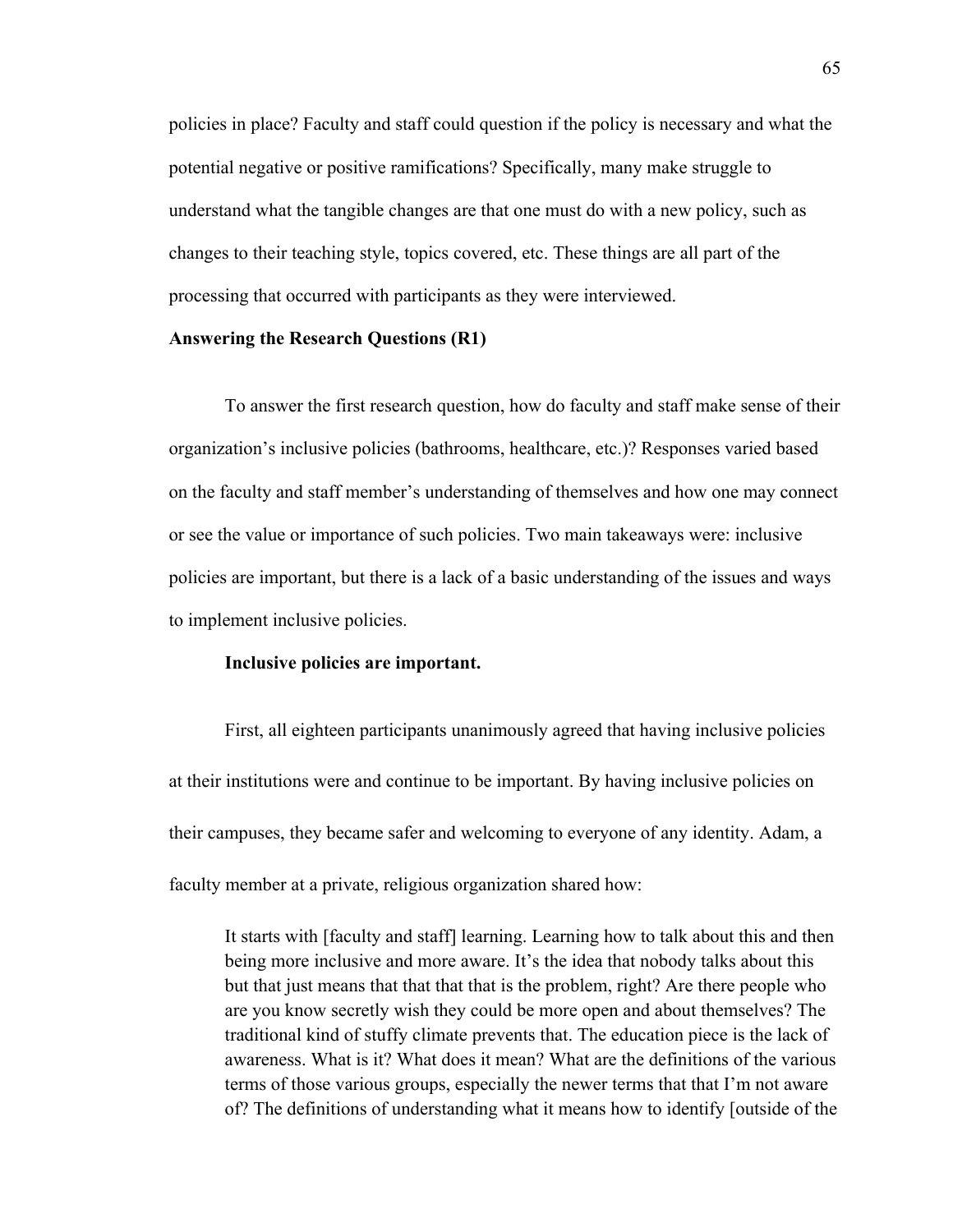policies in place? Faculty and staff could question if the policy is necessary and what the potential negative or positive ramifications? Specifically, many make struggle to understand what the tangible changes are that one must do with a new policy, such as changes to their teaching style, topics covered, etc. These things are all part of the processing that occurred with participants as they were interviewed.

# **Answering the Research Questions (R1)**

To answer the first research question, how do faculty and staff make sense of their organization's inclusive policies (bathrooms, healthcare, etc.)? Responses varied based on the faculty and staff member's understanding of themselves and how one may connect or see the value or importance of such policies. Two main takeaways were: inclusive policies are important, but there is a lack of a basic understanding of the issues and ways to implement inclusive policies.

## **Inclusive policies are important.**

First, all eighteen participants unanimously agreed that having inclusive policies at their institutions were and continue to be important. By having inclusive policies on their campuses, they became safer and welcoming to everyone of any identity. Adam, a faculty member at a private, religious organization shared how:

It starts with [faculty and staff] learning. Learning how to talk about this and then being more inclusive and more aware. It's the idea that nobody talks about this but that just means that that that that is the problem, right? Are there people who are you know secretly wish they could be more open and about themselves? The traditional kind of stuffy climate prevents that. The education piece is the lack of awareness. What is it? What does it mean? What are the definitions of the various terms of those various groups, especially the newer terms that that I'm not aware of? The definitions of understanding what it means how to identify [outside of the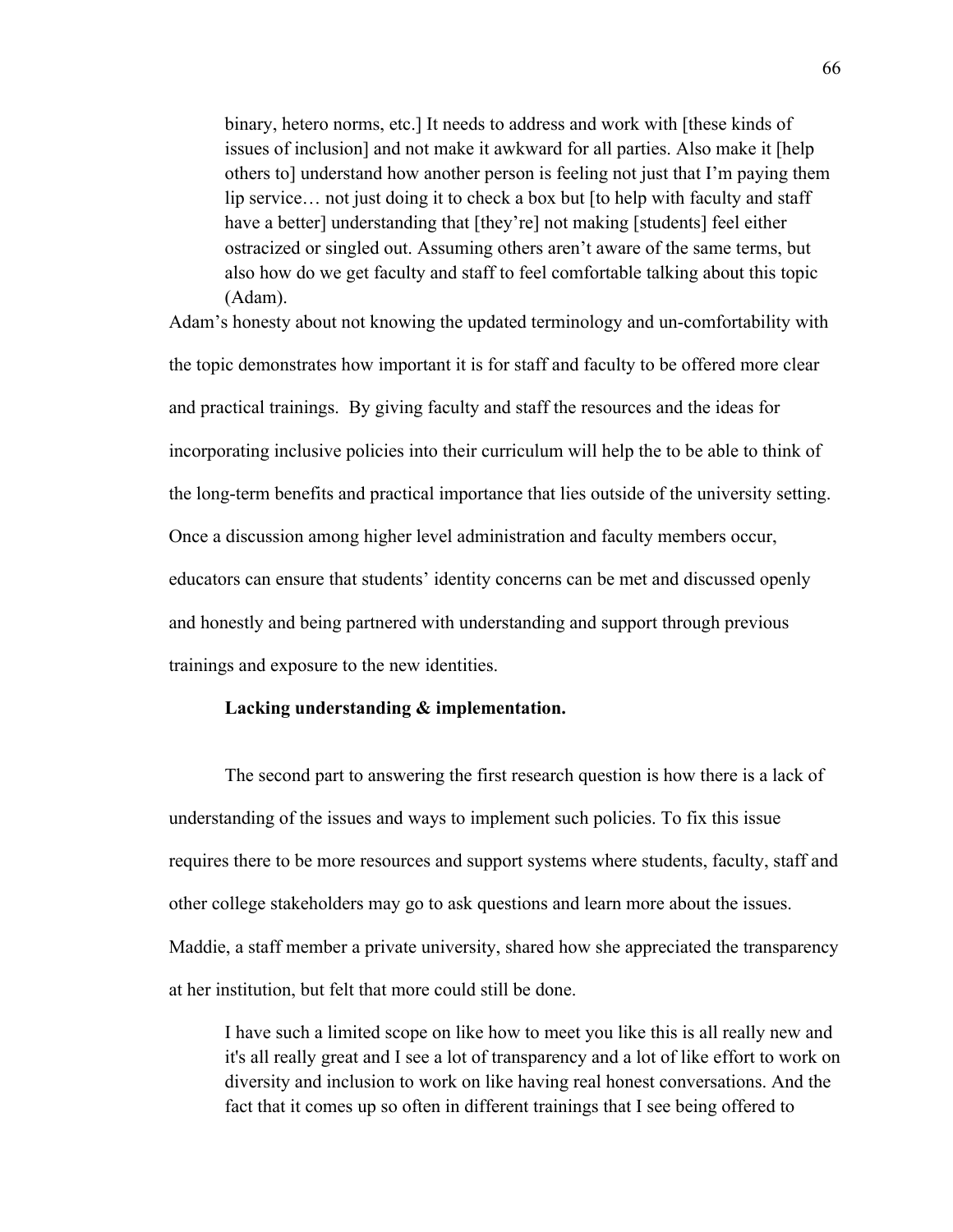binary, hetero norms, etc.] It needs to address and work with [these kinds of issues of inclusion] and not make it awkward for all parties. Also make it [help others to] understand how another person is feeling not just that I'm paying them lip service… not just doing it to check a box but [to help with faculty and staff have a better] understanding that [they're] not making [students] feel either ostracized or singled out. Assuming others aren't aware of the same terms, but also how do we get faculty and staff to feel comfortable talking about this topic (Adam).

Adam's honesty about not knowing the updated terminology and un-comfortability with the topic demonstrates how important it is for staff and faculty to be offered more clear and practical trainings. By giving faculty and staff the resources and the ideas for incorporating inclusive policies into their curriculum will help the to be able to think of the long-term benefits and practical importance that lies outside of the university setting. Once a discussion among higher level administration and faculty members occur, educators can ensure that students' identity concerns can be met and discussed openly and honestly and being partnered with understanding and support through previous trainings and exposure to the new identities.

#### **Lacking understanding & implementation.**

The second part to answering the first research question is how there is a lack of understanding of the issues and ways to implement such policies. To fix this issue requires there to be more resources and support systems where students, faculty, staff and other college stakeholders may go to ask questions and learn more about the issues. Maddie, a staff member a private university, shared how she appreciated the transparency at her institution, but felt that more could still be done.

I have such a limited scope on like how to meet you like this is all really new and it's all really great and I see a lot of transparency and a lot of like effort to work on diversity and inclusion to work on like having real honest conversations. And the fact that it comes up so often in different trainings that I see being offered to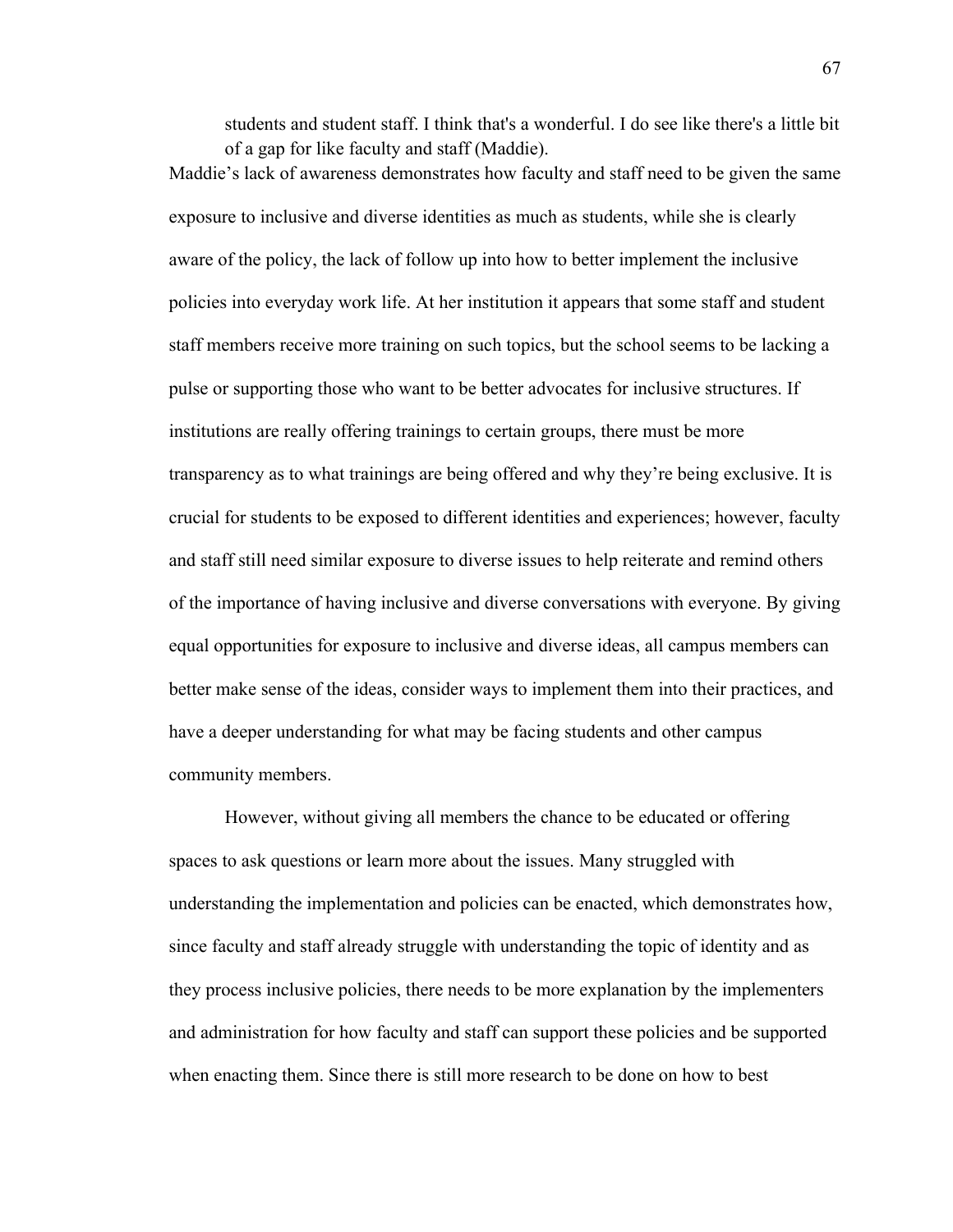students and student staff. I think that's a wonderful. I do see like there's a little bit of a gap for like faculty and staff (Maddie).

Maddie's lack of awareness demonstrates how faculty and staff need to be given the same exposure to inclusive and diverse identities as much as students, while she is clearly aware of the policy, the lack of follow up into how to better implement the inclusive policies into everyday work life. At her institution it appears that some staff and student staff members receive more training on such topics, but the school seems to be lacking a pulse or supporting those who want to be better advocates for inclusive structures. If institutions are really offering trainings to certain groups, there must be more transparency as to what trainings are being offered and why they're being exclusive. It is crucial for students to be exposed to different identities and experiences; however, faculty and staff still need similar exposure to diverse issues to help reiterate and remind others of the importance of having inclusive and diverse conversations with everyone. By giving equal opportunities for exposure to inclusive and diverse ideas, all campus members can better make sense of the ideas, consider ways to implement them into their practices, and have a deeper understanding for what may be facing students and other campus community members.

However, without giving all members the chance to be educated or offering spaces to ask questions or learn more about the issues. Many struggled with understanding the implementation and policies can be enacted, which demonstrates how, since faculty and staff already struggle with understanding the topic of identity and as they process inclusive policies, there needs to be more explanation by the implementers and administration for how faculty and staff can support these policies and be supported when enacting them. Since there is still more research to be done on how to best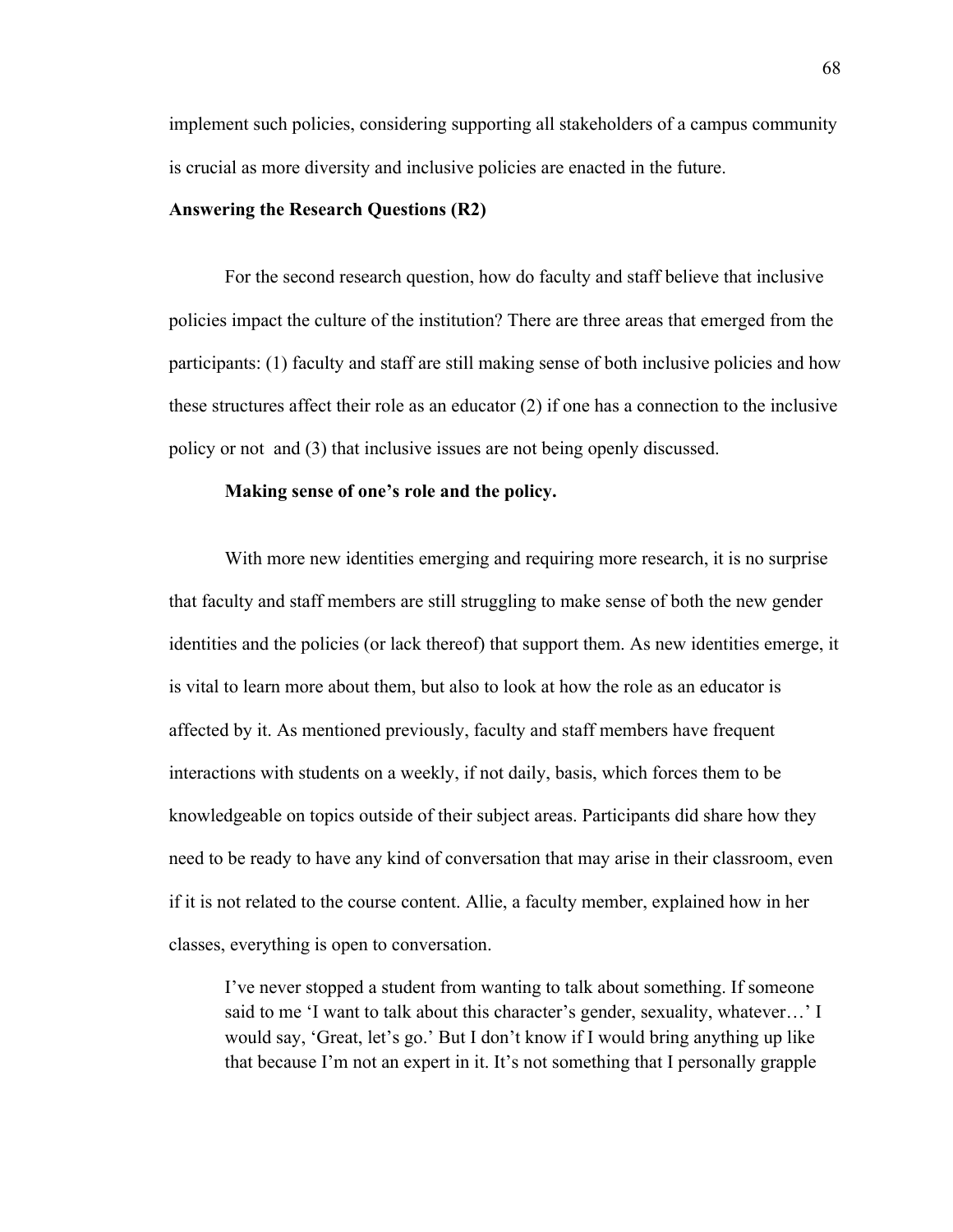implement such policies, considering supporting all stakeholders of a campus community is crucial as more diversity and inclusive policies are enacted in the future.

### **Answering the Research Questions (R2)**

For the second research question, how do faculty and staff believe that inclusive policies impact the culture of the institution? There are three areas that emerged from the participants: (1) faculty and staff are still making sense of both inclusive policies and how these structures affect their role as an educator (2) if one has a connection to the inclusive policy or not and (3) that inclusive issues are not being openly discussed.

## **Making sense of one's role and the policy.**

With more new identities emerging and requiring more research, it is no surprise that faculty and staff members are still struggling to make sense of both the new gender identities and the policies (or lack thereof) that support them. As new identities emerge, it is vital to learn more about them, but also to look at how the role as an educator is affected by it. As mentioned previously, faculty and staff members have frequent interactions with students on a weekly, if not daily, basis, which forces them to be knowledgeable on topics outside of their subject areas. Participants did share how they need to be ready to have any kind of conversation that may arise in their classroom, even if it is not related to the course content. Allie, a faculty member, explained how in her classes, everything is open to conversation.

I've never stopped a student from wanting to talk about something. If someone said to me 'I want to talk about this character's gender, sexuality, whatever…' I would say, 'Great, let's go.' But I don't know if I would bring anything up like that because I'm not an expert in it. It's not something that I personally grapple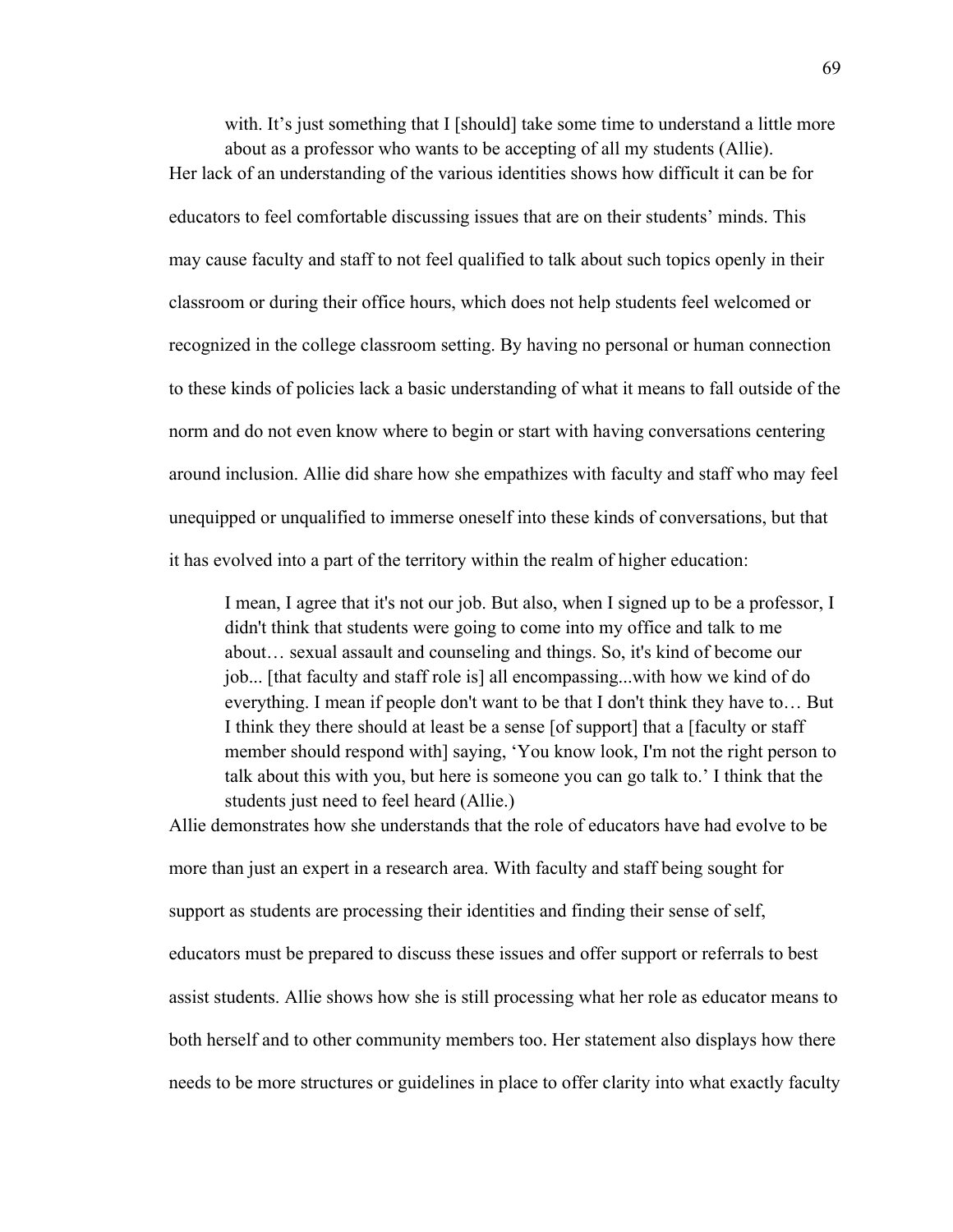with. It's just something that I [should] take some time to understand a little more about as a professor who wants to be accepting of all my students (Allie). Her lack of an understanding of the various identities shows how difficult it can be for educators to feel comfortable discussing issues that are on their students' minds. This may cause faculty and staff to not feel qualified to talk about such topics openly in their classroom or during their office hours, which does not help students feel welcomed or recognized in the college classroom setting. By having no personal or human connection to these kinds of policies lack a basic understanding of what it means to fall outside of the norm and do not even know where to begin or start with having conversations centering around inclusion. Allie did share how she empathizes with faculty and staff who may feel unequipped or unqualified to immerse oneself into these kinds of conversations, but that it has evolved into a part of the territory within the realm of higher education:

I mean, I agree that it's not our job. But also, when I signed up to be a professor, I didn't think that students were going to come into my office and talk to me about… sexual assault and counseling and things. So, it's kind of become our job... [that faculty and staff role is] all encompassing...with how we kind of do everything. I mean if people don't want to be that I don't think they have to… But I think they there should at least be a sense [of support] that a [faculty or staff member should respond with] saying, 'You know look, I'm not the right person to talk about this with you, but here is someone you can go talk to.' I think that the students just need to feel heard (Allie.)

Allie demonstrates how she understands that the role of educators have had evolve to be more than just an expert in a research area. With faculty and staff being sought for support as students are processing their identities and finding their sense of self, educators must be prepared to discuss these issues and offer support or referrals to best assist students. Allie shows how she is still processing what her role as educator means to both herself and to other community members too. Her statement also displays how there needs to be more structures or guidelines in place to offer clarity into what exactly faculty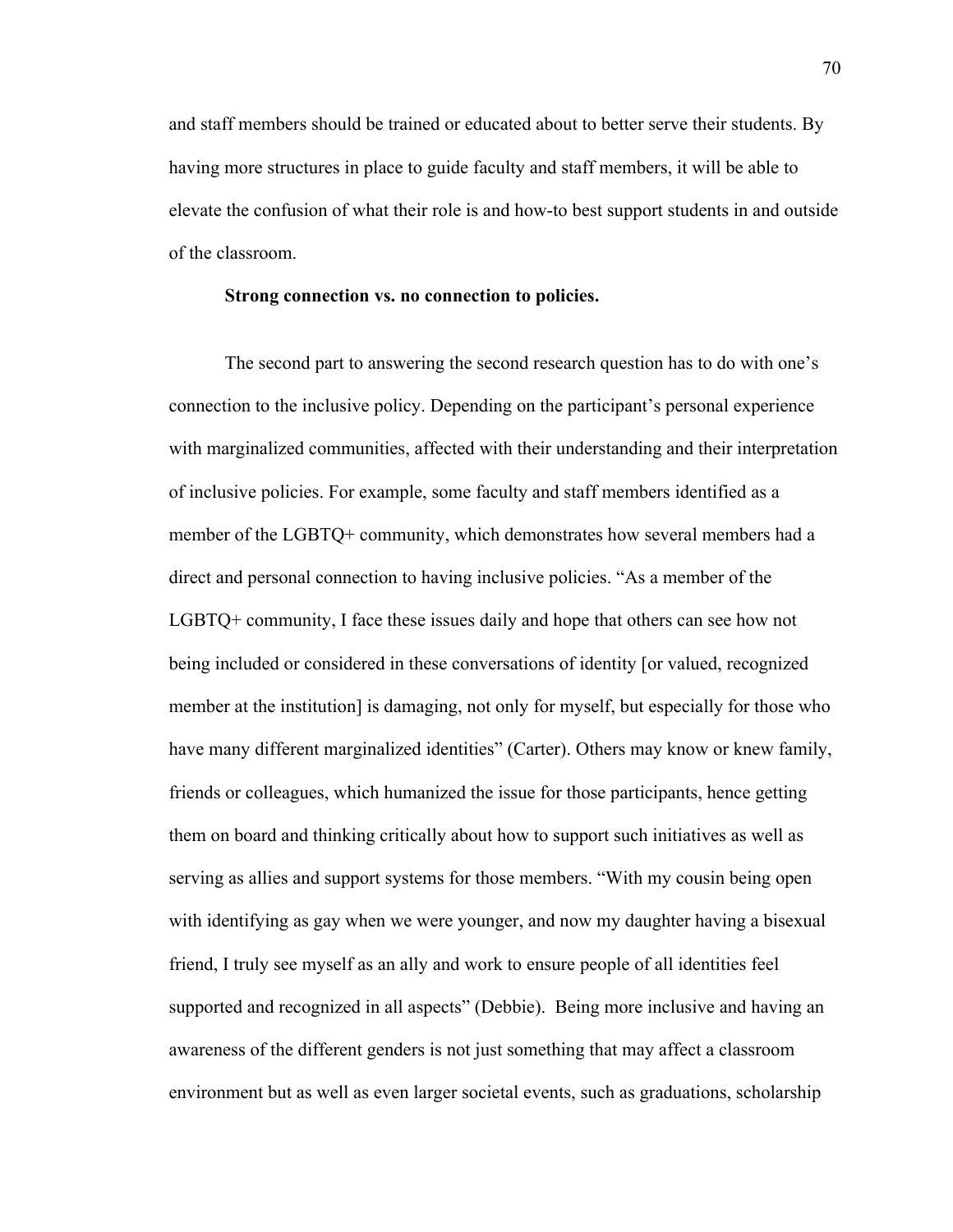and staff members should be trained or educated about to better serve their students. By having more structures in place to guide faculty and staff members, it will be able to elevate the confusion of what their role is and how-to best support students in and outside of the classroom.

#### **Strong connection vs. no connection to policies.**

The second part to answering the second research question has to do with one's connection to the inclusive policy. Depending on the participant's personal experience with marginalized communities, affected with their understanding and their interpretation of inclusive policies. For example, some faculty and staff members identified as a member of the LGBTQ+ community, which demonstrates how several members had a direct and personal connection to having inclusive policies. "As a member of the LGBTQ+ community, I face these issues daily and hope that others can see how not being included or considered in these conversations of identity [or valued, recognized member at the institution] is damaging, not only for myself, but especially for those who have many different marginalized identities" (Carter). Others may know or knew family, friends or colleagues, which humanized the issue for those participants, hence getting them on board and thinking critically about how to support such initiatives as well as serving as allies and support systems for those members. "With my cousin being open with identifying as gay when we were younger, and now my daughter having a bisexual friend, I truly see myself as an ally and work to ensure people of all identities feel supported and recognized in all aspects" (Debbie). Being more inclusive and having an awareness of the different genders is not just something that may affect a classroom environment but as well as even larger societal events, such as graduations, scholarship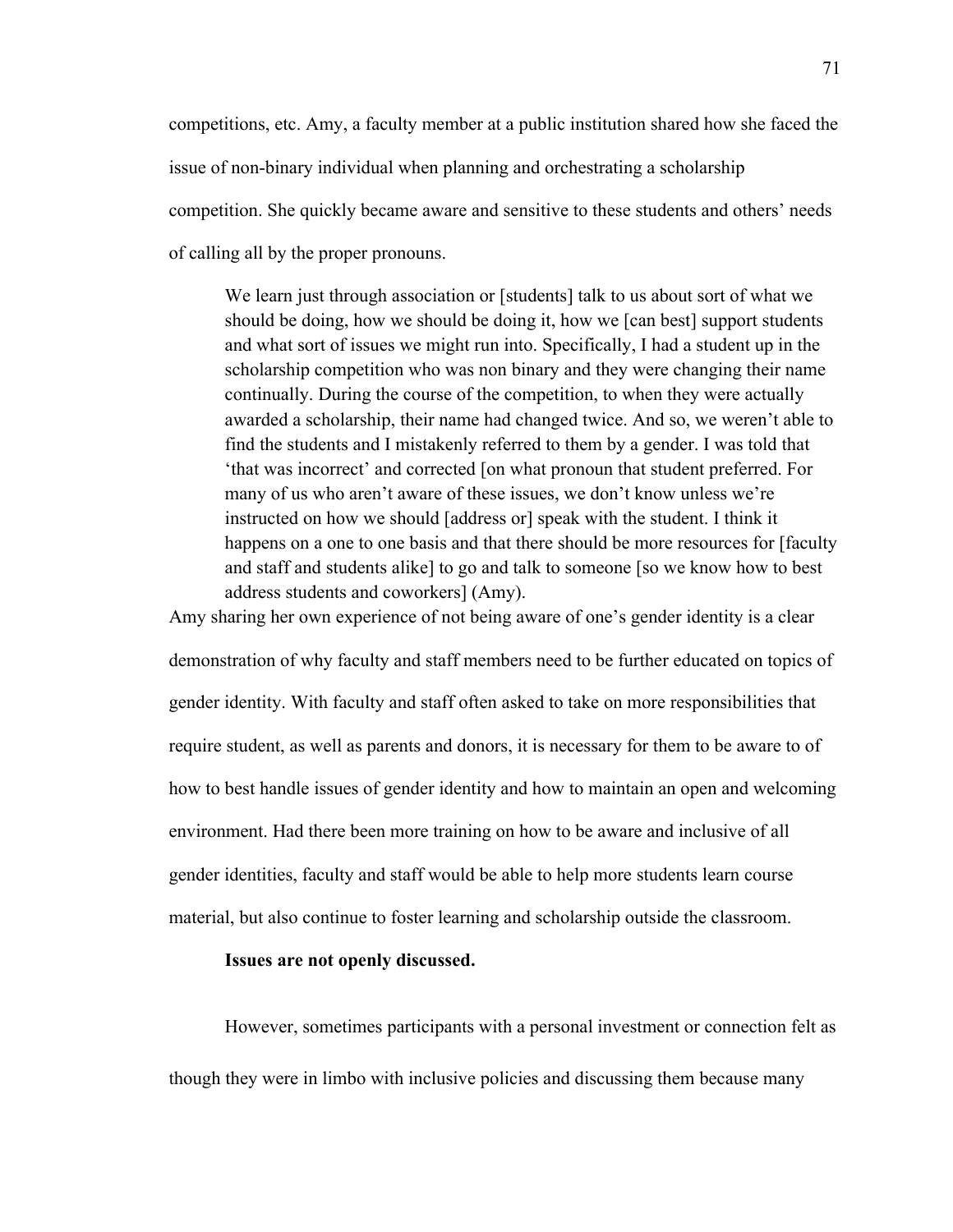competitions, etc. Amy, a faculty member at a public institution shared how she faced the issue of non-binary individual when planning and orchestrating a scholarship competition. She quickly became aware and sensitive to these students and others' needs of calling all by the proper pronouns.

We learn just through association or [students] talk to us about sort of what we should be doing, how we should be doing it, how we [can best] support students and what sort of issues we might run into. Specifically, I had a student up in the scholarship competition who was non binary and they were changing their name continually. During the course of the competition, to when they were actually awarded a scholarship, their name had changed twice. And so, we weren't able to find the students and I mistakenly referred to them by a gender. I was told that 'that was incorrect' and corrected [on what pronoun that student preferred. For many of us who aren't aware of these issues, we don't know unless we're instructed on how we should [address or] speak with the student. I think it happens on a one to one basis and that there should be more resources for [faculty and staff and students alike] to go and talk to someone [so we know how to best address students and coworkers] (Amy).

Amy sharing her own experience of not being aware of one's gender identity is a clear demonstration of why faculty and staff members need to be further educated on topics of gender identity. With faculty and staff often asked to take on more responsibilities that require student, as well as parents and donors, it is necessary for them to be aware to of how to best handle issues of gender identity and how to maintain an open and welcoming environment. Had there been more training on how to be aware and inclusive of all gender identities, faculty and staff would be able to help more students learn course material, but also continue to foster learning and scholarship outside the classroom.

# **Issues are not openly discussed.**

However, sometimes participants with a personal investment or connection felt as though they were in limbo with inclusive policies and discussing them because many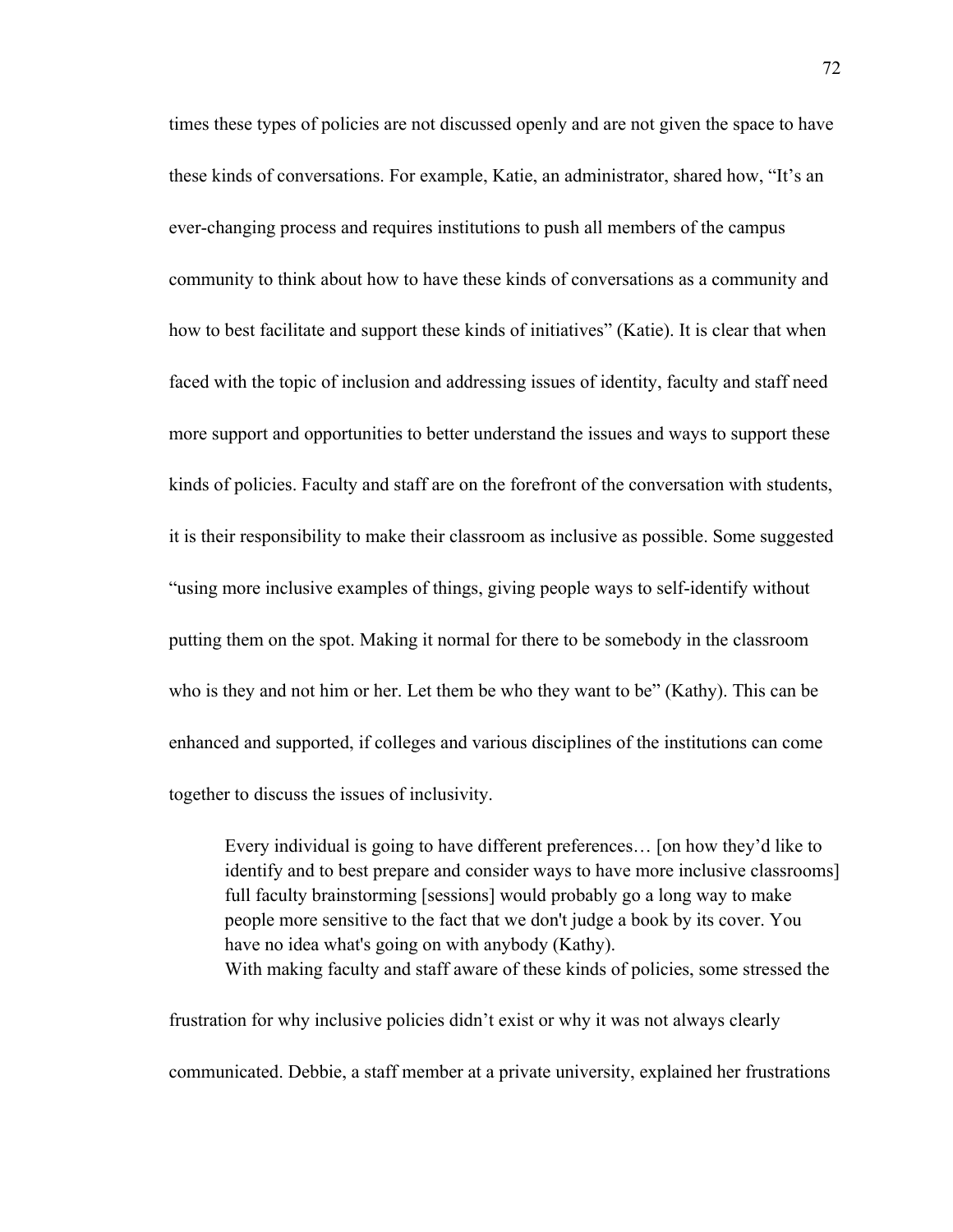times these types of policies are not discussed openly and are not given the space to have these kinds of conversations. For example, Katie, an administrator, shared how, "It's an ever-changing process and requires institutions to push all members of the campus community to think about how to have these kinds of conversations as a community and how to best facilitate and support these kinds of initiatives" (Katie). It is clear that when faced with the topic of inclusion and addressing issues of identity, faculty and staff need more support and opportunities to better understand the issues and ways to support these kinds of policies. Faculty and staff are on the forefront of the conversation with students, it is their responsibility to make their classroom as inclusive as possible. Some suggested "using more inclusive examples of things, giving people ways to self-identify without putting them on the spot. Making it normal for there to be somebody in the classroom who is they and not him or her. Let them be who they want to be" (Kathy). This can be enhanced and supported, if colleges and various disciplines of the institutions can come together to discuss the issues of inclusivity.

Every individual is going to have different preferences… [on how they'd like to identify and to best prepare and consider ways to have more inclusive classrooms] full faculty brainstorming [sessions] would probably go a long way to make people more sensitive to the fact that we don't judge a book by its cover. You have no idea what's going on with anybody (Kathy). With making faculty and staff aware of these kinds of policies, some stressed the

frustration for why inclusive policies didn't exist or why it was not always clearly communicated. Debbie, a staff member at a private university, explained her frustrations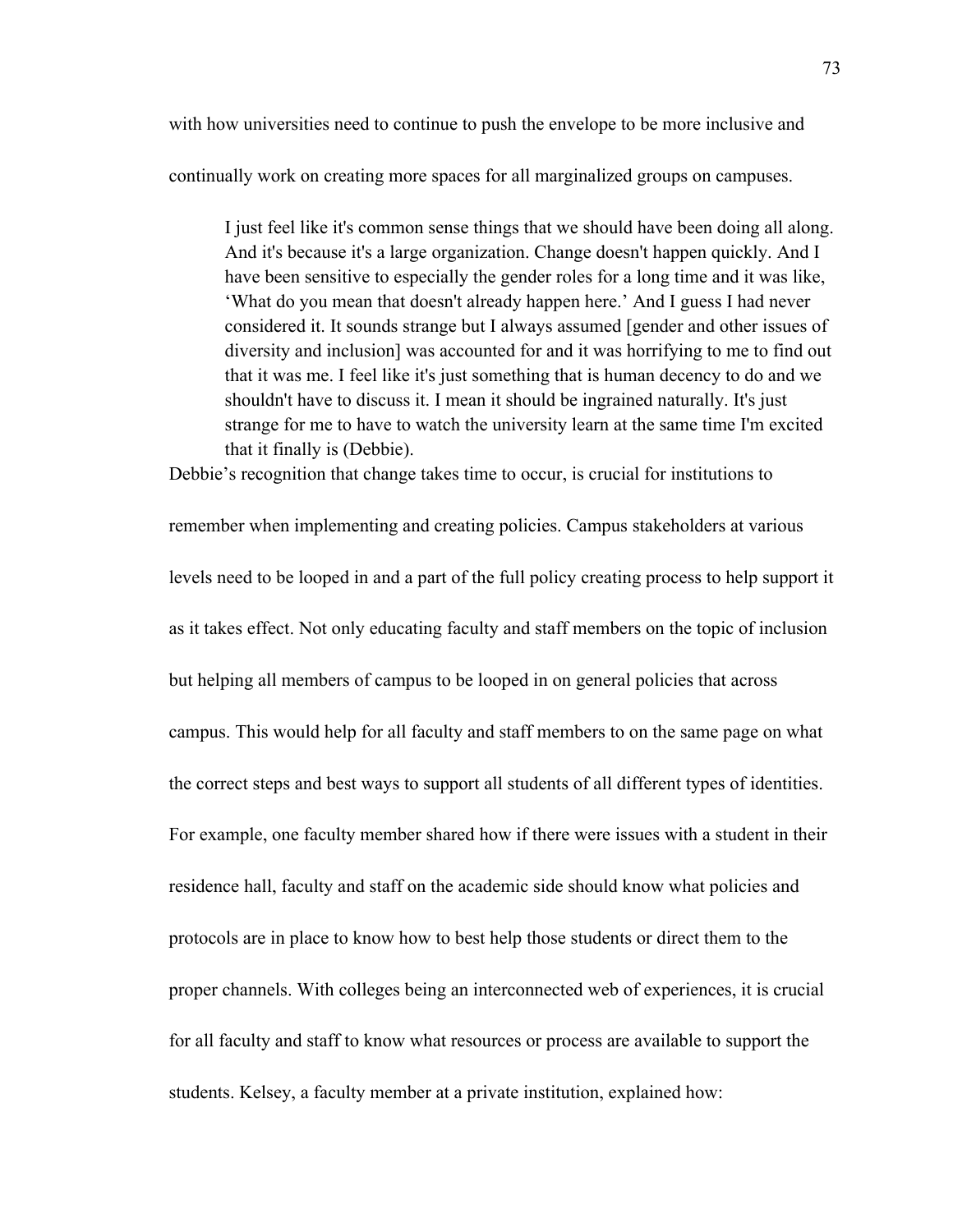with how universities need to continue to push the envelope to be more inclusive and

continually work on creating more spaces for all marginalized groups on campuses.

I just feel like it's common sense things that we should have been doing all along. And it's because it's a large organization. Change doesn't happen quickly. And I have been sensitive to especially the gender roles for a long time and it was like, 'What do you mean that doesn't already happen here.' And I guess I had never considered it. It sounds strange but I always assumed [gender and other issues of diversity and inclusion] was accounted for and it was horrifying to me to find out that it was me. I feel like it's just something that is human decency to do and we shouldn't have to discuss it. I mean it should be ingrained naturally. It's just strange for me to have to watch the university learn at the same time I'm excited that it finally is (Debbie).

Debbie's recognition that change takes time to occur, is crucial for institutions to

remember when implementing and creating policies. Campus stakeholders at various levels need to be looped in and a part of the full policy creating process to help support it as it takes effect. Not only educating faculty and staff members on the topic of inclusion but helping all members of campus to be looped in on general policies that across campus. This would help for all faculty and staff members to on the same page on what the correct steps and best ways to support all students of all different types of identities. For example, one faculty member shared how if there were issues with a student in their residence hall, faculty and staff on the academic side should know what policies and protocols are in place to know how to best help those students or direct them to the proper channels. With colleges being an interconnected web of experiences, it is crucial for all faculty and staff to know what resources or process are available to support the students. Kelsey, a faculty member at a private institution, explained how: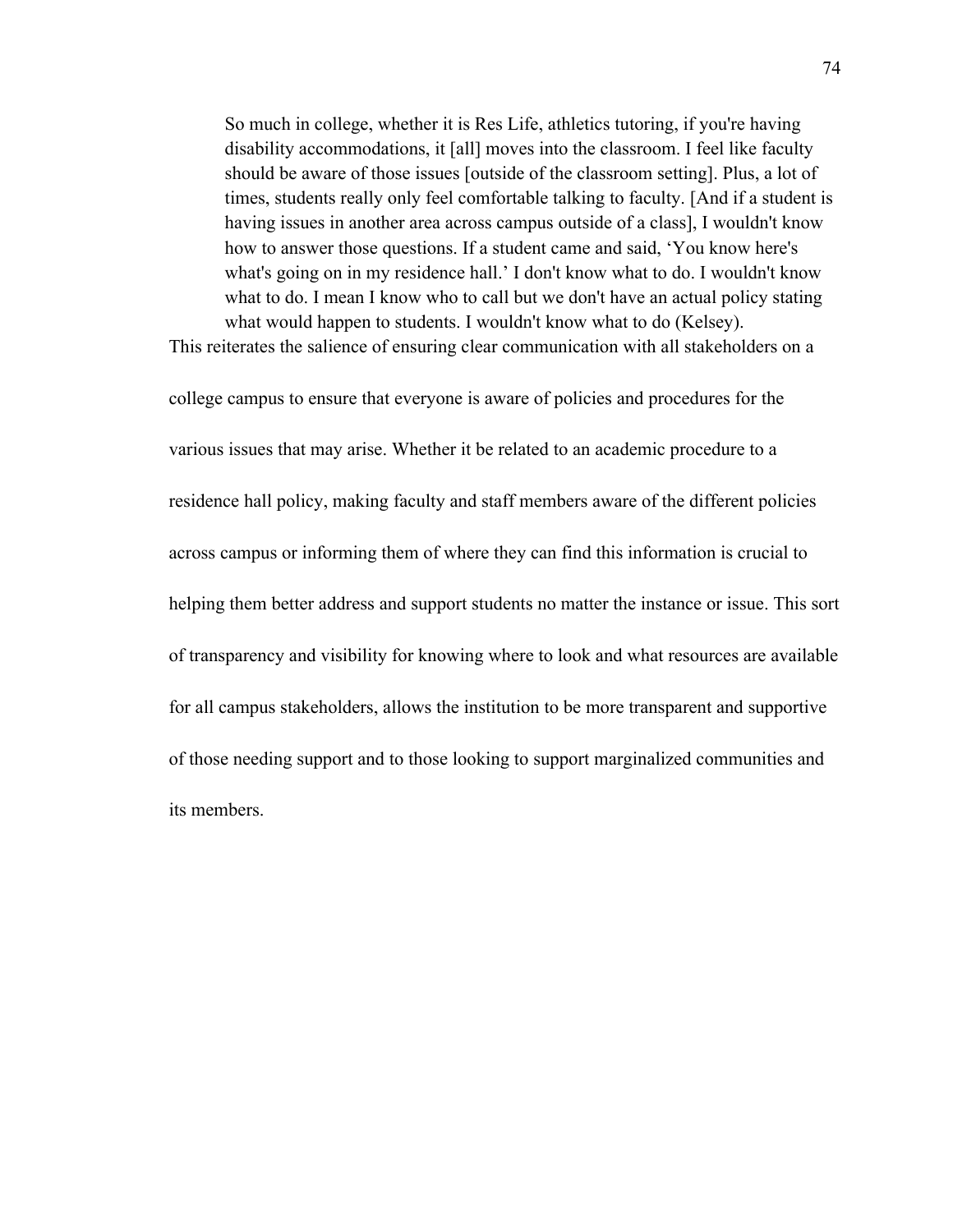So much in college, whether it is Res Life, athletics tutoring, if you're having disability accommodations, it [all] moves into the classroom. I feel like faculty should be aware of those issues [outside of the classroom setting]. Plus, a lot of times, students really only feel comfortable talking to faculty. [And if a student is having issues in another area across campus outside of a class], I wouldn't know how to answer those questions. If a student came and said, 'You know here's what's going on in my residence hall.' I don't know what to do. I wouldn't know what to do. I mean I know who to call but we don't have an actual policy stating what would happen to students. I wouldn't know what to do (Kelsey). This reiterates the salience of ensuring clear communication with all stakeholders on a

college campus to ensure that everyone is aware of policies and procedures for the various issues that may arise. Whether it be related to an academic procedure to a residence hall policy, making faculty and staff members aware of the different policies across campus or informing them of where they can find this information is crucial to helping them better address and support students no matter the instance or issue. This sort of transparency and visibility for knowing where to look and what resources are available for all campus stakeholders, allows the institution to be more transparent and supportive of those needing support and to those looking to support marginalized communities and its members.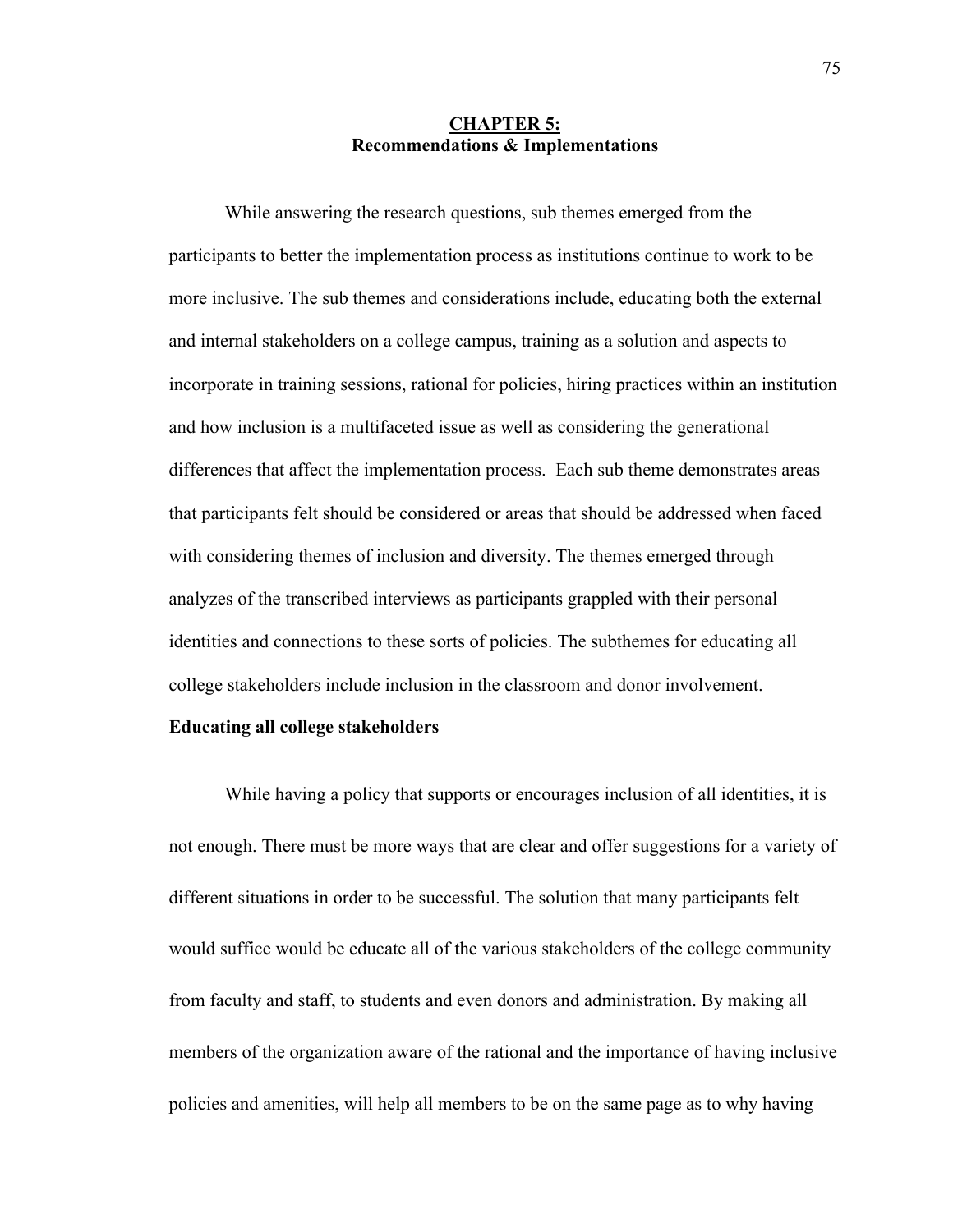# **CHAPTER 5: Recommendations & Implementations**

While answering the research questions, sub themes emerged from the participants to better the implementation process as institutions continue to work to be more inclusive. The sub themes and considerations include, educating both the external and internal stakeholders on a college campus, training as a solution and aspects to incorporate in training sessions, rational for policies, hiring practices within an institution and how inclusion is a multifaceted issue as well as considering the generational differences that affect the implementation process. Each sub theme demonstrates areas that participants felt should be considered or areas that should be addressed when faced with considering themes of inclusion and diversity. The themes emerged through analyzes of the transcribed interviews as participants grappled with their personal identities and connections to these sorts of policies. The subthemes for educating all college stakeholders include inclusion in the classroom and donor involvement.

# **Educating all college stakeholders**

While having a policy that supports or encourages inclusion of all identities, it is not enough. There must be more ways that are clear and offer suggestions for a variety of different situations in order to be successful. The solution that many participants felt would suffice would be educate all of the various stakeholders of the college community from faculty and staff, to students and even donors and administration. By making all members of the organization aware of the rational and the importance of having inclusive policies and amenities, will help all members to be on the same page as to why having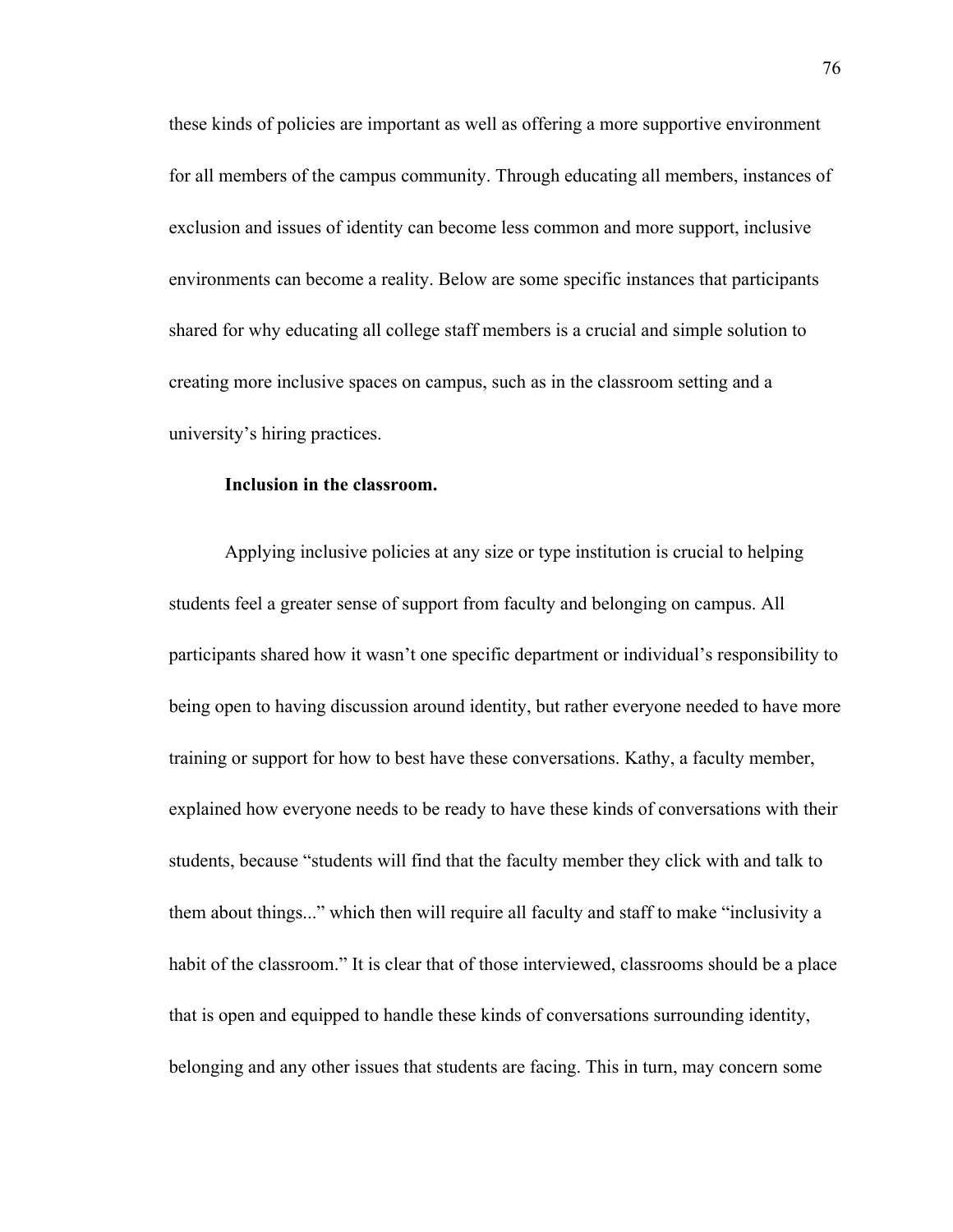these kinds of policies are important as well as offering a more supportive environment for all members of the campus community. Through educating all members, instances of exclusion and issues of identity can become less common and more support, inclusive environments can become a reality. Below are some specific instances that participants shared for why educating all college staff members is a crucial and simple solution to creating more inclusive spaces on campus, such as in the classroom setting and a university's hiring practices.

# **Inclusion in the classroom.**

Applying inclusive policies at any size or type institution is crucial to helping students feel a greater sense of support from faculty and belonging on campus. All participants shared how it wasn't one specific department or individual's responsibility to being open to having discussion around identity, but rather everyone needed to have more training or support for how to best have these conversations. Kathy, a faculty member, explained how everyone needs to be ready to have these kinds of conversations with their students, because "students will find that the faculty member they click with and talk to them about things..." which then will require all faculty and staff to make "inclusivity a habit of the classroom." It is clear that of those interviewed, classrooms should be a place that is open and equipped to handle these kinds of conversations surrounding identity, belonging and any other issues that students are facing. This in turn, may concern some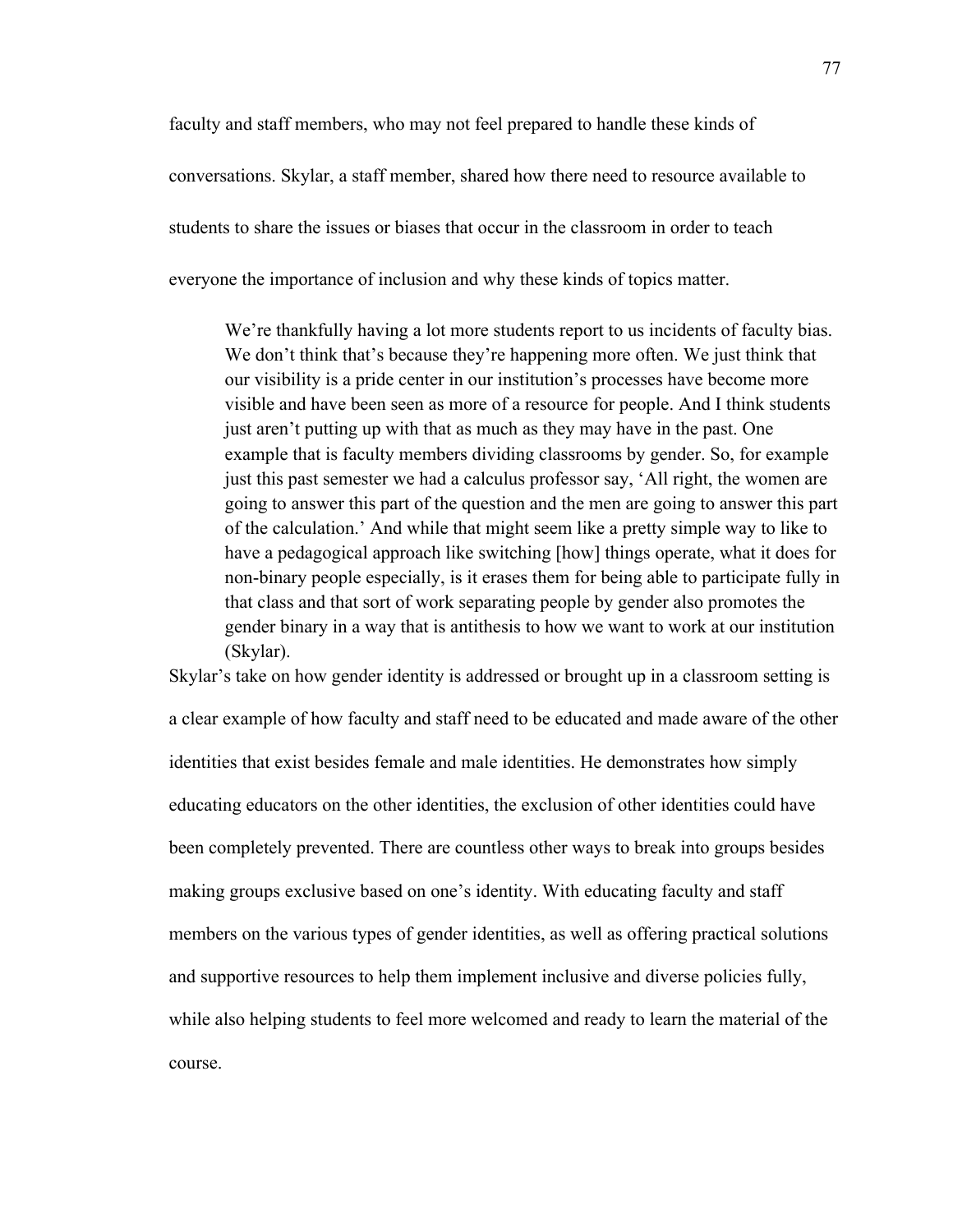faculty and staff members, who may not feel prepared to handle these kinds of conversations. Skylar, a staff member, shared how there need to resource available to students to share the issues or biases that occur in the classroom in order to teach everyone the importance of inclusion and why these kinds of topics matter.

We're thankfully having a lot more students report to us incidents of faculty bias. We don't think that's because they're happening more often. We just think that our visibility is a pride center in our institution's processes have become more visible and have been seen as more of a resource for people. And I think students just aren't putting up with that as much as they may have in the past. One example that is faculty members dividing classrooms by gender. So, for example just this past semester we had a calculus professor say, 'All right, the women are going to answer this part of the question and the men are going to answer this part of the calculation.' And while that might seem like a pretty simple way to like to have a pedagogical approach like switching [how] things operate, what it does for non-binary people especially, is it erases them for being able to participate fully in that class and that sort of work separating people by gender also promotes the gender binary in a way that is antithesis to how we want to work at our institution (Skylar).

Skylar's take on how gender identity is addressed or brought up in a classroom setting is a clear example of how faculty and staff need to be educated and made aware of the other identities that exist besides female and male identities. He demonstrates how simply educating educators on the other identities, the exclusion of other identities could have been completely prevented. There are countless other ways to break into groups besides making groups exclusive based on one's identity. With educating faculty and staff members on the various types of gender identities, as well as offering practical solutions and supportive resources to help them implement inclusive and diverse policies fully, while also helping students to feel more welcomed and ready to learn the material of the course.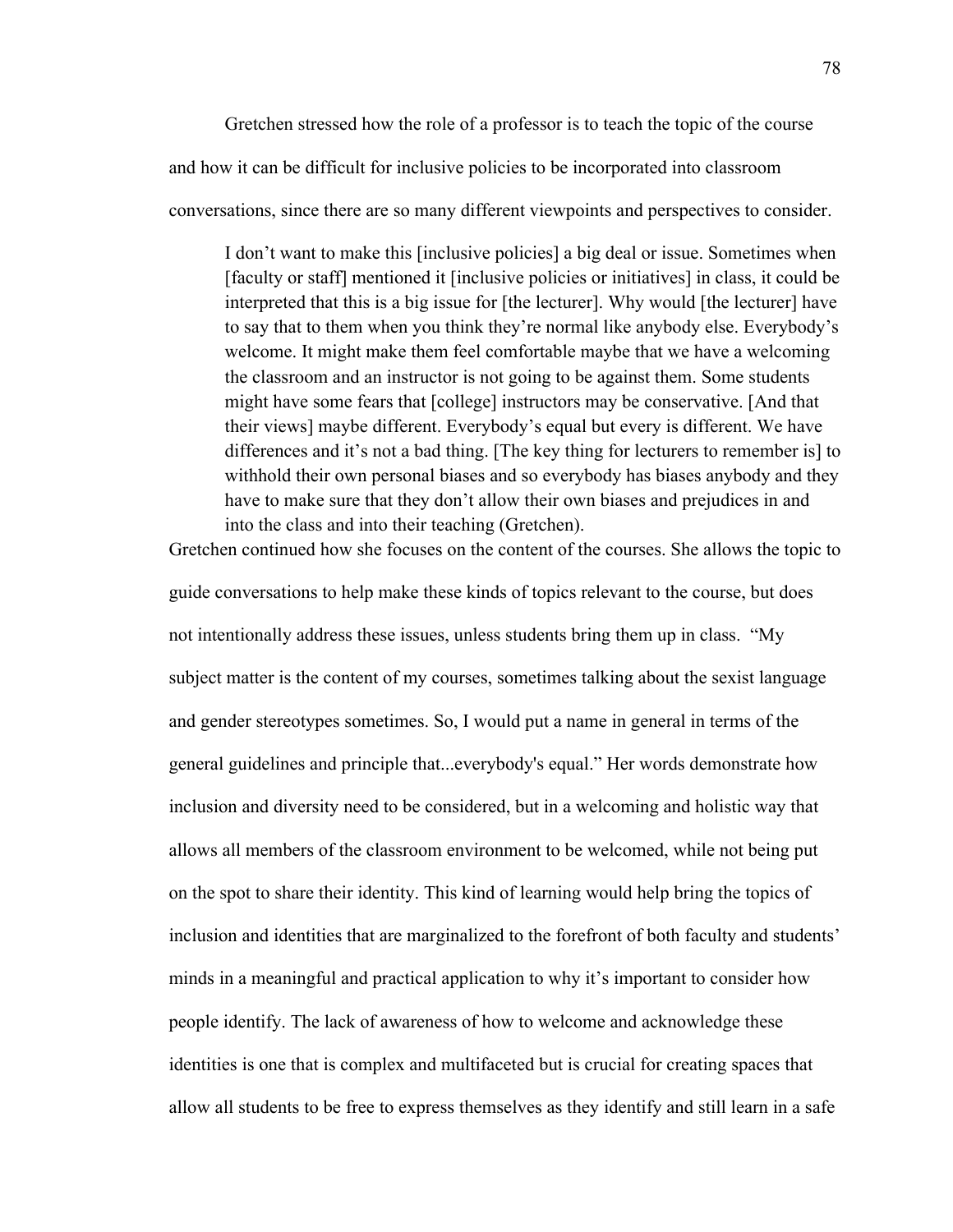Gretchen stressed how the role of a professor is to teach the topic of the course and how it can be difficult for inclusive policies to be incorporated into classroom conversations, since there are so many different viewpoints and perspectives to consider.

I don't want to make this [inclusive policies] a big deal or issue. Sometimes when [faculty or staff] mentioned it [inclusive policies or initiatives] in class, it could be interpreted that this is a big issue for [the lecturer]. Why would [the lecturer] have to say that to them when you think they're normal like anybody else. Everybody's welcome. It might make them feel comfortable maybe that we have a welcoming the classroom and an instructor is not going to be against them. Some students might have some fears that [college] instructors may be conservative. [And that their views] maybe different. Everybody's equal but every is different. We have differences and it's not a bad thing. [The key thing for lecturers to remember is] to withhold their own personal biases and so everybody has biases anybody and they have to make sure that they don't allow their own biases and prejudices in and into the class and into their teaching (Gretchen).

Gretchen continued how she focuses on the content of the courses. She allows the topic to

guide conversations to help make these kinds of topics relevant to the course, but does not intentionally address these issues, unless students bring them up in class. "My subject matter is the content of my courses, sometimes talking about the sexist language and gender stereotypes sometimes. So, I would put a name in general in terms of the general guidelines and principle that...everybody's equal." Her words demonstrate how inclusion and diversity need to be considered, but in a welcoming and holistic way that allows all members of the classroom environment to be welcomed, while not being put on the spot to share their identity. This kind of learning would help bring the topics of inclusion and identities that are marginalized to the forefront of both faculty and students' minds in a meaningful and practical application to why it's important to consider how people identify. The lack of awareness of how to welcome and acknowledge these identities is one that is complex and multifaceted but is crucial for creating spaces that allow all students to be free to express themselves as they identify and still learn in a safe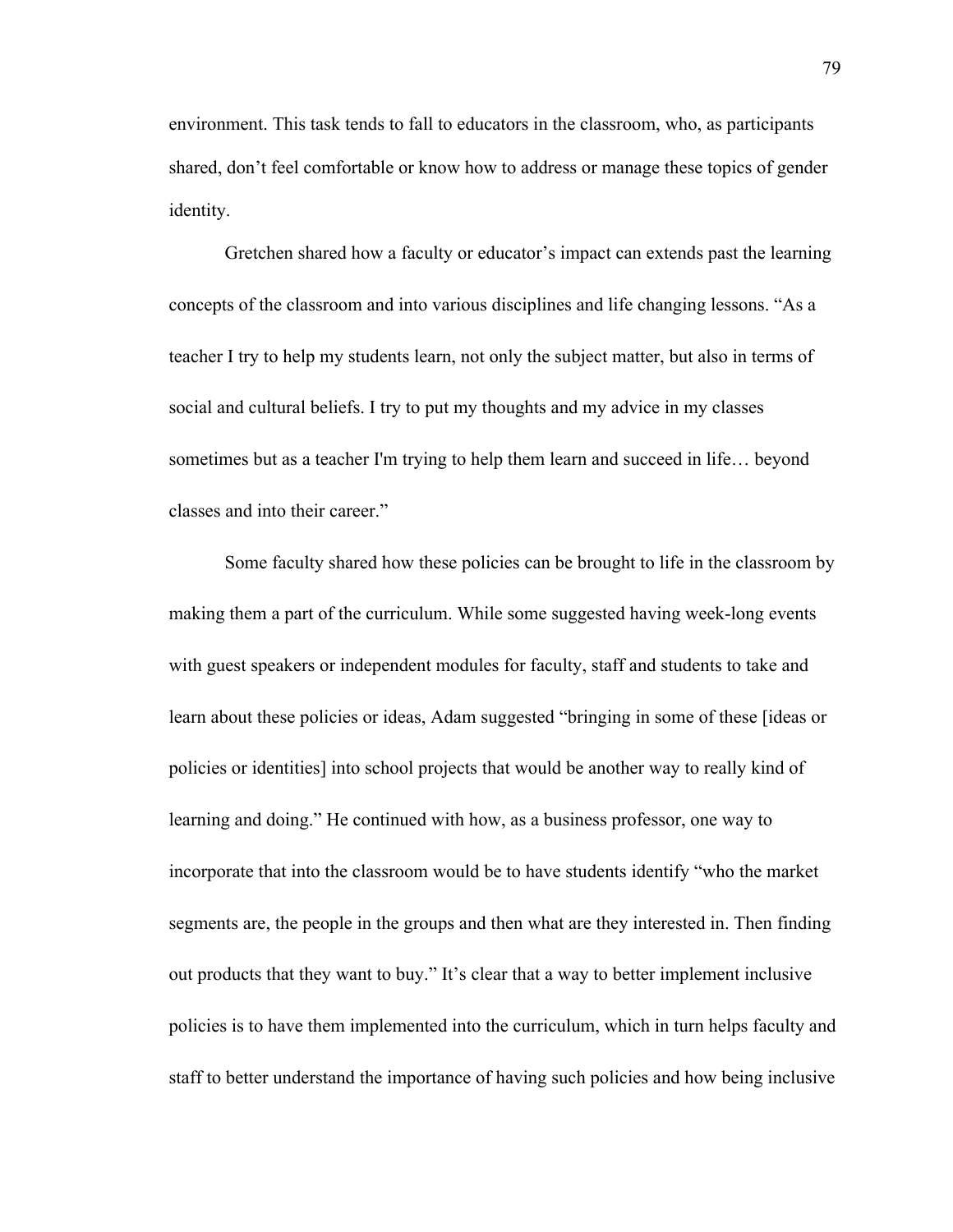environment. This task tends to fall to educators in the classroom, who, as participants shared, don't feel comfortable or know how to address or manage these topics of gender identity.

Gretchen shared how a faculty or educator's impact can extends past the learning concepts of the classroom and into various disciplines and life changing lessons. "As a teacher I try to help my students learn, not only the subject matter, but also in terms of social and cultural beliefs. I try to put my thoughts and my advice in my classes sometimes but as a teacher I'm trying to help them learn and succeed in life… beyond classes and into their career."

Some faculty shared how these policies can be brought to life in the classroom by making them a part of the curriculum. While some suggested having week-long events with guest speakers or independent modules for faculty, staff and students to take and learn about these policies or ideas, Adam suggested "bringing in some of these [ideas or policies or identities] into school projects that would be another way to really kind of learning and doing." He continued with how, as a business professor, one way to incorporate that into the classroom would be to have students identify "who the market segments are, the people in the groups and then what are they interested in. Then finding out products that they want to buy." It's clear that a way to better implement inclusive policies is to have them implemented into the curriculum, which in turn helps faculty and staff to better understand the importance of having such policies and how being inclusive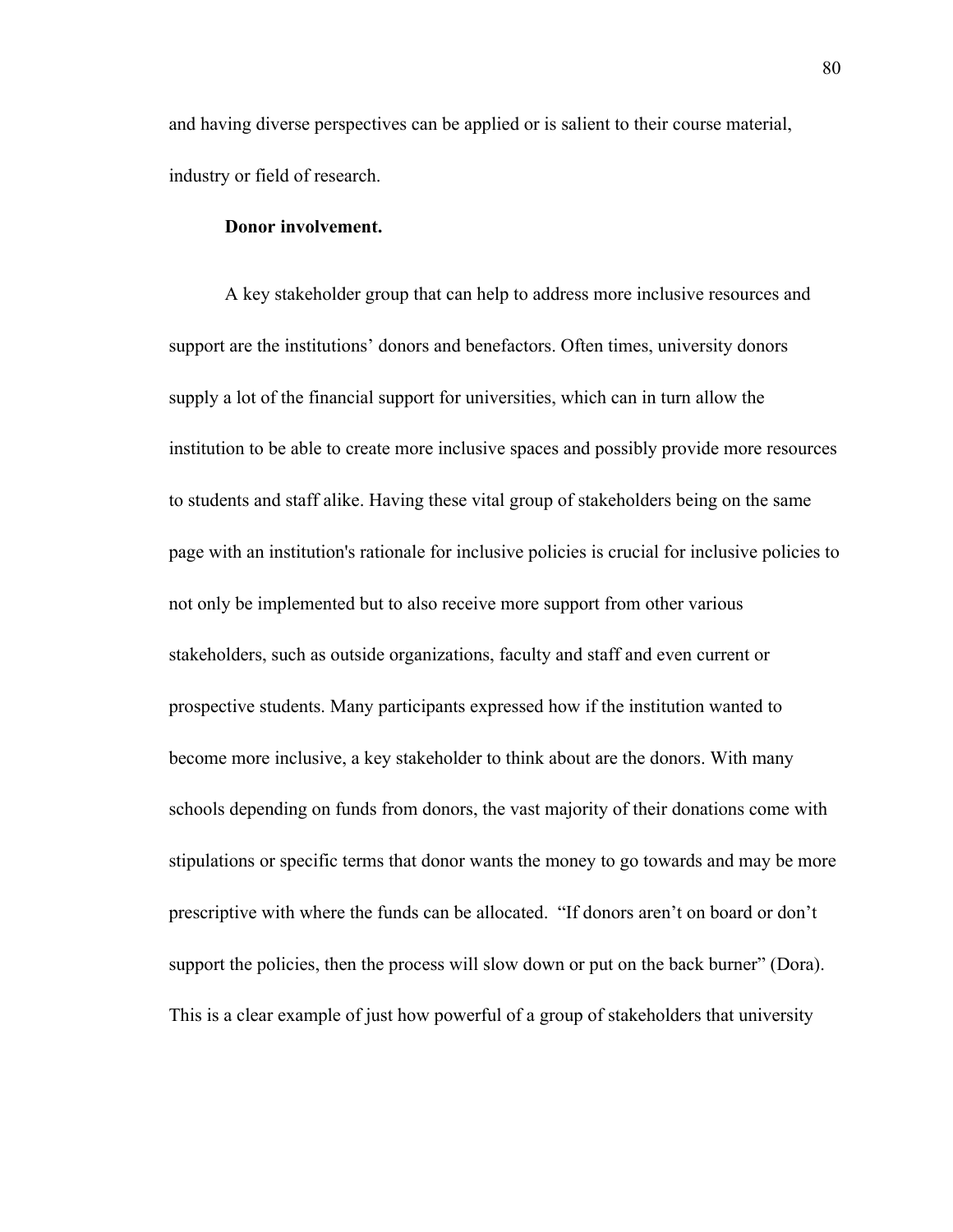and having diverse perspectives can be applied or is salient to their course material, industry or field of research.

# **Donor involvement.**

A key stakeholder group that can help to address more inclusive resources and support are the institutions' donors and benefactors. Often times, university donors supply a lot of the financial support for universities, which can in turn allow the institution to be able to create more inclusive spaces and possibly provide more resources to students and staff alike. Having these vital group of stakeholders being on the same page with an institution's rationale for inclusive policies is crucial for inclusive policies to not only be implemented but to also receive more support from other various stakeholders, such as outside organizations, faculty and staff and even current or prospective students. Many participants expressed how if the institution wanted to become more inclusive, a key stakeholder to think about are the donors. With many schools depending on funds from donors, the vast majority of their donations come with stipulations or specific terms that donor wants the money to go towards and may be more prescriptive with where the funds can be allocated. "If donors aren't on board or don't support the policies, then the process will slow down or put on the back burner" (Dora). This is a clear example of just how powerful of a group of stakeholders that university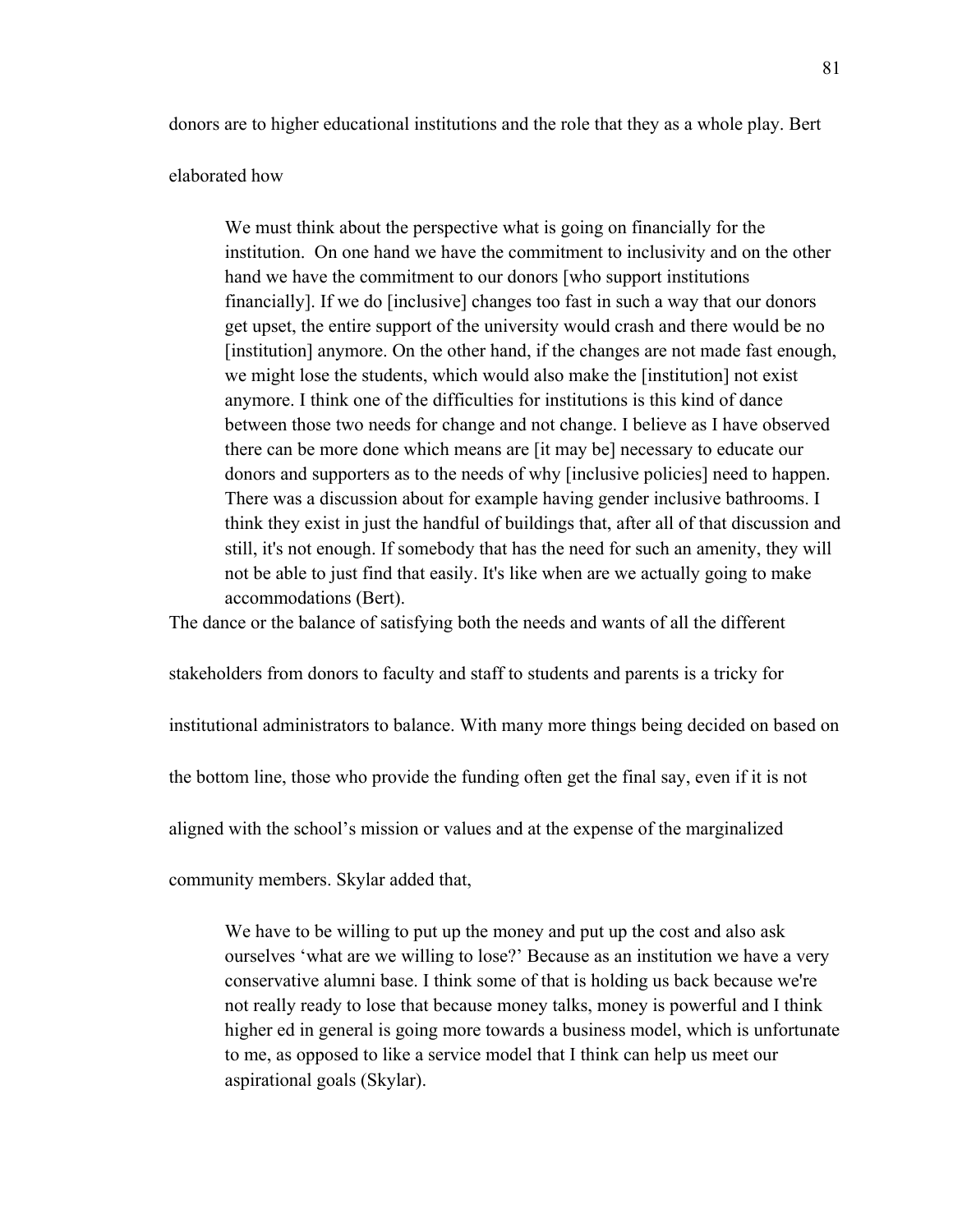donors are to higher educational institutions and the role that they as a whole play. Bert

### elaborated how

We must think about the perspective what is going on financially for the institution. On one hand we have the commitment to inclusivity and on the other hand we have the commitment to our donors [who support institutions financially]. If we do [inclusive] changes too fast in such a way that our donors get upset, the entire support of the university would crash and there would be no [institution] anymore. On the other hand, if the changes are not made fast enough, we might lose the students, which would also make the [institution] not exist anymore. I think one of the difficulties for institutions is this kind of dance between those two needs for change and not change. I believe as I have observed there can be more done which means are [it may be] necessary to educate our donors and supporters as to the needs of why [inclusive policies] need to happen. There was a discussion about for example having gender inclusive bathrooms. I think they exist in just the handful of buildings that, after all of that discussion and still, it's not enough. If somebody that has the need for such an amenity, they will not be able to just find that easily. It's like when are we actually going to make accommodations (Bert).

The dance or the balance of satisfying both the needs and wants of all the different

stakeholders from donors to faculty and staff to students and parents is a tricky for

institutional administrators to balance. With many more things being decided on based on

the bottom line, those who provide the funding often get the final say, even if it is not

aligned with the school's mission or values and at the expense of the marginalized

community members. Skylar added that,

We have to be willing to put up the money and put up the cost and also ask ourselves 'what are we willing to lose?' Because as an institution we have a very conservative alumni base. I think some of that is holding us back because we're not really ready to lose that because money talks, money is powerful and I think higher ed in general is going more towards a business model, which is unfortunate to me, as opposed to like a service model that I think can help us meet our aspirational goals (Skylar).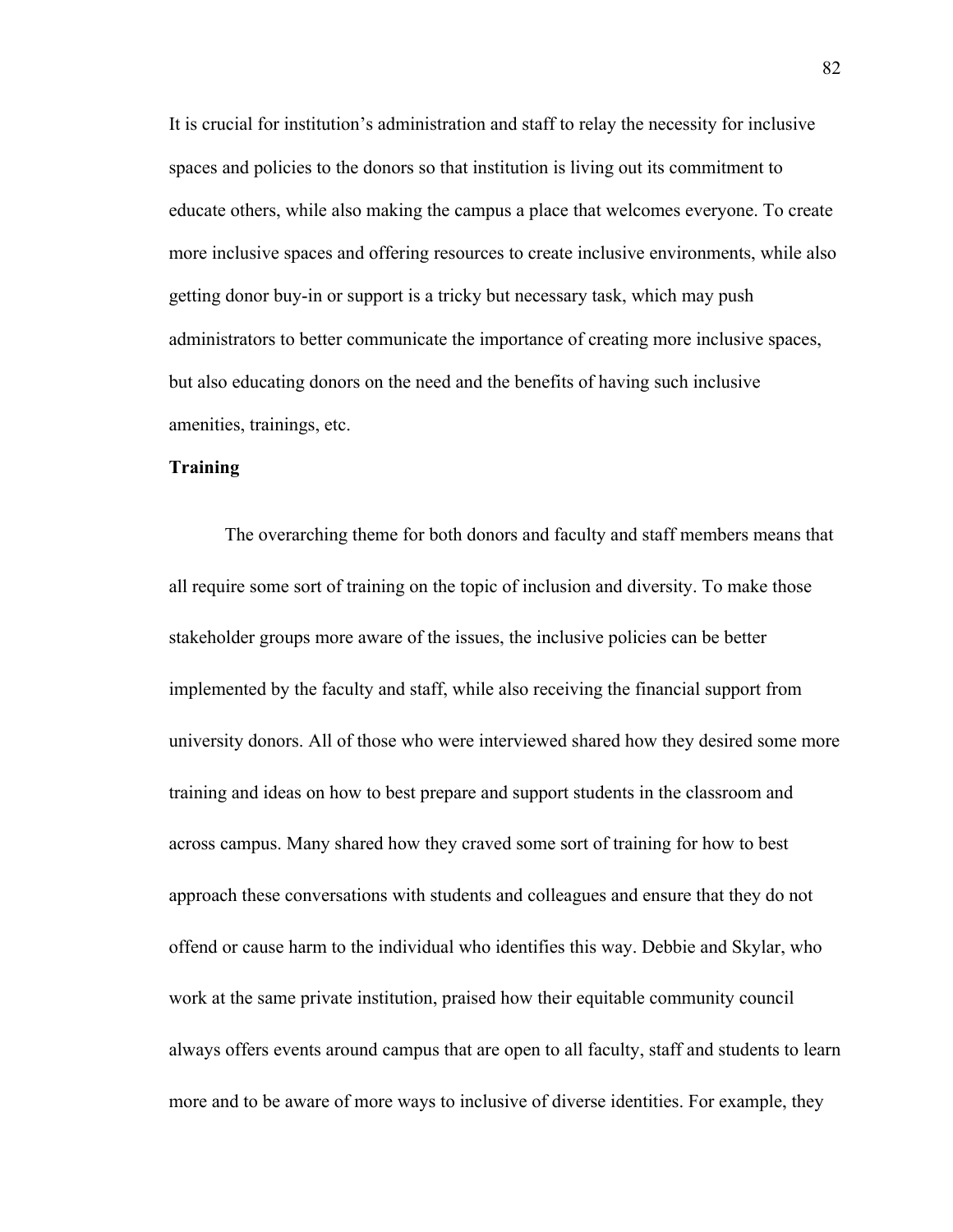It is crucial for institution's administration and staff to relay the necessity for inclusive spaces and policies to the donors so that institution is living out its commitment to educate others, while also making the campus a place that welcomes everyone. To create more inclusive spaces and offering resources to create inclusive environments, while also getting donor buy-in or support is a tricky but necessary task, which may push administrators to better communicate the importance of creating more inclusive spaces, but also educating donors on the need and the benefits of having such inclusive amenities, trainings, etc.

# **Training**

The overarching theme for both donors and faculty and staff members means that all require some sort of training on the topic of inclusion and diversity. To make those stakeholder groups more aware of the issues, the inclusive policies can be better implemented by the faculty and staff, while also receiving the financial support from university donors. All of those who were interviewed shared how they desired some more training and ideas on how to best prepare and support students in the classroom and across campus. Many shared how they craved some sort of training for how to best approach these conversations with students and colleagues and ensure that they do not offend or cause harm to the individual who identifies this way. Debbie and Skylar, who work at the same private institution, praised how their equitable community council always offers events around campus that are open to all faculty, staff and students to learn more and to be aware of more ways to inclusive of diverse identities. For example, they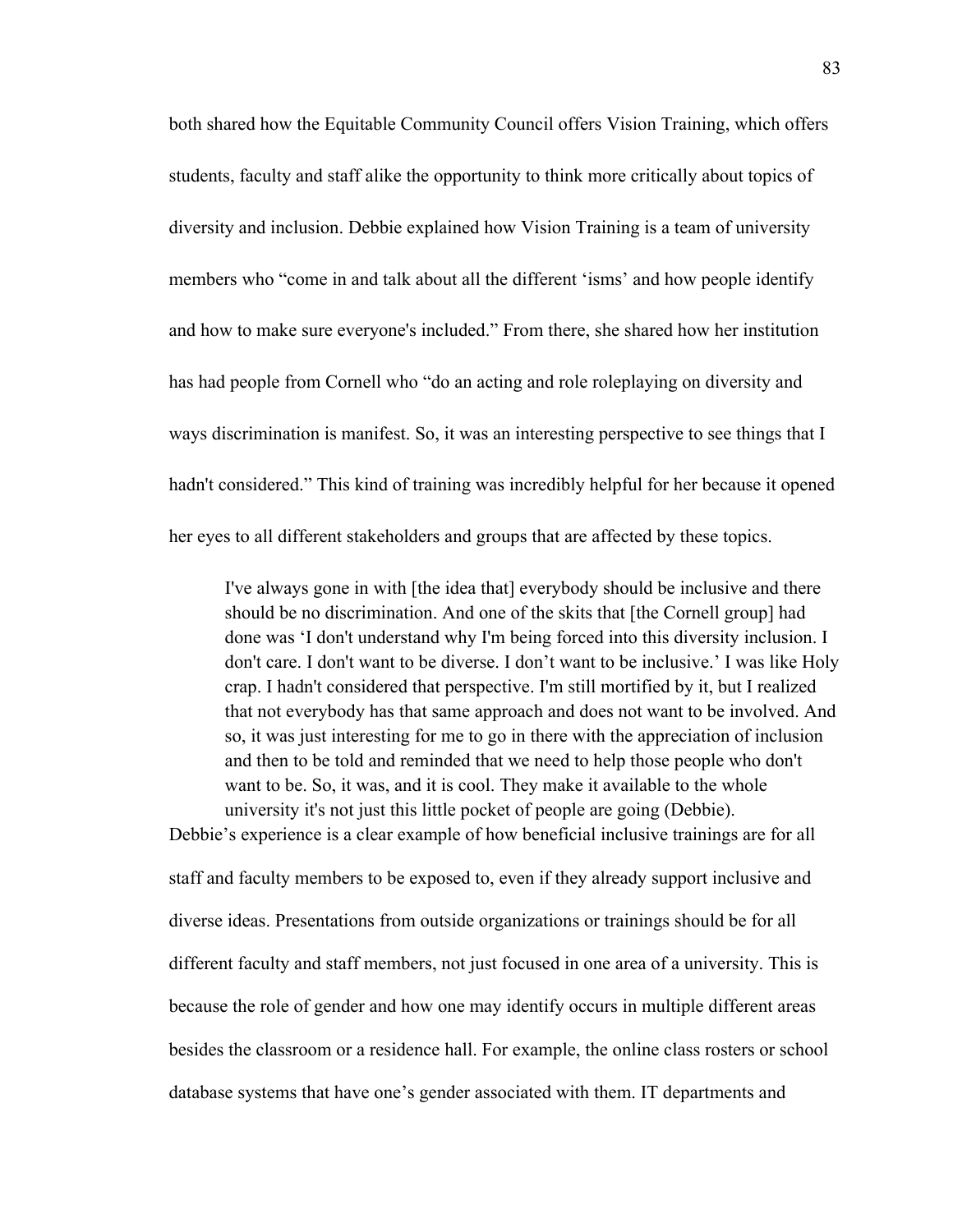both shared how the Equitable Community Council offers Vision Training, which offers students, faculty and staff alike the opportunity to think more critically about topics of diversity and inclusion. Debbie explained how Vision Training is a team of university members who "come in and talk about all the different 'isms' and how people identify and how to make sure everyone's included." From there, she shared how her institution has had people from Cornell who "do an acting and role roleplaying on diversity and ways discrimination is manifest. So, it was an interesting perspective to see things that I hadn't considered." This kind of training was incredibly helpful for her because it opened her eyes to all different stakeholders and groups that are affected by these topics.

I've always gone in with [the idea that] everybody should be inclusive and there should be no discrimination. And one of the skits that [the Cornell group] had done was 'I don't understand why I'm being forced into this diversity inclusion. I don't care. I don't want to be diverse. I don't want to be inclusive.' I was like Holy crap. I hadn't considered that perspective. I'm still mortified by it, but I realized that not everybody has that same approach and does not want to be involved. And so, it was just interesting for me to go in there with the appreciation of inclusion and then to be told and reminded that we need to help those people who don't want to be. So, it was, and it is cool. They make it available to the whole university it's not just this little pocket of people are going (Debbie). Debbie's experience is a clear example of how beneficial inclusive trainings are for all

staff and faculty members to be exposed to, even if they already support inclusive and diverse ideas. Presentations from outside organizations or trainings should be for all different faculty and staff members, not just focused in one area of a university. This is because the role of gender and how one may identify occurs in multiple different areas besides the classroom or a residence hall. For example, the online class rosters or school database systems that have one's gender associated with them. IT departments and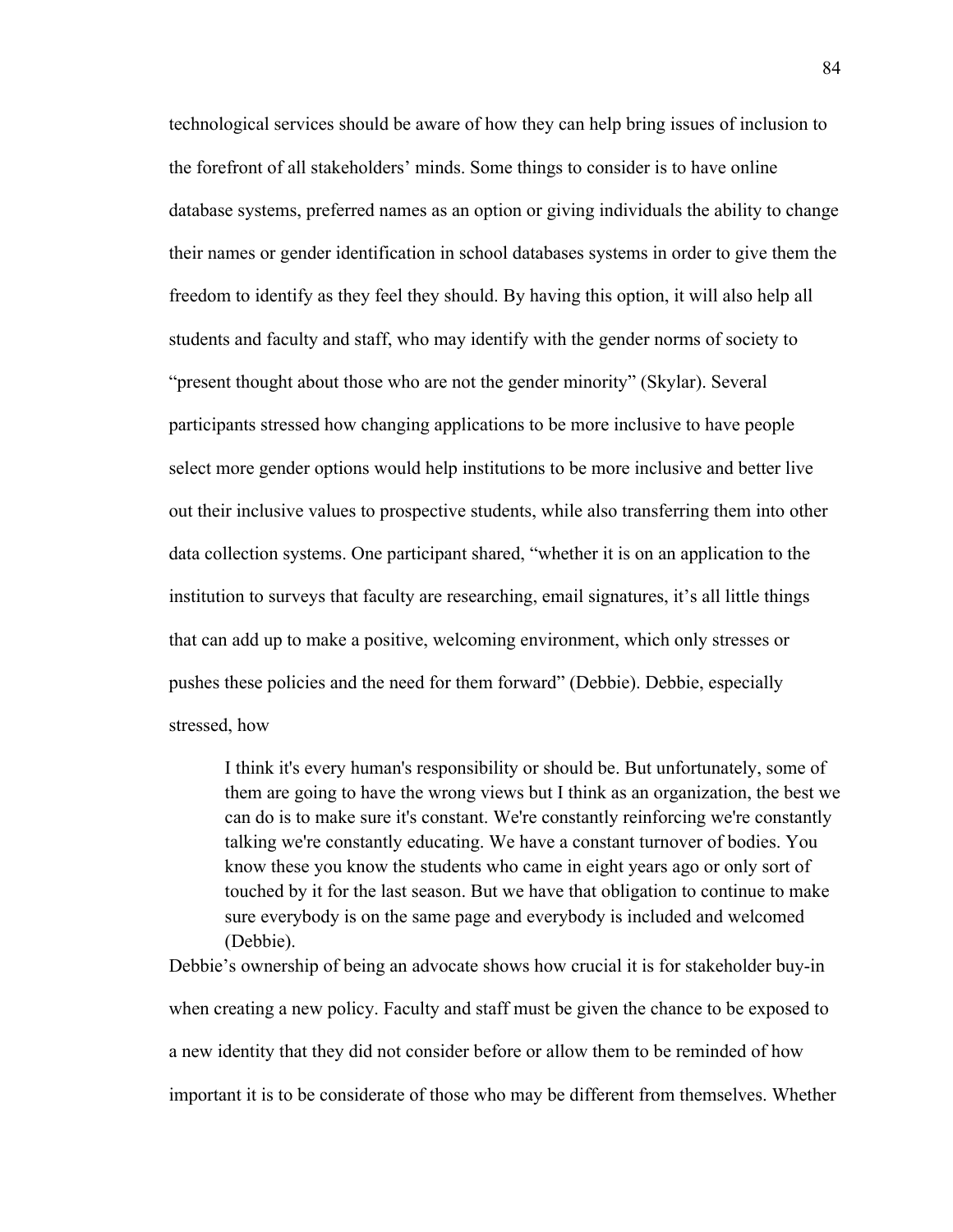technological services should be aware of how they can help bring issues of inclusion to the forefront of all stakeholders' minds. Some things to consider is to have online database systems, preferred names as an option or giving individuals the ability to change their names or gender identification in school databases systems in order to give them the freedom to identify as they feel they should. By having this option, it will also help all students and faculty and staff, who may identify with the gender norms of society to "present thought about those who are not the gender minority" (Skylar). Several participants stressed how changing applications to be more inclusive to have people select more gender options would help institutions to be more inclusive and better live out their inclusive values to prospective students, while also transferring them into other data collection systems. One participant shared, "whether it is on an application to the institution to surveys that faculty are researching, email signatures, it's all little things that can add up to make a positive, welcoming environment, which only stresses or pushes these policies and the need for them forward" (Debbie). Debbie, especially stressed, how

I think it's every human's responsibility or should be. But unfortunately, some of them are going to have the wrong views but I think as an organization, the best we can do is to make sure it's constant. We're constantly reinforcing we're constantly talking we're constantly educating. We have a constant turnover of bodies. You know these you know the students who came in eight years ago or only sort of touched by it for the last season. But we have that obligation to continue to make sure everybody is on the same page and everybody is included and welcomed (Debbie).

Debbie's ownership of being an advocate shows how crucial it is for stakeholder buy-in when creating a new policy. Faculty and staff must be given the chance to be exposed to a new identity that they did not consider before or allow them to be reminded of how important it is to be considerate of those who may be different from themselves. Whether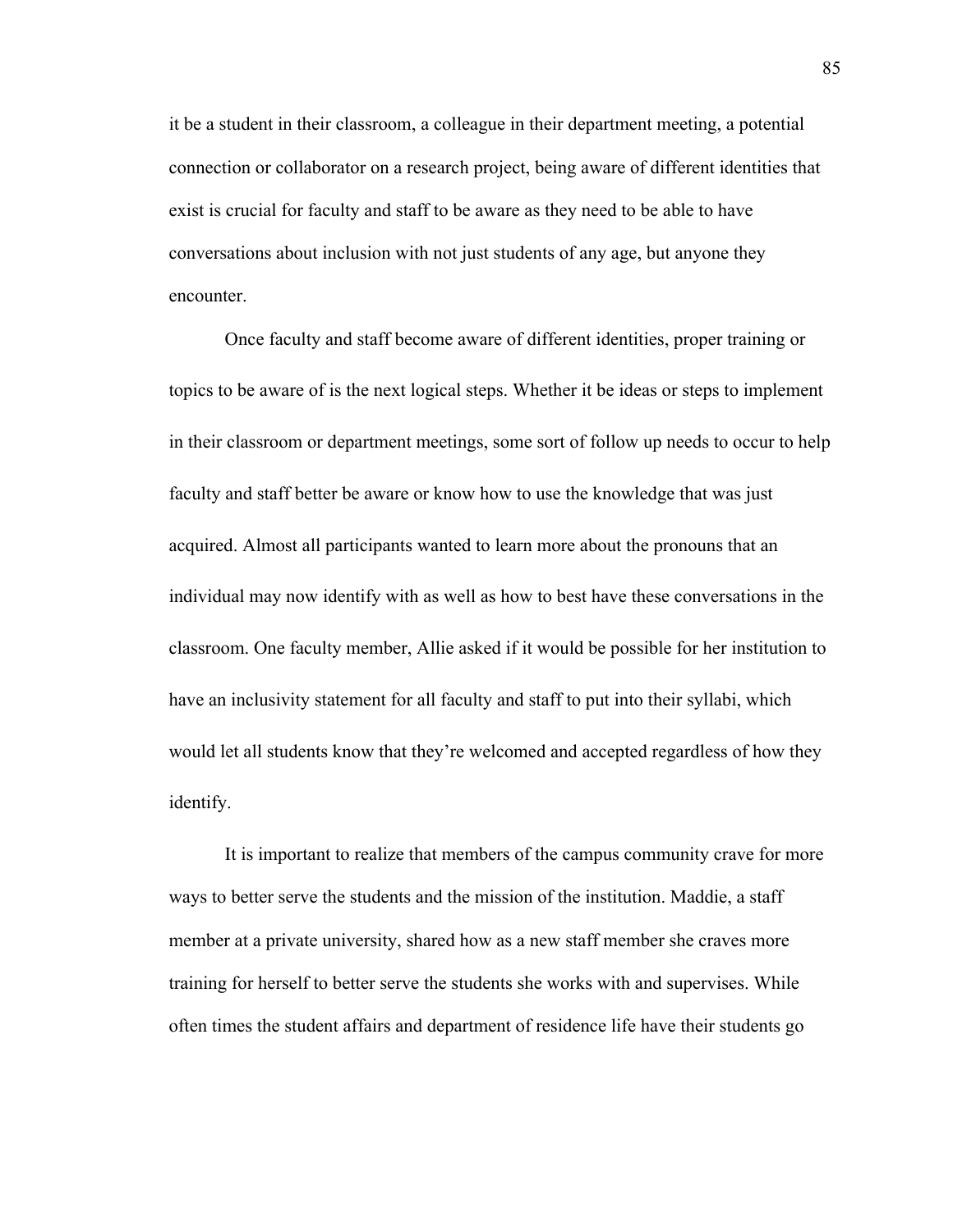it be a student in their classroom, a colleague in their department meeting, a potential connection or collaborator on a research project, being aware of different identities that exist is crucial for faculty and staff to be aware as they need to be able to have conversations about inclusion with not just students of any age, but anyone they encounter.

Once faculty and staff become aware of different identities, proper training or topics to be aware of is the next logical steps. Whether it be ideas or steps to implement in their classroom or department meetings, some sort of follow up needs to occur to help faculty and staff better be aware or know how to use the knowledge that was just acquired. Almost all participants wanted to learn more about the pronouns that an individual may now identify with as well as how to best have these conversations in the classroom. One faculty member, Allie asked if it would be possible for her institution to have an inclusivity statement for all faculty and staff to put into their syllabi, which would let all students know that they're welcomed and accepted regardless of how they identify.

It is important to realize that members of the campus community crave for more ways to better serve the students and the mission of the institution. Maddie, a staff member at a private university, shared how as a new staff member she craves more training for herself to better serve the students she works with and supervises. While often times the student affairs and department of residence life have their students go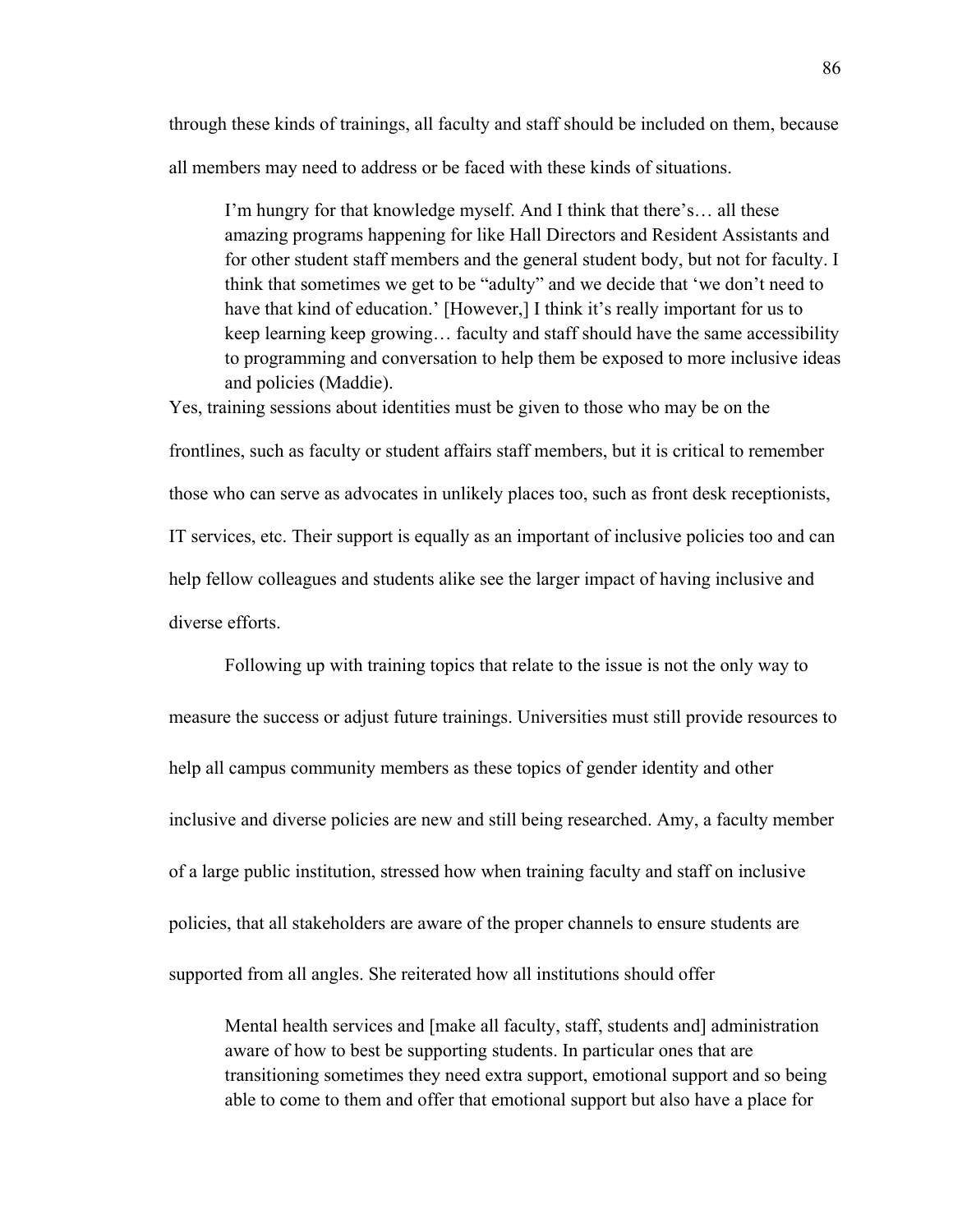through these kinds of trainings, all faculty and staff should be included on them, because all members may need to address or be faced with these kinds of situations.

I'm hungry for that knowledge myself. And I think that there's… all these amazing programs happening for like Hall Directors and Resident Assistants and for other student staff members and the general student body, but not for faculty. I think that sometimes we get to be "adulty" and we decide that 'we don't need to have that kind of education.' [However,] I think it's really important for us to keep learning keep growing… faculty and staff should have the same accessibility to programming and conversation to help them be exposed to more inclusive ideas and policies (Maddie).

Yes, training sessions about identities must be given to those who may be on the frontlines, such as faculty or student affairs staff members, but it is critical to remember those who can serve as advocates in unlikely places too, such as front desk receptionists, IT services, etc. Their support is equally as an important of inclusive policies too and can help fellow colleagues and students alike see the larger impact of having inclusive and diverse efforts.

Following up with training topics that relate to the issue is not the only way to measure the success or adjust future trainings. Universities must still provide resources to help all campus community members as these topics of gender identity and other inclusive and diverse policies are new and still being researched. Amy, a faculty member of a large public institution, stressed how when training faculty and staff on inclusive policies, that all stakeholders are aware of the proper channels to ensure students are supported from all angles. She reiterated how all institutions should offer

Mental health services and [make all faculty, staff, students and] administration aware of how to best be supporting students. In particular ones that are transitioning sometimes they need extra support, emotional support and so being able to come to them and offer that emotional support but also have a place for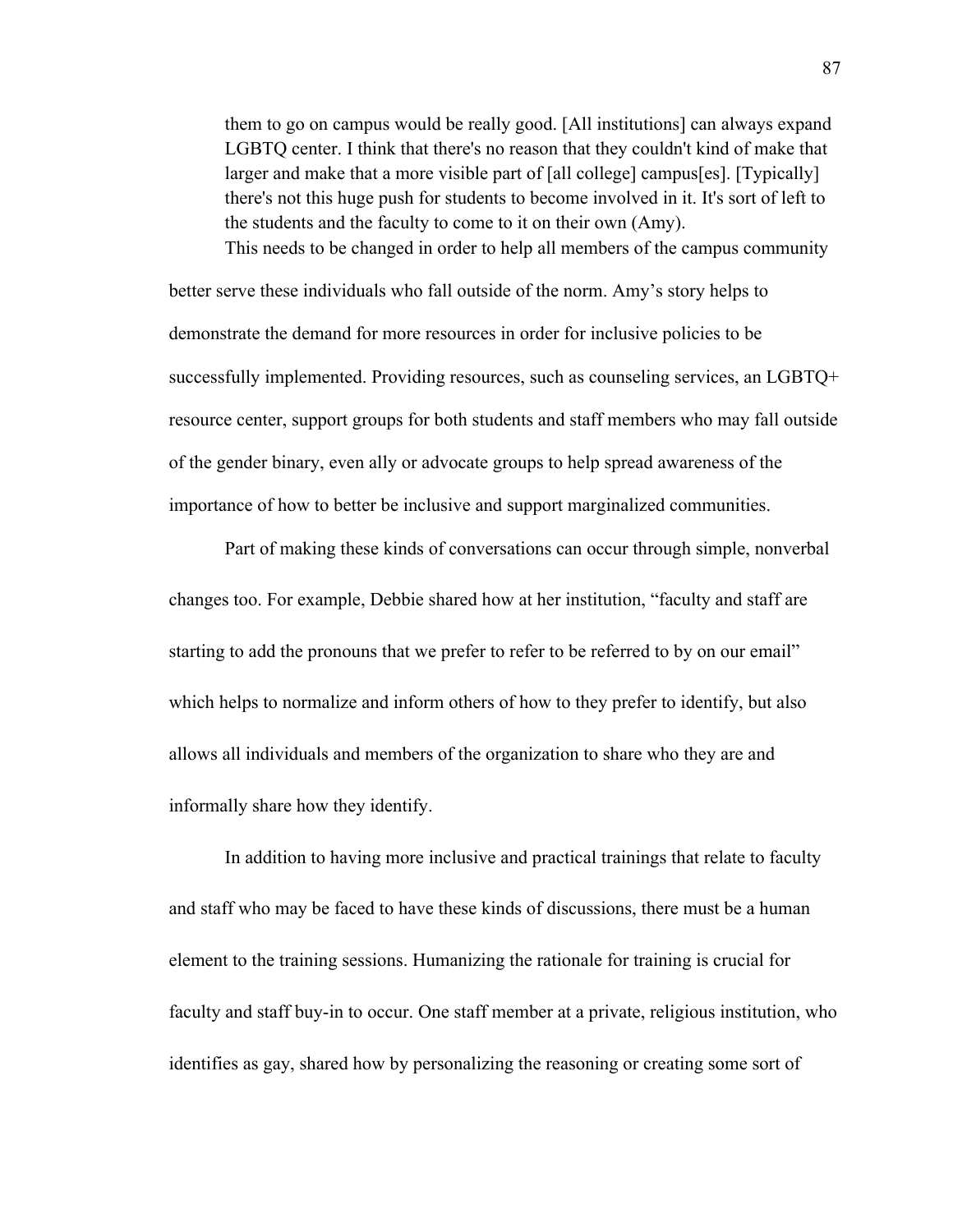them to go on campus would be really good. [All institutions] can always expand LGBTQ center. I think that there's no reason that they couldn't kind of make that larger and make that a more visible part of [all college] campus[es]. [Typically] there's not this huge push for students to become involved in it. It's sort of left to the students and the faculty to come to it on their own (Amy). This needs to be changed in order to help all members of the campus community

better serve these individuals who fall outside of the norm. Amy's story helps to demonstrate the demand for more resources in order for inclusive policies to be successfully implemented. Providing resources, such as counseling services, an LGBTQ+ resource center, support groups for both students and staff members who may fall outside of the gender binary, even ally or advocate groups to help spread awareness of the importance of how to better be inclusive and support marginalized communities.

Part of making these kinds of conversations can occur through simple, nonverbal changes too. For example, Debbie shared how at her institution, "faculty and staff are starting to add the pronouns that we prefer to refer to be referred to by on our email" which helps to normalize and inform others of how to they prefer to identify, but also allows all individuals and members of the organization to share who they are and informally share how they identify.

In addition to having more inclusive and practical trainings that relate to faculty and staff who may be faced to have these kinds of discussions, there must be a human element to the training sessions. Humanizing the rationale for training is crucial for faculty and staff buy-in to occur. One staff member at a private, religious institution, who identifies as gay, shared how by personalizing the reasoning or creating some sort of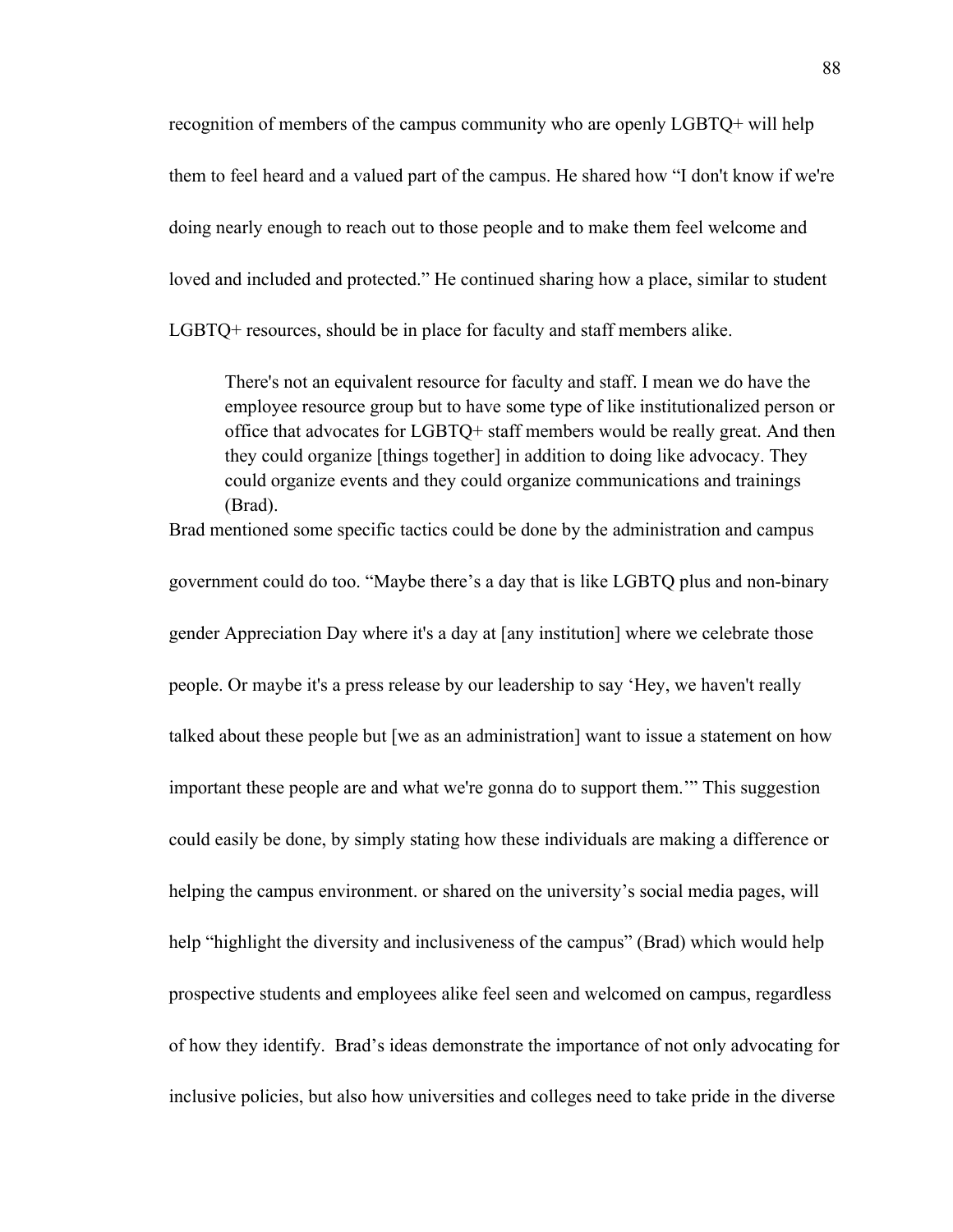recognition of members of the campus community who are openly LGBTQ+ will help them to feel heard and a valued part of the campus. He shared how "I don't know if we're doing nearly enough to reach out to those people and to make them feel welcome and loved and included and protected." He continued sharing how a place, similar to student LGBTQ+ resources, should be in place for faculty and staff members alike.

There's not an equivalent resource for faculty and staff. I mean we do have the employee resource group but to have some type of like institutionalized person or office that advocates for LGBTQ+ staff members would be really great. And then they could organize [things together] in addition to doing like advocacy. They could organize events and they could organize communications and trainings (Brad).

Brad mentioned some specific tactics could be done by the administration and campus

government could do too. "Maybe there's a day that is like LGBTQ plus and non-binary gender Appreciation Day where it's a day at [any institution] where we celebrate those people. Or maybe it's a press release by our leadership to say 'Hey, we haven't really talked about these people but [we as an administration] want to issue a statement on how important these people are and what we're gonna do to support them.'" This suggestion could easily be done, by simply stating how these individuals are making a difference or helping the campus environment. or shared on the university's social media pages, will help "highlight the diversity and inclusiveness of the campus" (Brad) which would help prospective students and employees alike feel seen and welcomed on campus, regardless of how they identify. Brad's ideas demonstrate the importance of not only advocating for inclusive policies, but also how universities and colleges need to take pride in the diverse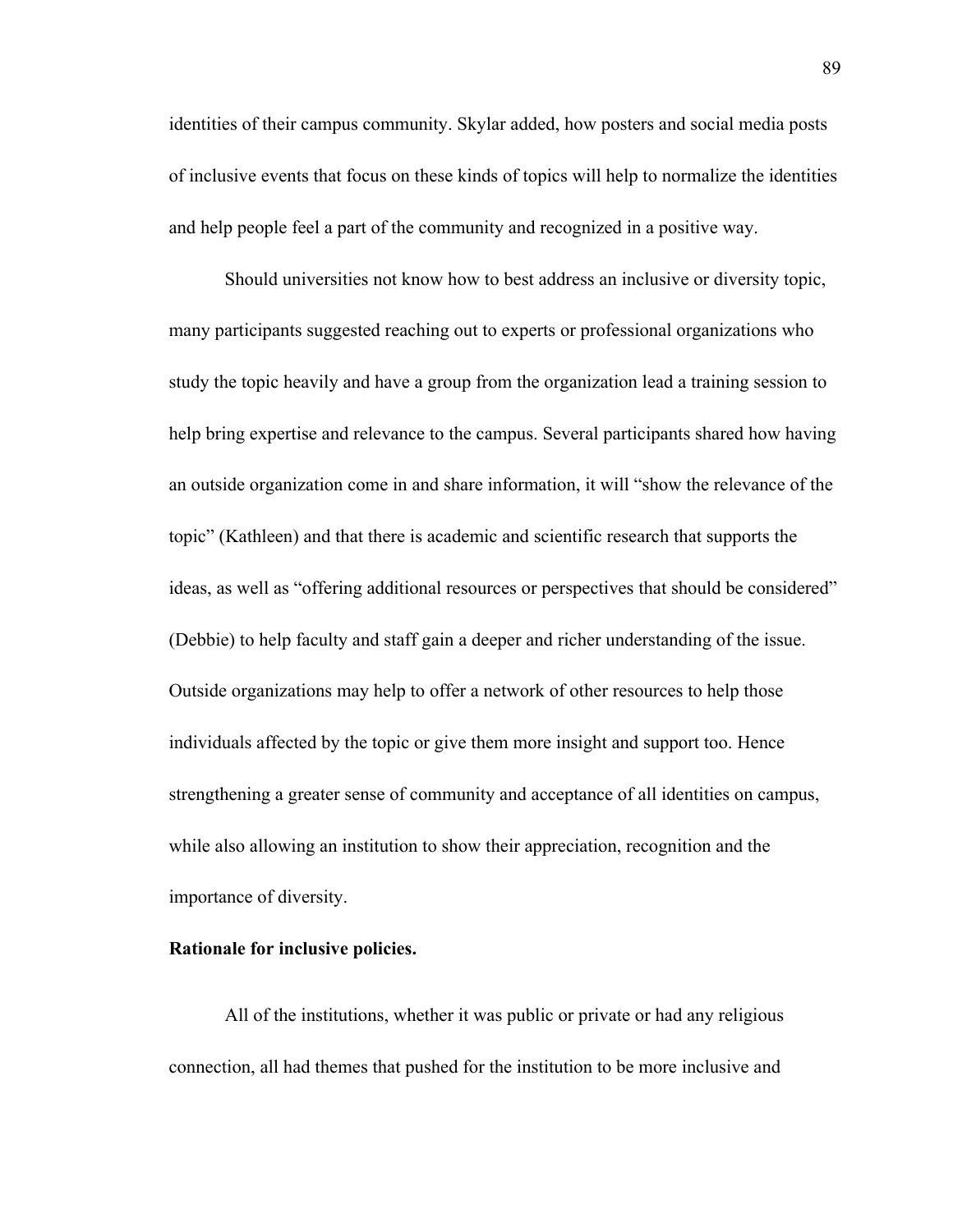identities of their campus community. Skylar added, how posters and social media posts of inclusive events that focus on these kinds of topics will help to normalize the identities and help people feel a part of the community and recognized in a positive way.

Should universities not know how to best address an inclusive or diversity topic, many participants suggested reaching out to experts or professional organizations who study the topic heavily and have a group from the organization lead a training session to help bring expertise and relevance to the campus. Several participants shared how having an outside organization come in and share information, it will "show the relevance of the topic" (Kathleen) and that there is academic and scientific research that supports the ideas, as well as "offering additional resources or perspectives that should be considered" (Debbie) to help faculty and staff gain a deeper and richer understanding of the issue. Outside organizations may help to offer a network of other resources to help those individuals affected by the topic or give them more insight and support too. Hence strengthening a greater sense of community and acceptance of all identities on campus, while also allowing an institution to show their appreciation, recognition and the importance of diversity.

# **Rationale for inclusive policies.**

All of the institutions, whether it was public or private or had any religious connection, all had themes that pushed for the institution to be more inclusive and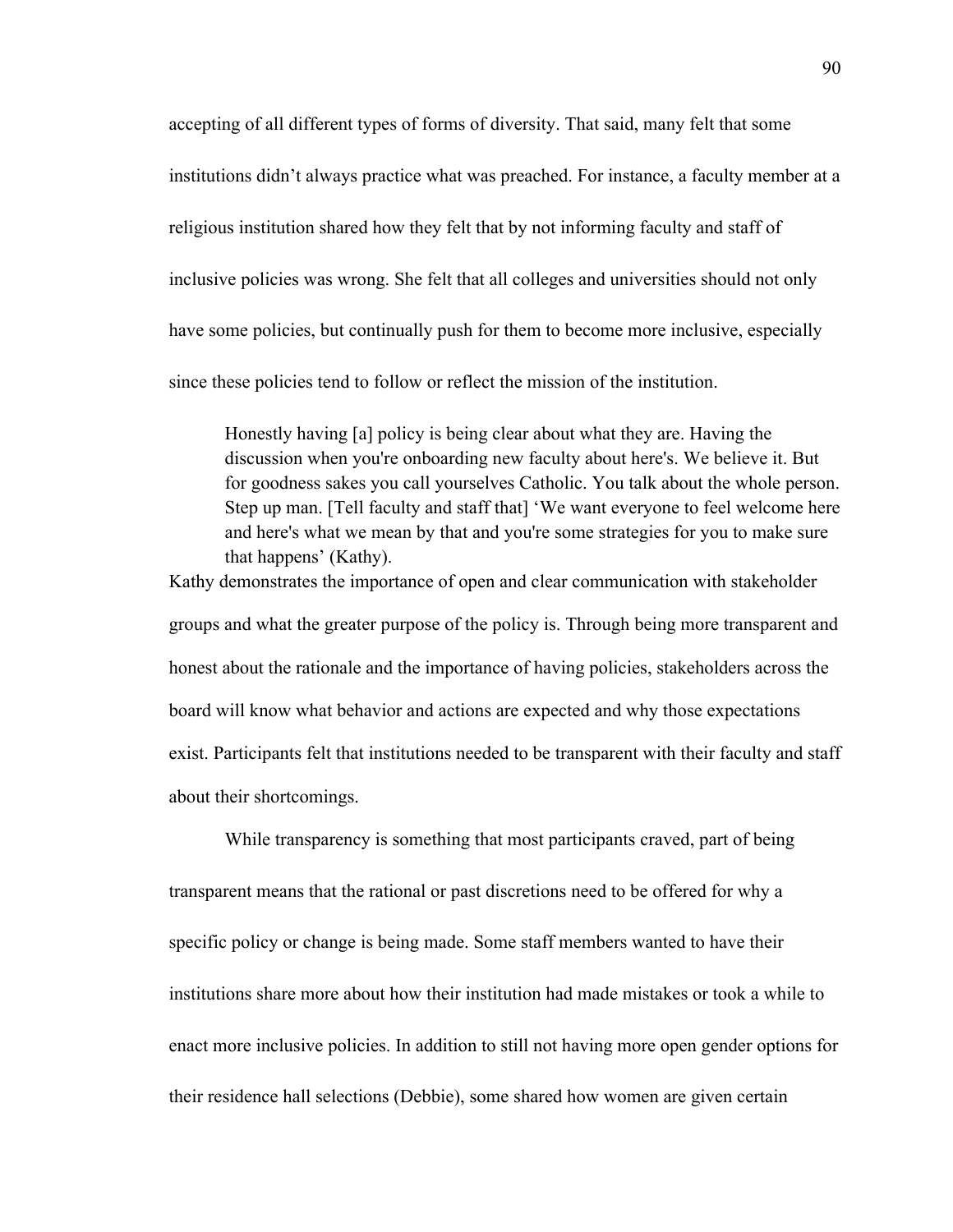accepting of all different types of forms of diversity. That said, many felt that some institutions didn't always practice what was preached. For instance, a faculty member at a religious institution shared how they felt that by not informing faculty and staff of inclusive policies was wrong. She felt that all colleges and universities should not only have some policies, but continually push for them to become more inclusive, especially since these policies tend to follow or reflect the mission of the institution.

Honestly having [a] policy is being clear about what they are. Having the discussion when you're onboarding new faculty about here's. We believe it. But for goodness sakes you call yourselves Catholic. You talk about the whole person. Step up man. [Tell faculty and staff that] 'We want everyone to feel welcome here and here's what we mean by that and you're some strategies for you to make sure that happens' (Kathy).

Kathy demonstrates the importance of open and clear communication with stakeholder groups and what the greater purpose of the policy is. Through being more transparent and honest about the rationale and the importance of having policies, stakeholders across the board will know what behavior and actions are expected and why those expectations exist. Participants felt that institutions needed to be transparent with their faculty and staff about their shortcomings.

While transparency is something that most participants craved, part of being transparent means that the rational or past discretions need to be offered for why a specific policy or change is being made. Some staff members wanted to have their institutions share more about how their institution had made mistakes or took a while to enact more inclusive policies. In addition to still not having more open gender options for their residence hall selections (Debbie), some shared how women are given certain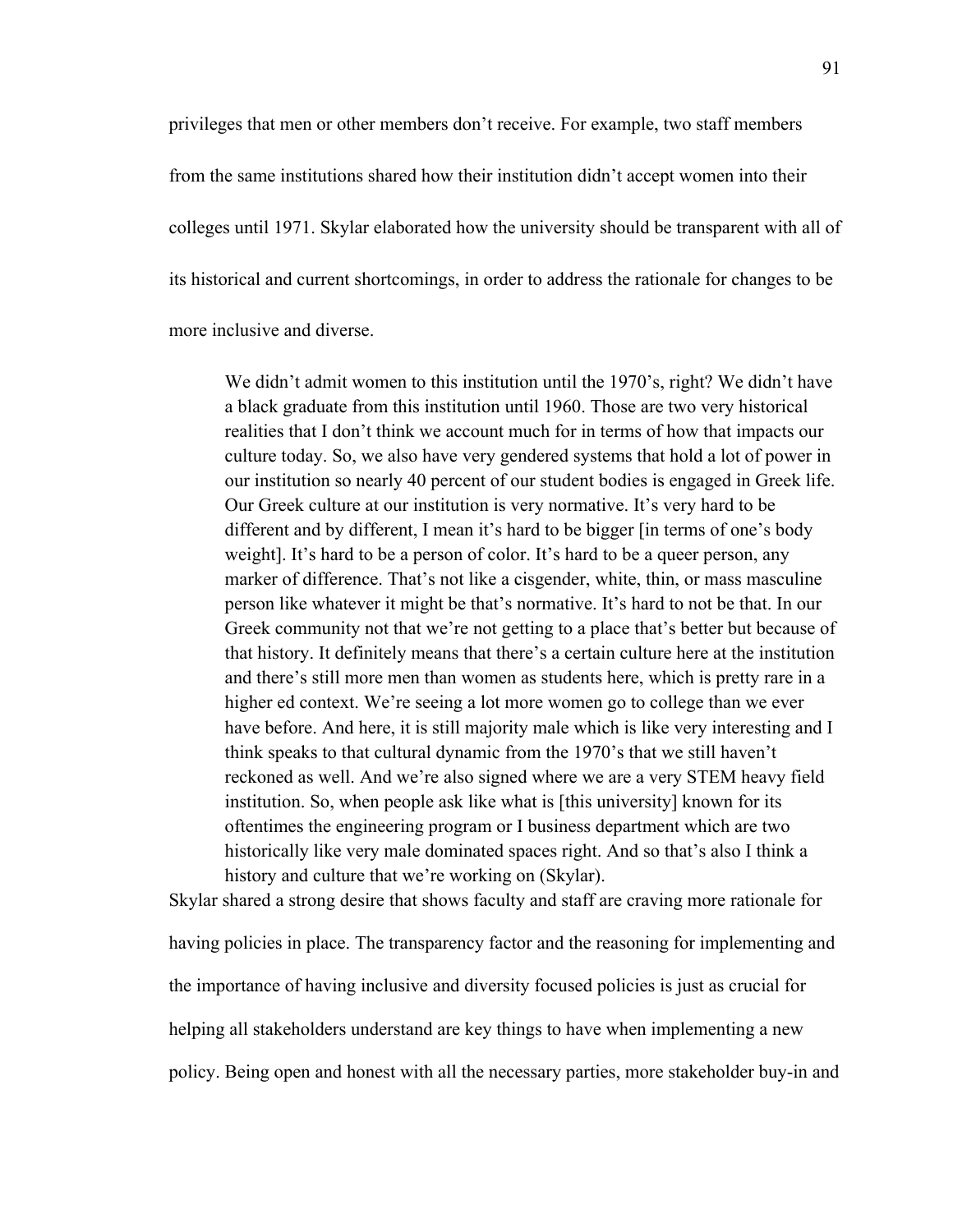privileges that men or other members don't receive. For example, two staff members from the same institutions shared how their institution didn't accept women into their colleges until 1971. Skylar elaborated how the university should be transparent with all of its historical and current shortcomings, in order to address the rationale for changes to be more inclusive and diverse.

We didn't admit women to this institution until the 1970's, right? We didn't have a black graduate from this institution until 1960. Those are two very historical realities that I don't think we account much for in terms of how that impacts our culture today. So, we also have very gendered systems that hold a lot of power in our institution so nearly 40 percent of our student bodies is engaged in Greek life. Our Greek culture at our institution is very normative. It's very hard to be different and by different, I mean it's hard to be bigger [in terms of one's body weight]. It's hard to be a person of color. It's hard to be a queer person, any marker of difference. That's not like a cisgender, white, thin, or mass masculine person like whatever it might be that's normative. It's hard to not be that. In our Greek community not that we're not getting to a place that's better but because of that history. It definitely means that there's a certain culture here at the institution and there's still more men than women as students here, which is pretty rare in a higher ed context. We're seeing a lot more women go to college than we ever have before. And here, it is still majority male which is like very interesting and I think speaks to that cultural dynamic from the 1970's that we still haven't reckoned as well. And we're also signed where we are a very STEM heavy field institution. So, when people ask like what is [this university] known for its oftentimes the engineering program or I business department which are two historically like very male dominated spaces right. And so that's also I think a history and culture that we're working on (Skylar).

Skylar shared a strong desire that shows faculty and staff are craving more rationale for having policies in place. The transparency factor and the reasoning for implementing and the importance of having inclusive and diversity focused policies is just as crucial for helping all stakeholders understand are key things to have when implementing a new policy. Being open and honest with all the necessary parties, more stakeholder buy-in and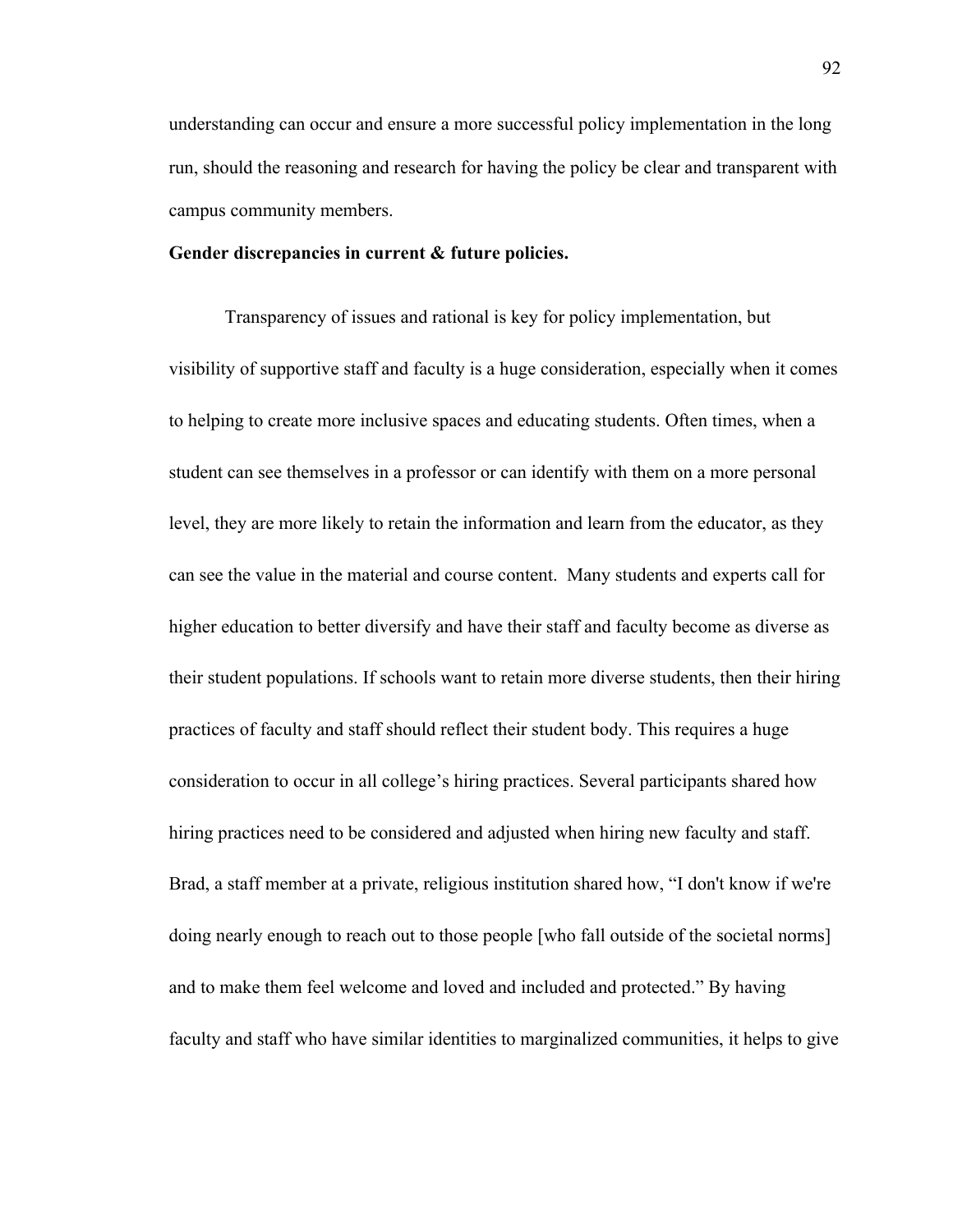understanding can occur and ensure a more successful policy implementation in the long run, should the reasoning and research for having the policy be clear and transparent with campus community members.

# **Gender discrepancies in current & future policies.**

Transparency of issues and rational is key for policy implementation, but visibility of supportive staff and faculty is a huge consideration, especially when it comes to helping to create more inclusive spaces and educating students. Often times, when a student can see themselves in a professor or can identify with them on a more personal level, they are more likely to retain the information and learn from the educator, as they can see the value in the material and course content. Many students and experts call for higher education to better diversify and have their staff and faculty become as diverse as their student populations. If schools want to retain more diverse students, then their hiring practices of faculty and staff should reflect their student body. This requires a huge consideration to occur in all college's hiring practices. Several participants shared how hiring practices need to be considered and adjusted when hiring new faculty and staff. Brad, a staff member at a private, religious institution shared how, "I don't know if we're doing nearly enough to reach out to those people [who fall outside of the societal norms] and to make them feel welcome and loved and included and protected." By having faculty and staff who have similar identities to marginalized communities, it helps to give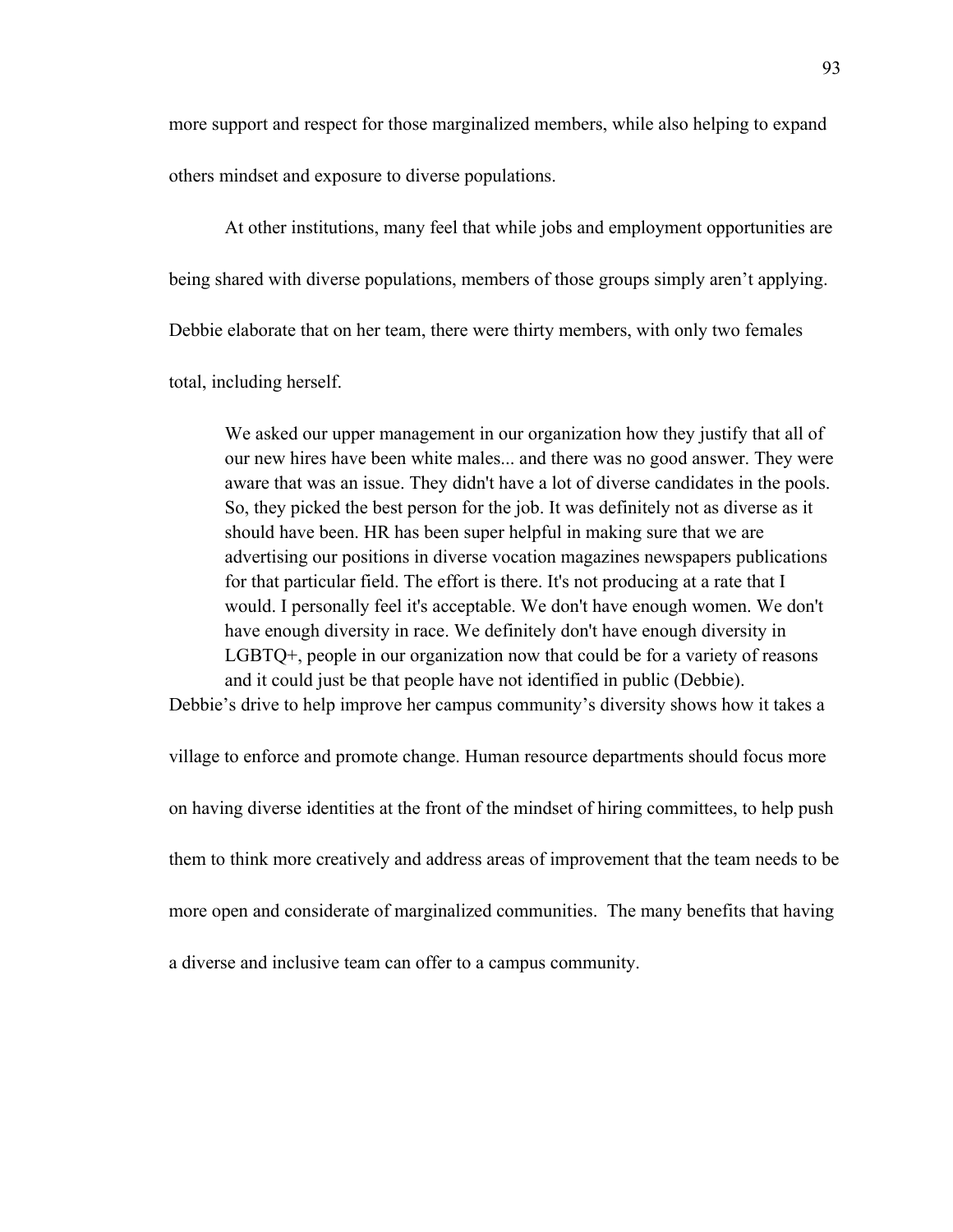more support and respect for those marginalized members, while also helping to expand others mindset and exposure to diverse populations.

At other institutions, many feel that while jobs and employment opportunities are being shared with diverse populations, members of those groups simply aren't applying. Debbie elaborate that on her team, there were thirty members, with only two females

total, including herself.

We asked our upper management in our organization how they justify that all of our new hires have been white males... and there was no good answer. They were aware that was an issue. They didn't have a lot of diverse candidates in the pools. So, they picked the best person for the job. It was definitely not as diverse as it should have been. HR has been super helpful in making sure that we are advertising our positions in diverse vocation magazines newspapers publications for that particular field. The effort is there. It's not producing at a rate that I would. I personally feel it's acceptable. We don't have enough women. We don't have enough diversity in race. We definitely don't have enough diversity in LGBTQ+, people in our organization now that could be for a variety of reasons and it could just be that people have not identified in public (Debbie).

Debbie's drive to help improve her campus community's diversity shows how it takes a

village to enforce and promote change. Human resource departments should focus more on having diverse identities at the front of the mindset of hiring committees, to help push them to think more creatively and address areas of improvement that the team needs to be more open and considerate of marginalized communities. The many benefits that having a diverse and inclusive team can offer to a campus community.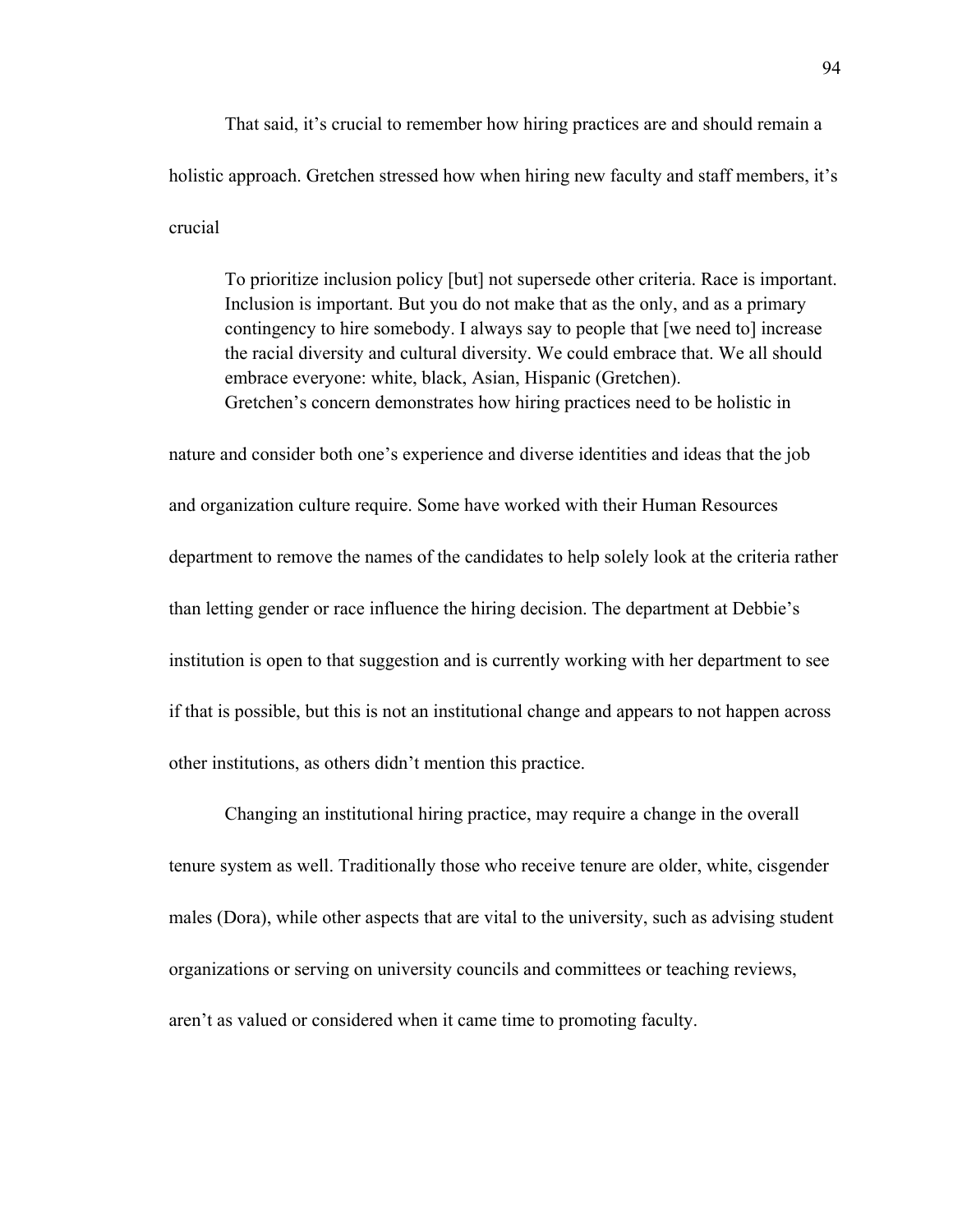That said, it's crucial to remember how hiring practices are and should remain a holistic approach. Gretchen stressed how when hiring new faculty and staff members, it's crucial

To prioritize inclusion policy [but] not supersede other criteria. Race is important. Inclusion is important. But you do not make that as the only, and as a primary contingency to hire somebody. I always say to people that [we need to] increase the racial diversity and cultural diversity. We could embrace that. We all should embrace everyone: white, black, Asian, Hispanic (Gretchen). Gretchen's concern demonstrates how hiring practices need to be holistic in

nature and consider both one's experience and diverse identities and ideas that the job and organization culture require. Some have worked with their Human Resources department to remove the names of the candidates to help solely look at the criteria rather than letting gender or race influence the hiring decision. The department at Debbie's institution is open to that suggestion and is currently working with her department to see if that is possible, but this is not an institutional change and appears to not happen across other institutions, as others didn't mention this practice.

Changing an institutional hiring practice, may require a change in the overall tenure system as well. Traditionally those who receive tenure are older, white, cisgender males (Dora), while other aspects that are vital to the university, such as advising student organizations or serving on university councils and committees or teaching reviews, aren't as valued or considered when it came time to promoting faculty.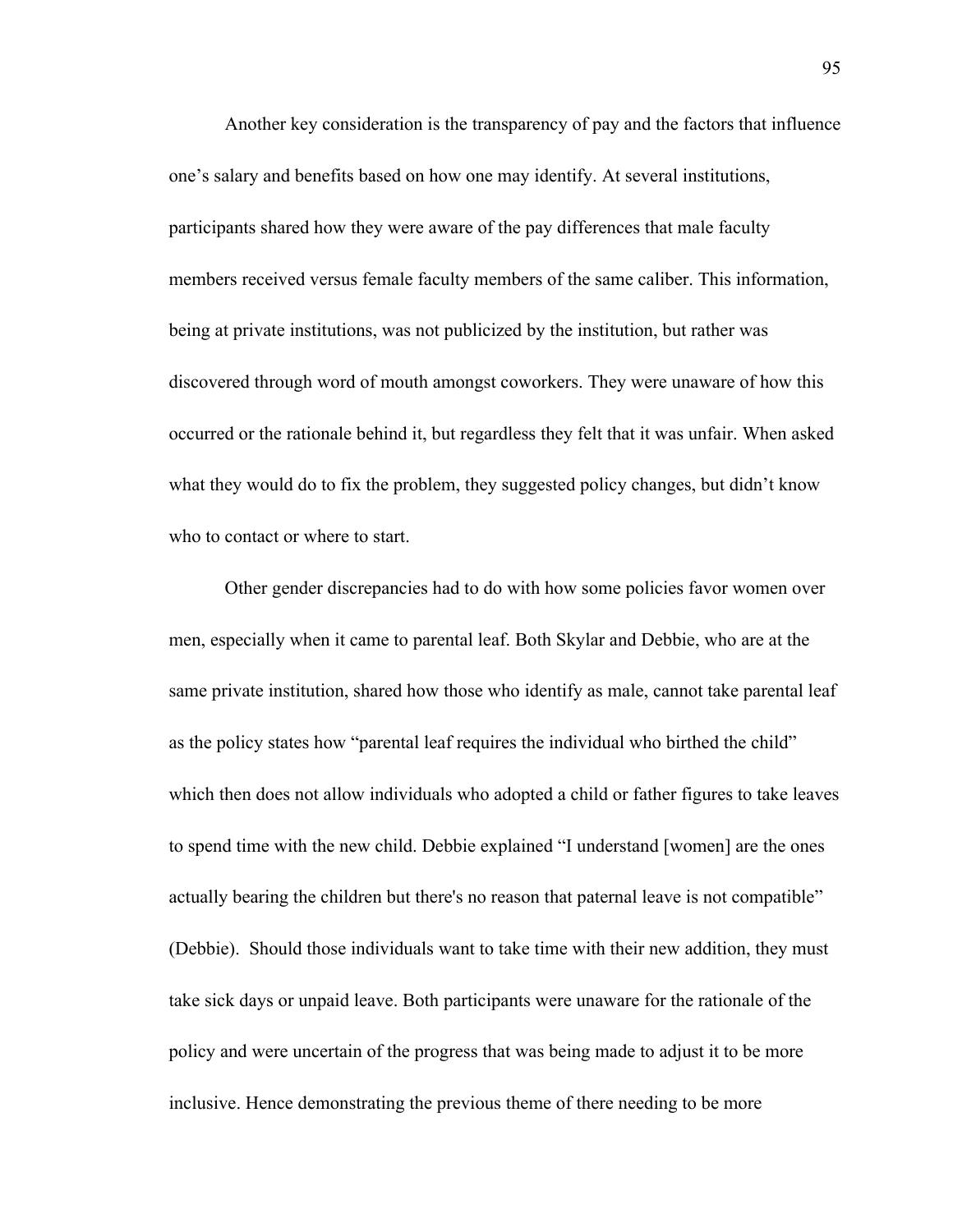Another key consideration is the transparency of pay and the factors that influence one's salary and benefits based on how one may identify. At several institutions, participants shared how they were aware of the pay differences that male faculty members received versus female faculty members of the same caliber. This information, being at private institutions, was not publicized by the institution, but rather was discovered through word of mouth amongst coworkers. They were unaware of how this occurred or the rationale behind it, but regardless they felt that it was unfair. When asked what they would do to fix the problem, they suggested policy changes, but didn't know who to contact or where to start.

Other gender discrepancies had to do with how some policies favor women over men, especially when it came to parental leaf. Both Skylar and Debbie, who are at the same private institution, shared how those who identify as male, cannot take parental leaf as the policy states how "parental leaf requires the individual who birthed the child" which then does not allow individuals who adopted a child or father figures to take leaves to spend time with the new child. Debbie explained "I understand [women] are the ones actually bearing the children but there's no reason that paternal leave is not compatible" (Debbie). Should those individuals want to take time with their new addition, they must take sick days or unpaid leave. Both participants were unaware for the rationale of the policy and were uncertain of the progress that was being made to adjust it to be more inclusive. Hence demonstrating the previous theme of there needing to be more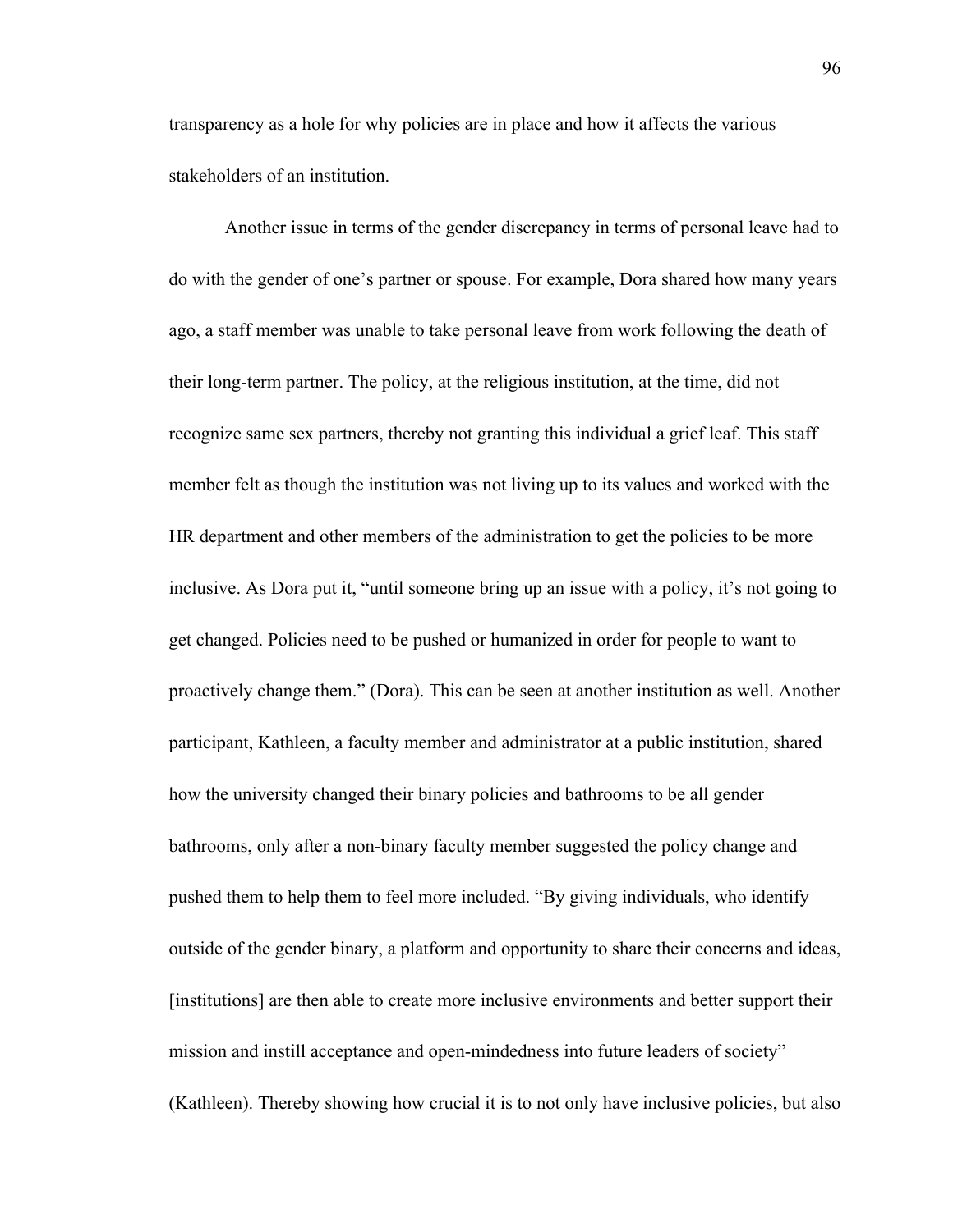transparency as a hole for why policies are in place and how it affects the various stakeholders of an institution.

Another issue in terms of the gender discrepancy in terms of personal leave had to do with the gender of one's partner or spouse. For example, Dora shared how many years ago, a staff member was unable to take personal leave from work following the death of their long-term partner. The policy, at the religious institution, at the time, did not recognize same sex partners, thereby not granting this individual a grief leaf. This staff member felt as though the institution was not living up to its values and worked with the HR department and other members of the administration to get the policies to be more inclusive. As Dora put it, "until someone bring up an issue with a policy, it's not going to get changed. Policies need to be pushed or humanized in order for people to want to proactively change them." (Dora). This can be seen at another institution as well. Another participant, Kathleen, a faculty member and administrator at a public institution, shared how the university changed their binary policies and bathrooms to be all gender bathrooms, only after a non-binary faculty member suggested the policy change and pushed them to help them to feel more included. "By giving individuals, who identify outside of the gender binary, a platform and opportunity to share their concerns and ideas, [institutions] are then able to create more inclusive environments and better support their mission and instill acceptance and open-mindedness into future leaders of society" (Kathleen). Thereby showing how crucial it is to not only have inclusive policies, but also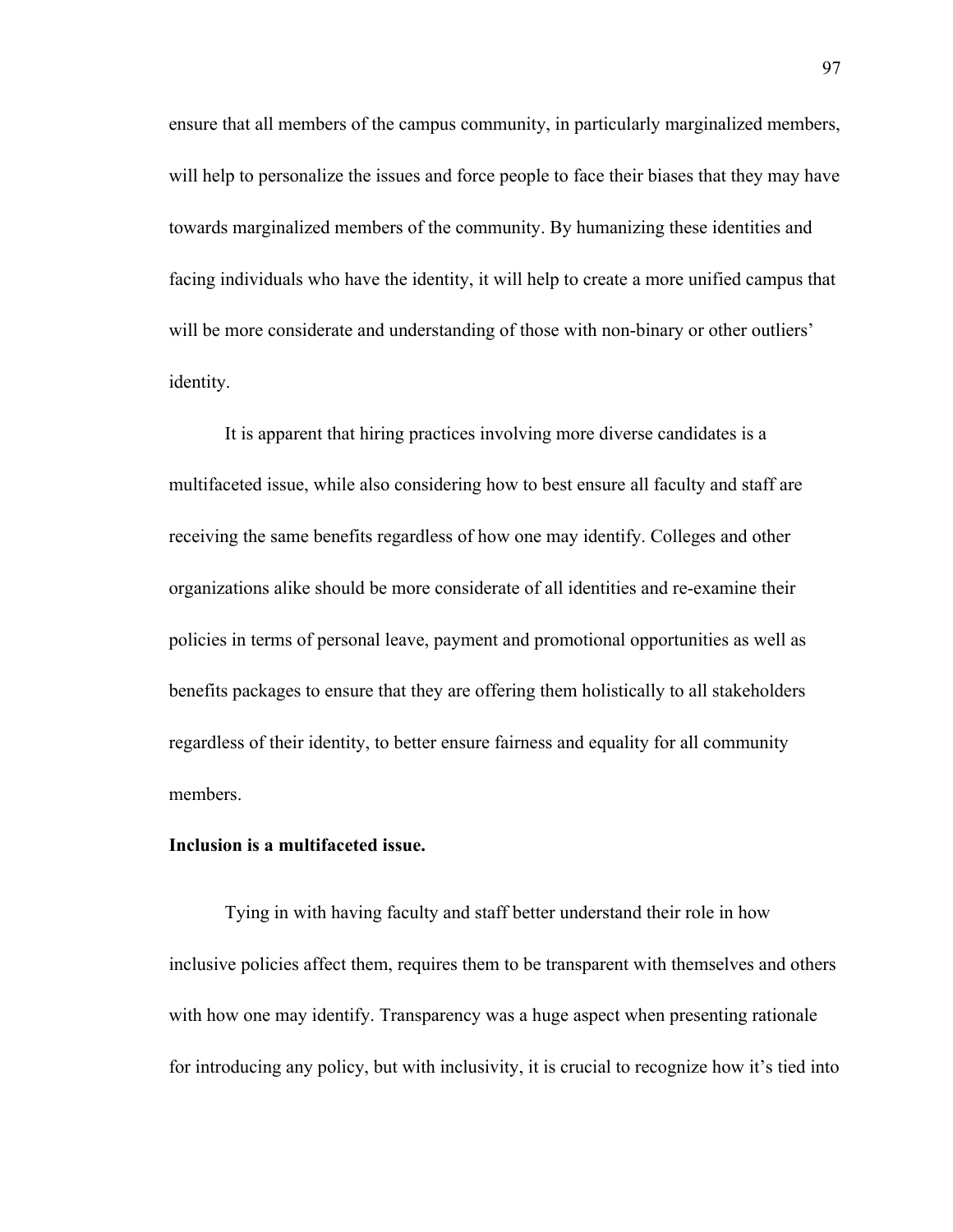ensure that all members of the campus community, in particularly marginalized members, will help to personalize the issues and force people to face their biases that they may have towards marginalized members of the community. By humanizing these identities and facing individuals who have the identity, it will help to create a more unified campus that will be more considerate and understanding of those with non-binary or other outliers' identity.

It is apparent that hiring practices involving more diverse candidates is a multifaceted issue, while also considering how to best ensure all faculty and staff are receiving the same benefits regardless of how one may identify. Colleges and other organizations alike should be more considerate of all identities and re-examine their policies in terms of personal leave, payment and promotional opportunities as well as benefits packages to ensure that they are offering them holistically to all stakeholders regardless of their identity, to better ensure fairness and equality for all community members.

### **Inclusion is a multifaceted issue.**

Tying in with having faculty and staff better understand their role in how inclusive policies affect them, requires them to be transparent with themselves and others with how one may identify. Transparency was a huge aspect when presenting rationale for introducing any policy, but with inclusivity, it is crucial to recognize how it's tied into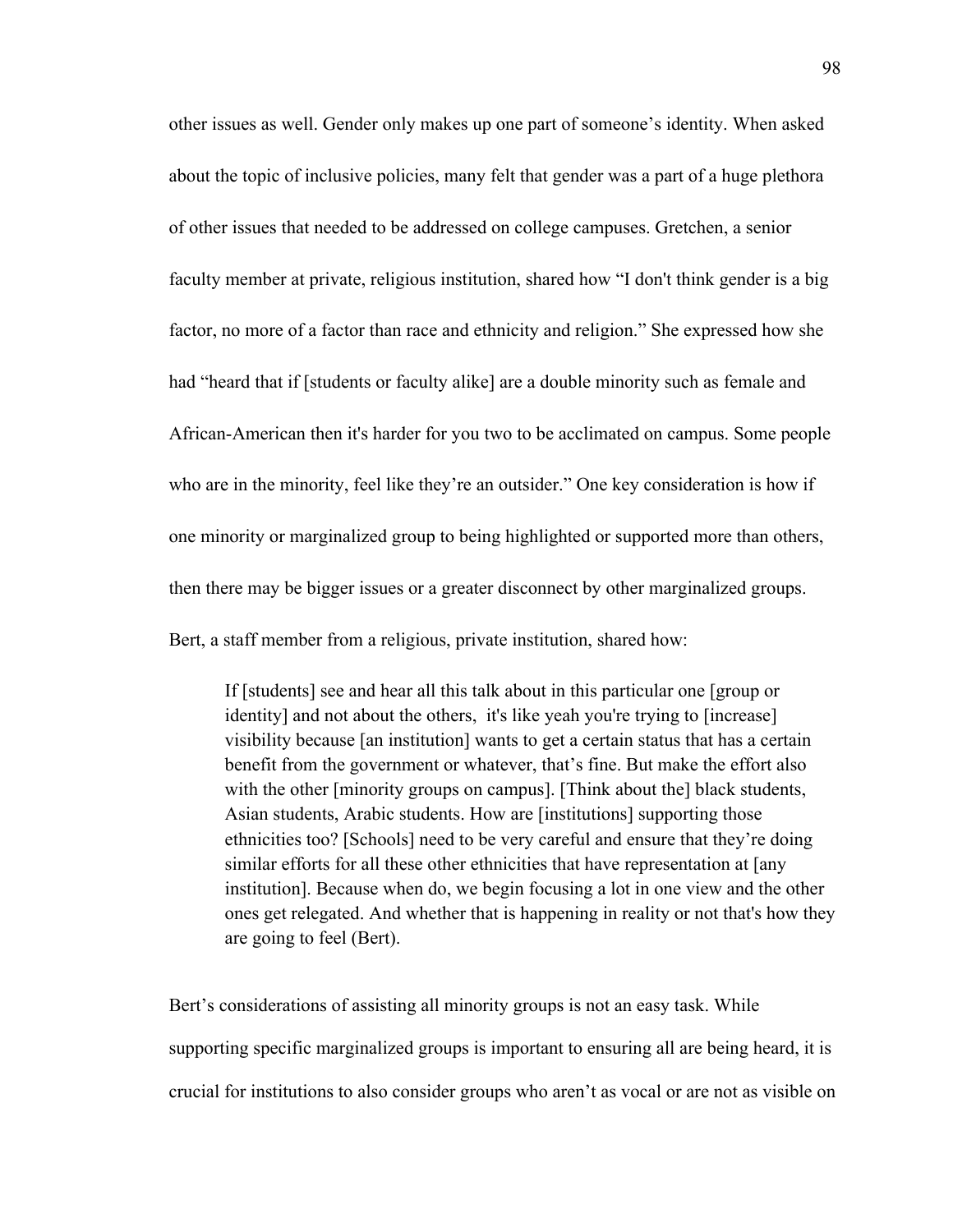other issues as well. Gender only makes up one part of someone's identity. When asked about the topic of inclusive policies, many felt that gender was a part of a huge plethora of other issues that needed to be addressed on college campuses. Gretchen, a senior faculty member at private, religious institution, shared how "I don't think gender is a big factor, no more of a factor than race and ethnicity and religion." She expressed how she had "heard that if [students or faculty alike] are a double minority such as female and African-American then it's harder for you two to be acclimated on campus. Some people who are in the minority, feel like they're an outsider." One key consideration is how if one minority or marginalized group to being highlighted or supported more than others, then there may be bigger issues or a greater disconnect by other marginalized groups. Bert, a staff member from a religious, private institution, shared how:

If [students] see and hear all this talk about in this particular one [group or identity] and not about the others, it's like yeah you're trying to [increase] visibility because [an institution] wants to get a certain status that has a certain benefit from the government or whatever, that's fine. But make the effort also with the other [minority groups on campus]. [Think about the] black students, Asian students, Arabic students. How are [institutions] supporting those ethnicities too? [Schools] need to be very careful and ensure that they're doing similar efforts for all these other ethnicities that have representation at [any institution]. Because when do, we begin focusing a lot in one view and the other ones get relegated. And whether that is happening in reality or not that's how they are going to feel (Bert).

Bert's considerations of assisting all minority groups is not an easy task. While supporting specific marginalized groups is important to ensuring all are being heard, it is crucial for institutions to also consider groups who aren't as vocal or are not as visible on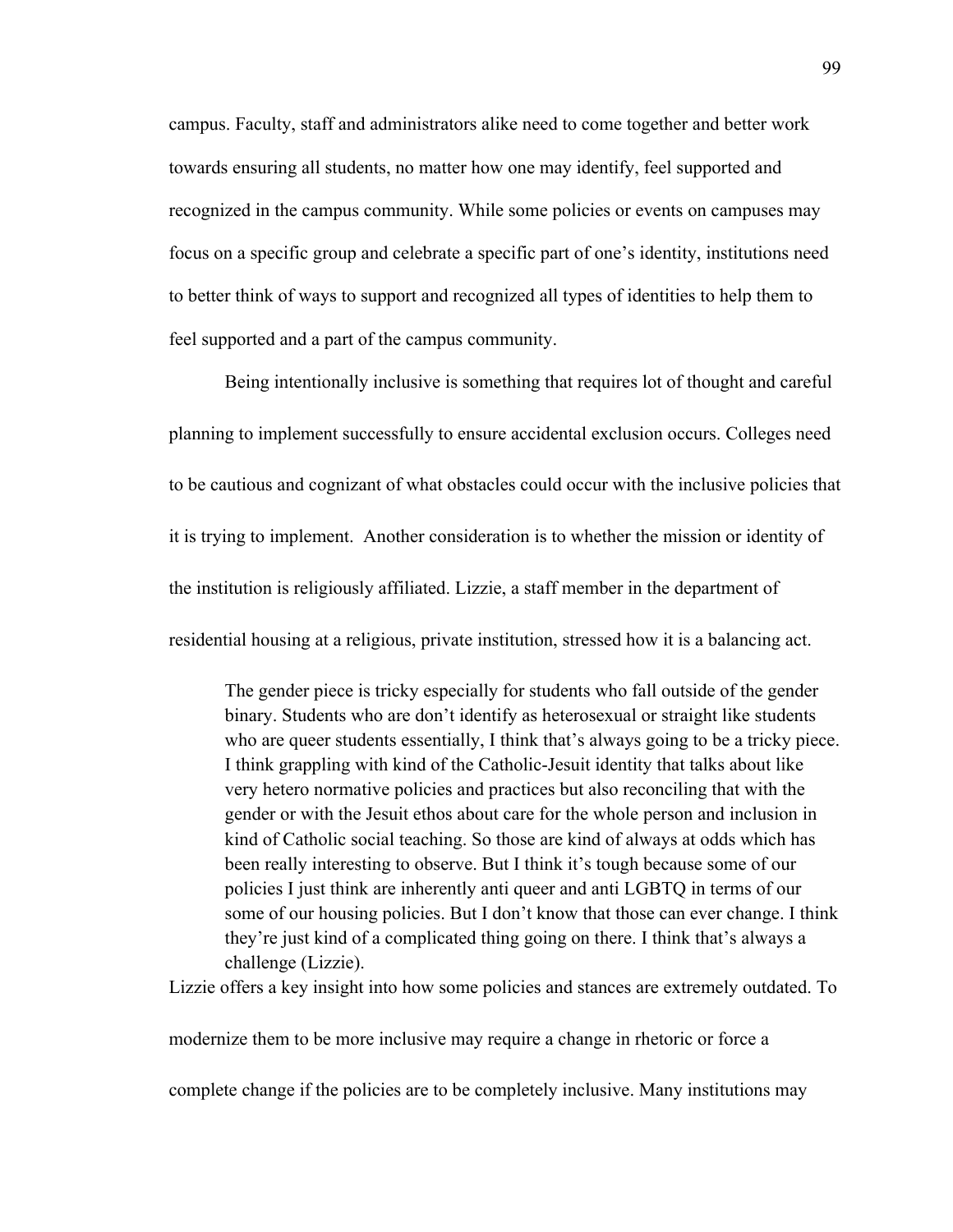campus. Faculty, staff and administrators alike need to come together and better work towards ensuring all students, no matter how one may identify, feel supported and recognized in the campus community. While some policies or events on campuses may focus on a specific group and celebrate a specific part of one's identity, institutions need to better think of ways to support and recognized all types of identities to help them to feel supported and a part of the campus community.

Being intentionally inclusive is something that requires lot of thought and careful planning to implement successfully to ensure accidental exclusion occurs. Colleges need to be cautious and cognizant of what obstacles could occur with the inclusive policies that it is trying to implement. Another consideration is to whether the mission or identity of the institution is religiously affiliated. Lizzie, a staff member in the department of residential housing at a religious, private institution, stressed how it is a balancing act.

The gender piece is tricky especially for students who fall outside of the gender binary. Students who are don't identify as heterosexual or straight like students who are queer students essentially, I think that's always going to be a tricky piece. I think grappling with kind of the Catholic-Jesuit identity that talks about like very hetero normative policies and practices but also reconciling that with the gender or with the Jesuit ethos about care for the whole person and inclusion in kind of Catholic social teaching. So those are kind of always at odds which has been really interesting to observe. But I think it's tough because some of our policies I just think are inherently anti queer and anti LGBTQ in terms of our some of our housing policies. But I don't know that those can ever change. I think they're just kind of a complicated thing going on there. I think that's always a challenge (Lizzie).

Lizzie offers a key insight into how some policies and stances are extremely outdated. To

modernize them to be more inclusive may require a change in rhetoric or force a

complete change if the policies are to be completely inclusive. Many institutions may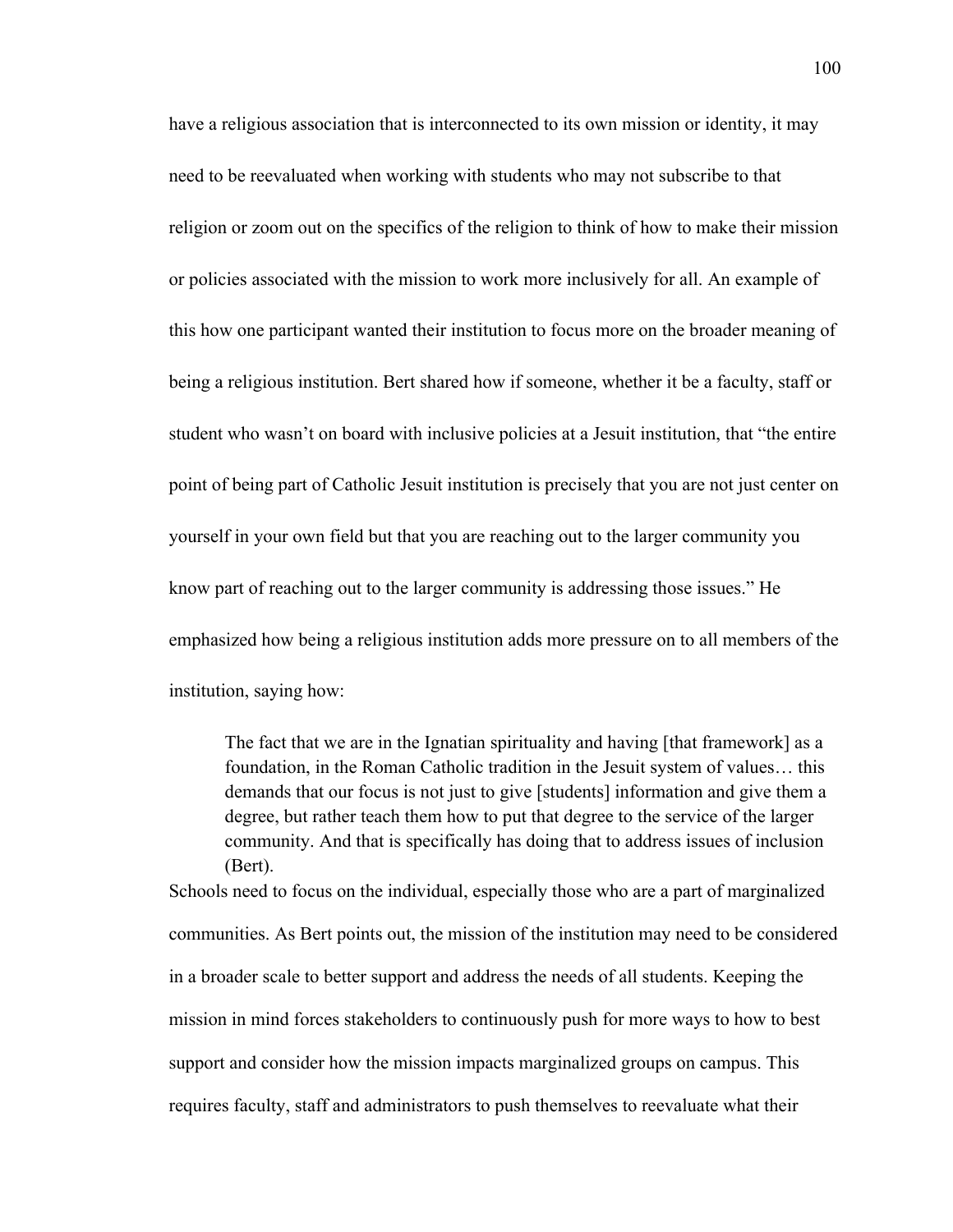have a religious association that is interconnected to its own mission or identity, it may need to be reevaluated when working with students who may not subscribe to that religion or zoom out on the specifics of the religion to think of how to make their mission or policies associated with the mission to work more inclusively for all. An example of this how one participant wanted their institution to focus more on the broader meaning of being a religious institution. Bert shared how if someone, whether it be a faculty, staff or student who wasn't on board with inclusive policies at a Jesuit institution, that "the entire point of being part of Catholic Jesuit institution is precisely that you are not just center on yourself in your own field but that you are reaching out to the larger community you know part of reaching out to the larger community is addressing those issues." He emphasized how being a religious institution adds more pressure on to all members of the institution, saying how:

The fact that we are in the Ignatian spirituality and having [that framework] as a foundation, in the Roman Catholic tradition in the Jesuit system of values… this demands that our focus is not just to give [students] information and give them a degree, but rather teach them how to put that degree to the service of the larger community. And that is specifically has doing that to address issues of inclusion (Bert).

Schools need to focus on the individual, especially those who are a part of marginalized communities. As Bert points out, the mission of the institution may need to be considered in a broader scale to better support and address the needs of all students. Keeping the mission in mind forces stakeholders to continuously push for more ways to how to best support and consider how the mission impacts marginalized groups on campus. This requires faculty, staff and administrators to push themselves to reevaluate what their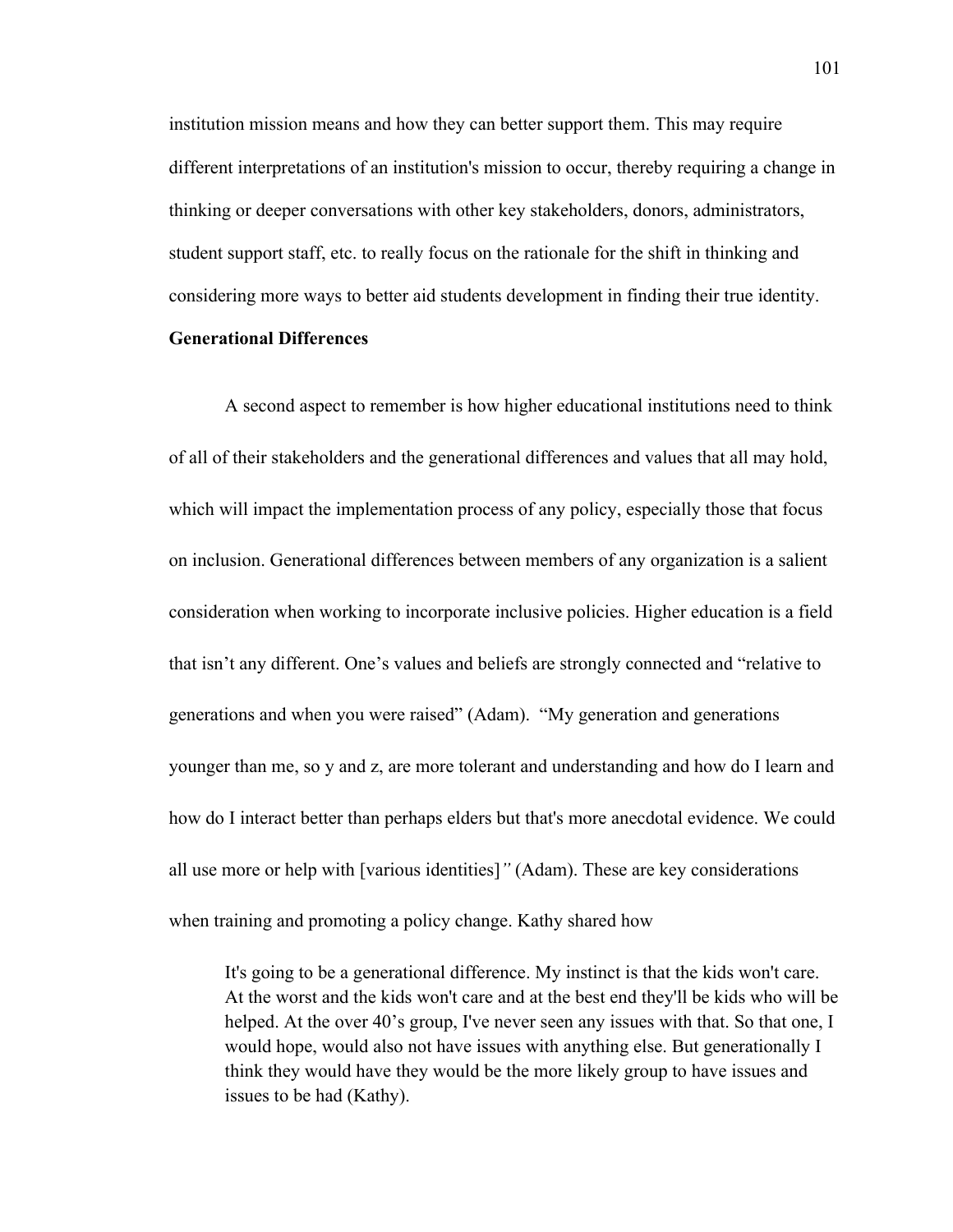institution mission means and how they can better support them. This may require different interpretations of an institution's mission to occur, thereby requiring a change in thinking or deeper conversations with other key stakeholders, donors, administrators, student support staff, etc. to really focus on the rationale for the shift in thinking and considering more ways to better aid students development in finding their true identity.

# **Generational Differences**

A second aspect to remember is how higher educational institutions need to think of all of their stakeholders and the generational differences and values that all may hold, which will impact the implementation process of any policy, especially those that focus on inclusion. Generational differences between members of any organization is a salient consideration when working to incorporate inclusive policies. Higher education is a field that isn't any different. One's values and beliefs are strongly connected and "relative to generations and when you were raised" (Adam). "My generation and generations younger than me, so y and z, are more tolerant and understanding and how do I learn and how do I interact better than perhaps elders but that's more anecdotal evidence. We could all use more or help with [various identities]*"* (Adam). These are key considerations when training and promoting a policy change. Kathy shared how

It's going to be a generational difference. My instinct is that the kids won't care. At the worst and the kids won't care and at the best end they'll be kids who will be helped. At the over 40's group, I've never seen any issues with that. So that one, I would hope, would also not have issues with anything else. But generationally I think they would have they would be the more likely group to have issues and issues to be had (Kathy).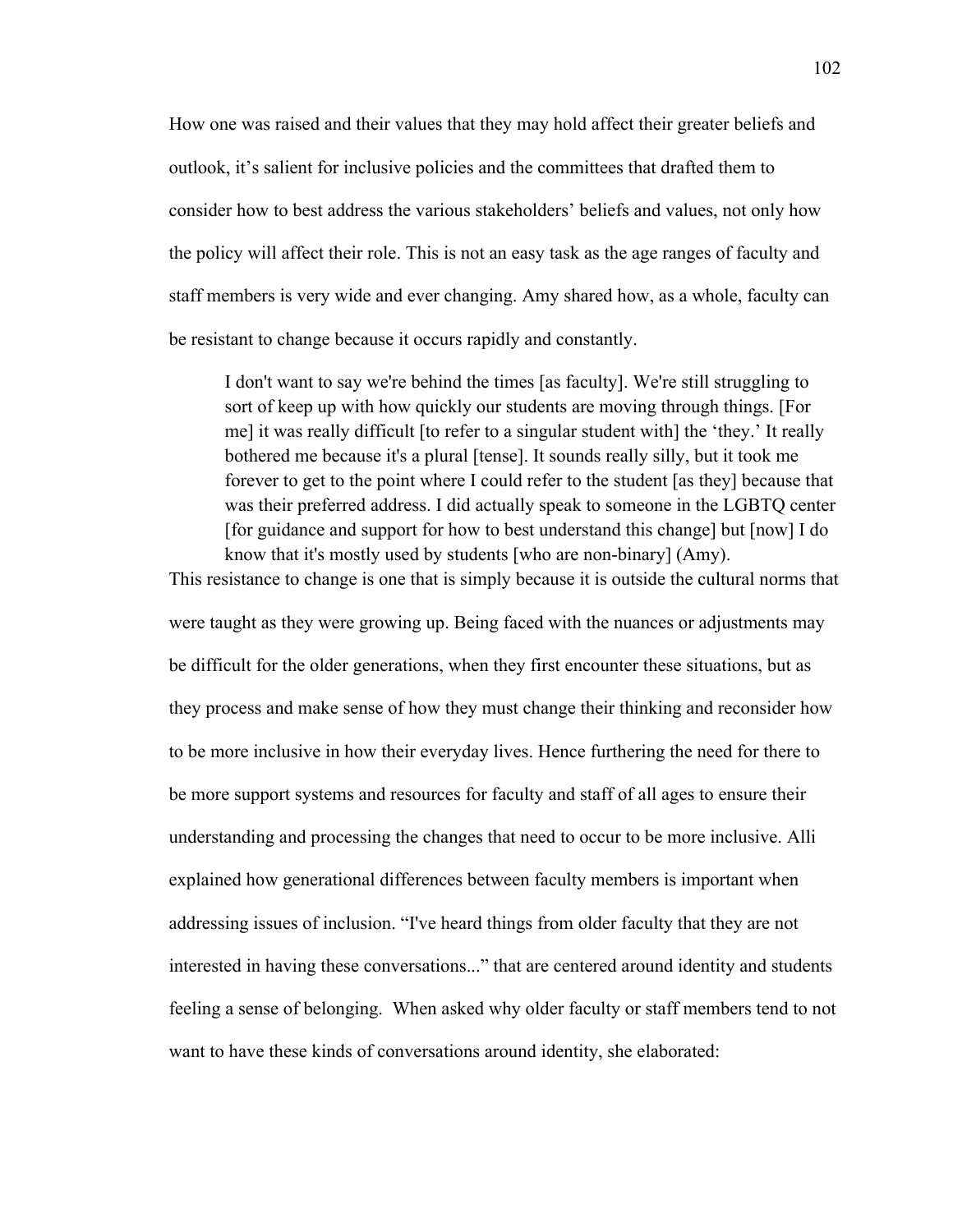How one was raised and their values that they may hold affect their greater beliefs and outlook, it's salient for inclusive policies and the committees that drafted them to consider how to best address the various stakeholders' beliefs and values, not only how the policy will affect their role. This is not an easy task as the age ranges of faculty and staff members is very wide and ever changing. Amy shared how, as a whole, faculty can be resistant to change because it occurs rapidly and constantly.

I don't want to say we're behind the times [as faculty]. We're still struggling to sort of keep up with how quickly our students are moving through things. [For me] it was really difficult [to refer to a singular student with] the 'they.' It really bothered me because it's a plural [tense]. It sounds really silly, but it took me forever to get to the point where I could refer to the student [as they] because that was their preferred address. I did actually speak to someone in the LGBTQ center [for guidance and support for how to best understand this change] but [now] I do know that it's mostly used by students [who are non-binary] (Amy).

This resistance to change is one that is simply because it is outside the cultural norms that

were taught as they were growing up. Being faced with the nuances or adjustments may be difficult for the older generations, when they first encounter these situations, but as they process and make sense of how they must change their thinking and reconsider how to be more inclusive in how their everyday lives. Hence furthering the need for there to be more support systems and resources for faculty and staff of all ages to ensure their understanding and processing the changes that need to occur to be more inclusive. Alli explained how generational differences between faculty members is important when addressing issues of inclusion. "I've heard things from older faculty that they are not interested in having these conversations..." that are centered around identity and students feeling a sense of belonging. When asked why older faculty or staff members tend to not want to have these kinds of conversations around identity, she elaborated: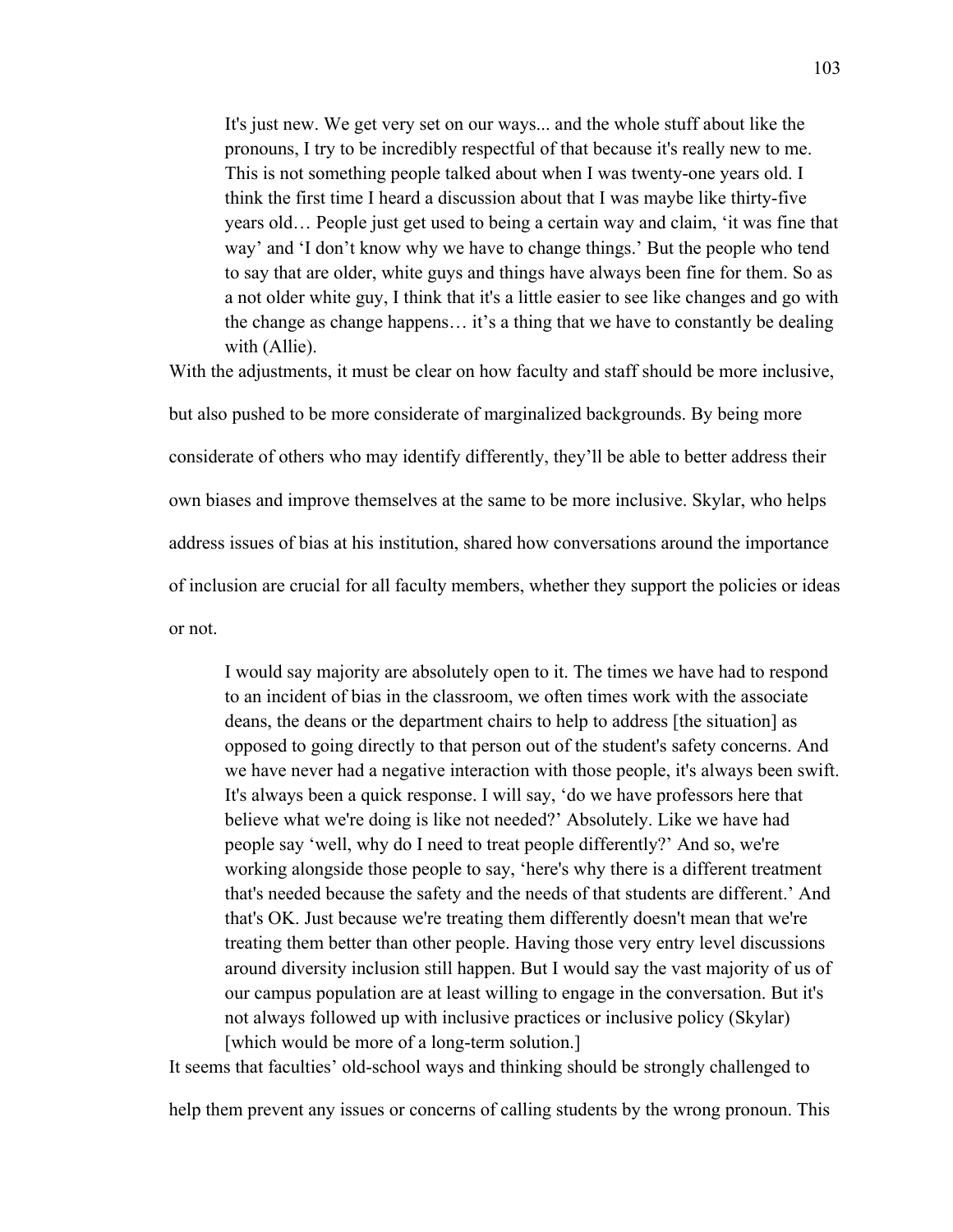It's just new. We get very set on our ways... and the whole stuff about like the pronouns, I try to be incredibly respectful of that because it's really new to me. This is not something people talked about when I was twenty-one years old. I think the first time I heard a discussion about that I was maybe like thirty-five years old… People just get used to being a certain way and claim, 'it was fine that way' and 'I don't know why we have to change things.' But the people who tend to say that are older, white guys and things have always been fine for them. So as a not older white guy, I think that it's a little easier to see like changes and go with the change as change happens… it's a thing that we have to constantly be dealing with (Allie).

With the adjustments, it must be clear on how faculty and staff should be more inclusive,

but also pushed to be more considerate of marginalized backgrounds. By being more considerate of others who may identify differently, they'll be able to better address their own biases and improve themselves at the same to be more inclusive. Skylar, who helps address issues of bias at his institution, shared how conversations around the importance of inclusion are crucial for all faculty members, whether they support the policies or ideas or not.

I would say majority are absolutely open to it. The times we have had to respond to an incident of bias in the classroom, we often times work with the associate deans, the deans or the department chairs to help to address [the situation] as opposed to going directly to that person out of the student's safety concerns. And we have never had a negative interaction with those people, it's always been swift. It's always been a quick response. I will say, 'do we have professors here that believe what we're doing is like not needed?' Absolutely. Like we have had people say 'well, why do I need to treat people differently?' And so, we're working alongside those people to say, 'here's why there is a different treatment that's needed because the safety and the needs of that students are different.' And that's OK. Just because we're treating them differently doesn't mean that we're treating them better than other people. Having those very entry level discussions around diversity inclusion still happen. But I would say the vast majority of us of our campus population are at least willing to engage in the conversation. But it's not always followed up with inclusive practices or inclusive policy (Skylar) [which would be more of a long-term solution.]

It seems that faculties' old-school ways and thinking should be strongly challenged to

help them prevent any issues or concerns of calling students by the wrong pronoun. This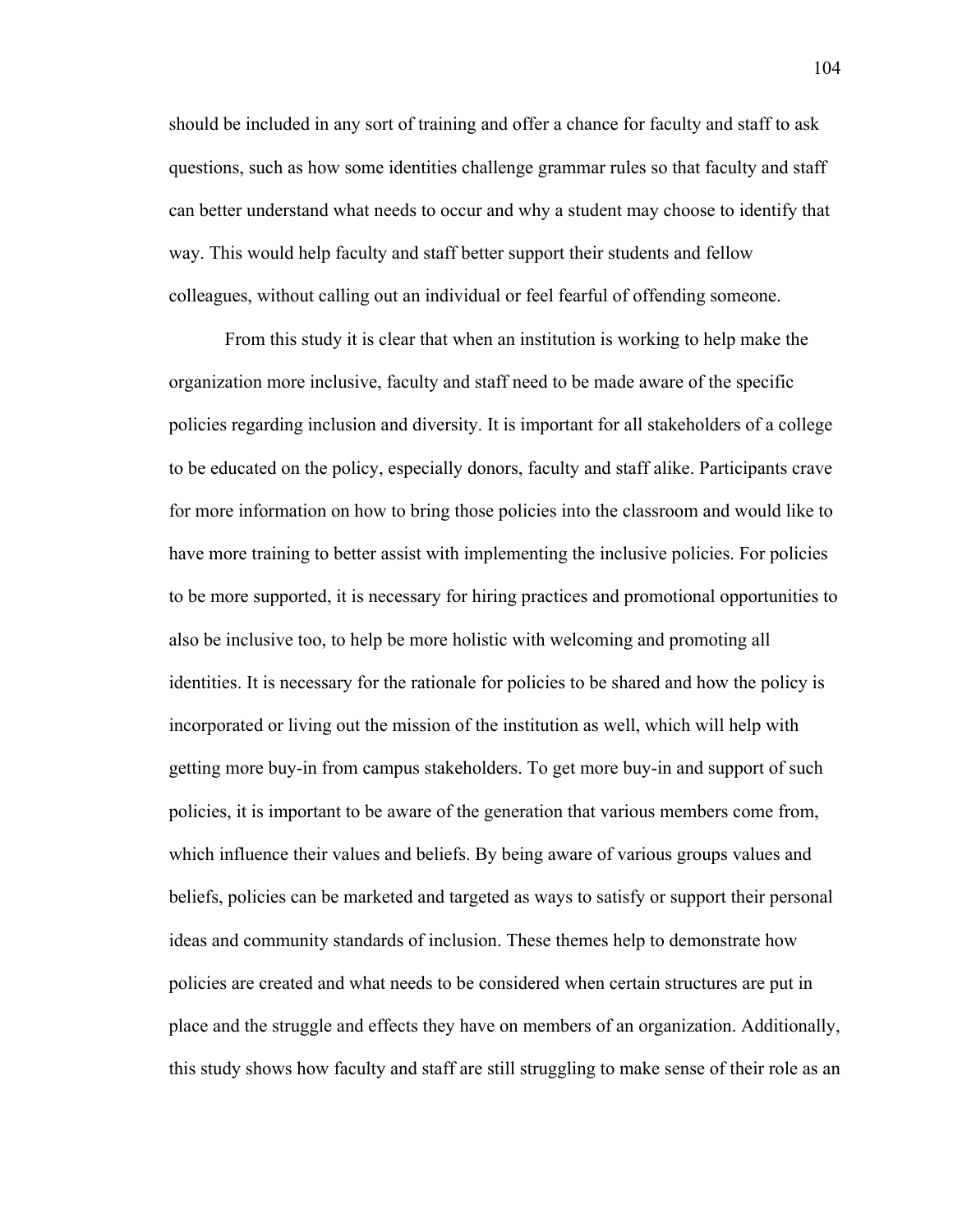should be included in any sort of training and offer a chance for faculty and staff to ask questions, such as how some identities challenge grammar rules so that faculty and staff can better understand what needs to occur and why a student may choose to identify that way. This would help faculty and staff better support their students and fellow colleagues, without calling out an individual or feel fearful of offending someone.

From this study it is clear that when an institution is working to help make the organization more inclusive, faculty and staff need to be made aware of the specific policies regarding inclusion and diversity. It is important for all stakeholders of a college to be educated on the policy, especially donors, faculty and staff alike. Participants crave for more information on how to bring those policies into the classroom and would like to have more training to better assist with implementing the inclusive policies. For policies to be more supported, it is necessary for hiring practices and promotional opportunities to also be inclusive too, to help be more holistic with welcoming and promoting all identities. It is necessary for the rationale for policies to be shared and how the policy is incorporated or living out the mission of the institution as well, which will help with getting more buy-in from campus stakeholders. To get more buy-in and support of such policies, it is important to be aware of the generation that various members come from, which influence their values and beliefs. By being aware of various groups values and beliefs, policies can be marketed and targeted as ways to satisfy or support their personal ideas and community standards of inclusion. These themes help to demonstrate how policies are created and what needs to be considered when certain structures are put in place and the struggle and effects they have on members of an organization. Additionally, this study shows how faculty and staff are still struggling to make sense of their role as an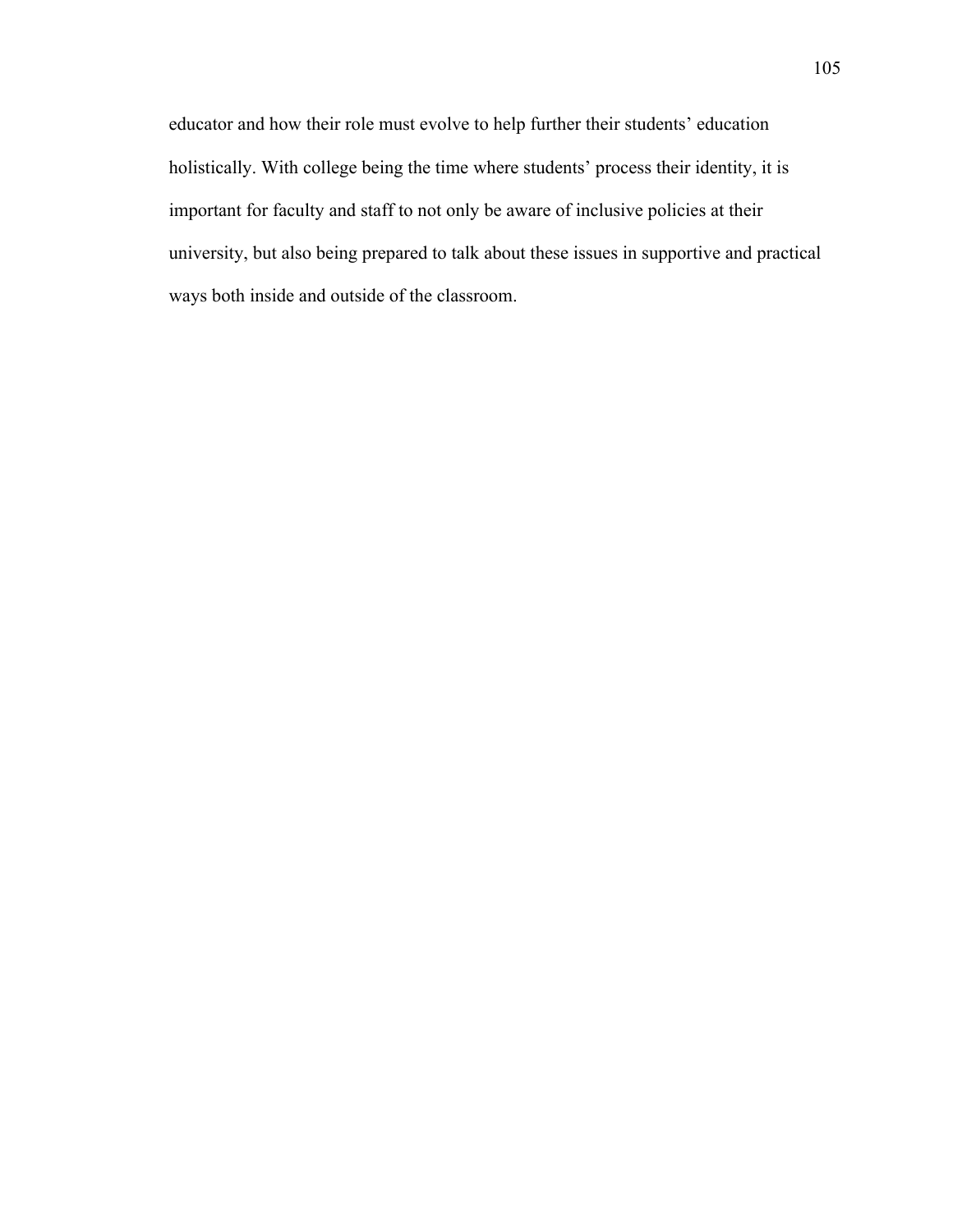educator and how their role must evolve to help further their students' education holistically. With college being the time where students' process their identity, it is important for faculty and staff to not only be aware of inclusive policies at their university, but also being prepared to talk about these issues in supportive and practical ways both inside and outside of the classroom.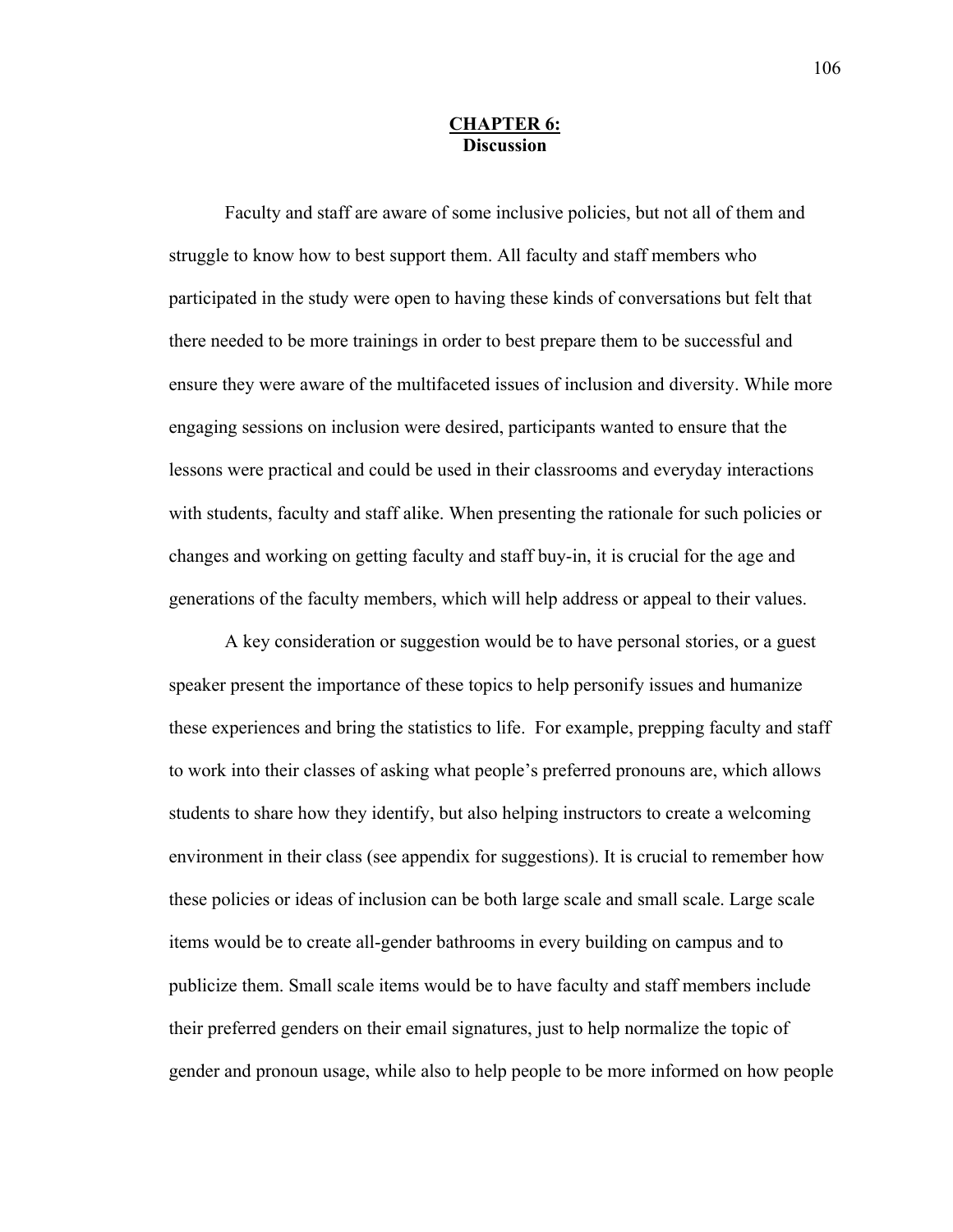## **CHAPTER 6: Discussion**

Faculty and staff are aware of some inclusive policies, but not all of them and struggle to know how to best support them. All faculty and staff members who participated in the study were open to having these kinds of conversations but felt that there needed to be more trainings in order to best prepare them to be successful and ensure they were aware of the multifaceted issues of inclusion and diversity. While more engaging sessions on inclusion were desired, participants wanted to ensure that the lessons were practical and could be used in their classrooms and everyday interactions with students, faculty and staff alike. When presenting the rationale for such policies or changes and working on getting faculty and staff buy-in, it is crucial for the age and generations of the faculty members, which will help address or appeal to their values.

A key consideration or suggestion would be to have personal stories, or a guest speaker present the importance of these topics to help personify issues and humanize these experiences and bring the statistics to life. For example, prepping faculty and staff to work into their classes of asking what people's preferred pronouns are, which allows students to share how they identify, but also helping instructors to create a welcoming environment in their class (see appendix for suggestions). It is crucial to remember how these policies or ideas of inclusion can be both large scale and small scale. Large scale items would be to create all-gender bathrooms in every building on campus and to publicize them. Small scale items would be to have faculty and staff members include their preferred genders on their email signatures, just to help normalize the topic of gender and pronoun usage, while also to help people to be more informed on how people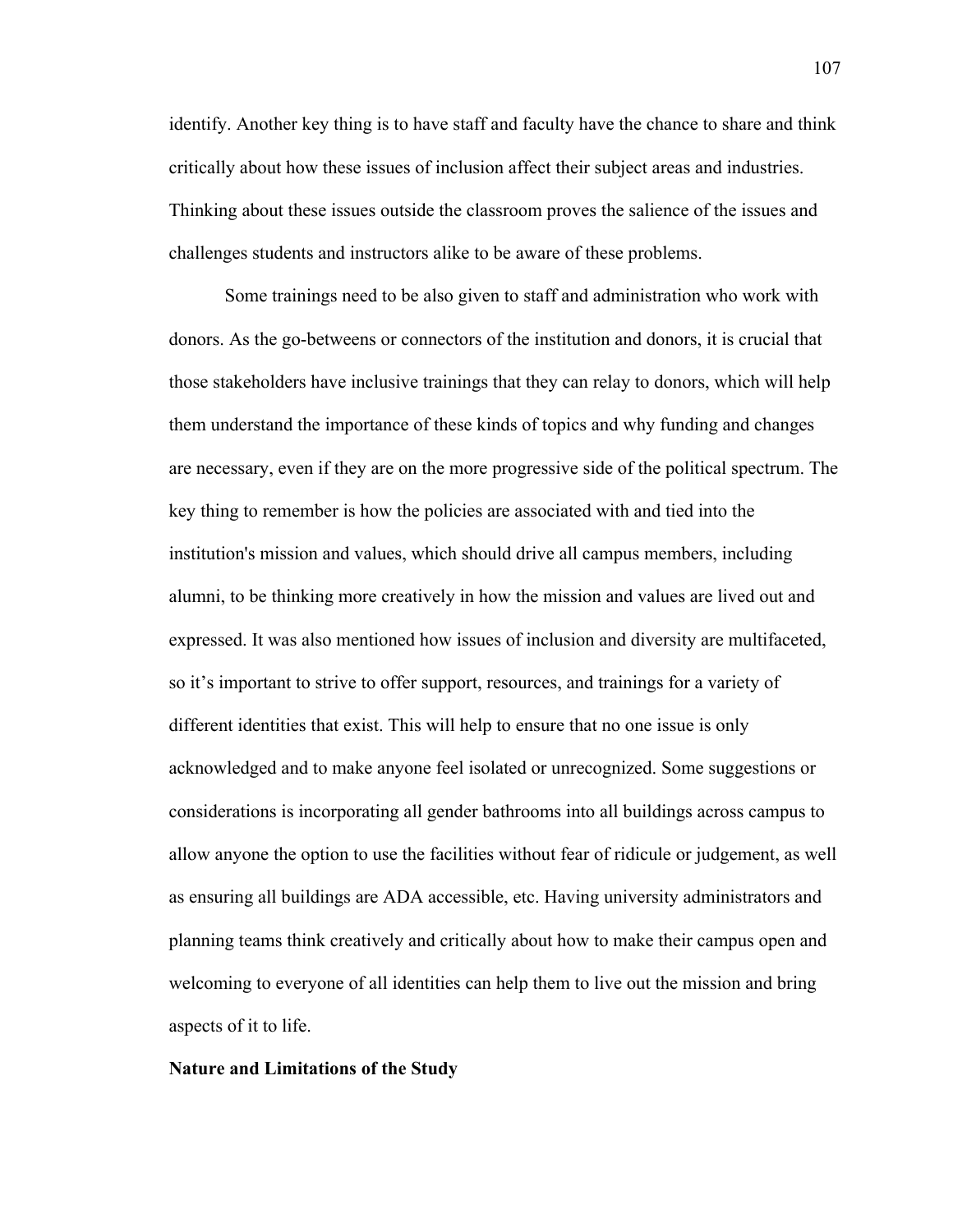identify. Another key thing is to have staff and faculty have the chance to share and think critically about how these issues of inclusion affect their subject areas and industries. Thinking about these issues outside the classroom proves the salience of the issues and challenges students and instructors alike to be aware of these problems.

Some trainings need to be also given to staff and administration who work with donors. As the go-betweens or connectors of the institution and donors, it is crucial that those stakeholders have inclusive trainings that they can relay to donors, which will help them understand the importance of these kinds of topics and why funding and changes are necessary, even if they are on the more progressive side of the political spectrum. The key thing to remember is how the policies are associated with and tied into the institution's mission and values, which should drive all campus members, including alumni, to be thinking more creatively in how the mission and values are lived out and expressed. It was also mentioned how issues of inclusion and diversity are multifaceted, so it's important to strive to offer support, resources, and trainings for a variety of different identities that exist. This will help to ensure that no one issue is only acknowledged and to make anyone feel isolated or unrecognized. Some suggestions or considerations is incorporating all gender bathrooms into all buildings across campus to allow anyone the option to use the facilities without fear of ridicule or judgement, as well as ensuring all buildings are ADA accessible, etc. Having university administrators and planning teams think creatively and critically about how to make their campus open and welcoming to everyone of all identities can help them to live out the mission and bring aspects of it to life.

### **Nature and Limitations of the Study**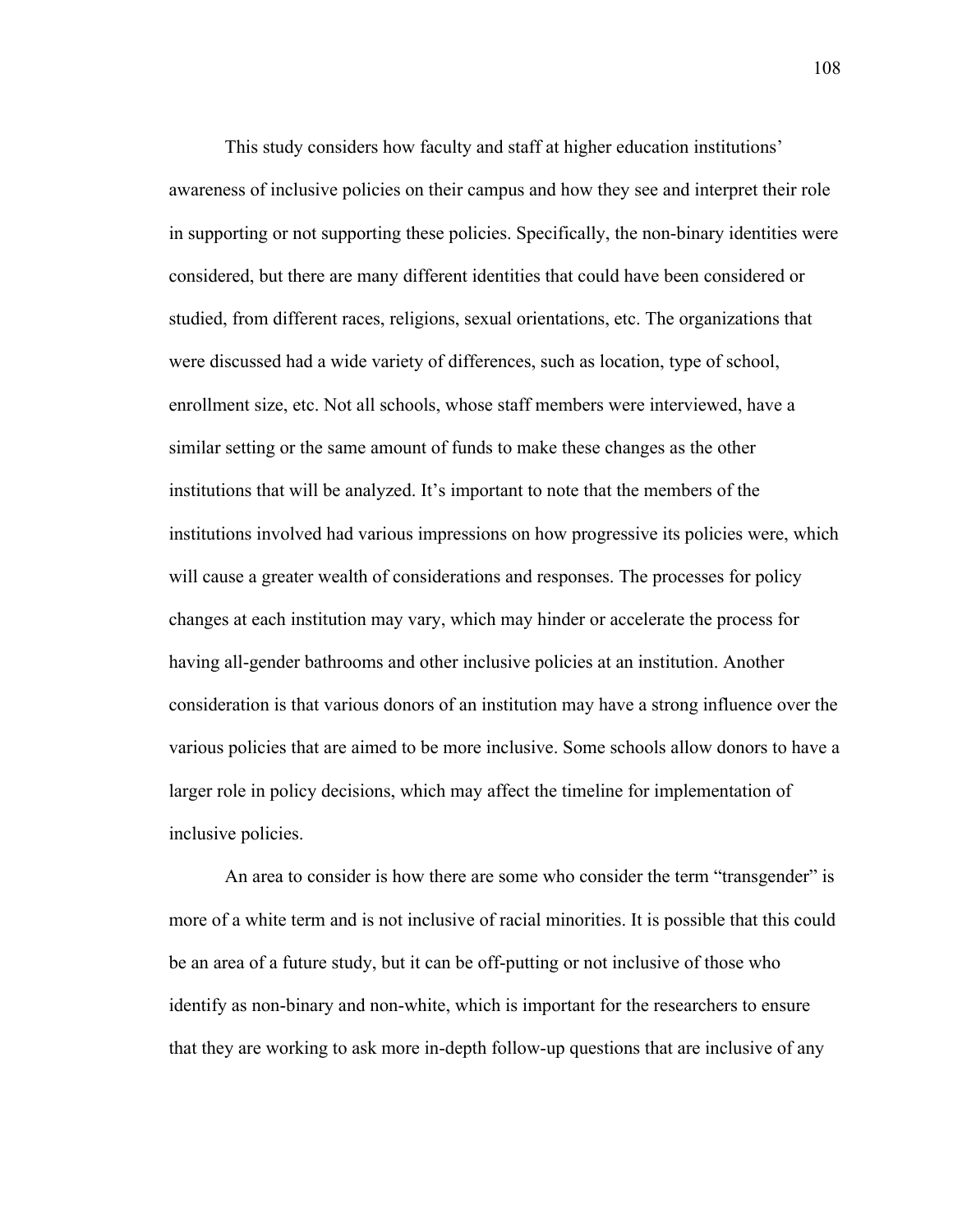This study considers how faculty and staff at higher education institutions' awareness of inclusive policies on their campus and how they see and interpret their role in supporting or not supporting these policies. Specifically, the non-binary identities were considered, but there are many different identities that could have been considered or studied, from different races, religions, sexual orientations, etc. The organizations that were discussed had a wide variety of differences, such as location, type of school, enrollment size, etc. Not all schools, whose staff members were interviewed, have a similar setting or the same amount of funds to make these changes as the other institutions that will be analyzed. It's important to note that the members of the institutions involved had various impressions on how progressive its policies were, which will cause a greater wealth of considerations and responses. The processes for policy changes at each institution may vary, which may hinder or accelerate the process for having all-gender bathrooms and other inclusive policies at an institution. Another consideration is that various donors of an institution may have a strong influence over the various policies that are aimed to be more inclusive. Some schools allow donors to have a larger role in policy decisions, which may affect the timeline for implementation of inclusive policies.

An area to consider is how there are some who consider the term "transgender" is more of a white term and is not inclusive of racial minorities. It is possible that this could be an area of a future study, but it can be off-putting or not inclusive of those who identify as non-binary and non-white, which is important for the researchers to ensure that they are working to ask more in-depth follow-up questions that are inclusive of any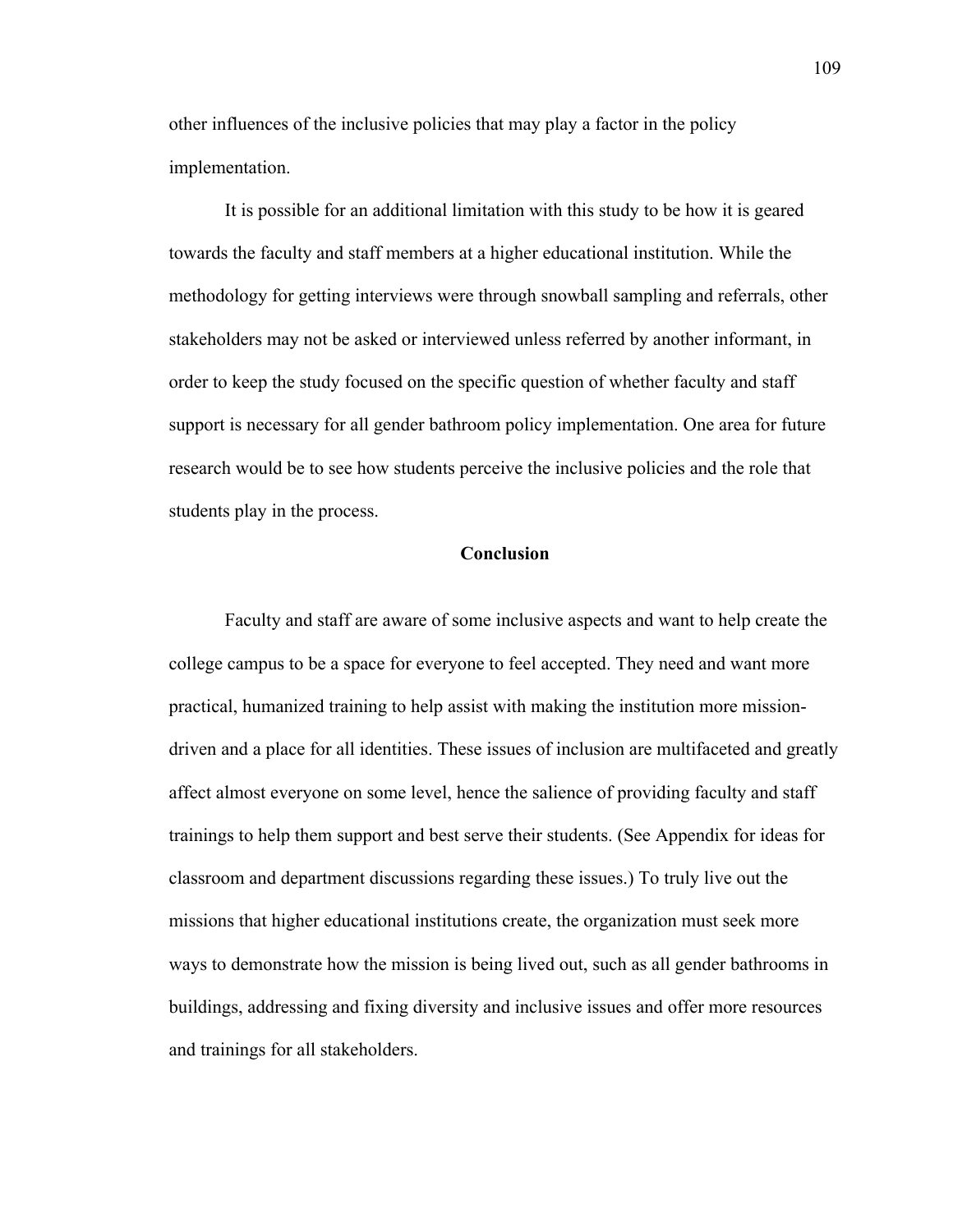other influences of the inclusive policies that may play a factor in the policy implementation.

It is possible for an additional limitation with this study to be how it is geared towards the faculty and staff members at a higher educational institution. While the methodology for getting interviews were through snowball sampling and referrals, other stakeholders may not be asked or interviewed unless referred by another informant, in order to keep the study focused on the specific question of whether faculty and staff support is necessary for all gender bathroom policy implementation. One area for future research would be to see how students perceive the inclusive policies and the role that students play in the process.

### **Conclusion**

Faculty and staff are aware of some inclusive aspects and want to help create the college campus to be a space for everyone to feel accepted. They need and want more practical, humanized training to help assist with making the institution more missiondriven and a place for all identities. These issues of inclusion are multifaceted and greatly affect almost everyone on some level, hence the salience of providing faculty and staff trainings to help them support and best serve their students. (See Appendix for ideas for classroom and department discussions regarding these issues.) To truly live out the missions that higher educational institutions create, the organization must seek more ways to demonstrate how the mission is being lived out, such as all gender bathrooms in buildings, addressing and fixing diversity and inclusive issues and offer more resources and trainings for all stakeholders.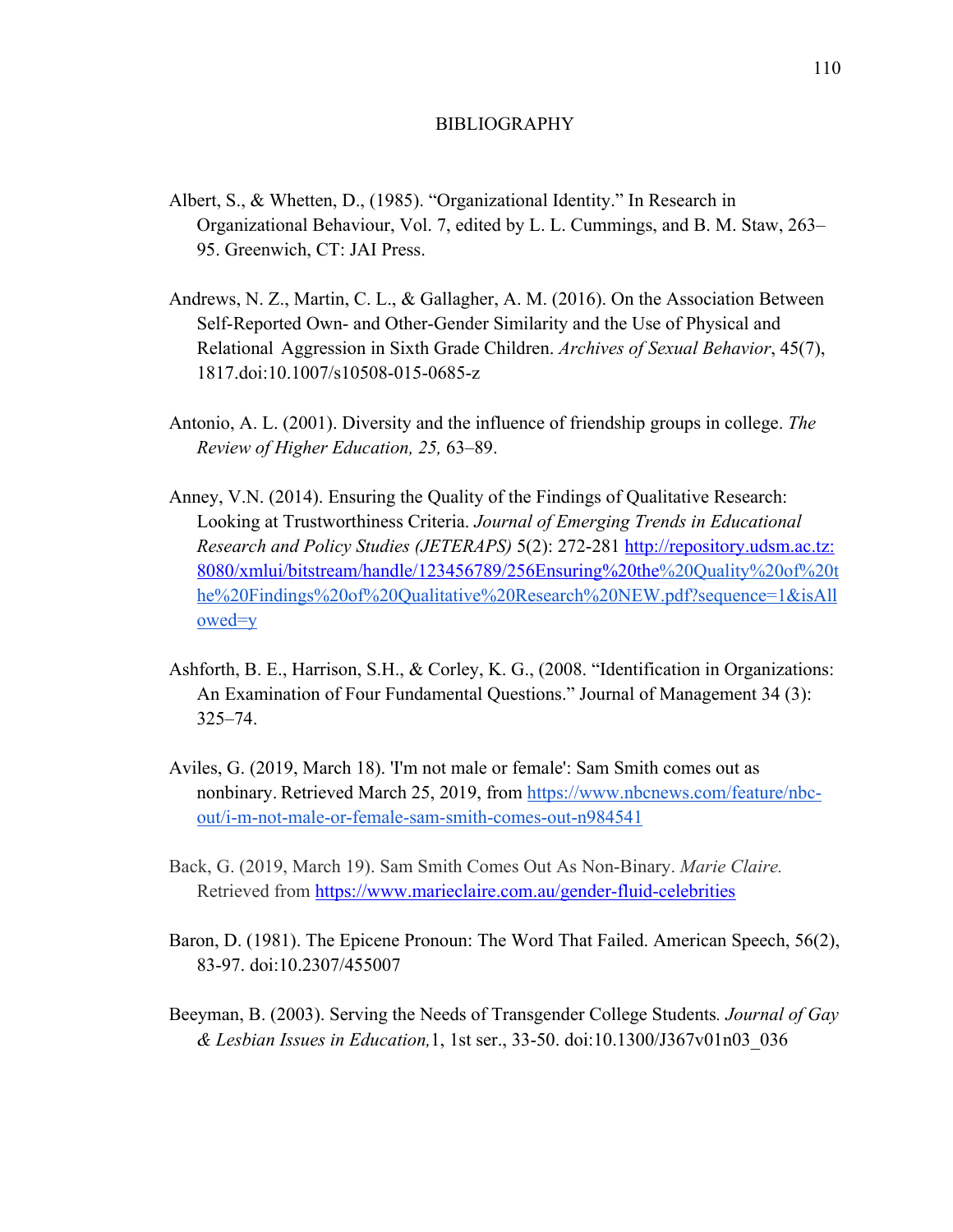#### BIBLIOGRAPHY

- Albert, S., & Whetten, D., (1985). "Organizational Identity." In Research in Organizational Behaviour, Vol. 7, edited by L. L. Cummings, and B. M. Staw, 263– 95. Greenwich, CT: JAI Press.
- Andrews, N. Z., Martin, C. L., & Gallagher, A. M. (2016). On the Association Between Self-Reported Own- and Other-Gender Similarity and the Use of Physical and Relational Aggression in Sixth Grade Children. *Archives of Sexual Behavior*, 45(7), 1817.doi:10.1007/s10508-015-0685-z
- Antonio, A. L. (2001). Diversity and the influence of friendship groups in college. *The Review of Higher Education, 25,* 63–89.
- Anney, V.N. (2014). Ensuring the Quality of the Findings of Qualitative Research: Looking at Trustworthiness Criteria. *Journal of Emerging Trends in Educational Research and Policy Studies (JETERAPS)* 5(2): 272-281 http://repository.udsm.ac.tz: 8080/xmlui/bitstream/handle/123456789/256Ensuring%20the%20Quality%20of%20t he%20Findings%20of%20Qualitative%20Research%20NEW.pdf?sequence=1&isAll owed=y
- Ashforth, B. E., Harrison, S.H., & Corley, K. G., (2008. "Identification in Organizations: An Examination of Four Fundamental Questions." Journal of Management 34 (3): 325–74.
- Aviles, G. (2019, March 18). 'I'm not male or female': Sam Smith comes out as nonbinary. Retrieved March 25, 2019, from https://www.nbcnews.com/feature/nbcout/i-m-not-male-or-female-sam-smith-comes-out-n984541
- Back, G. (2019, March 19). Sam Smith Comes Out As Non-Binary. *Marie Claire.*  Retrieved from https://www.marieclaire.com.au/gender-fluid-celebrities
- Baron, D. (1981). The Epicene Pronoun: The Word That Failed. American Speech, 56(2), 83-97. doi:10.2307/455007
- Beeyman, B. (2003). Serving the Needs of Transgender College Students*. Journal of Gay & Lesbian Issues in Education,*1, 1st ser., 33-50. doi:10.1300/J367v01n03\_036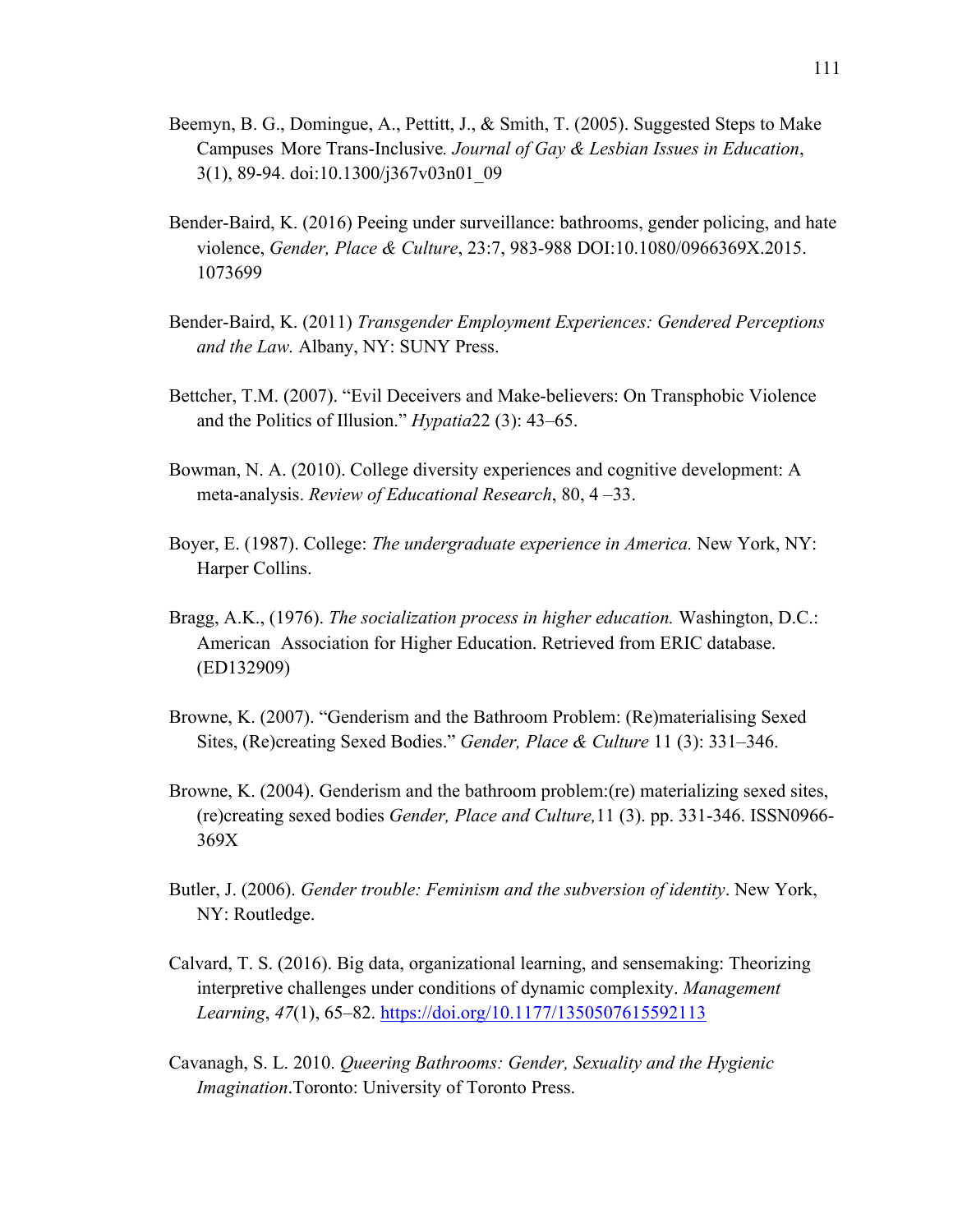- Beemyn, B. G., Domingue, A., Pettitt, J., & Smith, T. (2005). Suggested Steps to Make Campuses More Trans-Inclusive*. Journal of Gay & Lesbian Issues in Education*, 3(1), 89-94. doi:10.1300/j367v03n01\_09
- Bender-Baird, K. (2016) Peeing under surveillance: bathrooms, gender policing, and hate violence, *Gender, Place & Culture*, 23:7, 983-988 DOI:10.1080/0966369X.2015. 1073699
- Bender-Baird, K. (2011) *Transgender Employment Experiences: Gendered Perceptions and the Law.* Albany, NY: SUNY Press.
- Bettcher, T.M. (2007). "Evil Deceivers and Make-believers: On Transphobic Violence and the Politics of Illusion." *Hypatia*22 (3): 43–65.
- Bowman, N. A. (2010). College diversity experiences and cognitive development: A meta-analysis. *Review of Educational Research*, 80, 4 –33.
- Boyer, E. (1987). College: *The undergraduate experience in America.* New York, NY: Harper Collins.
- Bragg, A.K., (1976). *The socialization process in higher education.* Washington, D.C.: American Association for Higher Education. Retrieved from ERIC database. (ED132909)
- Browne, K. (2007). "Genderism and the Bathroom Problem: (Re)materialising Sexed Sites, (Re)creating Sexed Bodies." *Gender, Place & Culture* 11 (3): 331–346.
- Browne, K. (2004). Genderism and the bathroom problem:(re) materializing sexed sites, (re)creating sexed bodies *Gender, Place and Culture,*11 (3). pp. 331-346. ISSN0966- 369X
- Butler, J. (2006). *Gender trouble: Feminism and the subversion of identity*. New York, NY: Routledge.
- Calvard, T. S. (2016). Big data, organizational learning, and sensemaking: Theorizing interpretive challenges under conditions of dynamic complexity. *Management Learning*, *47*(1), 65–82. https://doi.org/10.1177/1350507615592113
- Cavanagh, S. L. 2010. *Queering Bathrooms: Gender, Sexuality and the Hygienic Imagination*.Toronto: University of Toronto Press.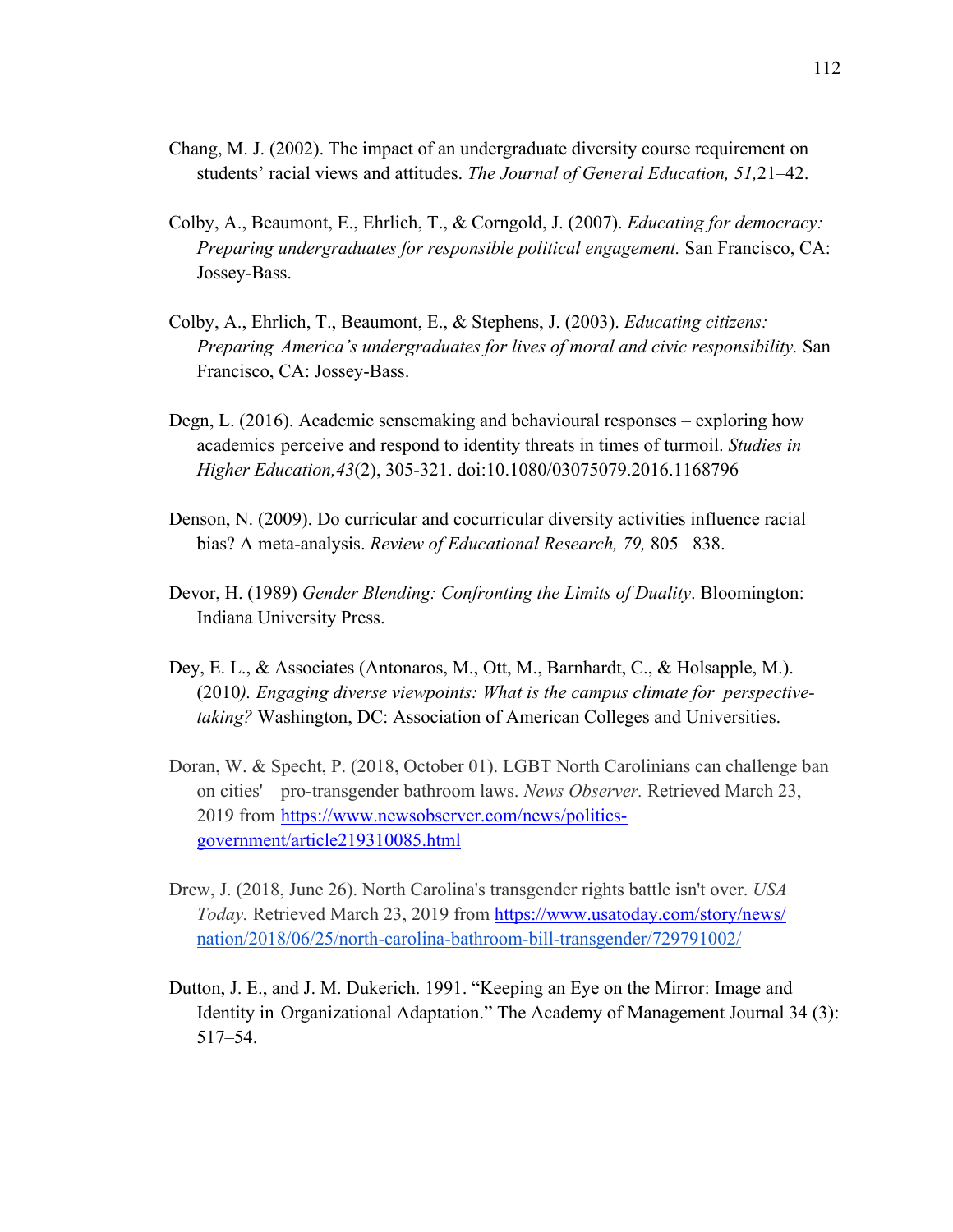- Chang, M. J. (2002). The impact of an undergraduate diversity course requirement on students' racial views and attitudes. *The Journal of General Education, 51,*21–42.
- Colby, A., Beaumont, E., Ehrlich, T., & Corngold, J. (2007). *Educating for democracy: Preparing undergraduates for responsible political engagement.* San Francisco, CA: Jossey-Bass.
- Colby, A., Ehrlich, T., Beaumont, E., & Stephens, J. (2003). *Educating citizens: Preparing America's undergraduates for lives of moral and civic responsibility.* San Francisco, CA: Jossey-Bass.
- Degn, L. (2016). Academic sensemaking and behavioural responses exploring how academics perceive and respond to identity threats in times of turmoil. *Studies in Higher Education,43*(2), 305-321. doi:10.1080/03075079.2016.1168796
- Denson, N. (2009). Do curricular and cocurricular diversity activities influence racial bias? A meta-analysis. *Review of Educational Research, 79,* 805– 838.
- Devor, H. (1989) *Gender Blending: Confronting the Limits of Duality*. Bloomington: Indiana University Press.
- Dey, E. L., & Associates (Antonaros, M., Ott, M., Barnhardt, C., & Holsapple, M.). (2010*). Engaging diverse viewpoints: What is the campus climate for perspectivetaking?* Washington, DC: Association of American Colleges and Universities.
- Doran, W. & Specht, P. (2018, October 01). LGBT North Carolinians can challenge ban on cities' pro-transgender bathroom laws. *News Observer.* Retrieved March 23, 2019 from https://www.newsobserver.com/news/politicsgovernment/article219310085.html
- Drew, J. (2018, June 26). North Carolina's transgender rights battle isn't over. *USA Today.* Retrieved March 23, 2019 from https://www.usatoday.com/story/news/ nation/2018/06/25/north-carolina-bathroom-bill-transgender/729791002/
- Dutton, J. E., and J. M. Dukerich. 1991. "Keeping an Eye on the Mirror: Image and Identity in Organizational Adaptation." The Academy of Management Journal 34 (3): 517–54.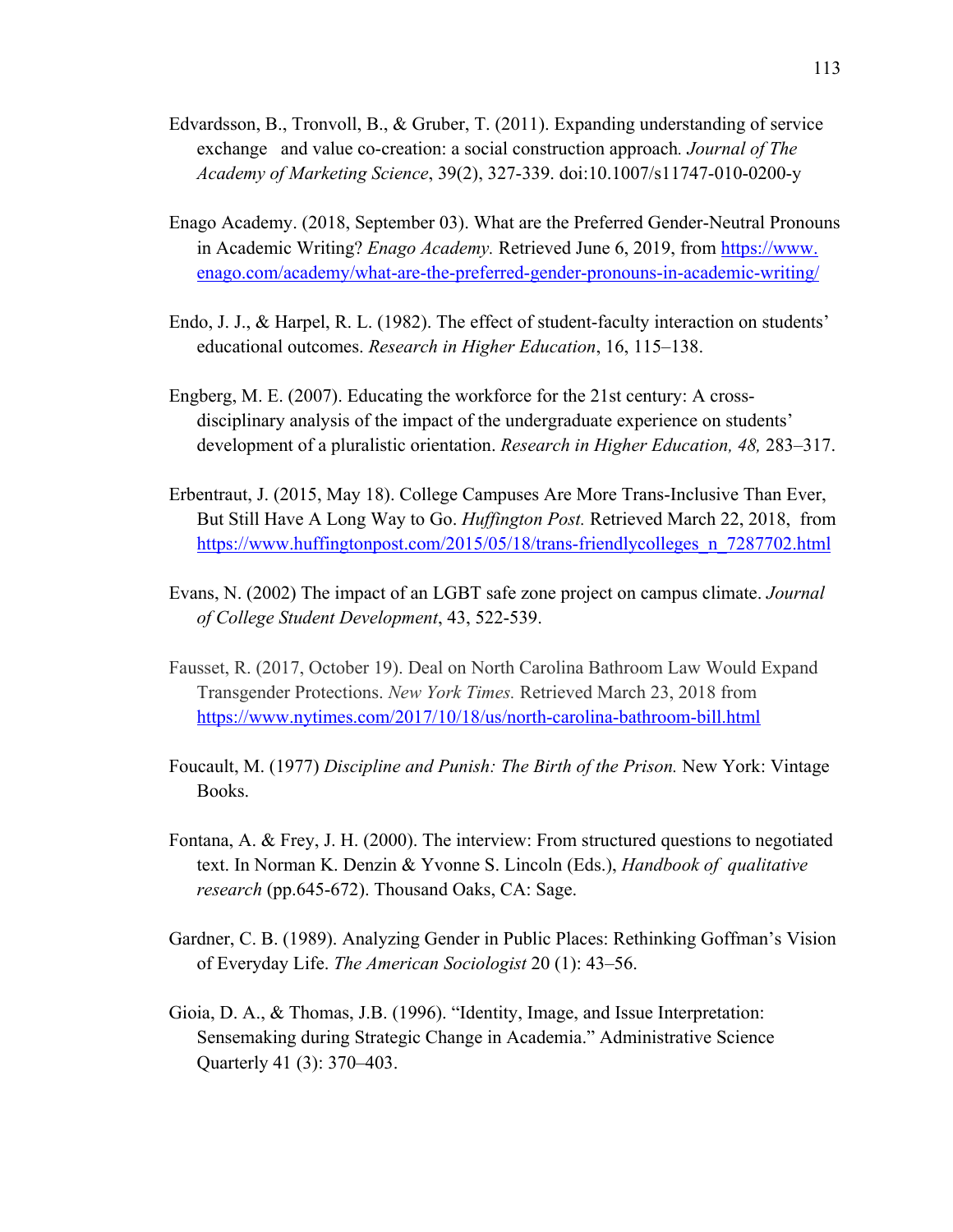- Edvardsson, B., Tronvoll, B., & Gruber, T. (2011). Expanding understanding of service exchange and value co-creation: a social construction approach*. Journal of The Academy of Marketing Science*, 39(2), 327-339. doi:10.1007/s11747-010-0200-y
- Enago Academy. (2018, September 03). What are the Preferred Gender-Neutral Pronouns in Academic Writing? *Enago Academy*. Retrieved June 6, 2019, from https://www. enago.com/academy/what-are-the-preferred-gender-pronouns-in-academic-writing/
- Endo, J. J., & Harpel, R. L. (1982). The effect of student-faculty interaction on students' educational outcomes. *Research in Higher Education*, 16, 115–138.
- Engberg, M. E. (2007). Educating the workforce for the 21st century: A crossdisciplinary analysis of the impact of the undergraduate experience on students' development of a pluralistic orientation. *Research in Higher Education, 48,* 283–317.
- Erbentraut, J. (2015, May 18). College Campuses Are More Trans-Inclusive Than Ever, But Still Have A Long Way to Go. *Huffington Post.* Retrieved March 22, 2018, from https://www.huffingtonpost.com/2015/05/18/trans-friendlycolleges\_n\_7287702.html
- Evans, N. (2002) The impact of an LGBT safe zone project on campus climate. *Journal of College Student Development*, 43, 522-539.
- Fausset, R. (2017, October 19). Deal on North Carolina Bathroom Law Would Expand Transgender Protections. *New York Times.* Retrieved March 23, 2018 from https://www.nytimes.com/2017/10/18/us/north-carolina-bathroom-bill.html
- Foucault, M. (1977) *Discipline and Punish: The Birth of the Prison.* New York: Vintage Books.
- Fontana, A. & Frey, J. H. (2000). The interview: From structured questions to negotiated text. In Norman K. Denzin & Yvonne S. Lincoln (Eds.), *Handbook of qualitative research* (pp.645-672). Thousand Oaks, CA: Sage.
- Gardner, C. B. (1989). Analyzing Gender in Public Places: Rethinking Goffman's Vision of Everyday Life. *The American Sociologist* 20 (1): 43–56.
- Gioia, D. A., & Thomas, J.B. (1996). "Identity, Image, and Issue Interpretation: Sensemaking during Strategic Change in Academia." Administrative Science Quarterly 41 (3): 370–403.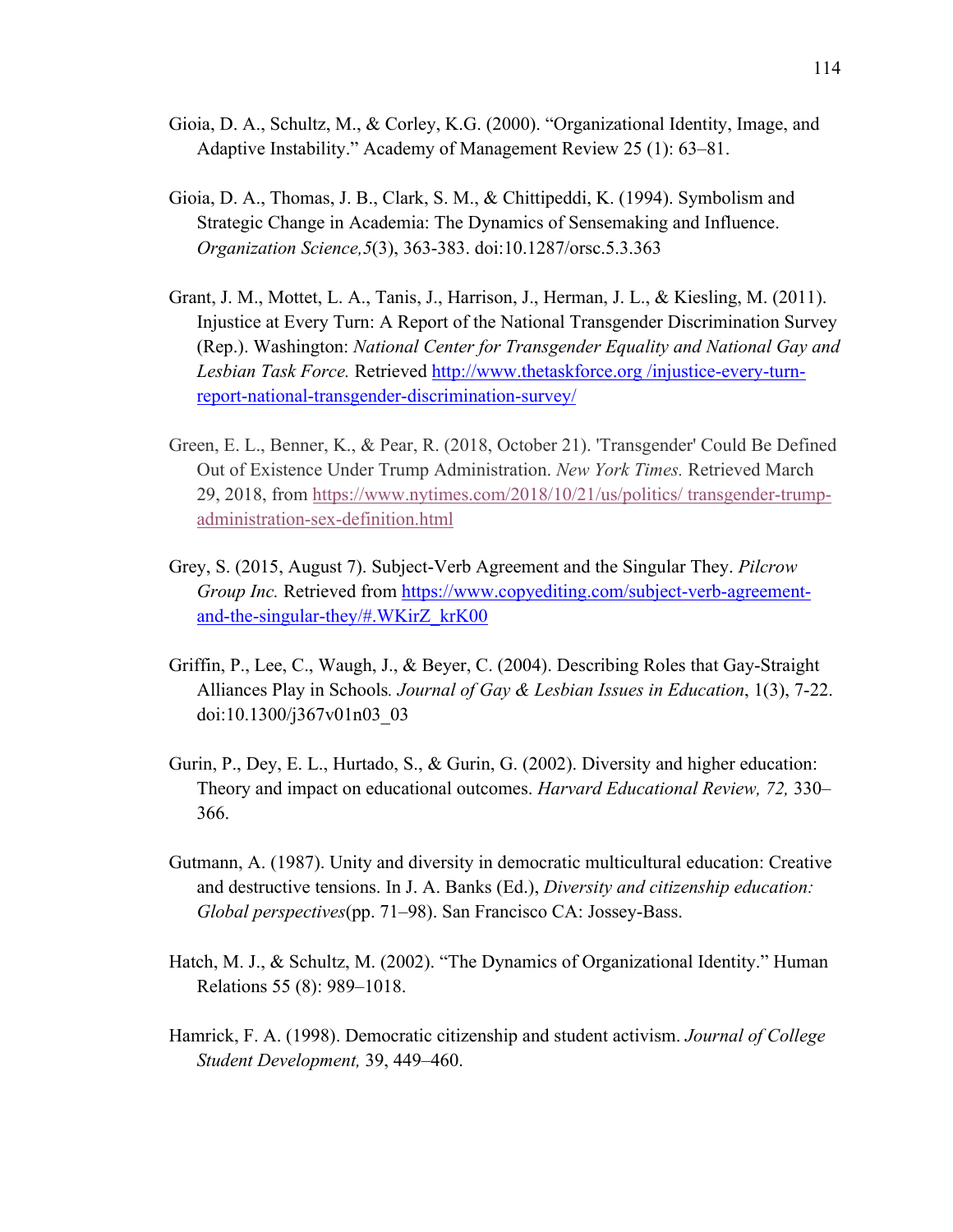- Gioia, D. A., Schultz, M., & Corley, K.G. (2000). "Organizational Identity, Image, and Adaptive Instability." Academy of Management Review 25 (1): 63–81.
- Gioia, D. A., Thomas, J. B., Clark, S. M., & Chittipeddi, K. (1994). Symbolism and Strategic Change in Academia: The Dynamics of Sensemaking and Influence. *Organization Science,5*(3), 363-383. doi:10.1287/orsc.5.3.363
- Grant, J. M., Mottet, L. A., Tanis, J., Harrison, J., Herman, J. L., & Kiesling, M. (2011). Injustice at Every Turn: A Report of the National Transgender Discrimination Survey (Rep.). Washington: *National Center for Transgender Equality and National Gay and Lesbian Task Force.* Retrieved http://www.thetaskforce.org /injustice-every-turnreport-national-transgender-discrimination-survey/
- Green, E. L., Benner, K., & Pear, R. (2018, October 21). 'Transgender' Could Be Defined Out of Existence Under Trump Administration. *New York Times.* Retrieved March 29, 2018, from https://www.nytimes.com/2018/10/21/us/politics/ transgender-trumpadministration-sex-definition.html
- Grey, S. (2015, August 7). Subject-Verb Agreement and the Singular They. *Pilcrow Group Inc.* Retrieved from https://www.copyediting.com/subject-verb-agreementand-the-singular-they/#.WKirZ\_krK00
- Griffin, P., Lee, C., Waugh, J., & Beyer, C. (2004). Describing Roles that Gay-Straight Alliances Play in Schools*. Journal of Gay & Lesbian Issues in Education*, 1(3), 7-22. doi:10.1300/j367v01n03\_03
- Gurin, P., Dey, E. L., Hurtado, S., & Gurin, G. (2002). Diversity and higher education: Theory and impact on educational outcomes. *Harvard Educational Review, 72,* 330– 366.
- Gutmann, A. (1987). Unity and diversity in democratic multicultural education: Creative and destructive tensions. In J. A. Banks (Ed.), *Diversity and citizenship education: Global perspectives*(pp. 71–98). San Francisco CA: Jossey-Bass.
- Hatch, M. J., & Schultz, M. (2002). "The Dynamics of Organizational Identity." Human Relations 55 (8): 989–1018.
- Hamrick, F. A. (1998). Democratic citizenship and student activism. *Journal of College Student Development,* 39, 449–460.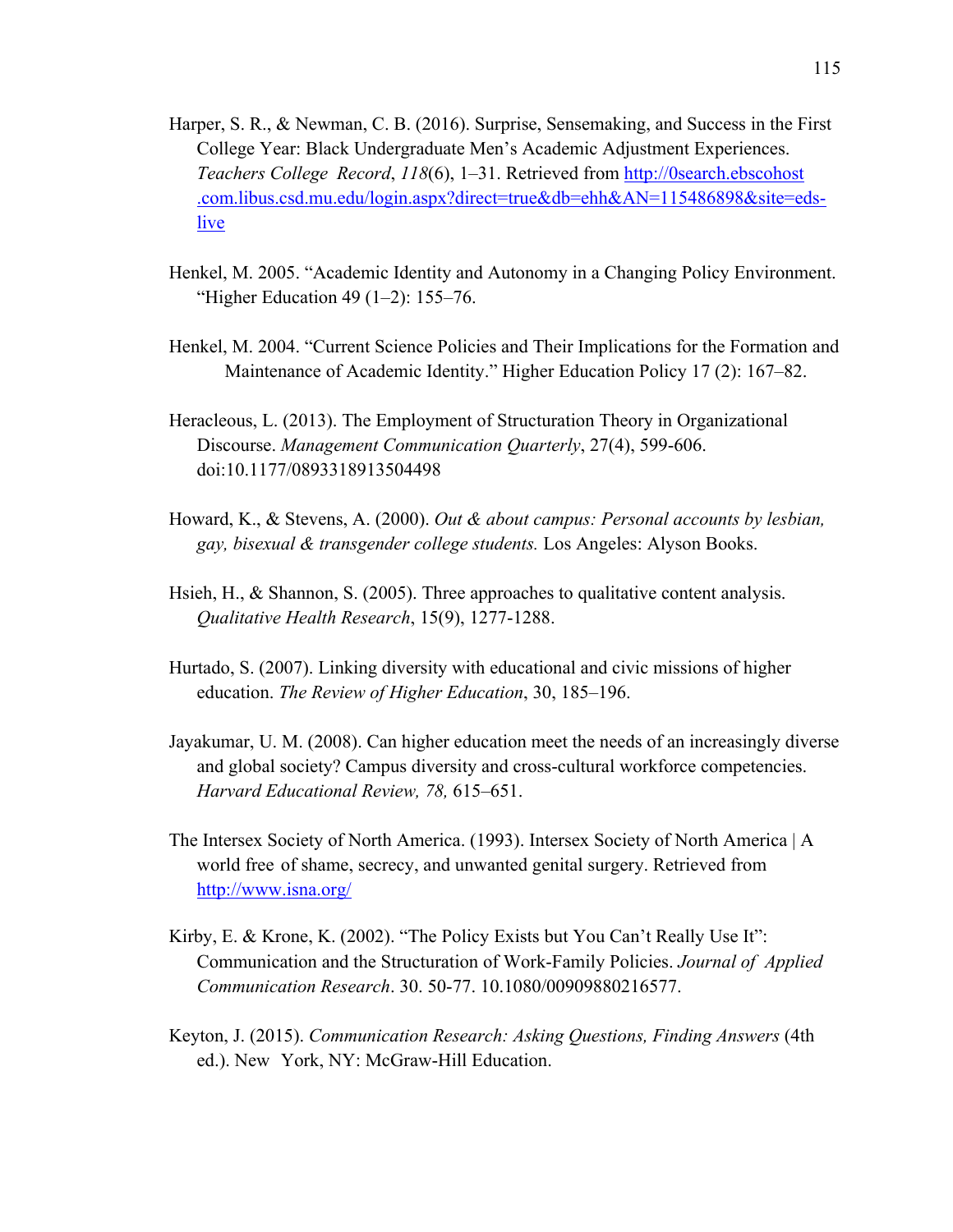- Harper, S. R., & Newman, C. B. (2016). Surprise, Sensemaking, and Success in the First College Year: Black Undergraduate Men's Academic Adjustment Experiences. *Teachers College Record*, *118*(6), 1–31. Retrieved from http://0search.ebscohost .com.libus.csd.mu.edu/login.aspx?direct=true&db=ehh&AN=115486898&site=edslive
- Henkel, M. 2005. "Academic Identity and Autonomy in a Changing Policy Environment. "Higher Education 49 (1–2): 155–76.
- Henkel, M. 2004. "Current Science Policies and Their Implications for the Formation and Maintenance of Academic Identity." Higher Education Policy 17 (2): 167–82.
- Heracleous, L. (2013). The Employment of Structuration Theory in Organizational Discourse. *Management Communication Quarterly*, 27(4), 599-606. doi:10.1177/0893318913504498
- Howard, K., & Stevens, A. (2000). *Out & about campus: Personal accounts by lesbian, gay, bisexual & transgender college students.* Los Angeles: Alyson Books.
- Hsieh, H., & Shannon, S. (2005). Three approaches to qualitative content analysis. *Qualitative Health Research*, 15(9), 1277-1288.
- Hurtado, S. (2007). Linking diversity with educational and civic missions of higher education. *The Review of Higher Education*, 30, 185–196.
- Jayakumar, U. M. (2008). Can higher education meet the needs of an increasingly diverse and global society? Campus diversity and cross-cultural workforce competencies. *Harvard Educational Review, 78,* 615–651.
- The Intersex Society of North America. (1993). Intersex Society of North America | A world free of shame, secrecy, and unwanted genital surgery. Retrieved from http://www.isna.org/
- Kirby, E. & Krone, K. (2002). "The Policy Exists but You Can't Really Use It": Communication and the Structuration of Work-Family Policies. *Journal of Applied Communication Research*. 30. 50-77. 10.1080/00909880216577.
- Keyton, J. (2015). *Communication Research: Asking Questions, Finding Answers* (4th ed.). New York, NY: McGraw-Hill Education.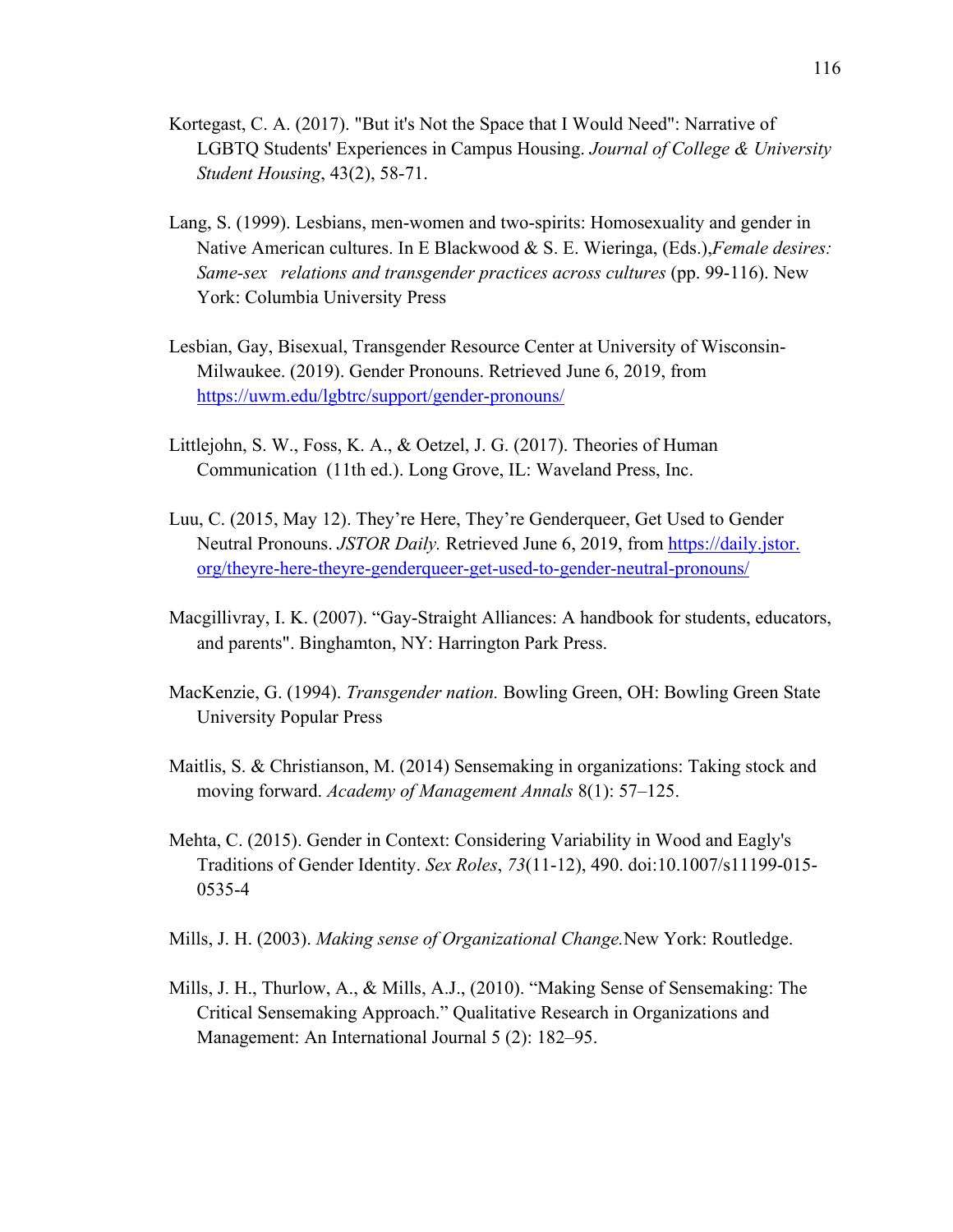- Kortegast, C. A. (2017). "But it's Not the Space that I Would Need": Narrative of LGBTQ Students' Experiences in Campus Housing. *Journal of College & University Student Housing*, 43(2), 58-71.
- Lang, S. (1999). Lesbians, men-women and two-spirits: Homosexuality and gender in Native American cultures. In E Blackwood & S. E. Wieringa, (Eds.),*Female desires: Same-sex relations and transgender practices across cultures (pp. 99-116). New* York: Columbia University Press
- Lesbian, Gay, Bisexual, Transgender Resource Center at University of Wisconsin-Milwaukee. (2019). Gender Pronouns. Retrieved June 6, 2019, from https://uwm.edu/lgbtrc/support/gender-pronouns/
- Littlejohn, S. W., Foss, K. A., & Oetzel, J. G. (2017). Theories of Human Communication (11th ed.). Long Grove, IL: Waveland Press, Inc.
- Luu, C. (2015, May 12). They're Here, They're Genderqueer, Get Used to Gender Neutral Pronouns. *JSTOR Daily.* Retrieved June 6, 2019, from https://daily.jstor. org/theyre-here-theyre-genderqueer-get-used-to-gender-neutral-pronouns/
- Macgillivray, I. K. (2007). "Gay-Straight Alliances: A handbook for students, educators, and parents". Binghamton, NY: Harrington Park Press.
- MacKenzie, G. (1994). *Transgender nation.* Bowling Green, OH: Bowling Green State University Popular Press
- Maitlis, S. & Christianson, M. (2014) Sensemaking in organizations: Taking stock and moving forward. *Academy of Management Annals* 8(1): 57–125.
- Mehta, C. (2015). Gender in Context: Considering Variability in Wood and Eagly's Traditions of Gender Identity. *Sex Roles*, *73*(11-12), 490. doi:10.1007/s11199-015- 0535-4
- Mills, J. H. (2003). *Making sense of Organizational Change.*New York: Routledge.
- Mills, J. H., Thurlow, A., & Mills, A.J., (2010). "Making Sense of Sensemaking: The Critical Sensemaking Approach." Qualitative Research in Organizations and Management: An International Journal 5 (2): 182–95.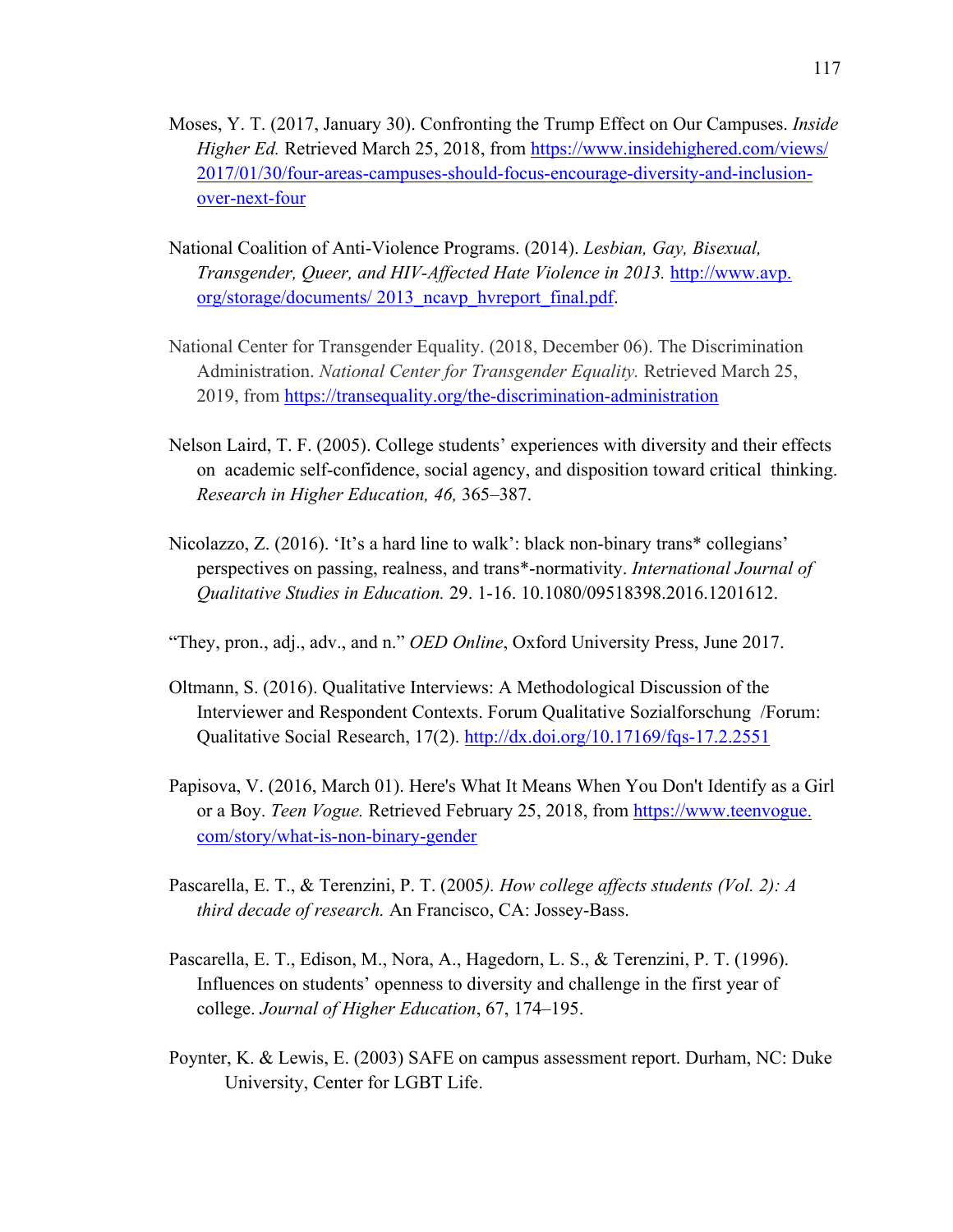- Moses, Y. T. (2017, January 30). Confronting the Trump Effect on Our Campuses. *Inside Higher Ed.* Retrieved March 25, 2018, from https://www.insidehighered.com/views/ 2017/01/30/four-areas-campuses-should-focus-encourage-diversity-and-inclusionover-next-four
- National Coalition of Anti-Violence Programs. (2014). *Lesbian, Gay, Bisexual, Transgender, Queer, and HIV-Affected Hate Violence in 2013.* http://www.avp. org/storage/documents/ 2013\_ncavp\_hvreport\_final.pdf.
- National Center for Transgender Equality. (2018, December 06). The Discrimination Administration. *National Center for Transgender Equality.* Retrieved March 25, 2019, from https://transequality.org/the-discrimination-administration
- Nelson Laird, T. F. (2005). College students' experiences with diversity and their effects on academic self-confidence, social agency, and disposition toward critical thinking. *Research in Higher Education, 46,* 365–387.
- Nicolazzo, Z. (2016). 'It's a hard line to walk': black non-binary trans\* collegians' perspectives on passing, realness, and trans\*-normativity. *International Journal of Qualitative Studies in Education.* 29. 1-16. 10.1080/09518398.2016.1201612.
- "They, pron., adj., adv., and n." *OED Online*, Oxford University Press, June 2017.
- Oltmann, S. (2016). Qualitative Interviews: A Methodological Discussion of the Interviewer and Respondent Contexts. Forum Qualitative Sozialforschung /Forum: Qualitative Social Research, 17(2). http://dx.doi.org/10.17169/fqs-17.2.2551
- Papisova, V. (2016, March 01). Here's What It Means When You Don't Identify as a Girl or a Boy. *Teen Vogue.* Retrieved February 25, 2018, from https://www.teenvogue. com/story/what-is-non-binary-gender
- Pascarella, E. T., & Terenzini, P. T. (2005*). How college affects students (Vol. 2): A third decade of research.* An Francisco, CA: Jossey-Bass.
- Pascarella, E. T., Edison, M., Nora, A., Hagedorn, L. S., & Terenzini, P. T. (1996). Influences on students' openness to diversity and challenge in the first year of college. *Journal of Higher Education*, 67, 174–195.
- Poynter, K. & Lewis, E. (2003) SAFE on campus assessment report. Durham, NC: Duke University, Center for LGBT Life.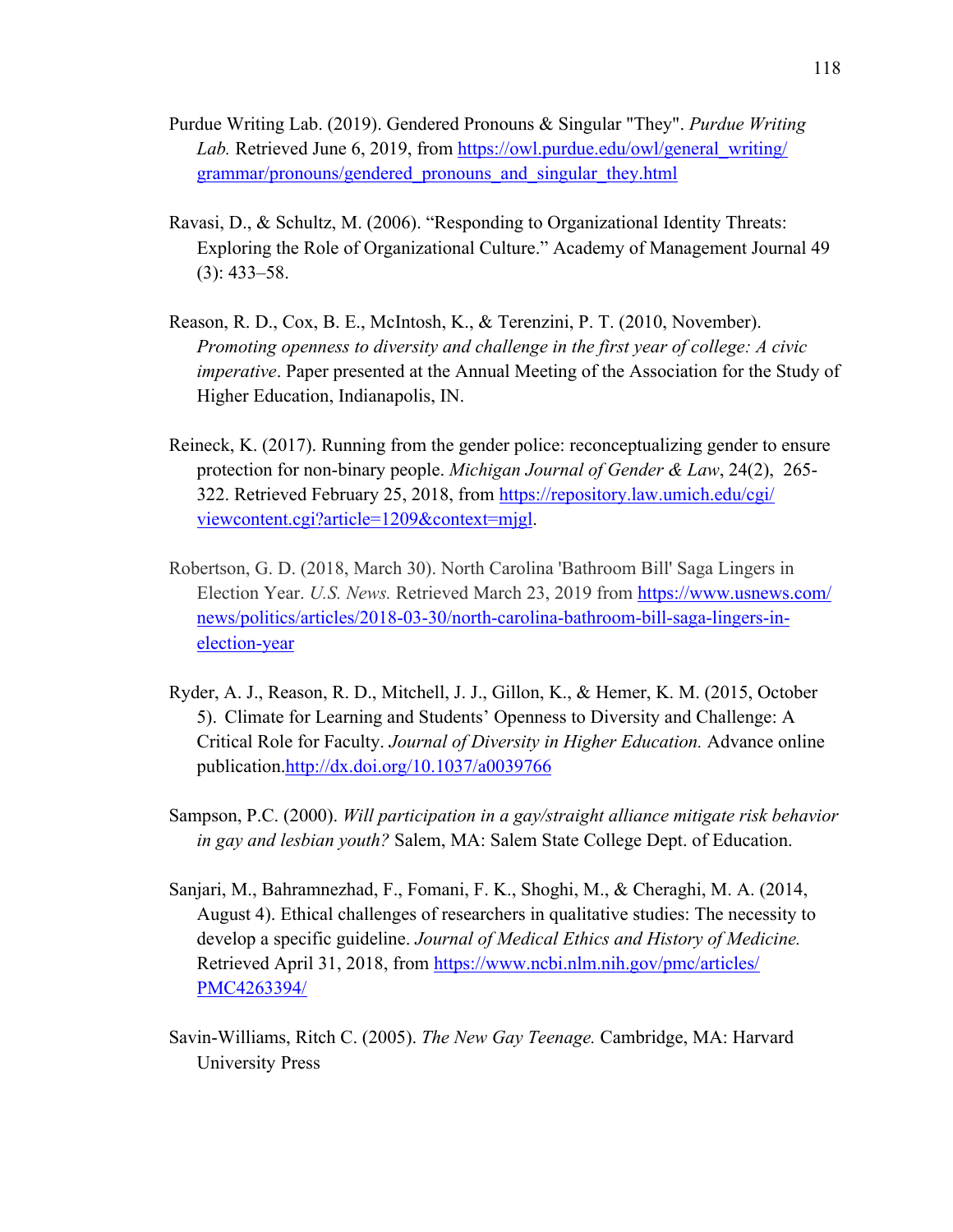- Purdue Writing Lab. (2019). Gendered Pronouns & Singular "They". *Purdue Writing Lab.* Retrieved June 6, 2019, from https://owl.purdue.edu/owl/general\_writing/ grammar/pronouns/gendered\_pronouns\_and\_singular\_they.html
- Ravasi, D., & Schultz, M. (2006). "Responding to Organizational Identity Threats: Exploring the Role of Organizational Culture." Academy of Management Journal 49 (3): 433–58.
- Reason, R. D., Cox, B. E., McIntosh, K., & Terenzini, P. T. (2010, November). *Promoting openness to diversity and challenge in the first year of college: A civic imperative*. Paper presented at the Annual Meeting of the Association for the Study of Higher Education, Indianapolis, IN.
- Reineck, K. (2017). Running from the gender police: reconceptualizing gender to ensure protection for non-binary people. *Michigan Journal of Gender & Law*, 24(2), 265- 322. Retrieved February 25, 2018, from https://repository.law.umich.edu/cgi/ viewcontent.cgi?article=1209&context=mjgl.
- Robertson, G. D. (2018, March 30). North Carolina 'Bathroom Bill' Saga Lingers in Election Year. *U.S. News.* Retrieved March 23, 2019 from https://www.usnews.com/ news/politics/articles/2018-03-30/north-carolina-bathroom-bill-saga-lingers-inelection-year
- Ryder, A. J., Reason, R. D., Mitchell, J. J., Gillon, K., & Hemer, K. M. (2015, October 5). Climate for Learning and Students' Openness to Diversity and Challenge: A Critical Role for Faculty. *Journal of Diversity in Higher Education.* Advance online publication.http://dx.doi.org/10.1037/a0039766
- Sampson, P.C. (2000). *Will participation in a gay/straight alliance mitigate risk behavior in gay and lesbian youth?* Salem, MA: Salem State College Dept. of Education.
- Sanjari, M., Bahramnezhad, F., Fomani, F. K., Shoghi, M., & Cheraghi, M. A. (2014, August 4). Ethical challenges of researchers in qualitative studies: The necessity to develop a specific guideline. *Journal of Medical Ethics and History of Medicine.* Retrieved April 31, 2018, from https://www.ncbi.nlm.nih.gov/pmc/articles/ PMC4263394/
- Savin-Williams, Ritch C. (2005). *The New Gay Teenage.* Cambridge, MA: Harvard University Press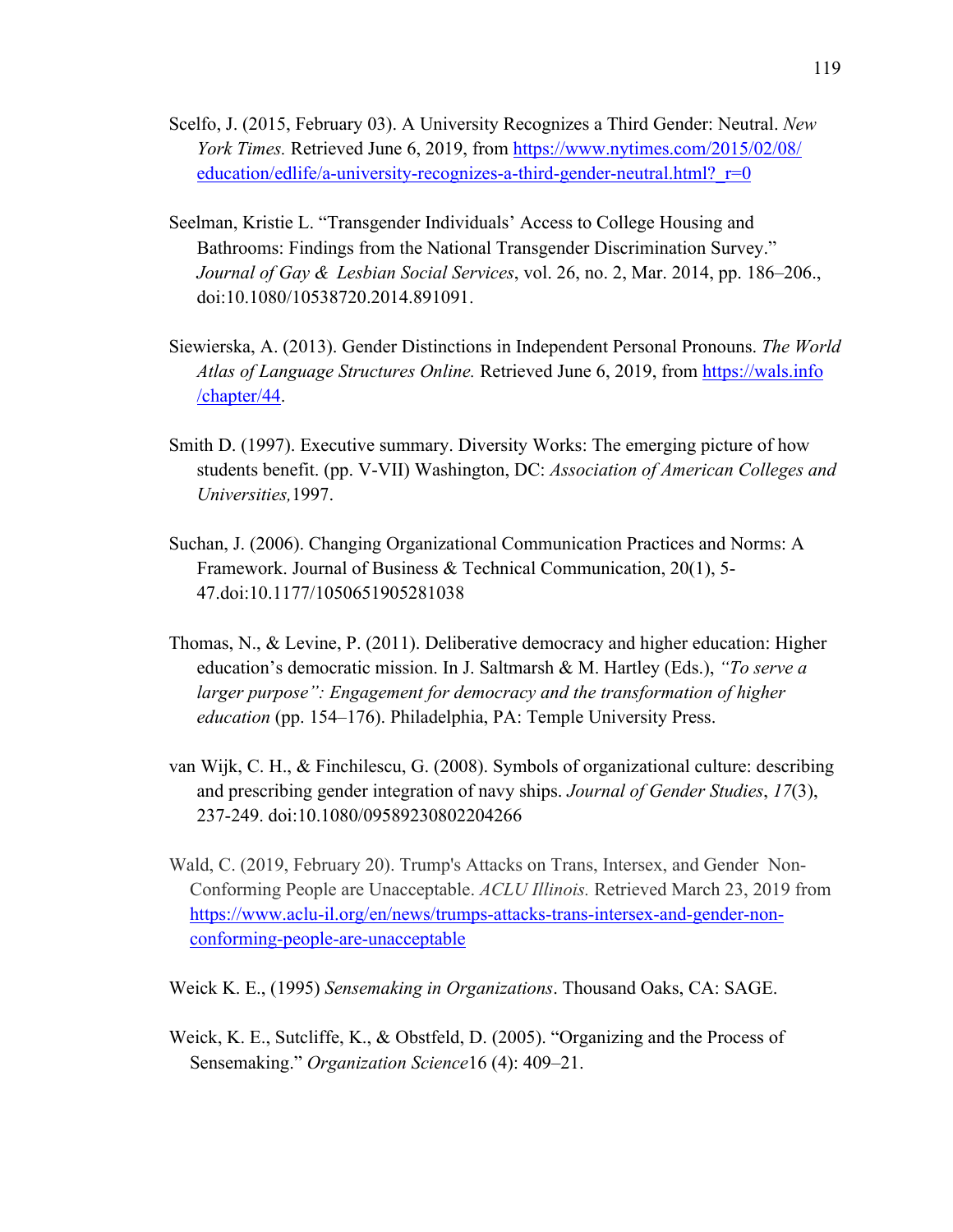- Scelfo, J. (2015, February 03). A University Recognizes a Third Gender: Neutral. *New York Times.* Retrieved June 6, 2019, from https://www.nytimes.com/2015/02/08/ education/edlife/a-university-recognizes-a-third-gender-neutral.html?  $r=0$
- Seelman, Kristie L. "Transgender Individuals' Access to College Housing and Bathrooms: Findings from the National Transgender Discrimination Survey." *Journal of Gay & Lesbian Social Services*, vol. 26, no. 2, Mar. 2014, pp. 186–206., doi:10.1080/10538720.2014.891091.
- Siewierska, A. (2013). Gender Distinctions in Independent Personal Pronouns. *The World Atlas of Language Structures Online.* Retrieved June 6, 2019, from https://wals.info /chapter/44.
- Smith D. (1997). Executive summary. Diversity Works: The emerging picture of how students benefit. (pp. V-VII) Washington, DC: *Association of American Colleges and Universities,*1997.
- Suchan, J. (2006). Changing Organizational Communication Practices and Norms: A Framework. Journal of Business & Technical Communication, 20(1), 5- 47.doi:10.1177/1050651905281038
- Thomas, N., & Levine, P. (2011). Deliberative democracy and higher education: Higher education's democratic mission. In J. Saltmarsh & M. Hartley (Eds.), *"To serve a larger purpose": Engagement for democracy and the transformation of higher education* (pp. 154–176). Philadelphia, PA: Temple University Press.
- van Wijk, C. H., & Finchilescu, G. (2008). Symbols of organizational culture: describing and prescribing gender integration of navy ships. *Journal of Gender Studies*, *17*(3), 237-249. doi:10.1080/09589230802204266
- Wald, C. (2019, February 20). Trump's Attacks on Trans, Intersex, and Gender Non-Conforming People are Unacceptable. *ACLU Illinois.* Retrieved March 23, 2019 from https://www.aclu-il.org/en/news/trumps-attacks-trans-intersex-and-gender-nonconforming-people-are-unacceptable
- Weick K. E., (1995) *Sensemaking in Organizations*. Thousand Oaks, CA: SAGE.
- Weick, K. E., Sutcliffe, K., & Obstfeld, D. (2005). "Organizing and the Process of Sensemaking." *Organization Science*16 (4): 409–21.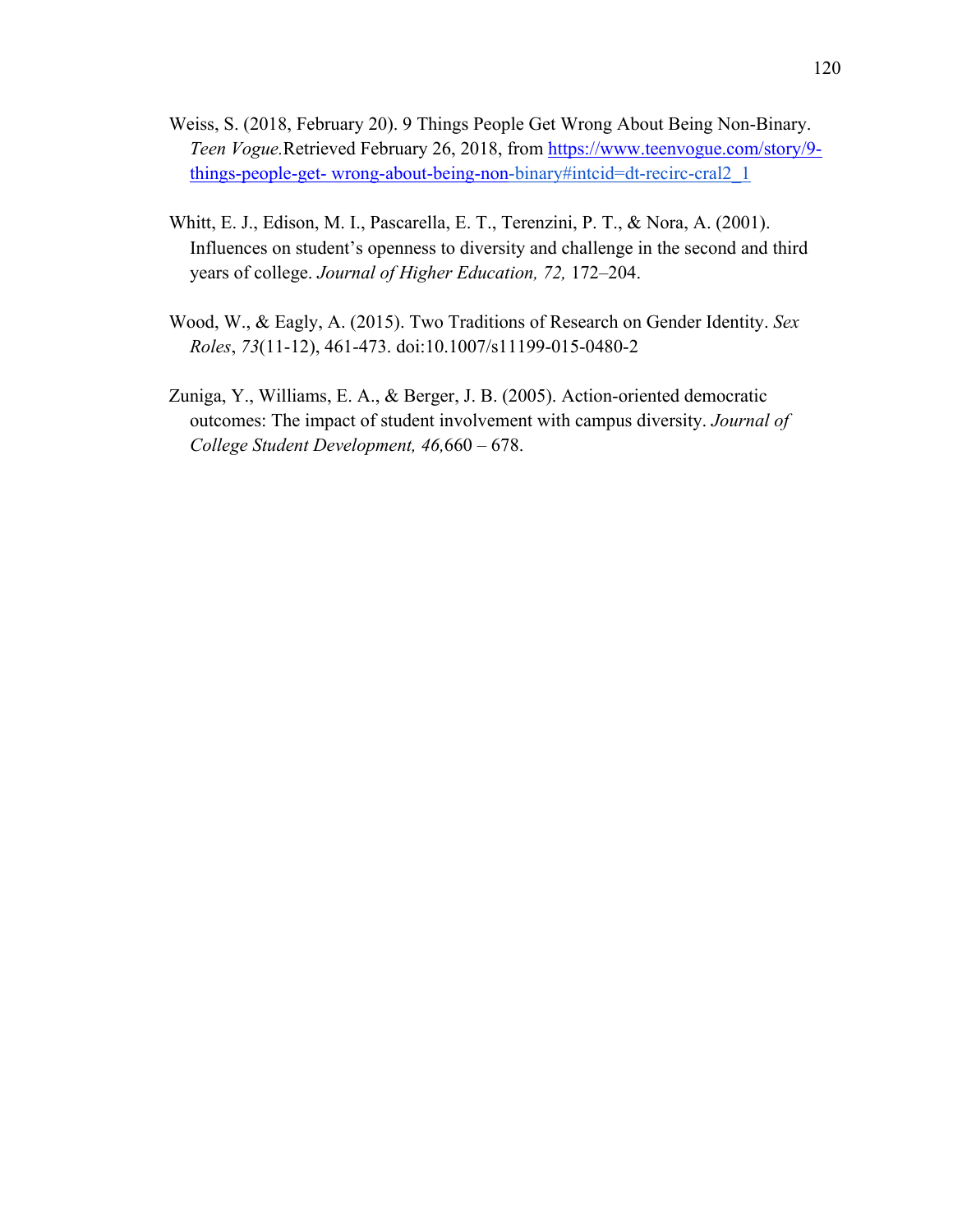- Weiss, S. (2018, February 20). 9 Things People Get Wrong About Being Non-Binary. *Teen Vogue.*Retrieved February 26, 2018, from https://www.teenvogue.com/story/9 things-people-get- wrong-about-being-non-binary#intcid=dt-recirc-cral2\_1
- Whitt, E. J., Edison, M. I., Pascarella, E. T., Terenzini, P. T., & Nora, A. (2001). Influences on student's openness to diversity and challenge in the second and third years of college. *Journal of Higher Education, 72,* 172–204.
- Wood, W., & Eagly, A. (2015). Two Traditions of Research on Gender Identity. *Sex Roles*, *73*(11-12), 461-473. doi:10.1007/s11199-015-0480-2
- Zuniga, Y., Williams, E. A., & Berger, J. B. (2005). Action-oriented democratic outcomes: The impact of student involvement with campus diversity. *Journal of College Student Development, 46,*660 – 678.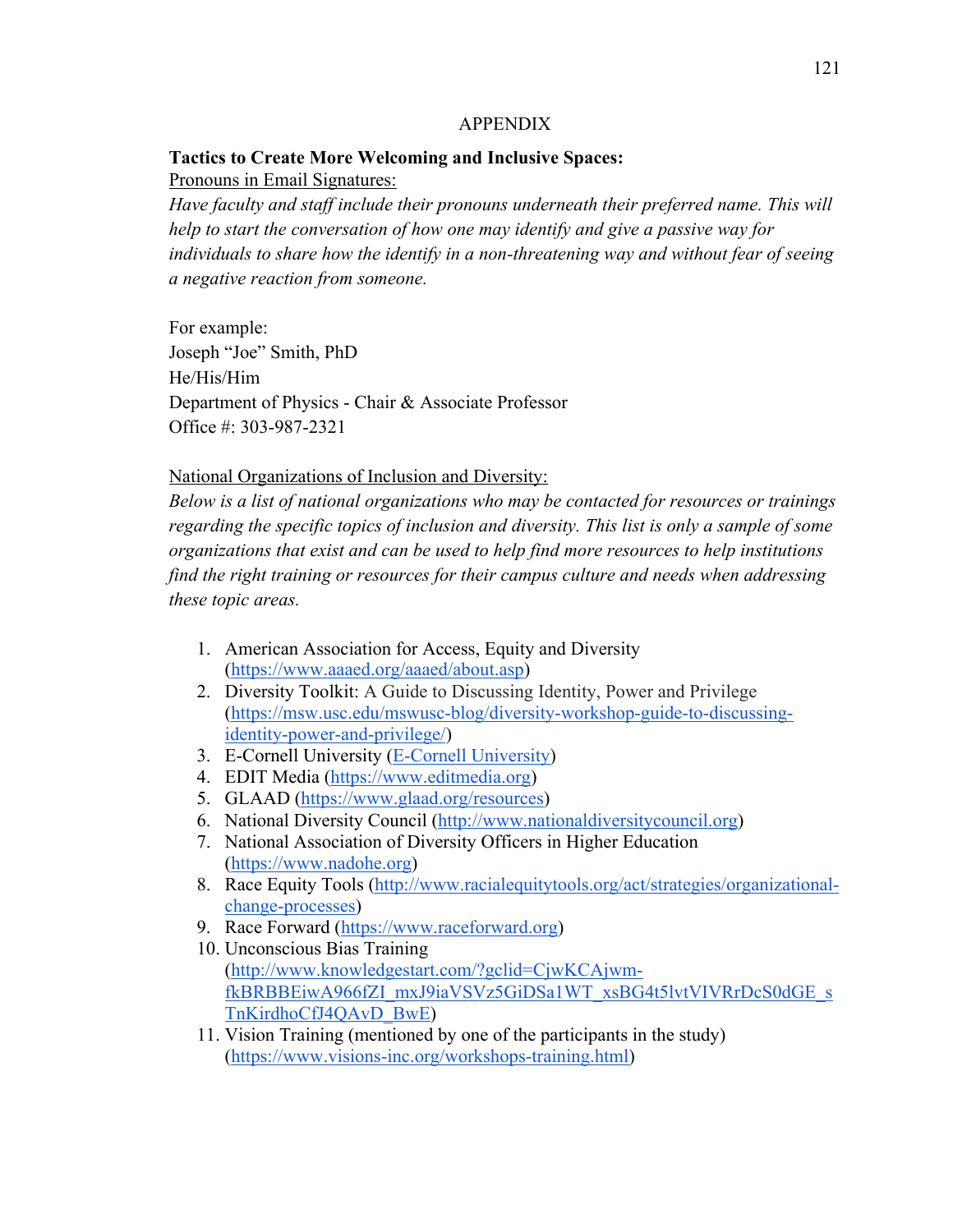## APPENDIX

# **Tactics to Create More Welcoming and Inclusive Spaces:**

Pronouns in Email Signatures:

*Have faculty and staff include their pronouns underneath their preferred name. This will help to start the conversation of how one may identify and give a passive way for individuals to share how the identify in a non-threatening way and without fear of seeing a negative reaction from someone.* 

For example: Joseph "Joe" Smith, PhD He/His/Him Department of Physics - Chair & Associate Professor Office #: 303-987-2321

National Organizations of Inclusion and Diversity:

*Below is a list of national organizations who may be contacted for resources or trainings regarding the specific topics of inclusion and diversity. This list is only a sample of some organizations that exist and can be used to help find more resources to help institutions find the right training or resources for their campus culture and needs when addressing these topic areas.* 

- 1. American Association for Access, Equity and Diversity (https://www.aaaed.org/aaaed/about.asp)
- 2. Diversity Toolkit: A Guide to Discussing Identity, Power and Privilege (https://msw.usc.edu/mswusc-blog/diversity-workshop-guide-to-discussingidentity-power-and-privilege/)
- 3. E-Cornell University (E-Cornell University)
- 4. EDIT Media (https://www.editmedia.org)
- 5. GLAAD (https://www.glaad.org/resources)
- 6. National Diversity Council (http://www.nationaldiversitycouncil.org)
- 7. National Association of Diversity Officers in Higher Education (https://www.nadohe.org)
- 8. Race Equity Tools (http://www.racialequitytools.org/act/strategies/organizationalchange-processes)
- 9. Race Forward (https://www.raceforward.org)
- 10. Unconscious Bias Training (http://www.knowledgestart.com/?gclid=CjwKCAjwmfkBRBBEiwA966fZI\_mxJ9iaVSVz5GiDSa1WT\_xsBG4t5lvtVIVRrDcS0dGE\_s TnKirdhoCfJ4QAvD\_BwE)
- 11. Vision Training (mentioned by one of the participants in the study) (https://www.visions-inc.org/workshops-training.html)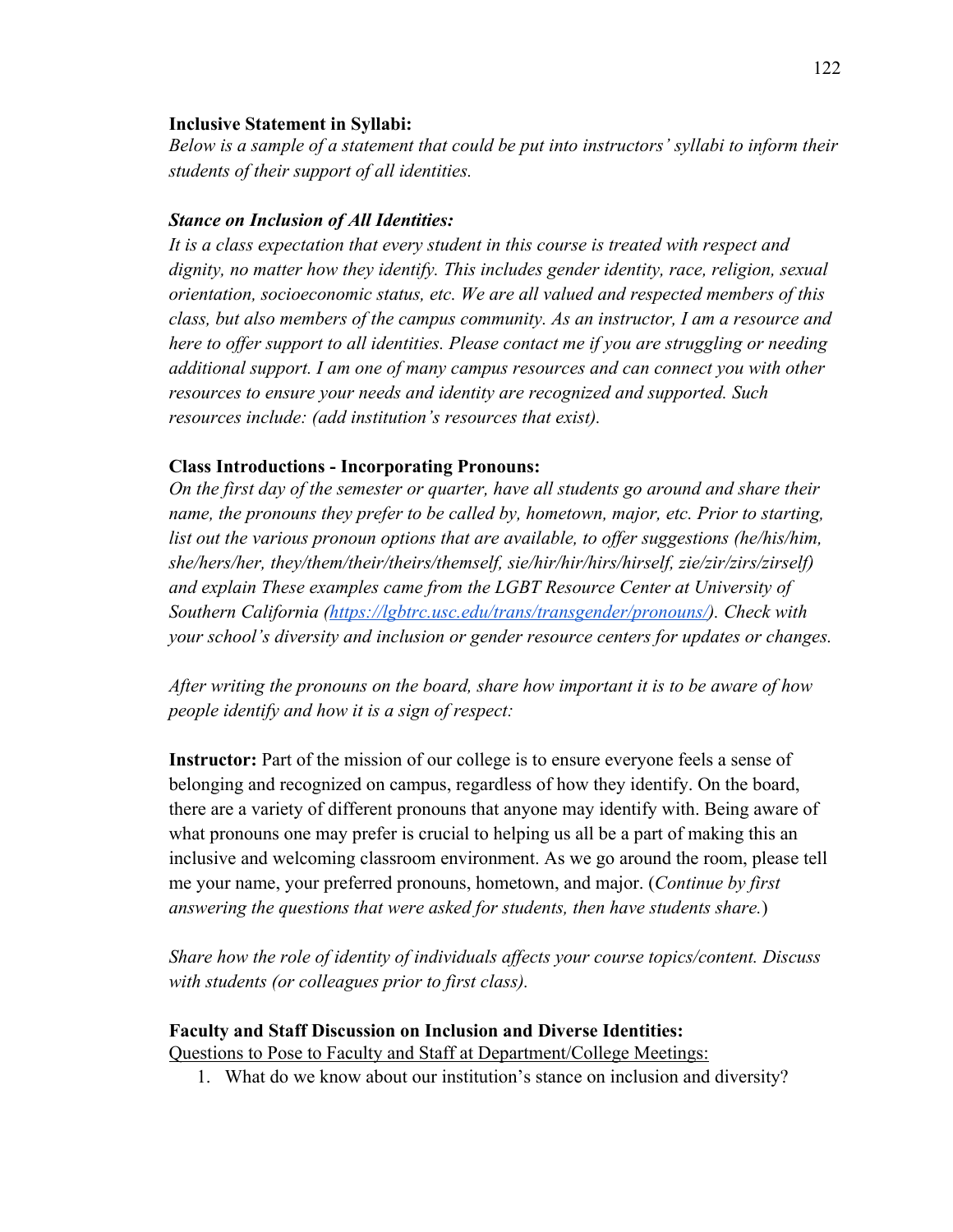## **Inclusive Statement in Syllabi:**

*Below is a sample of a statement that could be put into instructors' syllabi to inform their students of their support of all identities.* 

# *Stance on Inclusion of All Identities:*

*It is a class expectation that every student in this course is treated with respect and dignity, no matter how they identify. This includes gender identity, race, religion, sexual orientation, socioeconomic status, etc. We are all valued and respected members of this class, but also members of the campus community. As an instructor, I am a resource and here to offer support to all identities. Please contact me if you are struggling or needing additional support. I am one of many campus resources and can connect you with other resources to ensure your needs and identity are recognized and supported. Such resources include: (add institution's resources that exist).* 

# **Class Introductions - Incorporating Pronouns:**

*On the first day of the semester or quarter, have all students go around and share their name, the pronouns they prefer to be called by, hometown, major, etc. Prior to starting, list out the various pronoun options that are available, to offer suggestions (he/his/him, she/hers/her, they/them/their/theirs/themself, sie/hir/hir/hirs/hirself, zie/zir/zirs/zirself) and explain These examples came from the LGBT Resource Center at University of Southern California (https://lgbtrc.usc.edu/trans/transgender/pronouns/). Check with your school's diversity and inclusion or gender resource centers for updates or changes.*

*After writing the pronouns on the board, share how important it is to be aware of how people identify and how it is a sign of respect:*

**Instructor:** Part of the mission of our college is to ensure everyone feels a sense of belonging and recognized on campus, regardless of how they identify. On the board, there are a variety of different pronouns that anyone may identify with. Being aware of what pronouns one may prefer is crucial to helping us all be a part of making this an inclusive and welcoming classroom environment. As we go around the room, please tell me your name, your preferred pronouns, hometown, and major. (*Continue by first answering the questions that were asked for students, then have students share.*)

*Share how the role of identity of individuals affects your course topics/content. Discuss with students (or colleagues prior to first class).*

## **Faculty and Staff Discussion on Inclusion and Diverse Identities:**

Questions to Pose to Faculty and Staff at Department/College Meetings:

1. What do we know about our institution's stance on inclusion and diversity?